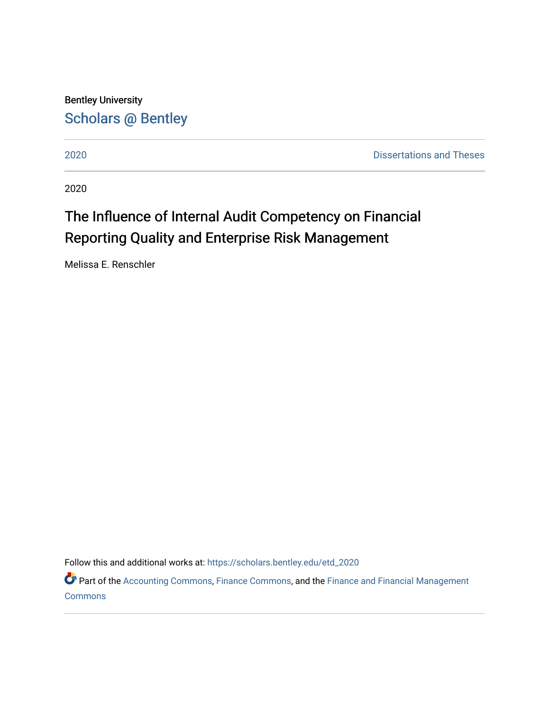Bentley University [Scholars @ Bentley](https://scholars.bentley.edu/) 

[2020](https://scholars.bentley.edu/etd_2020) [Dissertations and Theses](https://scholars.bentley.edu/etd) 

2020

# The Influence of Internal Audit Competency on Financial Reporting Quality and Enterprise Risk Management

Melissa E. Renschler

Follow this and additional works at: [https://scholars.bentley.edu/etd\\_2020](https://scholars.bentley.edu/etd_2020?utm_source=scholars.bentley.edu%2Fetd_2020%2F4&utm_medium=PDF&utm_campaign=PDFCoverPages) 

Part of the [Accounting Commons](http://network.bepress.com/hgg/discipline/625?utm_source=scholars.bentley.edu%2Fetd_2020%2F4&utm_medium=PDF&utm_campaign=PDFCoverPages), [Finance Commons](http://network.bepress.com/hgg/discipline/345?utm_source=scholars.bentley.edu%2Fetd_2020%2F4&utm_medium=PDF&utm_campaign=PDFCoverPages), and the [Finance and Financial Management](http://network.bepress.com/hgg/discipline/631?utm_source=scholars.bentley.edu%2Fetd_2020%2F4&utm_medium=PDF&utm_campaign=PDFCoverPages) **[Commons](http://network.bepress.com/hgg/discipline/631?utm_source=scholars.bentley.edu%2Fetd_2020%2F4&utm_medium=PDF&utm_campaign=PDFCoverPages)**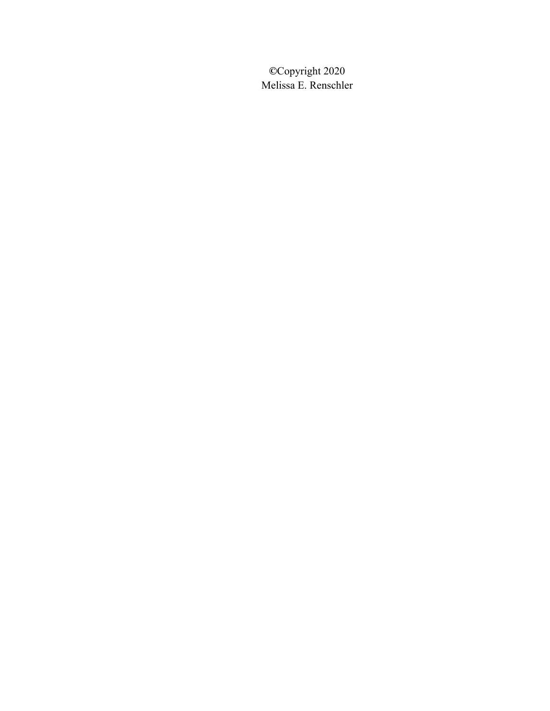**©**Copyright 2020 Melissa E. Renschler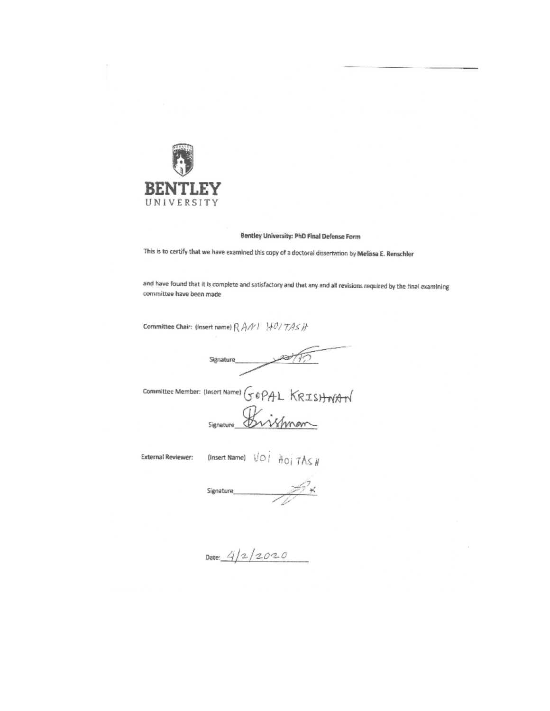

## Bentley University: PhD Final Defense Form

This is to certify that we have examined this copy of a doctoral dissertation by Melissa E. Renschler

and have found that it is complete and satisfactory and that any and all revisions required by the final examining committee have been made

Committee Chair: (Insert name)  $\mathcal{R}$   $\mathcal{A} \mathcal{N} \vdash \mathcal{H} \mathcal{O} / \mathcal{T} \mathcal{A} \mathcal{L}$   $\mathcal{H}$ 

Signature

committee Member: (Insert Name) GOPAL KRISHNAN Signature Brishman

**External Reviewer:** 

(Insert Name)  $\bigcup_{i=1}^{n} A_{i} \bigcap_{i=1}^{n} A_{i} \bigcup_{i=1}^{n} A_{i} \bigcup_{i=1}^{n} A_{i} \bigcup_{i=1}^{n} A_{i} \bigcup_{i=1}^{n} A_{i} \bigcup_{i=1}^{n} A_{i} \bigcup_{i=1}^{n} A_{i} \bigcup_{i=1}^{n} A_{i} \bigcup_{i=1}^{n} A_{i} \bigcup_{i=1}^{n} A_{i} \bigcup_{i=1}^{n} A_{i} \bigcup_{i=1}^{n} A_{i} \bigcup_{i=1}^{n}$ 

Signature

Date:  $4/2/2020$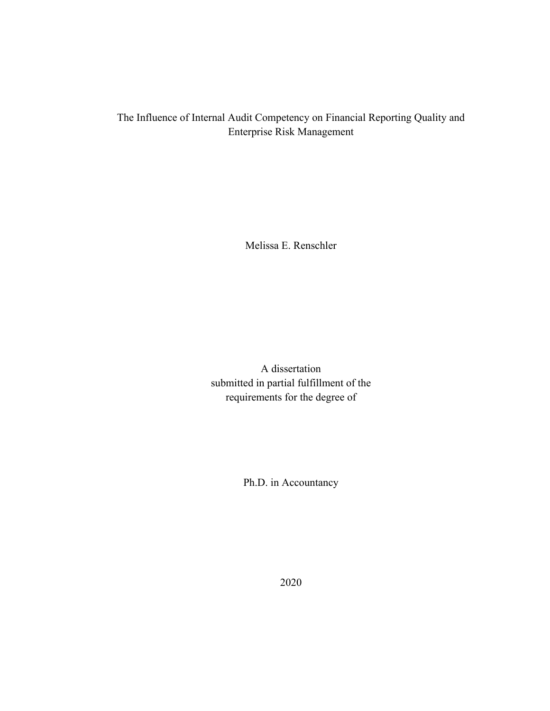# The Influence of Internal Audit Competency on Financial Reporting Quality and Enterprise Risk Management

Melissa E. Renschler

A dissertation submitted in partial fulfillment of the requirements for the degree of

Ph.D. in Accountancy

2020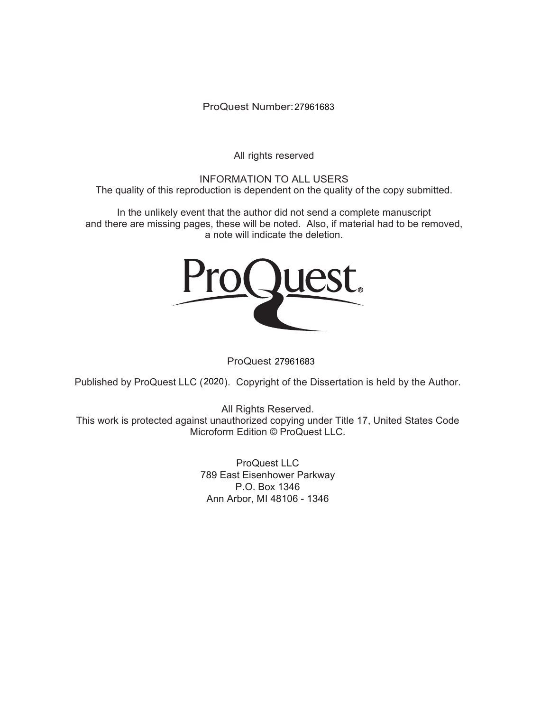ProQuest Number: 27961683

All rights reserved

INFORMATION TO ALL USERS The quality of this reproduction is dependent on the quality of the copy submitted.

In the unlikely event that the author did not send a complete manuscript and there are missing pages, these will be noted. Also, if material had to be removed, a note will indicate the deletion.



ProQuest 27961683

Published by ProQuest LLC (2020). Copyright of the Dissertation is held by the Author.

All Rights Reserved. This work is protected against unauthorized copying under Title 17, United States Code Microform Edition © ProQuest LLC.

> ProQuest LLC 789 East Eisenhower Parkway P.O. Box 1346 Ann Arbor, MI 48106 - 1346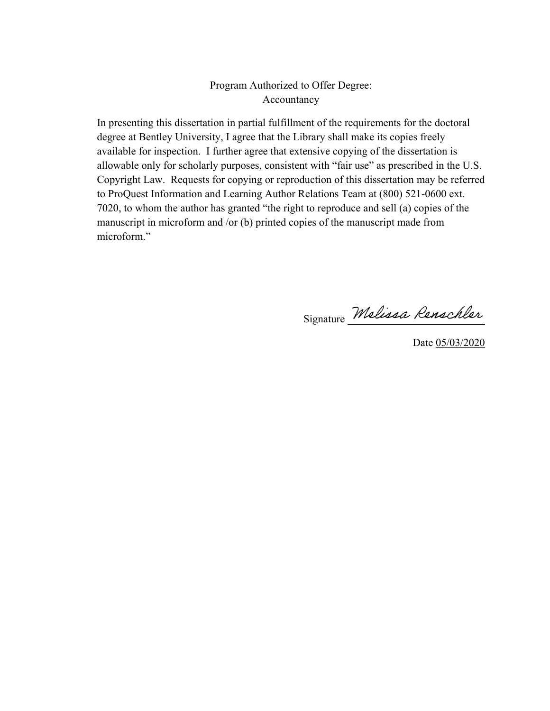# Program Authorized to Offer Degree: Accountancy

In presenting this dissertation in partial fulfillment of the requirements for the doctoral degree at Bentley University, I agree that the Library shall make its copies freely available for inspection. I further agree that extensive copying of the dissertation is allowable only for scholarly purposes, consistent with "fair use" as prescribed in the U.S. Copyright Law. Requests for copying or reproduction of this dissertation may be referred to ProQuest Information and Learning Author Relations Team at (800) 521-0600 ext. 7020, to whom the author has granted "the right to reproduce and sell (a) copies of the manuscript in microform and /or (b) printed copies of the manuscript made from microform."

Signature Melissa Renschler

Date 05/03/2020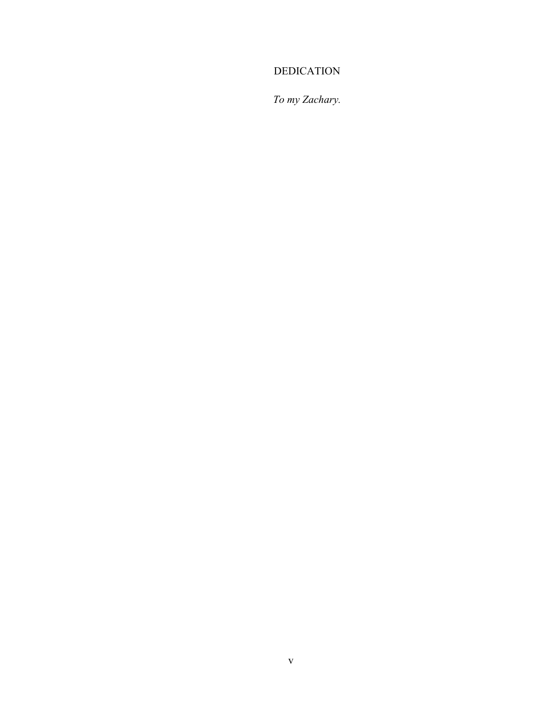# DEDICATION

*To my Zachary.*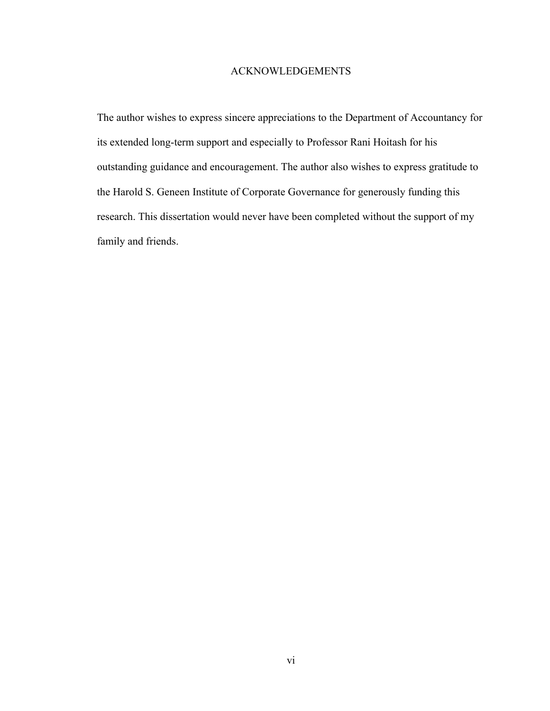## ACKNOWLEDGEMENTS

The author wishes to express sincere appreciations to the Department of Accountancy for its extended long-term support and especially to Professor Rani Hoitash for his outstanding guidance and encouragement. The author also wishes to express gratitude to the Harold S. Geneen Institute of Corporate Governance for generously funding this research. This dissertation would never have been completed without the support of my family and friends.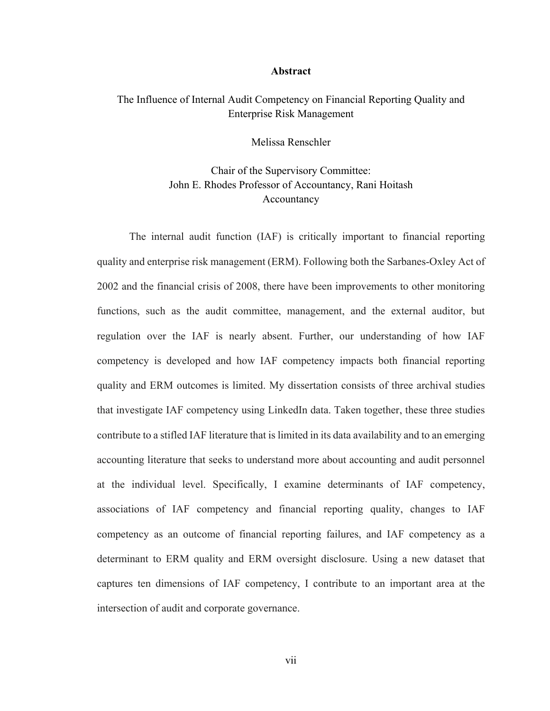#### **Abstract**

## The Influence of Internal Audit Competency on Financial Reporting Quality and Enterprise Risk Management

Melissa Renschler

Chair of the Supervisory Committee: John E. Rhodes Professor of Accountancy, Rani Hoitash Accountancy

The internal audit function (IAF) is critically important to financial reporting quality and enterprise risk management (ERM). Following both the Sarbanes-Oxley Act of 2002 and the financial crisis of 2008, there have been improvements to other monitoring functions, such as the audit committee, management, and the external auditor, but regulation over the IAF is nearly absent. Further, our understanding of how IAF competency is developed and how IAF competency impacts both financial reporting quality and ERM outcomes is limited. My dissertation consists of three archival studies that investigate IAF competency using LinkedIn data. Taken together, these three studies contribute to a stifled IAF literature that is limited in its data availability and to an emerging accounting literature that seeks to understand more about accounting and audit personnel at the individual level. Specifically, I examine determinants of IAF competency, associations of IAF competency and financial reporting quality, changes to IAF competency as an outcome of financial reporting failures, and IAF competency as a determinant to ERM quality and ERM oversight disclosure. Using a new dataset that captures ten dimensions of IAF competency, I contribute to an important area at the intersection of audit and corporate governance.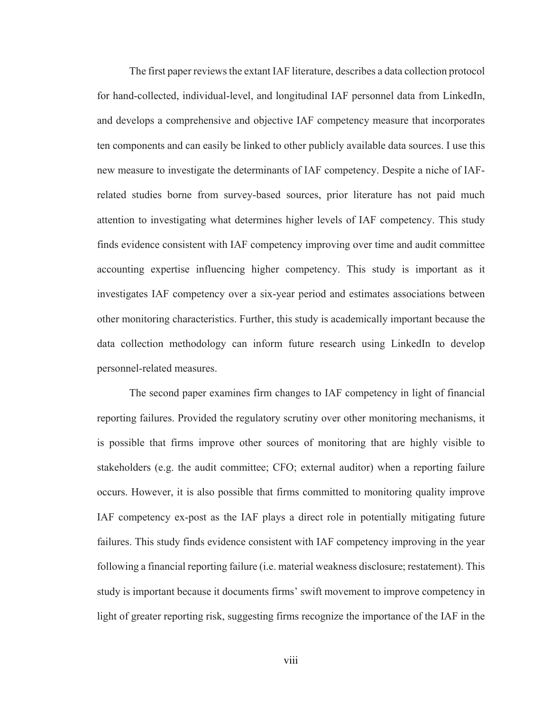The first paper reviews the extant IAF literature, describes a data collection protocol for hand-collected, individual-level, and longitudinal IAF personnel data from LinkedIn, and develops a comprehensive and objective IAF competency measure that incorporates ten components and can easily be linked to other publicly available data sources. I use this new measure to investigate the determinants of IAF competency. Despite a niche of IAFrelated studies borne from survey-based sources, prior literature has not paid much attention to investigating what determines higher levels of IAF competency. This study finds evidence consistent with IAF competency improving over time and audit committee accounting expertise influencing higher competency. This study is important as it investigates IAF competency over a six-year period and estimates associations between other monitoring characteristics. Further, this study is academically important because the data collection methodology can inform future research using LinkedIn to develop personnel-related measures.

The second paper examines firm changes to IAF competency in light of financial reporting failures. Provided the regulatory scrutiny over other monitoring mechanisms, it is possible that firms improve other sources of monitoring that are highly visible to stakeholders (e.g. the audit committee; CFO; external auditor) when a reporting failure occurs. However, it is also possible that firms committed to monitoring quality improve IAF competency ex-post as the IAF plays a direct role in potentially mitigating future failures. This study finds evidence consistent with IAF competency improving in the year following a financial reporting failure (i.e. material weakness disclosure; restatement). This study is important because it documents firms' swift movement to improve competency in light of greater reporting risk, suggesting firms recognize the importance of the IAF in the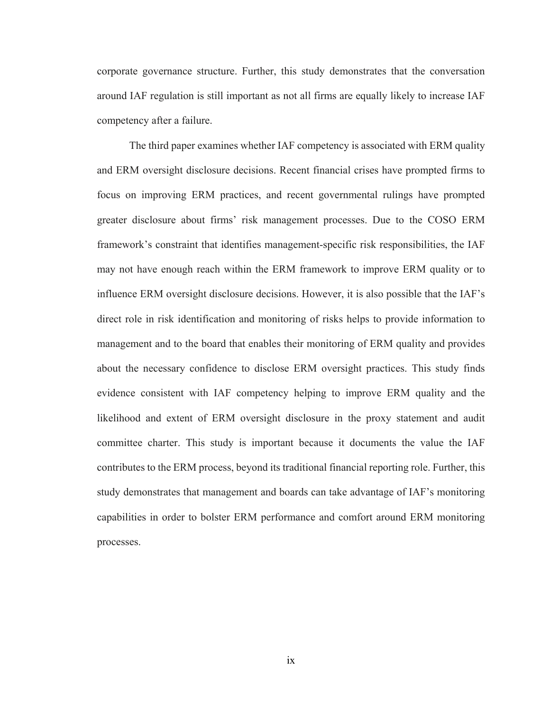corporate governance structure. Further, this study demonstrates that the conversation around IAF regulation is still important as not all firms are equally likely to increase IAF competency after a failure.

The third paper examines whether IAF competency is associated with ERM quality and ERM oversight disclosure decisions. Recent financial crises have prompted firms to focus on improving ERM practices, and recent governmental rulings have prompted greater disclosure about firms' risk management processes. Due to the COSO ERM framework's constraint that identifies management-specific risk responsibilities, the IAF may not have enough reach within the ERM framework to improve ERM quality or to influence ERM oversight disclosure decisions. However, it is also possible that the IAF's direct role in risk identification and monitoring of risks helps to provide information to management and to the board that enables their monitoring of ERM quality and provides about the necessary confidence to disclose ERM oversight practices. This study finds evidence consistent with IAF competency helping to improve ERM quality and the likelihood and extent of ERM oversight disclosure in the proxy statement and audit committee charter. This study is important because it documents the value the IAF contributes to the ERM process, beyond its traditional financial reporting role. Further, this study demonstrates that management and boards can take advantage of IAF's monitoring capabilities in order to bolster ERM performance and comfort around ERM monitoring processes.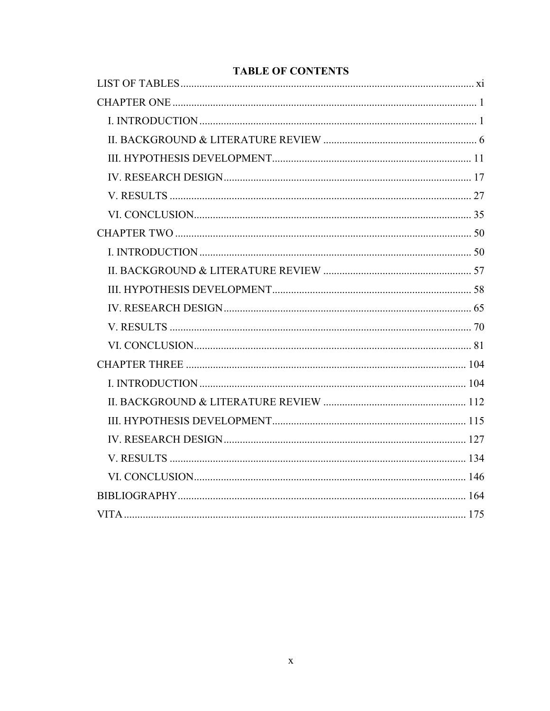# **TABLE OF CONTENTS**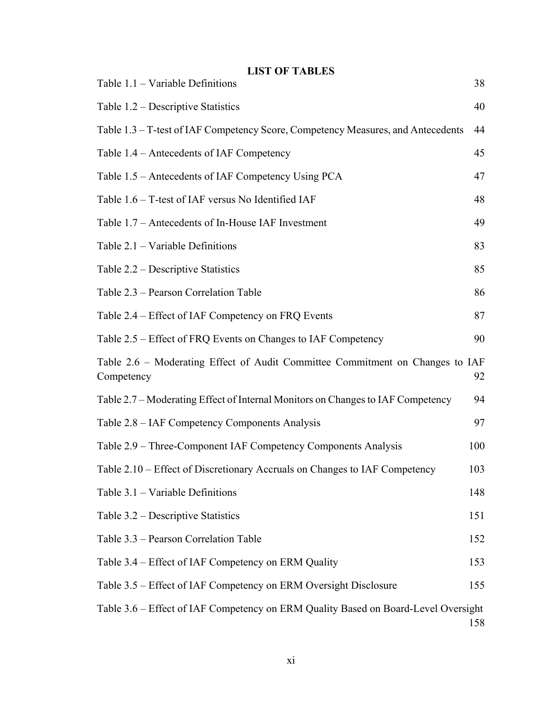| <b>LIST OF TABLES</b><br>Table $1.1$ – Variable Definitions                                 | 38  |
|---------------------------------------------------------------------------------------------|-----|
| Table $1.2$ – Descriptive Statistics                                                        | 40  |
| Table 1.3 – T-test of IAF Competency Score, Competency Measures, and Antecedents            | 44  |
| Table 1.4 – Antecedents of IAF Competency                                                   | 45  |
| Table 1.5 – Antecedents of IAF Competency Using PCA                                         | 47  |
| Table 1.6 – T-test of IAF versus No Identified IAF                                          | 48  |
| Table 1.7 – Antecedents of In-House IAF Investment                                          | 49  |
| Table $2.1$ – Variable Definitions                                                          | 83  |
| Table 2.2 – Descriptive Statistics                                                          | 85  |
| Table 2.3 – Pearson Correlation Table                                                       | 86  |
| Table 2.4 – Effect of IAF Competency on FRQ Events                                          | 87  |
| Table 2.5 – Effect of FRQ Events on Changes to IAF Competency                               | 90  |
| Table 2.6 - Moderating Effect of Audit Committee Commitment on Changes to IAF<br>Competency | 92  |
| Table 2.7 – Moderating Effect of Internal Monitors on Changes to IAF Competency             | 94  |
| Table 2.8 – IAF Competency Components Analysis                                              | 97  |
| Table 2.9 – Three-Component IAF Competency Components Analysis                              | 100 |
| Table 2.10 – Effect of Discretionary Accruals on Changes to IAF Competency                  | 103 |
| Table $3.1$ – Variable Definitions                                                          | 148 |
| Table 3.2 – Descriptive Statistics                                                          | 151 |
| Table 3.3 – Pearson Correlation Table                                                       | 152 |
| Table 3.4 – Effect of IAF Competency on ERM Quality                                         | 153 |
| Table 3.5 – Effect of IAF Competency on ERM Oversight Disclosure                            | 155 |
| Table 3.6 – Effect of IAF Competency on ERM Quality Based on Board-Level Oversight          | 158 |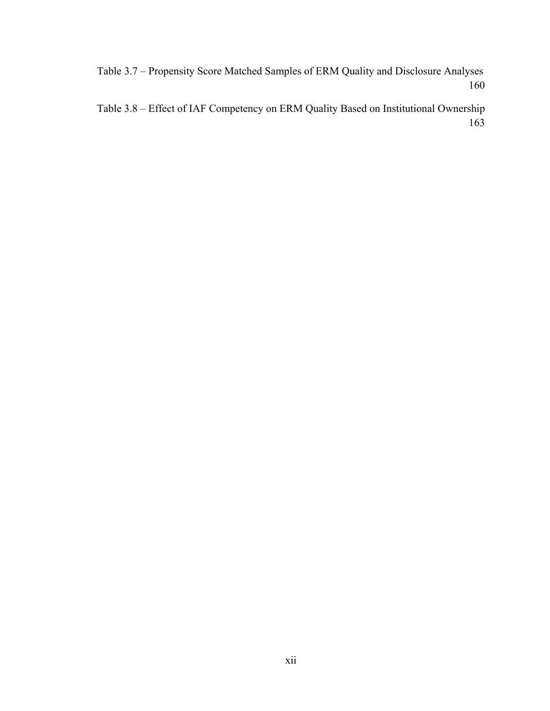Table 3.7 – Propensity Score Matched Samples of ERM Quality and Disclosure Analyses 160

Table 3.8 – Effect of IAF Competency on ERM Quality Based on Institutional Ownership 163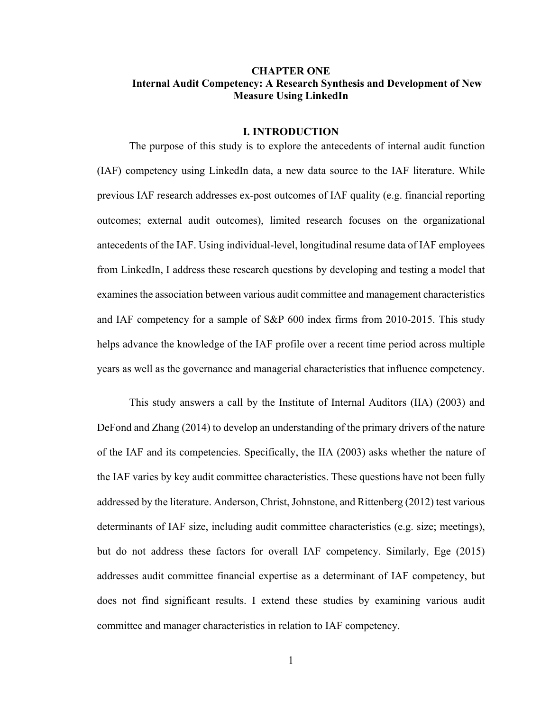## **CHAPTER ONE Internal Audit Competency: A Research Synthesis and Development of New Measure Using LinkedIn**

#### **I. INTRODUCTION**

The purpose of this study is to explore the antecedents of internal audit function (IAF) competency using LinkedIn data, a new data source to the IAF literature. While previous IAF research addresses ex-post outcomes of IAF quality (e.g. financial reporting outcomes; external audit outcomes), limited research focuses on the organizational antecedents of the IAF. Using individual-level, longitudinal resume data of IAF employees from LinkedIn, I address these research questions by developing and testing a model that examines the association between various audit committee and management characteristics and IAF competency for a sample of S&P 600 index firms from 2010-2015. This study helps advance the knowledge of the IAF profile over a recent time period across multiple years as well as the governance and managerial characteristics that influence competency.

This study answers a call by the Institute of Internal Auditors (IIA) (2003) and DeFond and Zhang (2014) to develop an understanding of the primary drivers of the nature of the IAF and its competencies. Specifically, the IIA (2003) asks whether the nature of the IAF varies by key audit committee characteristics. These questions have not been fully addressed by the literature. Anderson, Christ, Johnstone, and Rittenberg (2012) test various determinants of IAF size, including audit committee characteristics (e.g. size; meetings), but do not address these factors for overall IAF competency. Similarly, Ege (2015) addresses audit committee financial expertise as a determinant of IAF competency, but does not find significant results. I extend these studies by examining various audit committee and manager characteristics in relation to IAF competency.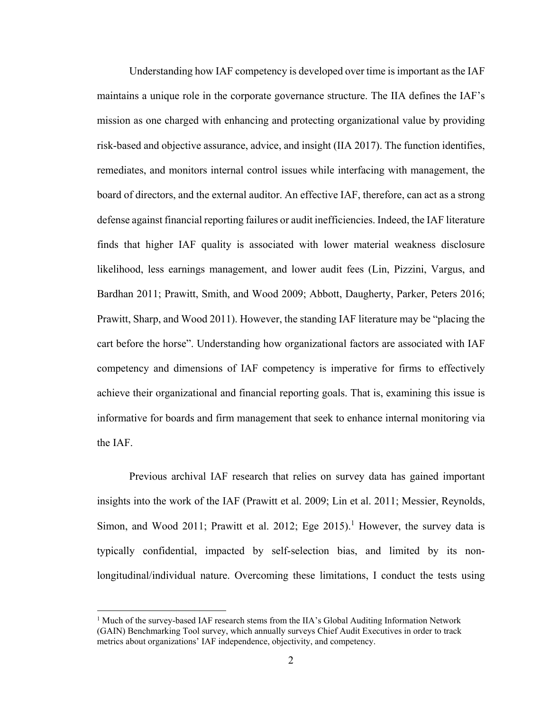Understanding how IAF competency is developed over time is important as the IAF maintains a unique role in the corporate governance structure. The IIA defines the IAF's mission as one charged with enhancing and protecting organizational value by providing risk-based and objective assurance, advice, and insight (IIA 2017). The function identifies, remediates, and monitors internal control issues while interfacing with management, the board of directors, and the external auditor. An effective IAF, therefore, can act as a strong defense against financial reporting failures or audit inefficiencies. Indeed, the IAF literature finds that higher IAF quality is associated with lower material weakness disclosure likelihood, less earnings management, and lower audit fees (Lin, Pizzini, Vargus, and Bardhan 2011; Prawitt, Smith, and Wood 2009; Abbott, Daugherty, Parker, Peters 2016; Prawitt, Sharp, and Wood 2011). However, the standing IAF literature may be "placing the cart before the horse". Understanding how organizational factors are associated with IAF competency and dimensions of IAF competency is imperative for firms to effectively achieve their organizational and financial reporting goals. That is, examining this issue is informative for boards and firm management that seek to enhance internal monitoring via the IAF.

Previous archival IAF research that relies on survey data has gained important insights into the work of the IAF (Prawitt et al. 2009; Lin et al. 2011; Messier, Reynolds, Simon, and Wood 2011; Prawitt et al. 2012; Ege  $2015$ .<sup>1</sup> However, the survey data is typically confidential, impacted by self-selection bias, and limited by its nonlongitudinal/individual nature. Overcoming these limitations, I conduct the tests using

 $\overline{a}$ 

<sup>&</sup>lt;sup>1</sup> Much of the survey-based IAF research stems from the IIA's Global Auditing Information Network (GAIN) Benchmarking Tool survey, which annually surveys Chief Audit Executives in order to track metrics about organizations' IAF independence, objectivity, and competency.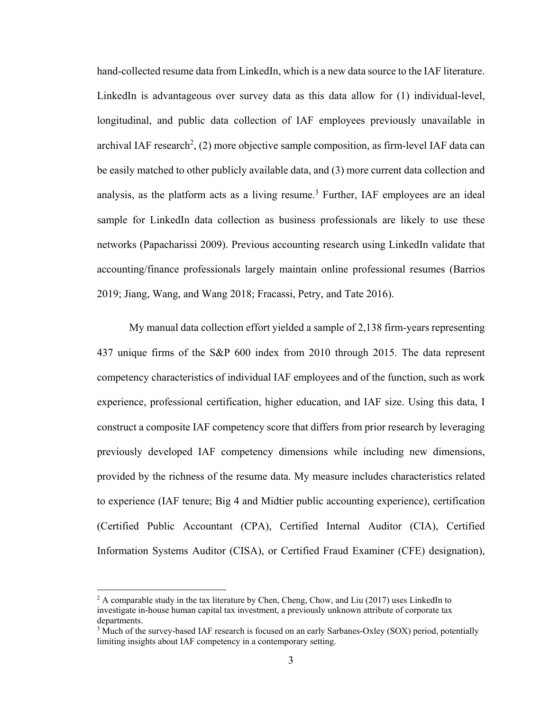hand-collected resume data from LinkedIn, which is a new data source to the IAF literature. LinkedIn is advantageous over survey data as this data allow for (1) individual-level, longitudinal, and public data collection of IAF employees previously unavailable in archival IAF research<sup>2</sup>, (2) more objective sample composition, as firm-level IAF data can be easily matched to other publicly available data, and (3) more current data collection and analysis, as the platform acts as a living resume.<sup>3</sup> Further, IAF employees are an ideal sample for LinkedIn data collection as business professionals are likely to use these networks (Papacharissi 2009). Previous accounting research using LinkedIn validate that accounting/finance professionals largely maintain online professional resumes (Barrios 2019; Jiang, Wang, and Wang 2018; Fracassi, Petry, and Tate 2016).

My manual data collection effort yielded a sample of 2,138 firm-years representing 437 unique firms of the S&P 600 index from 2010 through 2015. The data represent competency characteristics of individual IAF employees and of the function, such as work experience, professional certification, higher education, and IAF size. Using this data, I construct a composite IAF competency score that differs from prior research by leveraging previously developed IAF competency dimensions while including new dimensions, provided by the richness of the resume data. My measure includes characteristics related to experience (IAF tenure; Big 4 and Midtier public accounting experience), certification (Certified Public Accountant (CPA), Certified Internal Auditor (CIA), Certified Information Systems Auditor (CISA), or Certified Fraud Examiner (CFE) designation),

1

<sup>&</sup>lt;sup>2</sup> A comparable study in the tax literature by Chen, Cheng, Chow, and Liu (2017) uses LinkedIn to investigate in-house human capital tax investment, a previously unknown attribute of corporate tax departments.

<sup>&</sup>lt;sup>3</sup> Much of the survey-based IAF research is focused on an early Sarbanes-Oxley (SOX) period, potentially limiting insights about IAF competency in a contemporary setting.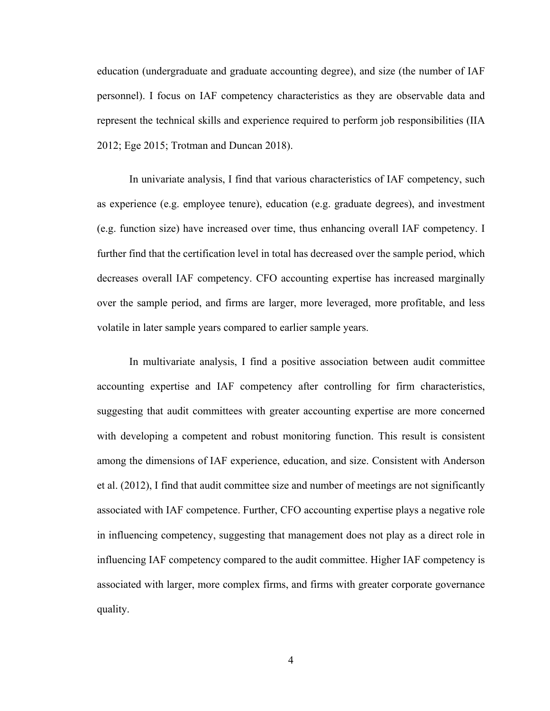education (undergraduate and graduate accounting degree), and size (the number of IAF personnel). I focus on IAF competency characteristics as they are observable data and represent the technical skills and experience required to perform job responsibilities (IIA 2012; Ege 2015; Trotman and Duncan 2018).

In univariate analysis, I find that various characteristics of IAF competency, such as experience (e.g. employee tenure), education (e.g. graduate degrees), and investment (e.g. function size) have increased over time, thus enhancing overall IAF competency. I further find that the certification level in total has decreased over the sample period, which decreases overall IAF competency. CFO accounting expertise has increased marginally over the sample period, and firms are larger, more leveraged, more profitable, and less volatile in later sample years compared to earlier sample years.

In multivariate analysis, I find a positive association between audit committee accounting expertise and IAF competency after controlling for firm characteristics, suggesting that audit committees with greater accounting expertise are more concerned with developing a competent and robust monitoring function. This result is consistent among the dimensions of IAF experience, education, and size. Consistent with Anderson et al. (2012), I find that audit committee size and number of meetings are not significantly associated with IAF competence. Further, CFO accounting expertise plays a negative role in influencing competency, suggesting that management does not play as a direct role in influencing IAF competency compared to the audit committee. Higher IAF competency is associated with larger, more complex firms, and firms with greater corporate governance quality.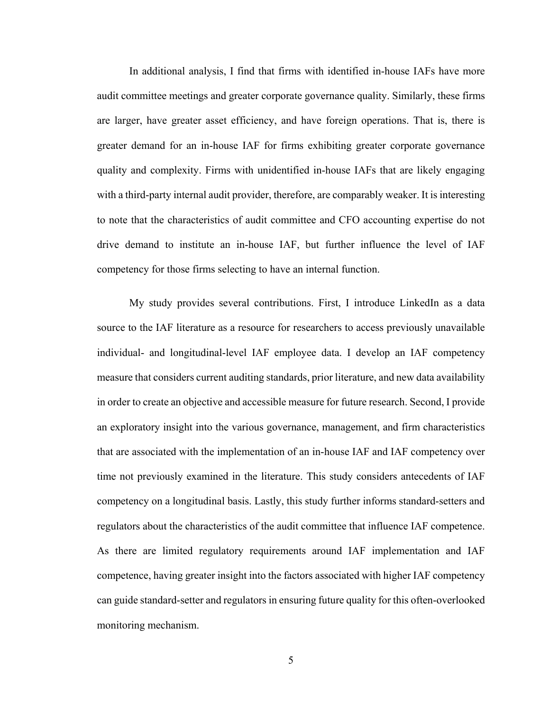In additional analysis, I find that firms with identified in-house IAFs have more audit committee meetings and greater corporate governance quality. Similarly, these firms are larger, have greater asset efficiency, and have foreign operations. That is, there is greater demand for an in-house IAF for firms exhibiting greater corporate governance quality and complexity. Firms with unidentified in-house IAFs that are likely engaging with a third-party internal audit provider, therefore, are comparably weaker. It is interesting to note that the characteristics of audit committee and CFO accounting expertise do not drive demand to institute an in-house IAF, but further influence the level of IAF competency for those firms selecting to have an internal function.

My study provides several contributions. First, I introduce LinkedIn as a data source to the IAF literature as a resource for researchers to access previously unavailable individual- and longitudinal-level IAF employee data. I develop an IAF competency measure that considers current auditing standards, prior literature, and new data availability in order to create an objective and accessible measure for future research. Second, I provide an exploratory insight into the various governance, management, and firm characteristics that are associated with the implementation of an in-house IAF and IAF competency over time not previously examined in the literature. This study considers antecedents of IAF competency on a longitudinal basis. Lastly, this study further informs standard-setters and regulators about the characteristics of the audit committee that influence IAF competence. As there are limited regulatory requirements around IAF implementation and IAF competence, having greater insight into the factors associated with higher IAF competency can guide standard-setter and regulators in ensuring future quality for this often-overlooked monitoring mechanism.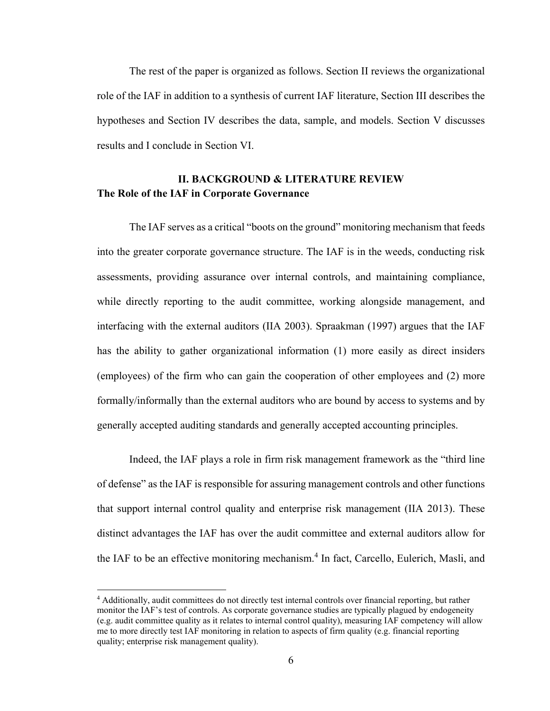The rest of the paper is organized as follows. Section II reviews the organizational role of the IAF in addition to a synthesis of current IAF literature, Section III describes the hypotheses and Section IV describes the data, sample, and models. Section V discusses results and I conclude in Section VI.

# **II. BACKGROUND & LITERATURE REVIEW The Role of the IAF in Corporate Governance**

The IAF serves as a critical "boots on the ground" monitoring mechanism that feeds into the greater corporate governance structure. The IAF is in the weeds, conducting risk assessments, providing assurance over internal controls, and maintaining compliance, while directly reporting to the audit committee, working alongside management, and interfacing with the external auditors (IIA 2003). Spraakman (1997) argues that the IAF has the ability to gather organizational information (1) more easily as direct insiders (employees) of the firm who can gain the cooperation of other employees and (2) more formally/informally than the external auditors who are bound by access to systems and by generally accepted auditing standards and generally accepted accounting principles.

Indeed, the IAF plays a role in firm risk management framework as the "third line of defense" as the IAF is responsible for assuring management controls and other functions that support internal control quality and enterprise risk management (IIA 2013). These distinct advantages the IAF has over the audit committee and external auditors allow for the IAF to be an effective monitoring mechanism.<sup>4</sup> In fact, Carcello, Eulerich, Masli, and

 $\overline{a}$ 

<sup>4</sup> Additionally, audit committees do not directly test internal controls over financial reporting, but rather monitor the IAF's test of controls. As corporate governance studies are typically plagued by endogeneity (e.g. audit committee quality as it relates to internal control quality), measuring IAF competency will allow me to more directly test IAF monitoring in relation to aspects of firm quality (e.g. financial reporting quality; enterprise risk management quality).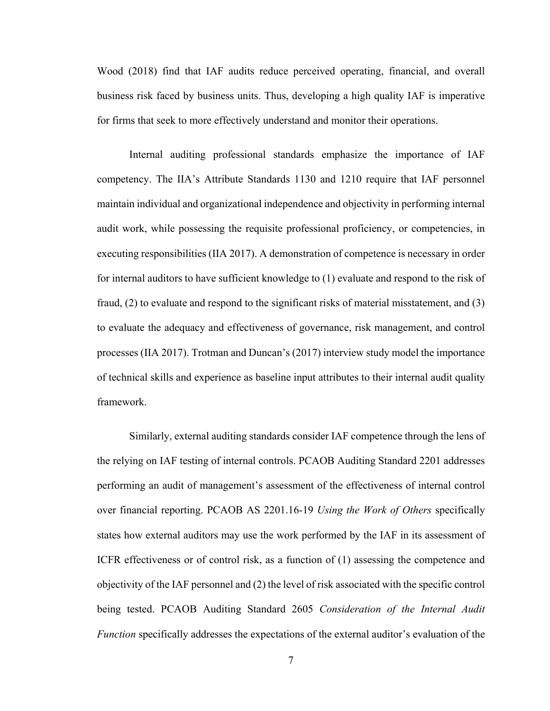Wood (2018) find that IAF audits reduce perceived operating, financial, and overall business risk faced by business units. Thus, developing a high quality IAF is imperative for firms that seek to more effectively understand and monitor their operations.

Internal auditing professional standards emphasize the importance of IAF competency. The IIA's Attribute Standards 1130 and 1210 require that IAF personnel maintain individual and organizational independence and objectivity in performing internal audit work, while possessing the requisite professional proficiency, or competencies, in executing responsibilities (IIA 2017). A demonstration of competence is necessary in order for internal auditors to have sufficient knowledge to (1) evaluate and respond to the risk of fraud, (2) to evaluate and respond to the significant risks of material misstatement, and (3) to evaluate the adequacy and effectiveness of governance, risk management, and control processes (IIA 2017). Trotman and Duncan's (2017) interview study model the importance of technical skills and experience as baseline input attributes to their internal audit quality framework.

Similarly, external auditing standards consider IAF competence through the lens of the relying on IAF testing of internal controls. PCAOB Auditing Standard 2201 addresses performing an audit of management's assessment of the effectiveness of internal control over financial reporting. PCAOB AS 2201.16-19 *Using the Work of Others* specifically states how external auditors may use the work performed by the IAF in its assessment of ICFR effectiveness or of control risk, as a function of (1) assessing the competence and objectivity of the IAF personnel and (2) the level of risk associated with the specific control being tested. PCAOB Auditing Standard 2605 *Consideration of the Internal Audit Function* specifically addresses the expectations of the external auditor's evaluation of the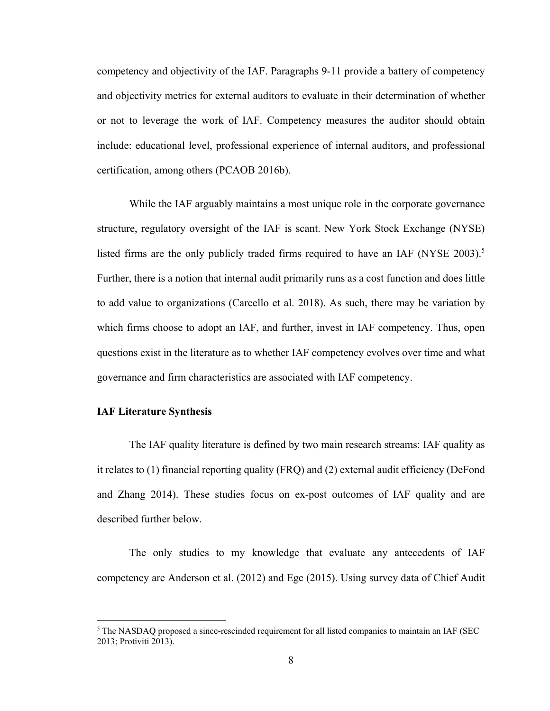competency and objectivity of the IAF. Paragraphs 9-11 provide a battery of competency and objectivity metrics for external auditors to evaluate in their determination of whether or not to leverage the work of IAF. Competency measures the auditor should obtain include: educational level, professional experience of internal auditors, and professional certification, among others (PCAOB 2016b).

While the IAF arguably maintains a most unique role in the corporate governance structure, regulatory oversight of the IAF is scant. New York Stock Exchange (NYSE) listed firms are the only publicly traded firms required to have an IAF (NYSE 2003).<sup>5</sup> Further, there is a notion that internal audit primarily runs as a cost function and does little to add value to organizations (Carcello et al. 2018). As such, there may be variation by which firms choose to adopt an IAF, and further, invest in IAF competency. Thus, open questions exist in the literature as to whether IAF competency evolves over time and what governance and firm characteristics are associated with IAF competency.

## **IAF Literature Synthesis**

1

The IAF quality literature is defined by two main research streams: IAF quality as it relates to (1) financial reporting quality (FRQ) and (2) external audit efficiency (DeFond and Zhang 2014). These studies focus on ex-post outcomes of IAF quality and are described further below.

The only studies to my knowledge that evaluate any antecedents of IAF competency are Anderson et al. (2012) and Ege (2015). Using survey data of Chief Audit

<sup>&</sup>lt;sup>5</sup> The NASDAQ proposed a since-rescinded requirement for all listed companies to maintain an IAF (SEC 2013; Protiviti 2013).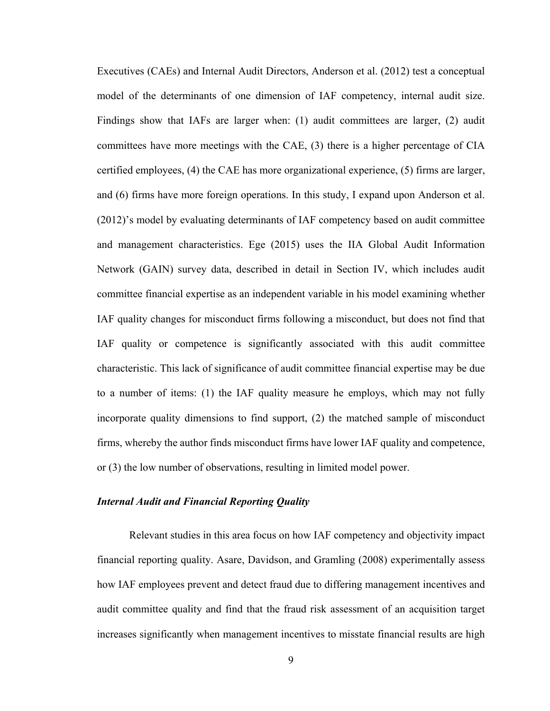Executives (CAEs) and Internal Audit Directors, Anderson et al. (2012) test a conceptual model of the determinants of one dimension of IAF competency, internal audit size. Findings show that IAFs are larger when: (1) audit committees are larger, (2) audit committees have more meetings with the CAE, (3) there is a higher percentage of CIA certified employees, (4) the CAE has more organizational experience, (5) firms are larger, and (6) firms have more foreign operations. In this study, I expand upon Anderson et al. (2012)'s model by evaluating determinants of IAF competency based on audit committee and management characteristics. Ege (2015) uses the IIA Global Audit Information Network (GAIN) survey data, described in detail in Section IV, which includes audit committee financial expertise as an independent variable in his model examining whether IAF quality changes for misconduct firms following a misconduct, but does not find that IAF quality or competence is significantly associated with this audit committee characteristic. This lack of significance of audit committee financial expertise may be due to a number of items: (1) the IAF quality measure he employs, which may not fully incorporate quality dimensions to find support, (2) the matched sample of misconduct firms, whereby the author finds misconduct firms have lower IAF quality and competence, or (3) the low number of observations, resulting in limited model power.

## *Internal Audit and Financial Reporting Quality*

 Relevant studies in this area focus on how IAF competency and objectivity impact financial reporting quality. Asare, Davidson, and Gramling (2008) experimentally assess how IAF employees prevent and detect fraud due to differing management incentives and audit committee quality and find that the fraud risk assessment of an acquisition target increases significantly when management incentives to misstate financial results are high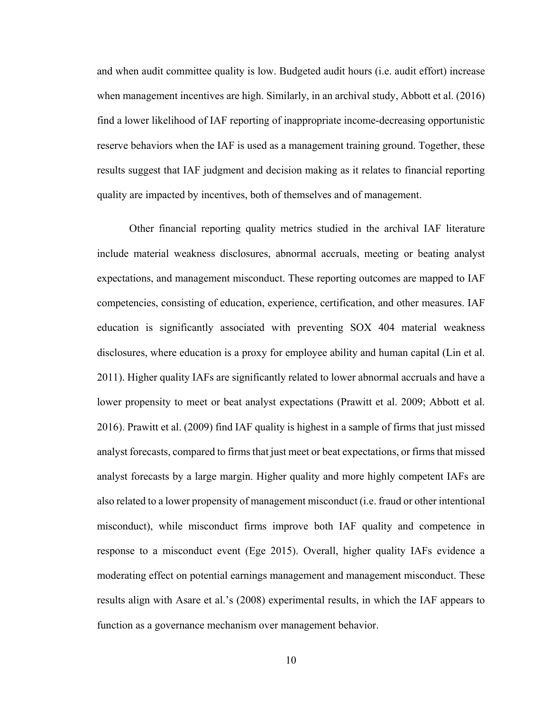and when audit committee quality is low. Budgeted audit hours (i.e. audit effort) increase when management incentives are high. Similarly, in an archival study, Abbott et al. (2016) find a lower likelihood of IAF reporting of inappropriate income-decreasing opportunistic reserve behaviors when the IAF is used as a management training ground. Together, these results suggest that IAF judgment and decision making as it relates to financial reporting quality are impacted by incentives, both of themselves and of management.

 Other financial reporting quality metrics studied in the archival IAF literature include material weakness disclosures, abnormal accruals, meeting or beating analyst expectations, and management misconduct. These reporting outcomes are mapped to IAF competencies, consisting of education, experience, certification, and other measures. IAF education is significantly associated with preventing SOX 404 material weakness disclosures, where education is a proxy for employee ability and human capital (Lin et al. 2011). Higher quality IAFs are significantly related to lower abnormal accruals and have a lower propensity to meet or beat analyst expectations (Prawitt et al. 2009; Abbott et al. 2016). Prawitt et al. (2009) find IAF quality is highest in a sample of firms that just missed analyst forecasts, compared to firms that just meet or beat expectations, or firms that missed analyst forecasts by a large margin. Higher quality and more highly competent IAFs are also related to a lower propensity of management misconduct (i.e. fraud or other intentional misconduct), while misconduct firms improve both IAF quality and competence in response to a misconduct event (Ege 2015). Overall, higher quality IAFs evidence a moderating effect on potential earnings management and management misconduct. These results align with Asare et al.'s (2008) experimental results, in which the IAF appears to function as a governance mechanism over management behavior.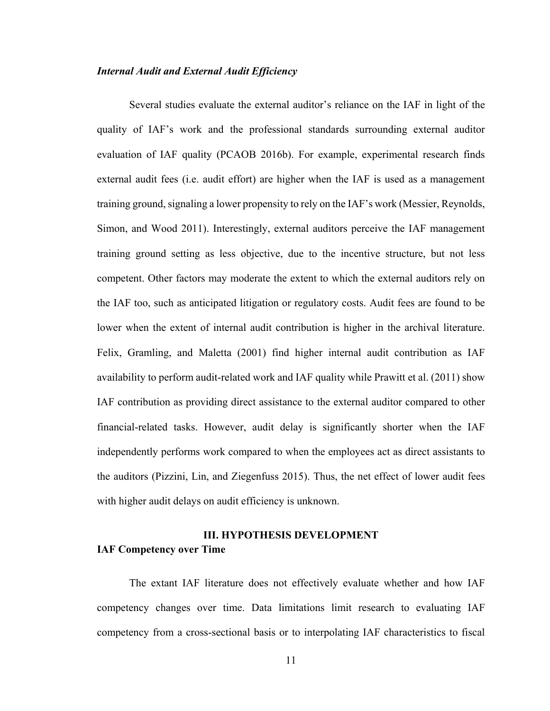#### *Internal Audit and External Audit Efficiency*

 Several studies evaluate the external auditor's reliance on the IAF in light of the quality of IAF's work and the professional standards surrounding external auditor evaluation of IAF quality (PCAOB 2016b). For example, experimental research finds external audit fees (i.e. audit effort) are higher when the IAF is used as a management training ground, signaling a lower propensity to rely on the IAF's work (Messier, Reynolds, Simon, and Wood 2011). Interestingly, external auditors perceive the IAF management training ground setting as less objective, due to the incentive structure, but not less competent. Other factors may moderate the extent to which the external auditors rely on the IAF too, such as anticipated litigation or regulatory costs. Audit fees are found to be lower when the extent of internal audit contribution is higher in the archival literature. Felix, Gramling, and Maletta (2001) find higher internal audit contribution as IAF availability to perform audit-related work and IAF quality while Prawitt et al. (2011) show IAF contribution as providing direct assistance to the external auditor compared to other financial-related tasks. However, audit delay is significantly shorter when the IAF independently performs work compared to when the employees act as direct assistants to the auditors (Pizzini, Lin, and Ziegenfuss 2015). Thus, the net effect of lower audit fees with higher audit delays on audit efficiency is unknown.

# **III. HYPOTHESIS DEVELOPMENT IAF Competency over Time**

The extant IAF literature does not effectively evaluate whether and how IAF competency changes over time. Data limitations limit research to evaluating IAF competency from a cross-sectional basis or to interpolating IAF characteristics to fiscal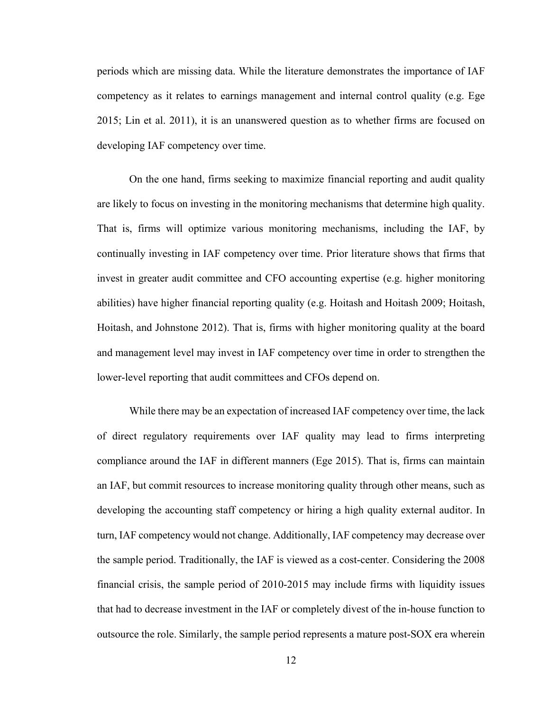periods which are missing data. While the literature demonstrates the importance of IAF competency as it relates to earnings management and internal control quality (e.g. Ege 2015; Lin et al. 2011), it is an unanswered question as to whether firms are focused on developing IAF competency over time.

On the one hand, firms seeking to maximize financial reporting and audit quality are likely to focus on investing in the monitoring mechanisms that determine high quality. That is, firms will optimize various monitoring mechanisms, including the IAF, by continually investing in IAF competency over time. Prior literature shows that firms that invest in greater audit committee and CFO accounting expertise (e.g. higher monitoring abilities) have higher financial reporting quality (e.g. Hoitash and Hoitash 2009; Hoitash, Hoitash, and Johnstone 2012). That is, firms with higher monitoring quality at the board and management level may invest in IAF competency over time in order to strengthen the lower-level reporting that audit committees and CFOs depend on.

While there may be an expectation of increased IAF competency over time, the lack of direct regulatory requirements over IAF quality may lead to firms interpreting compliance around the IAF in different manners (Ege 2015). That is, firms can maintain an IAF, but commit resources to increase monitoring quality through other means, such as developing the accounting staff competency or hiring a high quality external auditor. In turn, IAF competency would not change. Additionally, IAF competency may decrease over the sample period. Traditionally, the IAF is viewed as a cost-center. Considering the 2008 financial crisis, the sample period of 2010-2015 may include firms with liquidity issues that had to decrease investment in the IAF or completely divest of the in-house function to outsource the role. Similarly, the sample period represents a mature post-SOX era wherein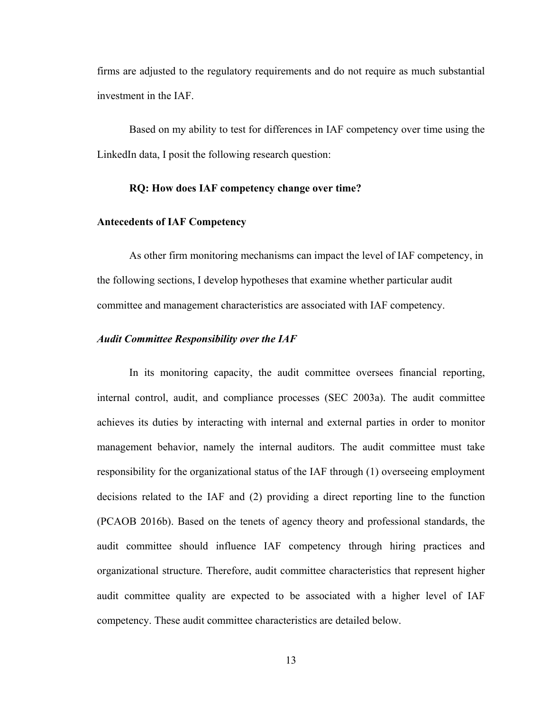firms are adjusted to the regulatory requirements and do not require as much substantial investment in the IAF.

Based on my ability to test for differences in IAF competency over time using the LinkedIn data, I posit the following research question:

#### **RQ: How does IAF competency change over time?**

#### **Antecedents of IAF Competency**

As other firm monitoring mechanisms can impact the level of IAF competency, in the following sections, I develop hypotheses that examine whether particular audit committee and management characteristics are associated with IAF competency.

#### *Audit Committee Responsibility over the IAF*

In its monitoring capacity, the audit committee oversees financial reporting, internal control, audit, and compliance processes (SEC 2003a). The audit committee achieves its duties by interacting with internal and external parties in order to monitor management behavior, namely the internal auditors. The audit committee must take responsibility for the organizational status of the IAF through (1) overseeing employment decisions related to the IAF and (2) providing a direct reporting line to the function (PCAOB 2016b). Based on the tenets of agency theory and professional standards, the audit committee should influence IAF competency through hiring practices and organizational structure. Therefore, audit committee characteristics that represent higher audit committee quality are expected to be associated with a higher level of IAF competency. These audit committee characteristics are detailed below.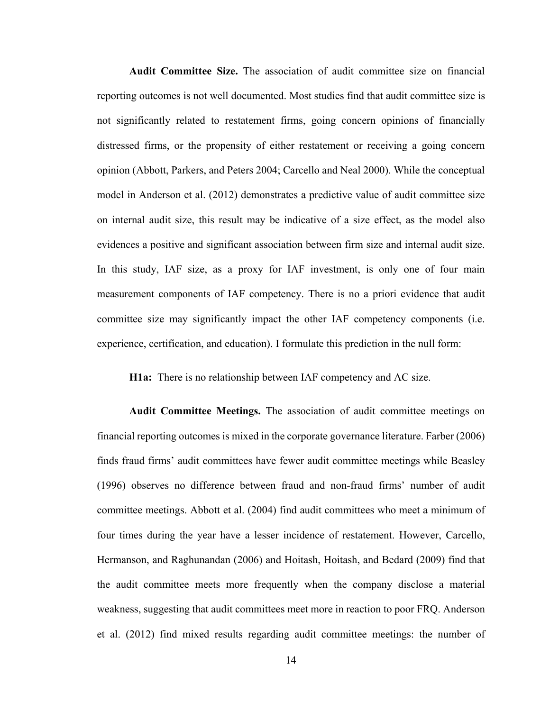**Audit Committee Size.** The association of audit committee size on financial reporting outcomes is not well documented. Most studies find that audit committee size is not significantly related to restatement firms, going concern opinions of financially distressed firms, or the propensity of either restatement or receiving a going concern opinion (Abbott, Parkers, and Peters 2004; Carcello and Neal 2000). While the conceptual model in Anderson et al. (2012) demonstrates a predictive value of audit committee size on internal audit size, this result may be indicative of a size effect, as the model also evidences a positive and significant association between firm size and internal audit size. In this study, IAF size, as a proxy for IAF investment, is only one of four main measurement components of IAF competency. There is no a priori evidence that audit committee size may significantly impact the other IAF competency components (i.e. experience, certification, and education). I formulate this prediction in the null form:

**H1a:** There is no relationship between IAF competency and AC size.

**Audit Committee Meetings.** The association of audit committee meetings on financial reporting outcomes is mixed in the corporate governance literature. Farber (2006) finds fraud firms' audit committees have fewer audit committee meetings while Beasley (1996) observes no difference between fraud and non-fraud firms' number of audit committee meetings. Abbott et al. (2004) find audit committees who meet a minimum of four times during the year have a lesser incidence of restatement. However, Carcello, Hermanson, and Raghunandan (2006) and Hoitash, Hoitash, and Bedard (2009) find that the audit committee meets more frequently when the company disclose a material weakness, suggesting that audit committees meet more in reaction to poor FRQ. Anderson et al. (2012) find mixed results regarding audit committee meetings: the number of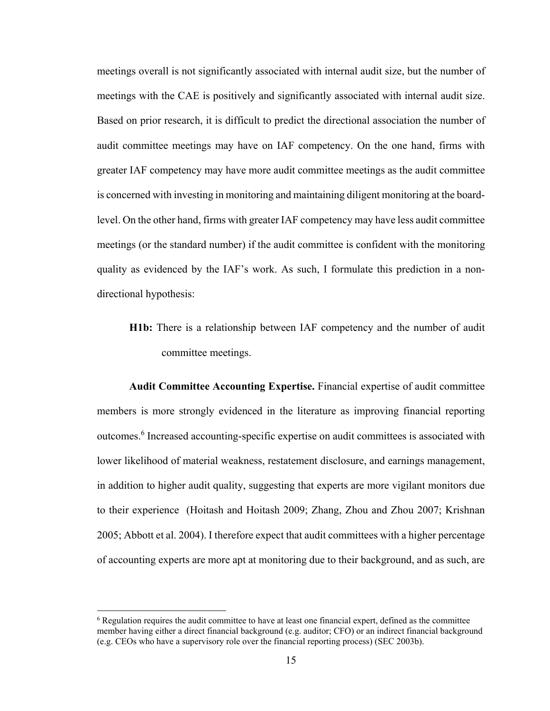meetings overall is not significantly associated with internal audit size, but the number of meetings with the CAE is positively and significantly associated with internal audit size. Based on prior research, it is difficult to predict the directional association the number of audit committee meetings may have on IAF competency. On the one hand, firms with greater IAF competency may have more audit committee meetings as the audit committee is concerned with investing in monitoring and maintaining diligent monitoring at the boardlevel. On the other hand, firms with greater IAF competency may have less audit committee meetings (or the standard number) if the audit committee is confident with the monitoring quality as evidenced by the IAF's work. As such, I formulate this prediction in a nondirectional hypothesis:

**H1b:** There is a relationship between IAF competency and the number of audit committee meetings.

**Audit Committee Accounting Expertise.** Financial expertise of audit committee members is more strongly evidenced in the literature as improving financial reporting outcomes.<sup>6</sup> Increased accounting-specific expertise on audit committees is associated with lower likelihood of material weakness, restatement disclosure, and earnings management, in addition to higher audit quality, suggesting that experts are more vigilant monitors due to their experience (Hoitash and Hoitash 2009; Zhang, Zhou and Zhou 2007; Krishnan 2005; Abbott et al. 2004). I therefore expect that audit committees with a higher percentage of accounting experts are more apt at monitoring due to their background, and as such, are

 $\overline{a}$ 

<sup>&</sup>lt;sup>6</sup> Regulation requires the audit committee to have at least one financial expert, defined as the committee member having either a direct financial background (e.g. auditor; CFO) or an indirect financial background (e.g. CEOs who have a supervisory role over the financial reporting process) (SEC 2003b).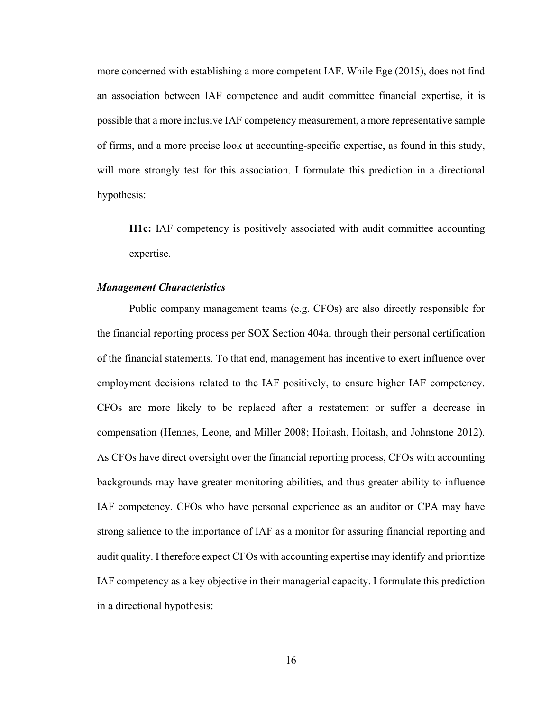more concerned with establishing a more competent IAF. While Ege (2015), does not find an association between IAF competence and audit committee financial expertise, it is possible that a more inclusive IAF competency measurement, a more representative sample of firms, and a more precise look at accounting-specific expertise, as found in this study, will more strongly test for this association. I formulate this prediction in a directional hypothesis:

**H1c:** IAF competency is positively associated with audit committee accounting expertise.

#### *Management Characteristics*

Public company management teams (e.g. CFOs) are also directly responsible for the financial reporting process per SOX Section 404a, through their personal certification of the financial statements. To that end, management has incentive to exert influence over employment decisions related to the IAF positively, to ensure higher IAF competency. CFOs are more likely to be replaced after a restatement or suffer a decrease in compensation (Hennes, Leone, and Miller 2008; Hoitash, Hoitash, and Johnstone 2012). As CFOs have direct oversight over the financial reporting process, CFOs with accounting backgrounds may have greater monitoring abilities, and thus greater ability to influence IAF competency. CFOs who have personal experience as an auditor or CPA may have strong salience to the importance of IAF as a monitor for assuring financial reporting and audit quality. I therefore expect CFOs with accounting expertise may identify and prioritize IAF competency as a key objective in their managerial capacity. I formulate this prediction in a directional hypothesis: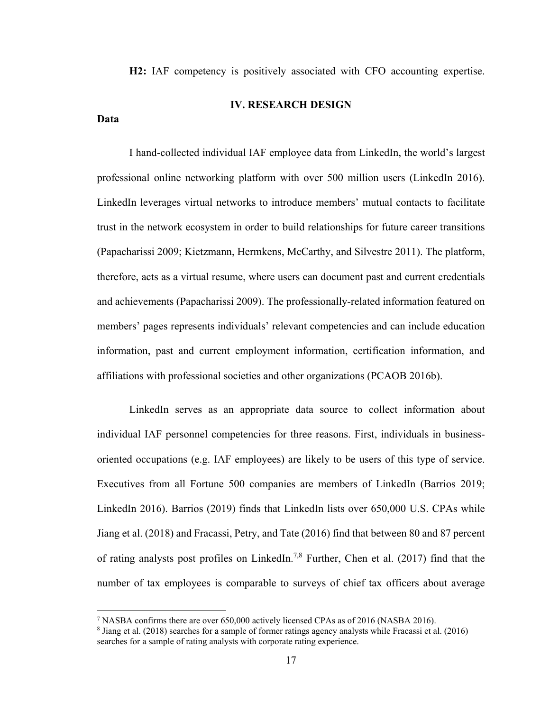**H2:** IAF competency is positively associated with CFO accounting expertise.

#### **IV. RESEARCH DESIGN**

#### **Data**

 $\overline{a}$ 

 I hand-collected individual IAF employee data from LinkedIn, the world's largest professional online networking platform with over 500 million users (LinkedIn 2016). LinkedIn leverages virtual networks to introduce members' mutual contacts to facilitate trust in the network ecosystem in order to build relationships for future career transitions (Papacharissi 2009; Kietzmann, Hermkens, McCarthy, and Silvestre 2011). The platform, therefore, acts as a virtual resume, where users can document past and current credentials and achievements (Papacharissi 2009). The professionally-related information featured on members' pages represents individuals' relevant competencies and can include education information, past and current employment information, certification information, and affiliations with professional societies and other organizations (PCAOB 2016b).

LinkedIn serves as an appropriate data source to collect information about individual IAF personnel competencies for three reasons. First, individuals in businessoriented occupations (e.g. IAF employees) are likely to be users of this type of service. Executives from all Fortune 500 companies are members of LinkedIn (Barrios 2019; LinkedIn 2016). Barrios (2019) finds that LinkedIn lists over 650,000 U.S. CPAs while Jiang et al. (2018) and Fracassi, Petry, and Tate (2016) find that between 80 and 87 percent of rating analysts post profiles on LinkedIn.<sup>7,8</sup> Further, Chen et al. (2017) find that the number of tax employees is comparable to surveys of chief tax officers about average

<sup>&</sup>lt;sup>7</sup> NASBA confirms there are over 650,000 actively licensed CPAs as of 2016 (NASBA 2016).

<sup>8</sup> Jiang et al. (2018) searches for a sample of former ratings agency analysts while Fracassi et al. (2016) searches for a sample of rating analysts with corporate rating experience.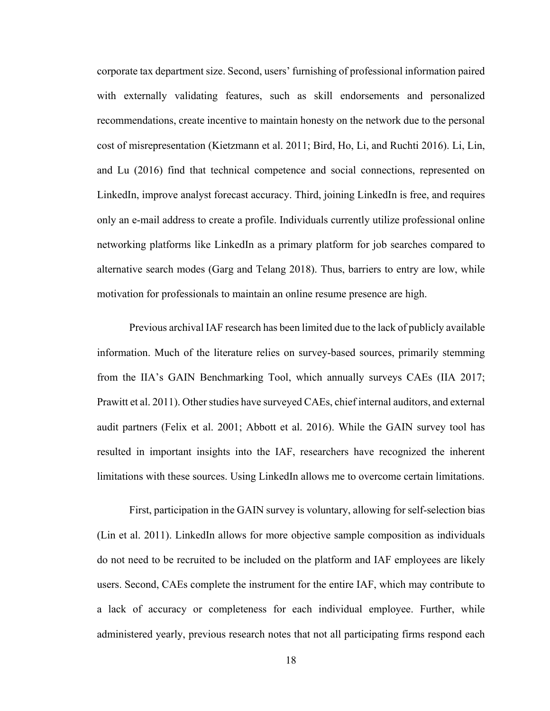corporate tax department size. Second, users' furnishing of professional information paired with externally validating features, such as skill endorsements and personalized recommendations, create incentive to maintain honesty on the network due to the personal cost of misrepresentation (Kietzmann et al. 2011; Bird, Ho, Li, and Ruchti 2016). Li, Lin, and Lu (2016) find that technical competence and social connections, represented on LinkedIn, improve analyst forecast accuracy. Third, joining LinkedIn is free, and requires only an e-mail address to create a profile. Individuals currently utilize professional online networking platforms like LinkedIn as a primary platform for job searches compared to alternative search modes (Garg and Telang 2018). Thus, barriers to entry are low, while motivation for professionals to maintain an online resume presence are high.

Previous archival IAF research has been limited due to the lack of publicly available information. Much of the literature relies on survey-based sources, primarily stemming from the IIA's GAIN Benchmarking Tool, which annually surveys CAEs (IIA 2017; Prawitt et al. 2011). Other studies have surveyed CAEs, chief internal auditors, and external audit partners (Felix et al. 2001; Abbott et al. 2016). While the GAIN survey tool has resulted in important insights into the IAF, researchers have recognized the inherent limitations with these sources. Using LinkedIn allows me to overcome certain limitations.

First, participation in the GAIN survey is voluntary, allowing for self-selection bias (Lin et al. 2011). LinkedIn allows for more objective sample composition as individuals do not need to be recruited to be included on the platform and IAF employees are likely users. Second, CAEs complete the instrument for the entire IAF, which may contribute to a lack of accuracy or completeness for each individual employee. Further, while administered yearly, previous research notes that not all participating firms respond each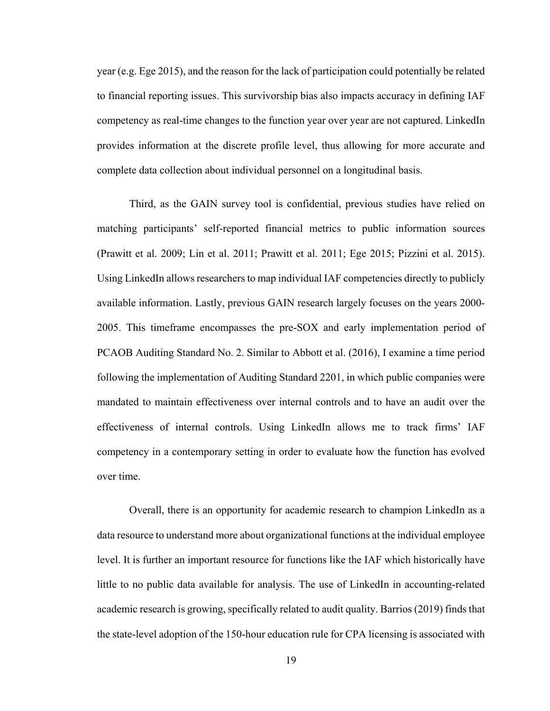year (e.g. Ege 2015), and the reason for the lack of participation could potentially be related to financial reporting issues. This survivorship bias also impacts accuracy in defining IAF competency as real-time changes to the function year over year are not captured. LinkedIn provides information at the discrete profile level, thus allowing for more accurate and complete data collection about individual personnel on a longitudinal basis.

Third, as the GAIN survey tool is confidential, previous studies have relied on matching participants' self-reported financial metrics to public information sources (Prawitt et al. 2009; Lin et al. 2011; Prawitt et al. 2011; Ege 2015; Pizzini et al. 2015). Using LinkedIn allows researchers to map individual IAF competencies directly to publicly available information. Lastly, previous GAIN research largely focuses on the years 2000- 2005. This timeframe encompasses the pre-SOX and early implementation period of PCAOB Auditing Standard No. 2. Similar to Abbott et al. (2016), I examine a time period following the implementation of Auditing Standard 2201, in which public companies were mandated to maintain effectiveness over internal controls and to have an audit over the effectiveness of internal controls. Using LinkedIn allows me to track firms' IAF competency in a contemporary setting in order to evaluate how the function has evolved over time.

Overall, there is an opportunity for academic research to champion LinkedIn as a data resource to understand more about organizational functions at the individual employee level. It is further an important resource for functions like the IAF which historically have little to no public data available for analysis. The use of LinkedIn in accounting-related academic research is growing, specifically related to audit quality. Barrios (2019) finds that the state-level adoption of the 150-hour education rule for CPA licensing is associated with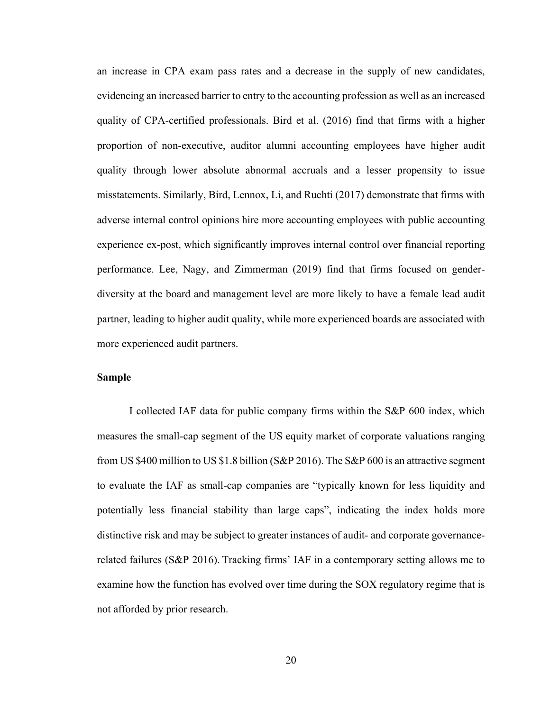an increase in CPA exam pass rates and a decrease in the supply of new candidates, evidencing an increased barrier to entry to the accounting profession as well as an increased quality of CPA-certified professionals. Bird et al. (2016) find that firms with a higher proportion of non-executive, auditor alumni accounting employees have higher audit quality through lower absolute abnormal accruals and a lesser propensity to issue misstatements. Similarly, Bird, Lennox, Li, and Ruchti (2017) demonstrate that firms with adverse internal control opinions hire more accounting employees with public accounting experience ex-post, which significantly improves internal control over financial reporting performance. Lee, Nagy, and Zimmerman (2019) find that firms focused on genderdiversity at the board and management level are more likely to have a female lead audit partner, leading to higher audit quality, while more experienced boards are associated with more experienced audit partners.

## **Sample**

I collected IAF data for public company firms within the S&P 600 index, which measures the small-cap segment of the US equity market of corporate valuations ranging from US \$400 million to US \$1.8 billion (S&P 2016). The S&P 600 is an attractive segment to evaluate the IAF as small-cap companies are "typically known for less liquidity and potentially less financial stability than large caps", indicating the index holds more distinctive risk and may be subject to greater instances of audit- and corporate governancerelated failures (S&P 2016). Tracking firms' IAF in a contemporary setting allows me to examine how the function has evolved over time during the SOX regulatory regime that is not afforded by prior research.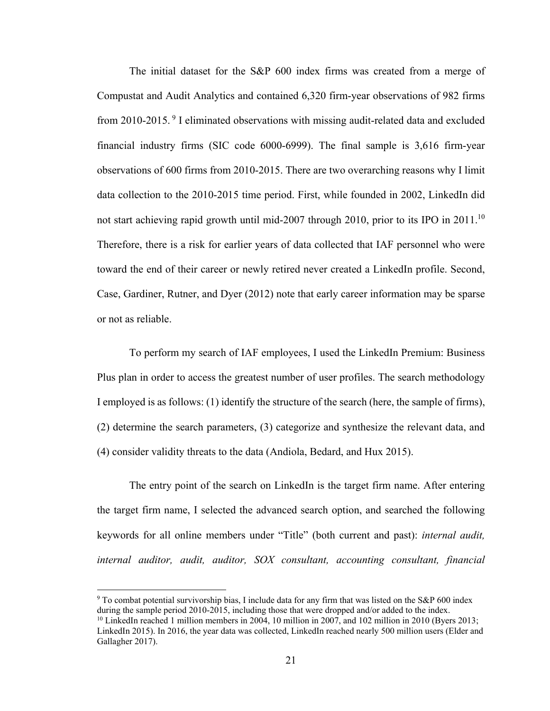The initial dataset for the S&P 600 index firms was created from a merge of Compustat and Audit Analytics and contained 6,320 firm-year observations of 982 firms from 2010-2015. 9 I eliminated observations with missing audit-related data and excluded financial industry firms (SIC code 6000-6999). The final sample is 3,616 firm-year observations of 600 firms from 2010-2015. There are two overarching reasons why I limit data collection to the 2010-2015 time period. First, while founded in 2002, LinkedIn did not start achieving rapid growth until mid-2007 through 2010, prior to its IPO in 2011.<sup>10</sup> Therefore, there is a risk for earlier years of data collected that IAF personnel who were toward the end of their career or newly retired never created a LinkedIn profile. Second, Case, Gardiner, Rutner, and Dyer (2012) note that early career information may be sparse or not as reliable.

To perform my search of IAF employees, I used the LinkedIn Premium: Business Plus plan in order to access the greatest number of user profiles. The search methodology I employed is as follows: (1) identify the structure of the search (here, the sample of firms), (2) determine the search parameters, (3) categorize and synthesize the relevant data, and (4) consider validity threats to the data (Andiola, Bedard, and Hux 2015).

The entry point of the search on LinkedIn is the target firm name. After entering the target firm name, I selected the advanced search option, and searched the following keywords for all online members under "Title" (both current and past): *internal audit, internal auditor, audit, auditor, SOX consultant, accounting consultant, financial* 

1

<sup>9</sup> To combat potential survivorship bias, I include data for any firm that was listed on the S&P 600 index during the sample period 2010-2015, including those that were dropped and/or added to the index.

 $10$  LinkedIn reached 1 million members in 2004, 10 million in 2007, and 102 million in 2010 (Byers 2013; LinkedIn 2015). In 2016, the year data was collected, LinkedIn reached nearly 500 million users (Elder and Gallagher 2017).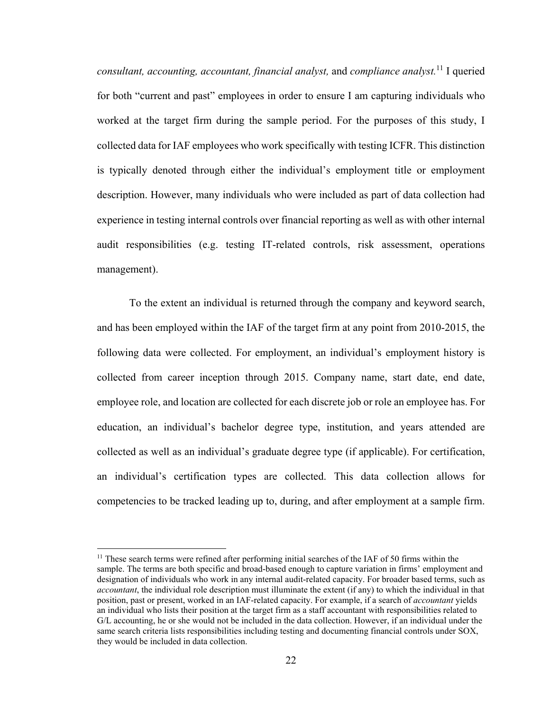*consultant, accounting, accountant, financial analyst,* and *compliance analyst.*11 I queried for both "current and past" employees in order to ensure I am capturing individuals who worked at the target firm during the sample period. For the purposes of this study, I collected data for IAF employees who work specifically with testing ICFR. This distinction is typically denoted through either the individual's employment title or employment description. However, many individuals who were included as part of data collection had experience in testing internal controls over financial reporting as well as with other internal audit responsibilities (e.g. testing IT-related controls, risk assessment, operations management).

To the extent an individual is returned through the company and keyword search, and has been employed within the IAF of the target firm at any point from 2010-2015, the following data were collected. For employment, an individual's employment history is collected from career inception through 2015. Company name, start date, end date, employee role, and location are collected for each discrete job or role an employee has. For education, an individual's bachelor degree type, institution, and years attended are collected as well as an individual's graduate degree type (if applicable). For certification, an individual's certification types are collected. This data collection allows for competencies to be tracked leading up to, during, and after employment at a sample firm.

 $\overline{a}$ 

 $11$  These search terms were refined after performing initial searches of the IAF of 50 firms within the sample. The terms are both specific and broad-based enough to capture variation in firms' employment and designation of individuals who work in any internal audit-related capacity. For broader based terms, such as *accountant*, the individual role description must illuminate the extent (if any) to which the individual in that position, past or present, worked in an IAF-related capacity. For example, if a search of *accountant* yields an individual who lists their position at the target firm as a staff accountant with responsibilities related to G/L accounting, he or she would not be included in the data collection. However, if an individual under the same search criteria lists responsibilities including testing and documenting financial controls under SOX, they would be included in data collection.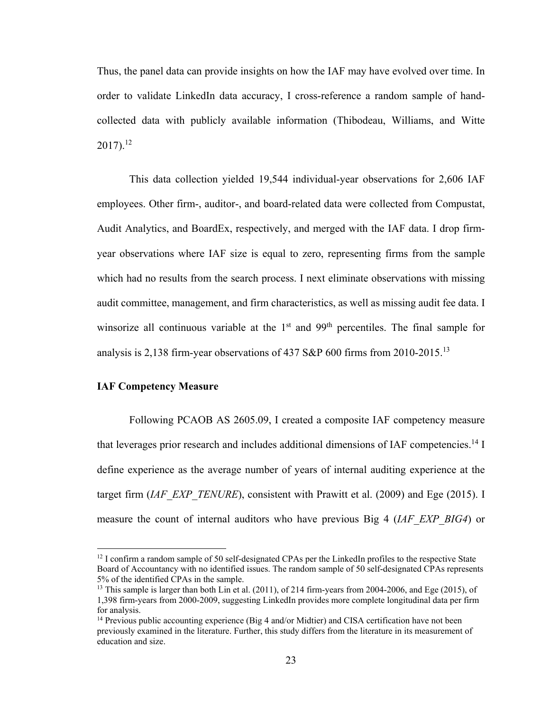Thus, the panel data can provide insights on how the IAF may have evolved over time. In order to validate LinkedIn data accuracy, I cross-reference a random sample of handcollected data with publicly available information (Thibodeau, Williams, and Witte  $2017$ ).<sup>12</sup>

This data collection yielded 19,544 individual-year observations for 2,606 IAF employees. Other firm-, auditor-, and board-related data were collected from Compustat, Audit Analytics, and BoardEx, respectively, and merged with the IAF data. I drop firmyear observations where IAF size is equal to zero, representing firms from the sample which had no results from the search process. I next eliminate observations with missing audit committee, management, and firm characteristics, as well as missing audit fee data. I winsorize all continuous variable at the  $1<sup>st</sup>$  and  $99<sup>th</sup>$  percentiles. The final sample for analysis is 2,138 firm-year observations of 437 S&P 600 firms from 2010-2015.<sup>13</sup>

#### **IAF Competency Measure**

 $\overline{a}$ 

 Following PCAOB AS 2605.09, I created a composite IAF competency measure that leverages prior research and includes additional dimensions of IAF competencies.<sup>14</sup> I define experience as the average number of years of internal auditing experience at the target firm *(IAF\_EXP\_TENURE*), consistent with Prawitt et al. (2009) and Ege (2015). I measure the count of internal auditors who have previous Big 4 (*IAF\_EXP\_BIG4*) or

 $12$  I confirm a random sample of 50 self-designated CPAs per the LinkedIn profiles to the respective State Board of Accountancy with no identified issues. The random sample of 50 self-designated CPAs represents 5% of the identified CPAs in the sample.

<sup>&</sup>lt;sup>13</sup> This sample is larger than both Lin et al. (2011), of 214 firm-years from 2004-2006, and Ege (2015), of 1,398 firm-years from 2000-2009, suggesting LinkedIn provides more complete longitudinal data per firm for analysis.

<sup>&</sup>lt;sup>14</sup> Previous public accounting experience (Big 4 and/or Midtier) and CISA certification have not been previously examined in the literature. Further, this study differs from the literature in its measurement of education and size.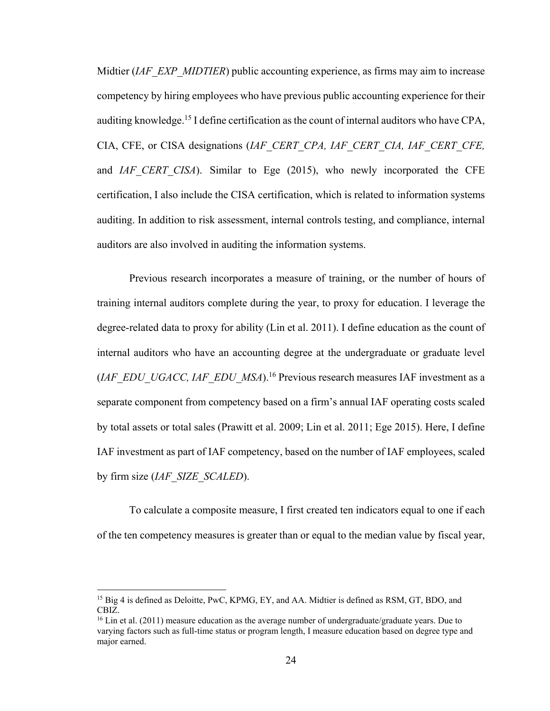Midtier (*IAF\_EXP\_MIDTIER*) public accounting experience, as firms may aim to increase competency by hiring employees who have previous public accounting experience for their auditing knowledge.<sup>15</sup> I define certification as the count of internal auditors who have CPA, CIA, CFE, or CISA designations (*IAF\_CERT\_CPA, IAF\_CERT\_CIA, IAF\_CERT\_CFE,*  and *IAF* CERT CISA). Similar to Ege (2015), who newly incorporated the CFE certification, I also include the CISA certification, which is related to information systems auditing. In addition to risk assessment, internal controls testing, and compliance, internal auditors are also involved in auditing the information systems.

Previous research incorporates a measure of training, or the number of hours of training internal auditors complete during the year, to proxy for education. I leverage the degree-related data to proxy for ability (Lin et al. 2011). I define education as the count of internal auditors who have an accounting degree at the undergraduate or graduate level (*IAF\_EDU\_UGACC, IAF\_EDU\_MSA*).16 Previous research measures IAF investment as a separate component from competency based on a firm's annual IAF operating costs scaled by total assets or total sales (Prawitt et al. 2009; Lin et al. 2011; Ege 2015). Here, I define IAF investment as part of IAF competency, based on the number of IAF employees, scaled by firm size (*IAF\_SIZE\_SCALED*).

To calculate a composite measure, I first created ten indicators equal to one if each of the ten competency measures is greater than or equal to the median value by fiscal year,

 $\overline{a}$ 

<sup>&</sup>lt;sup>15</sup> Big 4 is defined as Deloitte, PwC, KPMG, EY, and AA. Midtier is defined as RSM, GT, BDO, and CBIZ.

<sup>&</sup>lt;sup>16</sup> Lin et al. (2011) measure education as the average number of undergraduate/graduate years. Due to varying factors such as full-time status or program length, I measure education based on degree type and major earned.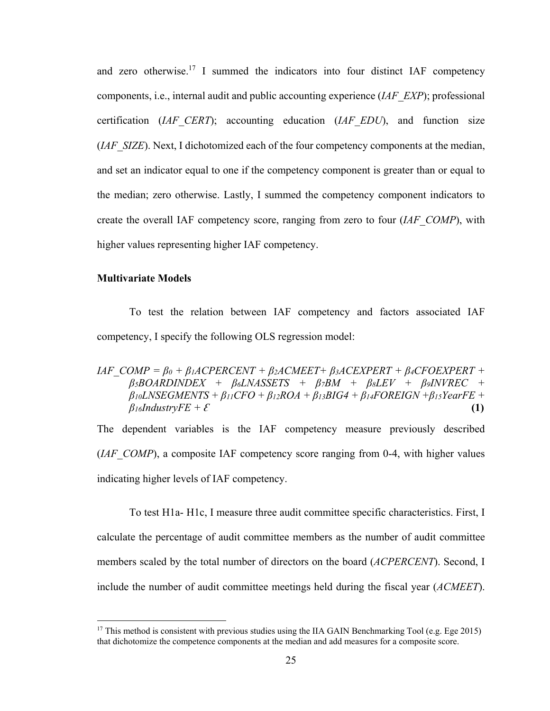and zero otherwise.<sup>17</sup> I summed the indicators into four distinct IAF competency components, i.e., internal audit and public accounting experience (*IAF\_EXP*); professional certification (*IAF\_CERT*); accounting education (*IAF\_EDU*), and function size (*IAF* SIZE). Next, I dichotomized each of the four competency components at the median, and set an indicator equal to one if the competency component is greater than or equal to the median; zero otherwise. Lastly, I summed the competency component indicators to create the overall IAF competency score, ranging from zero to four (*IAF\_COMP*), with higher values representing higher IAF competency.

#### **Multivariate Models**

1

 To test the relation between IAF competency and factors associated IAF competency, I specify the following OLS regression model:

### *IAF*  $COMP = \beta_0 + \beta_1 ACPERCENT + \beta_2 ACMEET + \beta_3 ACEXPERT + \beta_4 CFOEXPERT + \beta_5 ACEXPERT + \beta_6 ACEXPERT + \beta_7 ACEXPERT + \beta_8 ACEXPERT + \beta_9 ACEXPERT + \beta_9 ACEXPERT + \beta_9 ACEXPERT + \beta_9 ACEXPERT + \beta_9 ACEXPERT + \beta_9 ACEXPERT + \beta_9 ACEXPERT + \beta_9 ACEXPERT + \beta_9 ACEXPERT + \beta_9 ACEXPERT + \beta_9 ACEXPERT + \beta_9 ACEXPERT + \beta_9 ACEXPERT$ *β5BOARDINDEX + β6LNASSETS + β7BM + β8LEV + β9INVREC +*   $\beta$ *<sub>10</sub>LNSEGMENTS +*  $\beta$ *<sub>11</sub>CFO +*  $\beta$ *<sub>12</sub>ROA +*  $\beta$ *<sub>13</sub>BIG4 +*  $\beta$ *<sub>14</sub>FOREIGN +*  $\beta$ *<sub>15</sub>YearFE +*  $\beta$ *i*<sup>*s*</sup>*(1)(1)*  $\beta$ *i*<sup>*s*</sup>*(1)<i>f***<sub>3</sub>***n***</sup>***<i>f***<sub>3</sub>***n***</sup>***f***<sub>3</sub>***n***<sup>***f***</sup>***f***<sup>3</sup>***nf***<sub>3</sub>***n***<sup>***f***</sup>***f***<sup>3</sup>***nf***<sub>3</sub>***n***<sup>***f***</sup>***f***<sup>3</sup>***nf***<sub>***f***</sub><sup>***f***</sup>***f***<sup>3</sup>***nf***<sub>***f***</sub><sup>***f***</sup>***f***<sup>3</sup>***nf***<sub>***f***</sub><sup>***f***</sup>***f***<sup>***f***</sup>***f***<sup>***f***</sup>***<i>f***<sup>***f***</sup>***f*

The dependent variables is the IAF competency measure previously described (*IAF* COMP), a composite IAF competency score ranging from 0-4, with higher values indicating higher levels of IAF competency.

 To test H1a- H1c, I measure three audit committee specific characteristics. First, I calculate the percentage of audit committee members as the number of audit committee members scaled by the total number of directors on the board (*ACPERCENT*). Second, I include the number of audit committee meetings held during the fiscal year (*ACMEET*).

<sup>&</sup>lt;sup>17</sup> This method is consistent with previous studies using the IIA GAIN Benchmarking Tool (e.g. Ege 2015) that dichotomize the competence components at the median and add measures for a composite score.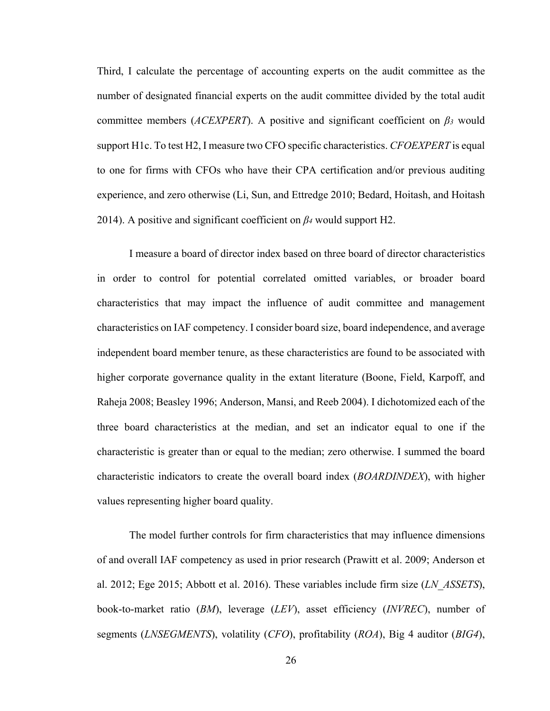Third, I calculate the percentage of accounting experts on the audit committee as the number of designated financial experts on the audit committee divided by the total audit committee members (*ACEXPERT*). A positive and significant coefficient on *β3* would support H1c. To test H2, I measure two CFO specific characteristics. *CFOEXPERT* is equal to one for firms with CFOs who have their CPA certification and/or previous auditing experience, and zero otherwise (Li, Sun, and Ettredge 2010; Bedard, Hoitash, and Hoitash 2014). A positive and significant coefficient on *β4* would support H2.

I measure a board of director index based on three board of director characteristics in order to control for potential correlated omitted variables, or broader board characteristics that may impact the influence of audit committee and management characteristics on IAF competency. I consider board size, board independence, and average independent board member tenure, as these characteristics are found to be associated with higher corporate governance quality in the extant literature (Boone, Field, Karpoff, and Raheja 2008; Beasley 1996; Anderson, Mansi, and Reeb 2004). I dichotomized each of the three board characteristics at the median, and set an indicator equal to one if the characteristic is greater than or equal to the median; zero otherwise. I summed the board characteristic indicators to create the overall board index (*BOARDINDEX*), with higher values representing higher board quality.

The model further controls for firm characteristics that may influence dimensions of and overall IAF competency as used in prior research (Prawitt et al. 2009; Anderson et al. 2012; Ege 2015; Abbott et al. 2016). These variables include firm size (*LN\_ASSETS*), book-to-market ratio (*BM*), leverage (*LEV*), asset efficiency (*INVREC*), number of segments (*LNSEGMENTS*), volatility (*CFO*), profitability (*ROA*), Big 4 auditor (*BIG4*),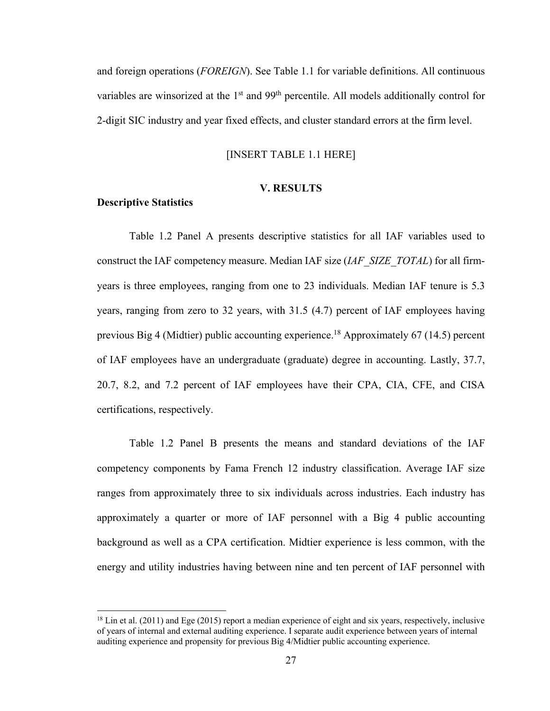and foreign operations (*FOREIGN*). See Table 1.1 for variable definitions. All continuous variables are winsorized at the  $1<sup>st</sup>$  and  $99<sup>th</sup>$  percentile. All models additionally control for 2-digit SIC industry and year fixed effects, and cluster standard errors at the firm level.

#### [INSERT TABLE 1.1 HERE]

#### **V. RESULTS**

#### **Descriptive Statistics**

 $\overline{a}$ 

 Table 1.2 Panel A presents descriptive statistics for all IAF variables used to construct the IAF competency measure. Median IAF size (*IAF\_SIZE\_TOTAL*) for all firmyears is three employees, ranging from one to 23 individuals. Median IAF tenure is 5.3 years, ranging from zero to 32 years, with 31.5 (4.7) percent of IAF employees having previous Big 4 (Midtier) public accounting experience.<sup>18</sup> Approximately 67 (14.5) percent of IAF employees have an undergraduate (graduate) degree in accounting. Lastly, 37.7, 20.7, 8.2, and 7.2 percent of IAF employees have their CPA, CIA, CFE, and CISA certifications, respectively.

Table 1.2 Panel B presents the means and standard deviations of the IAF competency components by Fama French 12 industry classification. Average IAF size ranges from approximately three to six individuals across industries. Each industry has approximately a quarter or more of IAF personnel with a Big 4 public accounting background as well as a CPA certification. Midtier experience is less common, with the energy and utility industries having between nine and ten percent of IAF personnel with

 $^{18}$  Lin et al. (2011) and Ege (2015) report a median experience of eight and six years, respectively, inclusive of years of internal and external auditing experience. I separate audit experience between years of internal auditing experience and propensity for previous Big 4/Midtier public accounting experience.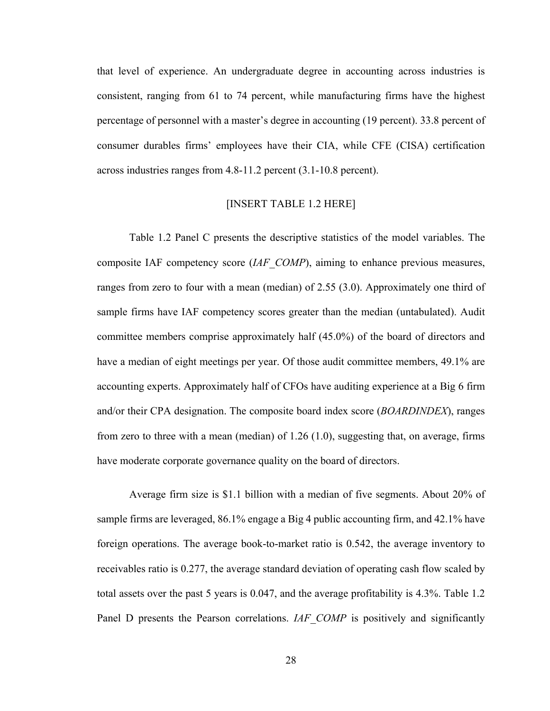that level of experience. An undergraduate degree in accounting across industries is consistent, ranging from 61 to 74 percent, while manufacturing firms have the highest percentage of personnel with a master's degree in accounting (19 percent). 33.8 percent of consumer durables firms' employees have their CIA, while CFE (CISA) certification across industries ranges from 4.8-11.2 percent (3.1-10.8 percent).

#### [INSERT TABLE 1.2 HERE]

 Table 1.2 Panel C presents the descriptive statistics of the model variables. The composite IAF competency score (*IAF\_COMP*), aiming to enhance previous measures, ranges from zero to four with a mean (median) of 2.55 (3.0). Approximately one third of sample firms have IAF competency scores greater than the median (untabulated). Audit committee members comprise approximately half (45.0%) of the board of directors and have a median of eight meetings per year. Of those audit committee members, 49.1% are accounting experts. Approximately half of CFOs have auditing experience at a Big 6 firm and/or their CPA designation. The composite board index score (*BOARDINDEX*), ranges from zero to three with a mean (median) of 1.26 (1.0), suggesting that, on average, firms have moderate corporate governance quality on the board of directors.

Average firm size is \$1.1 billion with a median of five segments. About 20% of sample firms are leveraged, 86.1% engage a Big 4 public accounting firm, and 42.1% have foreign operations. The average book-to-market ratio is 0.542, the average inventory to receivables ratio is 0.277, the average standard deviation of operating cash flow scaled by total assets over the past 5 years is 0.047, and the average profitability is 4.3%. Table 1.2 Panel D presents the Pearson correlations. *IAF COMP* is positively and significantly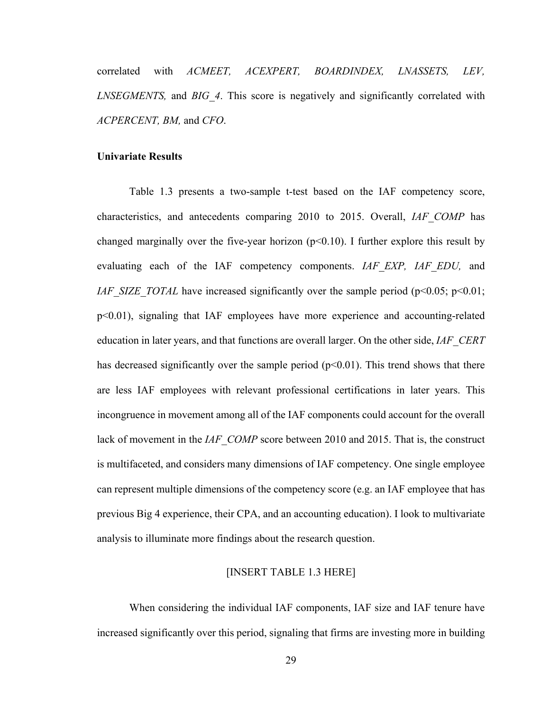correlated with *ACMEET, ACEXPERT, BOARDINDEX, LNASSETS, LEV, LNSEGMENTS*, and *BIG 4*. This score is negatively and significantly correlated with *ACPERCENT, BM,* and *CFO*.

#### **Univariate Results**

Table 1.3 presents a two-sample t-test based on the IAF competency score, characteristics, and antecedents comparing 2010 to 2015. Overall, *IAF\_COMP* has changed marginally over the five-year horizon  $(p<0.10)$ . I further explore this result by evaluating each of the IAF competency components. *IAF\_EXP, IAF\_EDU,* and *IAF\_SIZE\_TOTAL* have increased significantly over the sample period (p<0.05; p<0.01; p<0.01), signaling that IAF employees have more experience and accounting-related education in later years, and that functions are overall larger. On the other side, *IAF\_CERT*  has decreased significantly over the sample period  $(p<0.01)$ . This trend shows that there are less IAF employees with relevant professional certifications in later years. This incongruence in movement among all of the IAF components could account for the overall lack of movement in the *IAF\_COMP* score between 2010 and 2015. That is, the construct is multifaceted, and considers many dimensions of IAF competency. One single employee can represent multiple dimensions of the competency score (e.g. an IAF employee that has previous Big 4 experience, their CPA, and an accounting education). I look to multivariate analysis to illuminate more findings about the research question.

#### [INSERT TABLE 1.3 HERE]

When considering the individual IAF components, IAF size and IAF tenure have increased significantly over this period, signaling that firms are investing more in building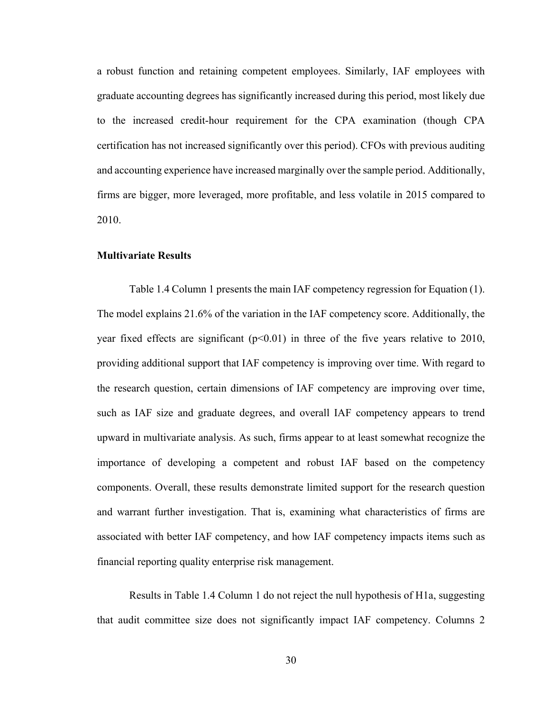a robust function and retaining competent employees. Similarly, IAF employees with graduate accounting degrees has significantly increased during this period, most likely due to the increased credit-hour requirement for the CPA examination (though CPA certification has not increased significantly over this period). CFOs with previous auditing and accounting experience have increased marginally over the sample period. Additionally, firms are bigger, more leveraged, more profitable, and less volatile in 2015 compared to 2010.

#### **Multivariate Results**

Table 1.4 Column 1 presents the main IAF competency regression for Equation (1). The model explains 21.6% of the variation in the IAF competency score. Additionally, the year fixed effects are significant  $(p<0.01)$  in three of the five years relative to 2010, providing additional support that IAF competency is improving over time. With regard to the research question, certain dimensions of IAF competency are improving over time, such as IAF size and graduate degrees, and overall IAF competency appears to trend upward in multivariate analysis. As such, firms appear to at least somewhat recognize the importance of developing a competent and robust IAF based on the competency components. Overall, these results demonstrate limited support for the research question and warrant further investigation. That is, examining what characteristics of firms are associated with better IAF competency, and how IAF competency impacts items such as financial reporting quality enterprise risk management.

Results in Table 1.4 Column 1 do not reject the null hypothesis of H1a, suggesting that audit committee size does not significantly impact IAF competency. Columns 2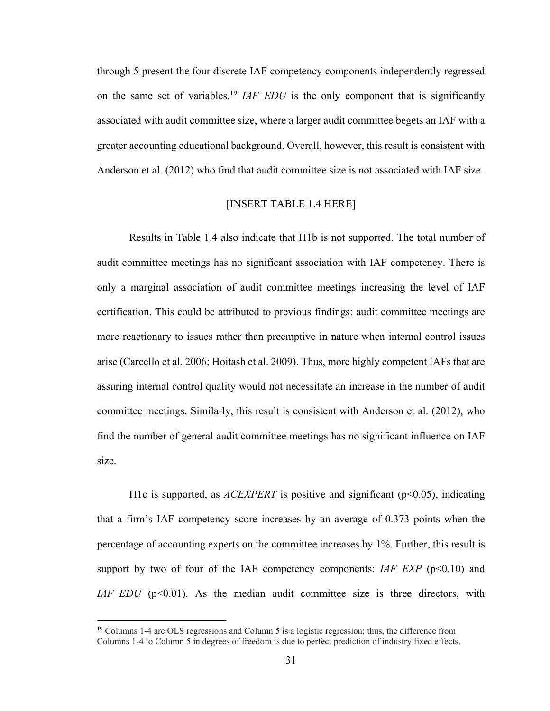through 5 present the four discrete IAF competency components independently regressed on the same set of variables.<sup>19</sup> *IAF EDU* is the only component that is significantly associated with audit committee size, where a larger audit committee begets an IAF with a greater accounting educational background. Overall, however, this result is consistent with Anderson et al. (2012) who find that audit committee size is not associated with IAF size.

#### [INSERT TABLE 1.4 HERE]

Results in Table 1.4 also indicate that H1b is not supported. The total number of audit committee meetings has no significant association with IAF competency. There is only a marginal association of audit committee meetings increasing the level of IAF certification. This could be attributed to previous findings: audit committee meetings are more reactionary to issues rather than preemptive in nature when internal control issues arise (Carcello et al. 2006; Hoitash et al. 2009). Thus, more highly competent IAFs that are assuring internal control quality would not necessitate an increase in the number of audit committee meetings. Similarly, this result is consistent with Anderson et al. (2012), who find the number of general audit committee meetings has no significant influence on IAF size.

H1c is supported, as  $ACEXPERT$  is positive and significant ( $p<0.05$ ), indicating that a firm's IAF competency score increases by an average of 0.373 points when the percentage of accounting experts on the committee increases by 1%. Further, this result is support by two of four of the IAF competency components: *IAF EXP* ( $p<0.10$ ) and *IAF EDU* (p<0.01). As the median audit committee size is three directors, with

 $\overline{a}$ 

<sup>&</sup>lt;sup>19</sup> Columns 1-4 are OLS regressions and Column 5 is a logistic regression; thus, the difference from Columns 1-4 to Column 5 in degrees of freedom is due to perfect prediction of industry fixed effects.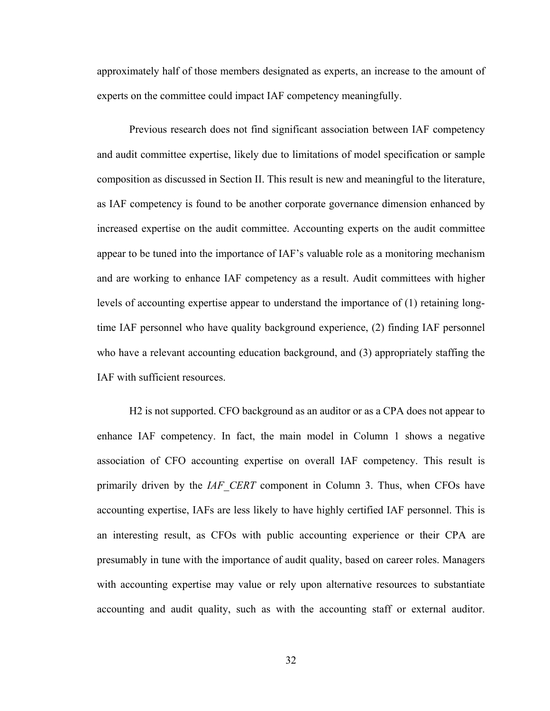approximately half of those members designated as experts, an increase to the amount of experts on the committee could impact IAF competency meaningfully.

Previous research does not find significant association between IAF competency and audit committee expertise, likely due to limitations of model specification or sample composition as discussed in Section II. This result is new and meaningful to the literature, as IAF competency is found to be another corporate governance dimension enhanced by increased expertise on the audit committee. Accounting experts on the audit committee appear to be tuned into the importance of IAF's valuable role as a monitoring mechanism and are working to enhance IAF competency as a result. Audit committees with higher levels of accounting expertise appear to understand the importance of (1) retaining longtime IAF personnel who have quality background experience, (2) finding IAF personnel who have a relevant accounting education background, and (3) appropriately staffing the IAF with sufficient resources.

H2 is not supported. CFO background as an auditor or as a CPA does not appear to enhance IAF competency. In fact, the main model in Column 1 shows a negative association of CFO accounting expertise on overall IAF competency. This result is primarily driven by the *IAF\_CERT* component in Column 3. Thus, when CFOs have accounting expertise, IAFs are less likely to have highly certified IAF personnel. This is an interesting result, as CFOs with public accounting experience or their CPA are presumably in tune with the importance of audit quality, based on career roles. Managers with accounting expertise may value or rely upon alternative resources to substantiate accounting and audit quality, such as with the accounting staff or external auditor.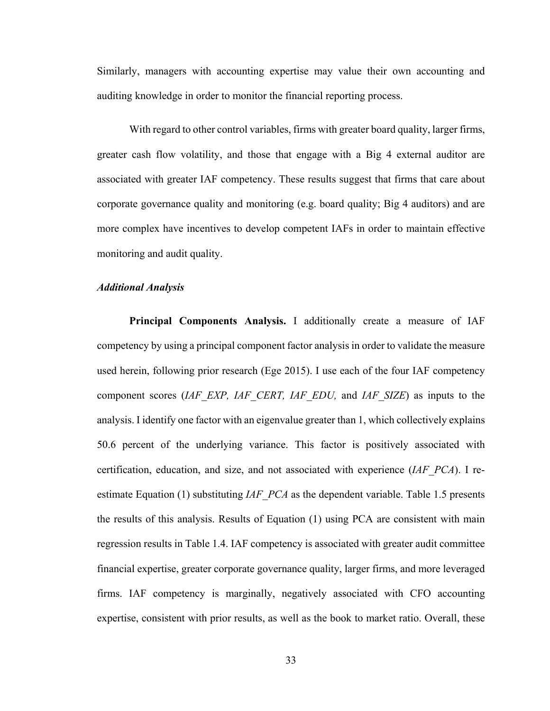Similarly, managers with accounting expertise may value their own accounting and auditing knowledge in order to monitor the financial reporting process.

With regard to other control variables, firms with greater board quality, larger firms, greater cash flow volatility, and those that engage with a Big 4 external auditor are associated with greater IAF competency. These results suggest that firms that care about corporate governance quality and monitoring (e.g. board quality; Big 4 auditors) and are more complex have incentives to develop competent IAFs in order to maintain effective monitoring and audit quality.

#### *Additional Analysis*

**Principal Components Analysis.** I additionally create a measure of IAF competency by using a principal component factor analysis in order to validate the measure used herein, following prior research (Ege 2015). I use each of the four IAF competency component scores (*IAF\_EXP, IAF\_CERT, IAF\_EDU,* and *IAF\_SIZE*) as inputs to the analysis. I identify one factor with an eigenvalue greater than 1, which collectively explains 50.6 percent of the underlying variance. This factor is positively associated with certification, education, and size, and not associated with experience (*IAF\_PCA*). I reestimate Equation (1) substituting *IAF PCA* as the dependent variable. Table 1.5 presents the results of this analysis. Results of Equation (1) using PCA are consistent with main regression results in Table 1.4. IAF competency is associated with greater audit committee financial expertise, greater corporate governance quality, larger firms, and more leveraged firms. IAF competency is marginally, negatively associated with CFO accounting expertise, consistent with prior results, as well as the book to market ratio. Overall, these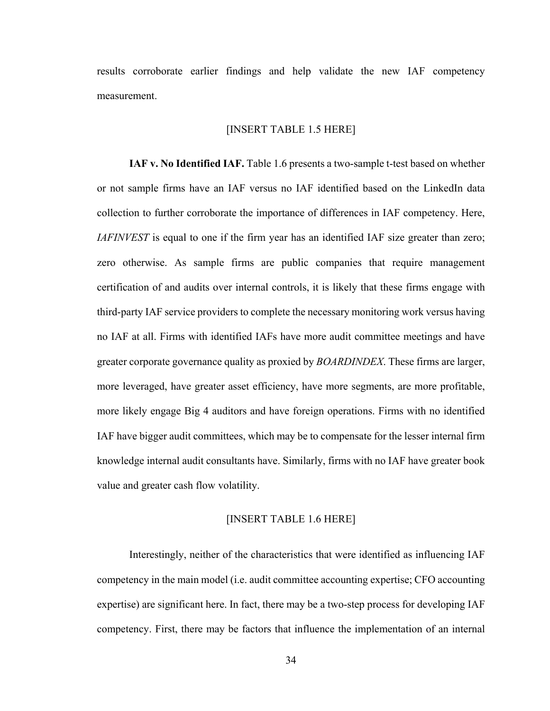results corroborate earlier findings and help validate the new IAF competency measurement.

#### [INSERT TABLE 1.5 HERE]

**IAF v. No Identified IAF.** Table 1.6 presents a two-sample t-test based on whether or not sample firms have an IAF versus no IAF identified based on the LinkedIn data collection to further corroborate the importance of differences in IAF competency. Here, *IAFINVEST* is equal to one if the firm year has an identified IAF size greater than zero; zero otherwise. As sample firms are public companies that require management certification of and audits over internal controls, it is likely that these firms engage with third-party IAF service providers to complete the necessary monitoring work versus having no IAF at all. Firms with identified IAFs have more audit committee meetings and have greater corporate governance quality as proxied by *BOARDINDEX*. These firms are larger, more leveraged, have greater asset efficiency, have more segments, are more profitable, more likely engage Big 4 auditors and have foreign operations. Firms with no identified IAF have bigger audit committees, which may be to compensate for the lesser internal firm knowledge internal audit consultants have. Similarly, firms with no IAF have greater book value and greater cash flow volatility.

#### [INSERT TABLE 1.6 HERE]

Interestingly, neither of the characteristics that were identified as influencing IAF competency in the main model (i.e. audit committee accounting expertise; CFO accounting expertise) are significant here. In fact, there may be a two-step process for developing IAF competency. First, there may be factors that influence the implementation of an internal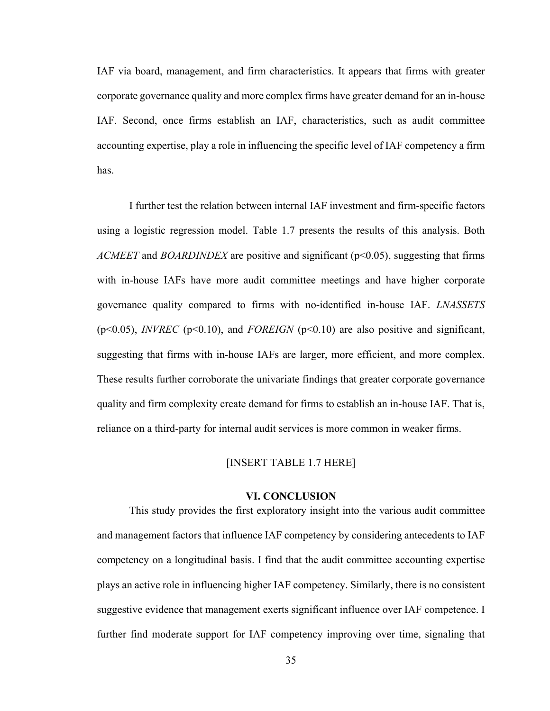IAF via board, management, and firm characteristics. It appears that firms with greater corporate governance quality and more complex firms have greater demand for an in-house IAF. Second, once firms establish an IAF, characteristics, such as audit committee accounting expertise, play a role in influencing the specific level of IAF competency a firm has.

I further test the relation between internal IAF investment and firm-specific factors using a logistic regression model. Table 1.7 presents the results of this analysis. Both *ACMEET* and *BOARDINDEX* are positive and significant (p<0.05), suggesting that firms with in-house IAFs have more audit committee meetings and have higher corporate governance quality compared to firms with no-identified in-house IAF. *LNASSETS*  (p<0.05), *INVREC* (p<0.10), and *FOREIGN* (p<0.10) are also positive and significant, suggesting that firms with in-house IAFs are larger, more efficient, and more complex. These results further corroborate the univariate findings that greater corporate governance quality and firm complexity create demand for firms to establish an in-house IAF. That is, reliance on a third-party for internal audit services is more common in weaker firms.

#### [INSERT TABLE 1.7 HERE]

#### **VI. CONCLUSION**

This study provides the first exploratory insight into the various audit committee and management factors that influence IAF competency by considering antecedents to IAF competency on a longitudinal basis. I find that the audit committee accounting expertise plays an active role in influencing higher IAF competency. Similarly, there is no consistent suggestive evidence that management exerts significant influence over IAF competence. I further find moderate support for IAF competency improving over time, signaling that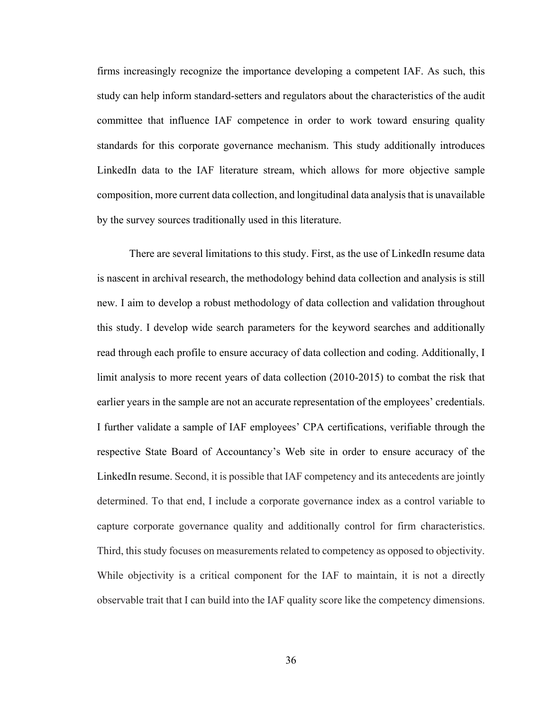firms increasingly recognize the importance developing a competent IAF. As such, this study can help inform standard-setters and regulators about the characteristics of the audit committee that influence IAF competence in order to work toward ensuring quality standards for this corporate governance mechanism. This study additionally introduces LinkedIn data to the IAF literature stream, which allows for more objective sample composition, more current data collection, and longitudinal data analysis that is unavailable by the survey sources traditionally used in this literature.

There are several limitations to this study. First, as the use of LinkedIn resume data is nascent in archival research, the methodology behind data collection and analysis is still new. I aim to develop a robust methodology of data collection and validation throughout this study. I develop wide search parameters for the keyword searches and additionally read through each profile to ensure accuracy of data collection and coding. Additionally, I limit analysis to more recent years of data collection (2010-2015) to combat the risk that earlier years in the sample are not an accurate representation of the employees' credentials. I further validate a sample of IAF employees' CPA certifications, verifiable through the respective State Board of Accountancy's Web site in order to ensure accuracy of the LinkedIn resume. Second, it is possible that IAF competency and its antecedents are jointly determined. To that end, I include a corporate governance index as a control variable to capture corporate governance quality and additionally control for firm characteristics. Third, this study focuses on measurements related to competency as opposed to objectivity. While objectivity is a critical component for the IAF to maintain, it is not a directly observable trait that I can build into the IAF quality score like the competency dimensions.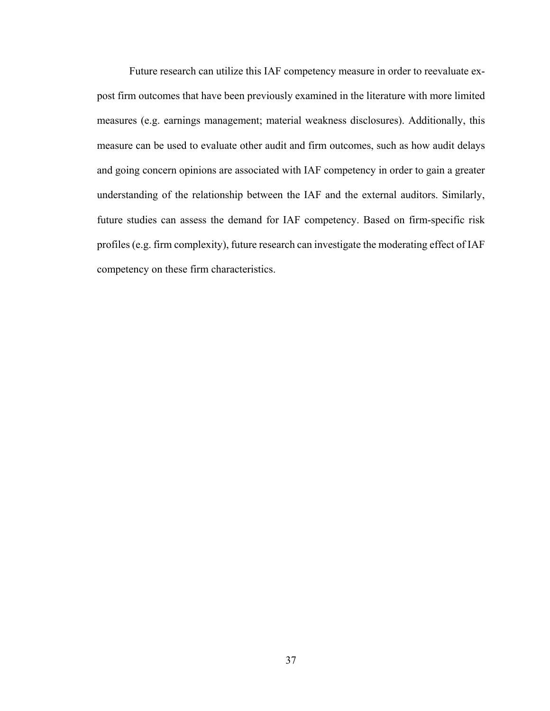Future research can utilize this IAF competency measure in order to reevaluate expost firm outcomes that have been previously examined in the literature with more limited measures (e.g. earnings management; material weakness disclosures). Additionally, this measure can be used to evaluate other audit and firm outcomes, such as how audit delays and going concern opinions are associated with IAF competency in order to gain a greater understanding of the relationship between the IAF and the external auditors. Similarly, future studies can assess the demand for IAF competency. Based on firm-specific risk profiles (e.g. firm complexity), future research can investigate the moderating effect of IAF competency on these firm characteristics.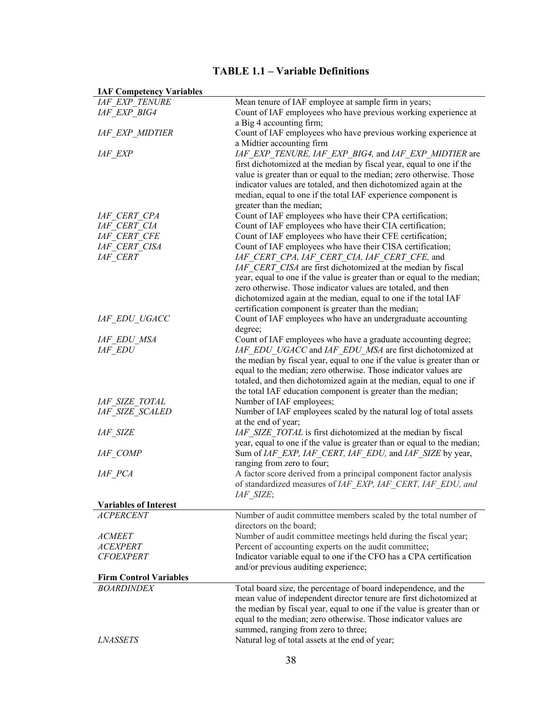# **TABLE 1.1 – Variable Definitions**

| <b>IAF Competency variables</b> |                                                                         |
|---------------------------------|-------------------------------------------------------------------------|
| <b>IAF EXP TENURE</b>           | Mean tenure of IAF employee at sample firm in years;                    |
| IAF EXP BIG4                    | Count of IAF employees who have previous working experience at          |
|                                 | a Big 4 accounting firm;                                                |
| <b>IAF EXP MIDTIER</b>          | Count of IAF employees who have previous working experience at          |
|                                 | a Midtier accounting firm                                               |
| <b>IAF EXP</b>                  | IAF EXP TENURE, IAF EXP BIG4, and IAF EXP MIDTIER are                   |
|                                 | first dichotomized at the median by fiscal year, equal to one if the    |
|                                 | value is greater than or equal to the median; zero otherwise. Those     |
|                                 | indicator values are totaled, and then dichotomized again at the        |
|                                 | median, equal to one if the total IAF experience component is           |
|                                 | greater than the median;                                                |
| IAF CERT CPA                    | Count of IAF employees who have their CPA certification;                |
| IAF CERT CIA                    | Count of IAF employees who have their CIA certification;                |
| <b>IAF CERT CFE</b>             | Count of IAF employees who have their CFE certification;                |
| IAF CERT CISA                   | Count of IAF employees who have their CISA certification;               |
| IAF CERT                        | IAF CERT CPA, IAF CERT_CIA, IAF_CERT_CFE, and                           |
|                                 | IAF CERT CISA are first dichotomized at the median by fiscal            |
|                                 | year, equal to one if the value is greater than or equal to the median; |
|                                 | zero otherwise. Those indicator values are totaled, and then            |
|                                 | dichotomized again at the median, equal to one if the total IAF         |
|                                 | certification component is greater than the median;                     |
| IAF EDU UGACC                   | Count of IAF employees who have an undergraduate accounting             |
|                                 | degree;                                                                 |
| IAF EDU MSA                     | Count of IAF employees who have a graduate accounting degree;           |
| <i>IAF EDU</i>                  | IAF EDU UGACC and IAF EDU MSA are first dichotomized at                 |
|                                 | the median by fiscal year, equal to one if the value is greater than or |
|                                 | equal to the median; zero otherwise. Those indicator values are         |
|                                 | totaled, and then dichotomized again at the median, equal to one if     |
|                                 | the total IAF education component is greater than the median;           |
| <b>IAF SIZE TOTAL</b>           | Number of IAF employees;                                                |
| IAF SIZE SCALED                 | Number of IAF employees scaled by the natural log of total assets       |
|                                 | at the end of year;                                                     |
| <b>IAF SIZE</b>                 | IAF SIZE TOTAL is first dichotomized at the median by fiscal            |
|                                 | year, equal to one if the value is greater than or equal to the median; |
| IAF COMP                        | Sum of IAF EXP, IAF CERT, IAF EDU, and IAF SIZE by year,                |
|                                 | ranging from zero to four;                                              |
| IAF PCA                         | A factor score derived from a principal component factor analysis       |
|                                 | of standardized measures of IAF EXP, IAF CERT, IAF EDU, and             |
|                                 | IAF SIZE;                                                               |
| <b>Variables of Interest</b>    |                                                                         |
| <i>ACPERCENT</i>                | Number of audit committee members scaled by the total number of         |
|                                 | directors on the board;                                                 |
| <b>ACMEET</b>                   | Number of audit committee meetings held during the fiscal year;         |
| <i>ACEXPERT</i>                 | Percent of accounting experts on the audit committee;                   |
| <b>CFOEXPERT</b>                | Indicator variable equal to one if the CFO has a CPA certification      |
|                                 | and/or previous auditing experience;                                    |
| <b>Firm Control Variables</b>   |                                                                         |
| <b>BOARDINDEX</b>               | Total board size, the percentage of board independence, and the         |
|                                 | mean value of independent director tenure are first dichotomized at     |
|                                 | the median by fiscal year, equal to one if the value is greater than or |
|                                 | equal to the median; zero otherwise. Those indicator values are         |
|                                 | summed, ranging from zero to three;                                     |
| <b>LNASSETS</b>                 | Natural log of total assets at the end of year;                         |
|                                 |                                                                         |

**IAF Competency Variables**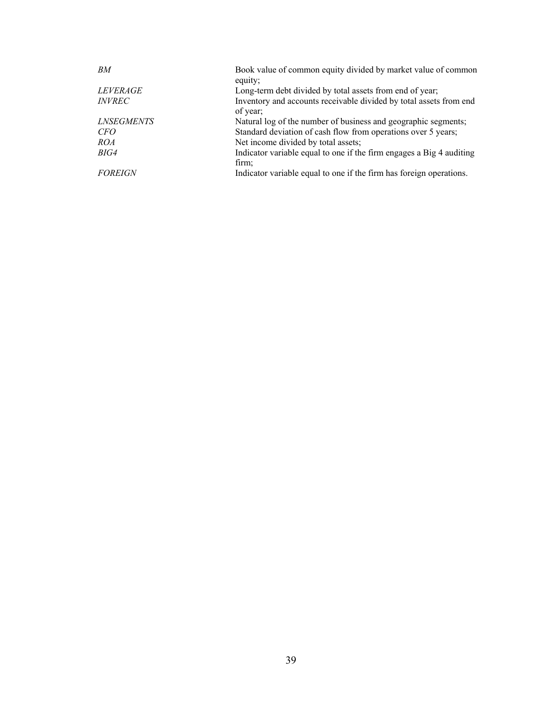| BM                       | Book value of common equity divided by market value of common                  |
|--------------------------|--------------------------------------------------------------------------------|
|                          | equity;                                                                        |
| <i>LEVERAGE</i>          | Long-term debt divided by total assets from end of year;                       |
| <i>INVREC</i>            | Inventory and accounts receivable divided by total assets from end<br>of year; |
| <i><b>LNSEGMENTS</b></i> | Natural log of the number of business and geographic segments;                 |
| <i>CFO</i>               | Standard deviation of cash flow from operations over 5 years;                  |
| <i>ROA</i>               | Net income divided by total assets;                                            |
| BIG4                     | Indicator variable equal to one if the firm engages a Big 4 auditing<br>firm;  |
| <b>FOREIGN</b>           | Indicator variable equal to one if the firm has foreign operations.            |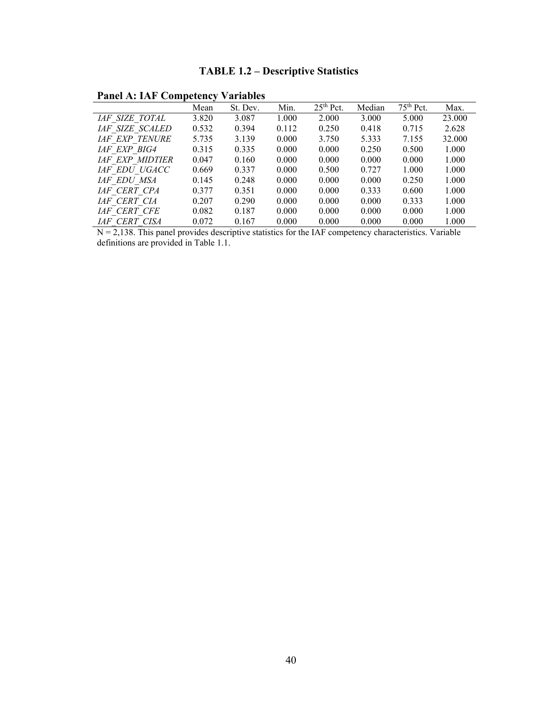# **TABLE 1.2 – Descriptive Statistics**

**Panel A: IAF Competency Variables**

|                        | Mean  | St. Dev. | Min.  | $25th$ Pct. | Median | 75 <sup>th</sup> Pct. | Max.   |
|------------------------|-------|----------|-------|-------------|--------|-----------------------|--------|
| <b>IAF SIZE TOTAL</b>  | 3.820 | 3.087    | 1.000 | 2.000       | 3.000  | 5.000                 | 23.000 |
| <b>IAF SIZE SCALED</b> | 0.532 | 0.394    | 0.112 | 0.250       | 0.418  | 0.715                 | 2.628  |
| <b>IAF EXP TENURE</b>  | 5.735 | 3.139    | 0.000 | 3.750       | 5.333  | 7.155                 | 32.000 |
| <i>LAF EXP BIG4</i>    | 0.315 | 0.335    | 0.000 | 0.000       | 0.250  | 0.500                 | 1.000  |
| <b>IAF EXP MIDTIER</b> | 0.047 | 0.160    | 0.000 | 0.000       | 0.000  | 0.000                 | 1.000  |
| <b>IAF EDU UGACC</b>   | 0.669 | 0.337    | 0.000 | 0.500       | 0.727  | 1.000                 | 1.000  |
| IAF EDU MSA            | 0.145 | 0.248    | 0.000 | 0.000       | 0.000  | 0.250                 | 1.000  |
| IAF CERT CPA           | 0.377 | 0.351    | 0.000 | 0.000       | 0.333  | 0.600                 | 1.000  |
| IAF CERT CIA           | 0.207 | 0.290    | 0.000 | 0.000       | 0.000  | 0.333                 | 1.000  |
| <b>IAF CERT CFE</b>    | 0.082 | 0.187    | 0.000 | 0.000       | 0.000  | 0.000                 | 1.000  |
| <i>IAF CERT CISA</i>   | 0.072 | 0.167    | 0.000 | 0.000       | 0.000  | 0.000                 | 1.000  |

 $N = 2,138$ . This panel provides descriptive statistics for the IAF competency characteristics. Variable definitions are provided in Table 1.1.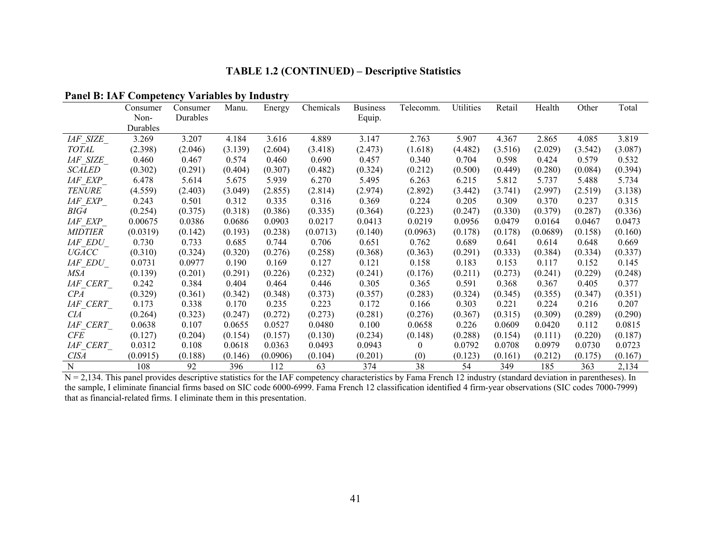## **TABLE 1.2 (CONTINUED) – Descriptive Statistics**

|                 | Consumer | Consumer | Manu.   | Energy   | Chemicals | <b>Business</b> | Telecomm.      | Utilities | Retail  | Health   | Other   | Total   |
|-----------------|----------|----------|---------|----------|-----------|-----------------|----------------|-----------|---------|----------|---------|---------|
|                 | Non-     | Durables |         |          |           | Equip.          |                |           |         |          |         |         |
|                 | Durables |          |         |          |           |                 |                |           |         |          |         |         |
| <b>IAF SIZE</b> | 3.269    | 3.207    | 4.184   | 3.616    | 4.889     | 3.147           | 2.763          | 5.907     | 4.367   | 2.865    | 4.085   | 3.819   |
| <b>TOTAL</b>    | (2.398)  | (2.046)  | (3.139) | (2.604)  | (3.418)   | (2.473)         | (1.618)        | (4.482)   | (3.516) | (2.029)  | (3.542) | (3.087) |
| <i>IAF SIZE</i> | 0.460    | 0.467    | 0.574   | 0.460    | 0.690     | 0.457           | 0.340          | 0.704     | 0.598   | 0.424    | 0.579   | 0.532   |
| <b>SCALED</b>   | (0.302)  | (0.291)  | (0.404) | (0.307)  | (0.482)   | (0.324)         | (0.212)        | (0.500)   | (0.449) | (0.280)  | (0.084) | (0.394) |
| <i>IAF EXP</i>  | 6.478    | 5.614    | 5.675   | 5.939    | 6.270     | 5.495           | 6.263          | 6.215     | 5.812   | 5.737    | 5.488   | 5.734   |
| <b>TENURE</b>   | (4.559)  | (2.403)  | (3.049) | (2.855)  | (2.814)   | (2.974)         | (2.892)        | (3.442)   | (3.741) | (2.997)  | (2.519) | (3.138) |
| <i>IAF EXP</i>  | 0.243    | 0.501    | 0.312   | 0.335    | 0.316     | 0.369           | 0.224          | 0.205     | 0.309   | 0.370    | 0.237   | 0.315   |
| BIG4            | (0.254)  | (0.375)  | (0.318) | (0.386)  | (0.335)   | (0.364)         | (0.223)        | (0.247)   | (0.330) | (0.379)  | (0.287) | (0.336) |
| IAF EXP         | 0.00675  | 0.0386   | 0.0686  | 0.0903   | 0.0217    | 0.0413          | 0.0219         | 0.0956    | 0.0479  | 0.0164   | 0.0467  | 0.0473  |
| <i>MIDTIER</i>  | (0.0319) | (0.142)  | (0.193) | (0.238)  | (0.0713)  | (0.140)         | (0.0963)       | (0.178)   | (0.178) | (0.0689) | (0.158) | (0.160) |
| <i>IAF EDU</i>  | 0.730    | 0.733    | 0.685   | 0.744    | 0.706     | 0.651           | 0.762          | 0.689     | 0.641   | 0.614    | 0.648   | 0.669   |
| <b>UGACC</b>    | (0.310)  | (0.324)  | (0.320) | (0.276)  | (0.258)   | (0.368)         | (0.363)        | (0.291)   | (0.333) | (0.384)  | (0.334) | (0.337) |
| <i>IAF EDU</i>  | 0.0731   | 0.0977   | 0.190   | 0.169    | 0.127     | 0.121           | 0.158          | 0.183     | 0.153   | 0.117    | 0.152   | 0.145   |
| MSA             | (0.139)  | (0.201)  | (0.291) | (0.226)  | (0.232)   | (0.241)         | (0.176)        | (0.211)   | (0.273) | (0.241)  | (0.229) | (0.248) |
| <i>IAF CERT</i> | 0.242    | 0.384    | 0.404   | 0.464    | 0.446     | 0.305           | 0.365          | 0.591     | 0.368   | 0.367    | 0.405   | 0.377   |
| CPA             | (0.329)  | (0.361)  | (0.342) | (0.348)  | (0.373)   | (0.357)         | (0.283)        | (0.324)   | (0.345) | (0.355)  | (0.347) | (0.351) |
| <i>IAF CERT</i> | 0.173    | 0.338    | 0.170   | 0.235    | 0.223     | 0.172           | 0.166          | 0.303     | 0.221   | 0.224    | 0.216   | 0.207   |
| CIA             | (0.264)  | (0.323)  | (0.247) | (0.272)  | (0.273)   | (0.281)         | (0.276)        | (0.367)   | (0.315) | (0.309)  | (0.289) | (0.290) |
| IAF CERT        | 0.0638   | 0.107    | 0.0655  | 0.0527   | 0.0480    | 0.100           | 0.0658         | 0.226     | 0.0609  | 0.0420   | 0.112   | 0.0815  |
| CFE             | (0.127)  | (0.204)  | (0.154) | (0.157)  | (0.130)   | (0.234)         | (0.148)        | (0.288)   | (0.154) | (0.111)  | (0.220) | (0.187) |
| <i>IAF CERT</i> | 0.0312   | 0.108    | 0.0618  | 0.0363   | 0.0493    | 0.0943          | $\overline{0}$ | 0.0792    | 0.0708  | 0.0979   | 0.0730  | 0.0723  |
| <b>CISA</b>     | (0.0915) | (0.188)  | (0.146) | (0.0906) | (0.104)   | (0.201)         | (0)            | (0.123)   | (0.161) | (0.212)  | (0.175) | (0.167) |
| $\mathbf N$     | 108      | 92       | 396     | 112      | 63        | 374             | 38             | 54        | 349     | 185      | 363     | 2,134   |

#### **Panel B: IAF Competency Variables by Industry**

N = 2,134. This panel provides descriptive statistics for the IAF competency characteristics by Fama French 12 industry (standard deviation in parentheses). In the sample, I eliminate financial firms based on SIC code 6000-6999. Fama French 12 classification identified 4 firm-year observations (SIC codes 7000-7999) that as financial-related firms. I eliminate them in this presentation.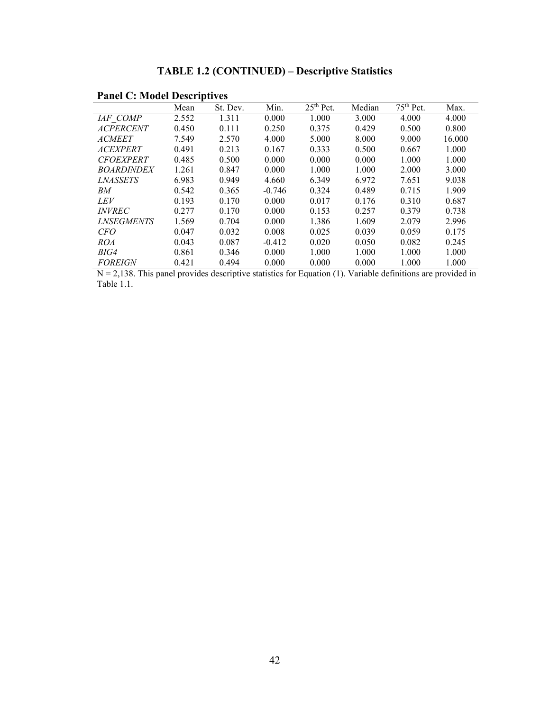| T and C. Moud Descriptives |       |          |          |             |        |                       |        |
|----------------------------|-------|----------|----------|-------------|--------|-----------------------|--------|
|                            | Mean  | St. Dev. | Min.     | $25th$ Pct. | Median | 75 <sup>th</sup> Pct. | Max.   |
| IAF COMP                   | 2.552 | 1.311    | 0.000    | 1.000       | 3.000  | 4.000                 | 4.000  |
| <b>ACPERCENT</b>           | 0.450 | 0.111    | 0.250    | 0.375       | 0.429  | 0.500                 | 0.800  |
| <b>ACMEET</b>              | 7.549 | 2.570    | 4.000    | 5.000       | 8.000  | 9.000                 | 16.000 |
| <b>ACEXPERT</b>            | 0.491 | 0.213    | 0.167    | 0.333       | 0.500  | 0.667                 | 1.000  |
| <b>CFOEXPERT</b>           | 0.485 | 0.500    | 0.000    | 0.000       | 0.000  | 1.000                 | 1.000  |
| <b>BOARDINDEX</b>          | 1.261 | 0.847    | 0.000    | 1.000       | 1.000  | 2.000                 | 3.000  |
| <i><b>LNASSETS</b></i>     | 6.983 | 0.949    | 4.660    | 6.349       | 6.972  | 7.651                 | 9.038  |
| BМ                         | 0.542 | 0.365    | $-0.746$ | 0.324       | 0.489  | 0.715                 | 1.909  |
| <i>LEV</i>                 | 0.193 | 0.170    | 0.000    | 0.017       | 0.176  | 0.310                 | 0.687  |
| <i><b>INVREC</b></i>       | 0.277 | 0.170    | 0.000    | 0.153       | 0.257  | 0.379                 | 0.738  |
| <i><b>LNSEGMENTS</b></i>   | 1.569 | 0.704    | 0.000    | 1.386       | 1.609  | 2.079                 | 2.996  |
| <i>CFO</i>                 | 0.047 | 0.032    | 0.008    | 0.025       | 0.039  | 0.059                 | 0.175  |
| <i>ROA</i>                 | 0.043 | 0.087    | $-0.412$ | 0.020       | 0.050  | 0.082                 | 0.245  |
| BIG4                       | 0.861 | 0.346    | 0.000    | 1.000       | 1.000  | 1.000                 | 1.000  |
| <b>FOREIGN</b>             | 0.421 | 0.494    | 0.000    | 0.000       | 0.000  | 1.000                 | 1.000  |

# **TABLE 1.2 (CONTINUED) – Descriptive Statistics**

 **Panel C: Model Descriptives**

 $N = 2,138$ . This panel provides descriptive statistics for Equation (1). Variable definitions are provided in Table 1.1.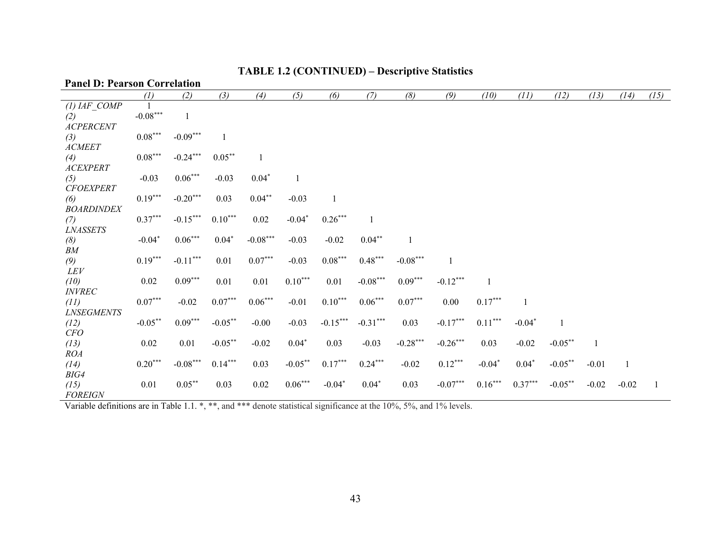# **TABLE 1.2 (CONTINUED) – Descriptive Statistics**

#### **Panel D: Pearson Correlation**

|                   | (1)                   | (2)          | (3)                   | (4)          | (5)        | (6)                   | (7)          | (8)        | (9)        | (10)         | (11)      | (12)       | (13)         | (14)         | (15) |
|-------------------|-----------------------|--------------|-----------------------|--------------|------------|-----------------------|--------------|------------|------------|--------------|-----------|------------|--------------|--------------|------|
| $(1)$ IAF COMP    |                       |              |                       |              |            |                       |              |            |            |              |           |            |              |              |      |
| (2)               | $-0.08***$            | $\mathbf{1}$ |                       |              |            |                       |              |            |            |              |           |            |              |              |      |
| <b>ACPERCENT</b>  |                       |              |                       |              |            |                       |              |            |            |              |           |            |              |              |      |
| (3)               | $0.08^{\ast\ast\ast}$ | $-0.09***$   | $\mathbf{1}$          |              |            |                       |              |            |            |              |           |            |              |              |      |
| <b>ACMEET</b>     |                       |              |                       |              |            |                       |              |            |            |              |           |            |              |              |      |
| (4)               | $0.08***$             | $-0.24***$   | $0.05***$             | $\mathbf{1}$ |            |                       |              |            |            |              |           |            |              |              |      |
| <b>ACEXPERT</b>   |                       |              |                       |              |            |                       |              |            |            |              |           |            |              |              |      |
| (5)               | $-0.03$               | $0.06***$    | $-0.03$               | $0.04*$      | 1          |                       |              |            |            |              |           |            |              |              |      |
| <b>CFOEXPERT</b>  |                       |              |                       |              |            |                       |              |            |            |              |           |            |              |              |      |
| (6)               | $0.19***$             | $-0.20***$   | 0.03                  | $0.04***$    | $-0.03$    | $\mathbf{1}$          |              |            |            |              |           |            |              |              |      |
| <b>BOARDINDEX</b> |                       |              |                       |              |            |                       |              |            |            |              |           |            |              |              |      |
| (7)               | $0.37***$             | $-0.15***$   | $0.10***$             | $0.02\,$     | $-0.04*$   | $0.26***$             | $\mathbf{1}$ |            |            |              |           |            |              |              |      |
| <b>LNASSETS</b>   |                       |              |                       |              |            |                       |              |            |            |              |           |            |              |              |      |
| (8)               | $-0.04*$              | $0.06***$    | $0.04*$               | $-0.08***$   | $-0.03$    | $-0.02$               | $0.04***$    | 1          |            |              |           |            |              |              |      |
| BM                |                       |              |                       |              |            |                       |              |            |            |              |           |            |              |              |      |
| (9)               | $0.19***$             | $-0.11***$   | $0.01\,$              | $0.07***$    | $-0.03$    | $0.08^{\ast\ast\ast}$ | $0.48***$    | $-0.08***$ | 1          |              |           |            |              |              |      |
| <b>LEV</b>        |                       |              |                       |              |            |                       |              |            |            |              |           |            |              |              |      |
| (10)              | 0.02                  | $0.09***$    | 0.01                  | 0.01         | $0.10***$  | 0.01                  | $-0.08***$   | $0.09***$  | $-0.12***$ | $\mathbf{1}$ |           |            |              |              |      |
| <b>INVREC</b>     |                       |              |                       |              |            |                       |              |            |            |              |           |            |              |              |      |
| (11)              | $0.07***$             | $-0.02$      | $0.07^{\ast\ast\ast}$ | $0.06***$    | $-0.01$    | $0.10***$             | $0.06***$    | $0.07***$  | 0.00       | $0.17***$    |           |            |              |              |      |
| <b>LNSEGMENTS</b> |                       |              |                       |              |            |                       |              |            |            |              |           |            |              |              |      |
| (12)              | $-0.05***$            | $0.09***$    | $-0.05***$            | $-0.00$      | $-0.03$    | $-0.15***$            | $-0.31***$   | 0.03       | $-0.17***$ | $0.11***$    | $-0.04*$  | 1          |              |              |      |
| CFO               |                       |              |                       |              |            |                       |              |            |            |              |           |            |              |              |      |
| (13)              | 0.02                  | 0.01         | $-0.05***$            | $-0.02$      | $0.04*$    | 0.03                  | $-0.03$      | $-0.28***$ | $-0.26***$ | 0.03         | $-0.02$   | $-0.05***$ | $\mathbf{1}$ |              |      |
| <b>ROA</b>        |                       |              |                       |              |            |                       |              |            |            |              |           |            |              |              |      |
| (14)              | $0.20***$             | $-0.08***$   | $0.14***$             | 0.03         | $-0.05***$ | $0.17***$             | $0.24***$    | $-0.02$    | $0.12***$  | $-0.04*$     | $0.04*$   | $-0.05***$ | $-0.01$      | $\mathbf{1}$ |      |
| BIG4              |                       |              |                       |              |            |                       |              |            |            |              |           |            |              |              |      |
| (15)              | 0.01                  | $0.05***$    | 0.03                  | $0.02\,$     | $0.06***$  | $-0.04*$              | $0.04*$      | 0.03       | $-0.07***$ | $0.16***$    | $0.37***$ | $-0.05***$ | $-0.02$      | $-0.02$      |      |
| <b>FOREIGN</b>    |                       |              |                       |              |            |                       |              |            |            |              |           |            |              |              |      |

*FOREIGN*<br>Variable definitions are in Table 1.1. \*, \*\*, and \*\*\* denote statistical significance at the 10%, 5%, and 1% levels.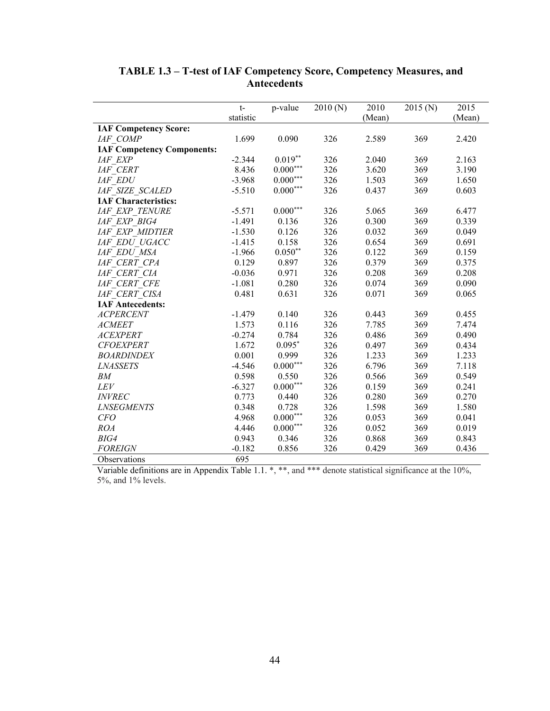|                                   | $t-$      | p-value         | 2010(N) | 2010   | 2015(N) | 2015   |
|-----------------------------------|-----------|-----------------|---------|--------|---------|--------|
|                                   | statistic |                 |         | (Mean) |         | (Mean) |
| <b>IAF Competency Score:</b>      |           |                 |         |        |         |        |
| IAF COMP                          | 1.699     | 0.090           | 326     | 2.589  | 369     | 2.420  |
| <b>IAF Competency Components:</b> |           |                 |         |        |         |        |
| <b>IAF EXP</b>                    | $-2.344$  | $0.019**$       | 326     | 2.040  | 369     | 2.163  |
| <b>IAF CERT</b>                   | 8.436     | $0.000***$      | 326     | 3.620  | 369     | 3.190  |
| <b>IAF EDU</b>                    | $-3.968$  | $0.000^{***}\,$ | 326     | 1.503  | 369     | 1.650  |
| <b>IAF SIZE SCALED</b>            | $-5.510$  | $0.000^{***}$   | 326     | 0.437  | 369     | 0.603  |
| <b>IAF Characteristics:</b>       |           |                 |         |        |         |        |
| <b>IAF EXP TENURE</b>             | $-5.571$  | $0.000***$      | 326     | 5.065  | 369     | 6.477  |
| IAF EXP BIG4                      | $-1.491$  | 0.136           | 326     | 0.300  | 369     | 0.339  |
| <b>IAF EXP MIDTIER</b>            | $-1.530$  | 0.126           | 326     | 0.032  | 369     | 0.049  |
| IAF EDU UGACC                     | $-1.415$  | 0.158           | 326     | 0.654  | 369     | 0.691  |
| IAF EDU MSA                       | $-1.966$  | $0.050**$       | 326     | 0.122  | 369     | 0.159  |
| IAF CERT CPA                      | 0.129     | 0.897           | 326     | 0.379  | 369     | 0.375  |
| IAF CERT CIA                      | $-0.036$  | 0.971           | 326     | 0.208  | 369     | 0.208  |
| IAF CERT CFE                      | $-1.081$  | 0.280           | 326     | 0.074  | 369     | 0.090  |
| IAF CERT CISA                     | 0.481     | 0.631           | 326     | 0.071  | 369     | 0.065  |
| <b>IAF Antecedents:</b>           |           |                 |         |        |         |        |
| <b>ACPERCENT</b>                  | $-1.479$  | 0.140           | 326     | 0.443  | 369     | 0.455  |
| <b>ACMEET</b>                     | 1.573     | 0.116           | 326     | 7.785  | 369     | 7.474  |
| <b>ACEXPERT</b>                   | $-0.274$  | 0.784           | 326     | 0.486  | 369     | 0.490  |
| <b>CFOEXPERT</b>                  | 1.672     | $0.095*$        | 326     | 0.497  | 369     | 0.434  |
| <b>BOARDINDEX</b>                 | 0.001     | 0.999           | 326     | 1.233  | 369     | 1.233  |
| <b>LNASSETS</b>                   | $-4.546$  | $0.000^{***}$   | 326     | 6.796  | 369     | 7.118  |
| BM                                | 0.598     | 0.550           | 326     | 0.566  | 369     | 0.549  |
| LEV                               | $-6.327$  | $0.000^{***}\,$ | 326     | 0.159  | 369     | 0.241  |
| <b>INVREC</b>                     | 0.773     | 0.440           | 326     | 0.280  | 369     | 0.270  |
| <b>LNSEGMENTS</b>                 | 0.348     | 0.728           | 326     | 1.598  | 369     | 1.580  |
| CFO                               | 4.968     | $0.000^{***}\,$ | 326     | 0.053  | 369     | 0.041  |
| <b>ROA</b>                        | 4.446     | $0.000^{***}$   | 326     | 0.052  | 369     | 0.019  |
| BIG4                              | 0.943     | 0.346           | 326     | 0.868  | 369     | 0.843  |
| <b>FOREIGN</b>                    | $-0.182$  | 0.856           | 326     | 0.429  | 369     | 0.436  |
| Observations                      | 695       |                 |         |        |         |        |

### **TABLE 1.3 – T-test of IAF Competency Score, Competency Measures, and Antecedents**

Variable definitions are in Appendix Table 1.1. \*, \*\*, and \*\*\* denote statistical significance at the 10%, 5%, and 1% levels.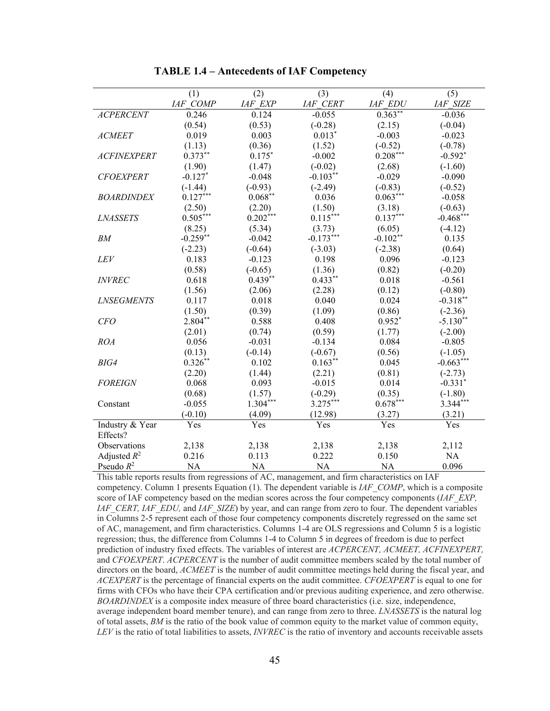|                    | (1)             | (2)            | (3)             | (4)            | (5)             |
|--------------------|-----------------|----------------|-----------------|----------------|-----------------|
|                    | <b>IAF COMP</b> | <b>IAF EXP</b> | <b>IAF CERT</b> | <b>IAF EDU</b> | <b>IAF SIZE</b> |
| <b>ACPERCENT</b>   | 0.246           | 0.124          | $-0.055$        | $0.363***$     | $-0.036$        |
|                    | (0.54)          | (0.53)         | $(-0.28)$       | (2.15)         | $(-0.04)$       |
| <b>ACMEET</b>      | 0.019           | 0.003          | $0.013*$        | $-0.003$       | $-0.023$        |
|                    | (1.13)          | (0.36)         | (1.52)          | $(-0.52)$      | $(-0.78)$       |
| <b>ACFINEXPERT</b> | $0.373**$       | $0.175*$       | $-0.002$        | $0.208***$     | $-0.592*$       |
|                    | (1.90)          | (1.47)         | $(-0.02)$       | (2.68)         | $(-1.60)$       |
| <b>CFOEXPERT</b>   | $-0.127*$       | $-0.048$       | $-0.103**$      | $-0.029$       | $-0.090$        |
|                    | $(-1.44)$       | $(-0.93)$      | $(-2.49)$       | $(-0.83)$      | $(-0.52)$       |
| <b>BOARDINDEX</b>  | $0.127***$      | $0.068**$      | 0.036           | $0.063***$     | $-0.058$        |
|                    | (2.50)          | (2.20)         | (1.50)          | (3.18)         | $(-0.63)$       |
| <b>LNASSETS</b>    | $0.505***$      | $0.202***$     | $0.115***$      | $0.137***$     | $-0.468***$     |
|                    | (8.25)          | (5.34)         | (3.73)          | (6.05)         | $(-4.12)$       |
| BM                 | $-0.259**$      | $-0.042$       | $-0.173***$     | $-0.102**$     | 0.135           |
|                    | $(-2.23)$       | $(-0.64)$      | $(-3.03)$       | $(-2.38)$      | (0.64)          |
| LEV                | 0.183           | $-0.123$       | 0.198           | 0.096          | $-0.123$        |
|                    | (0.58)          | $(-0.65)$      | (1.36)          | (0.82)         | $(-0.20)$       |
| <b>INVREC</b>      | 0.618           | $0.439**$      | $0.433**$       | 0.018          | $-0.561$        |
|                    | (1.56)          | (2.06)         | (2.28)          | (0.12)         | $(-0.80)$       |
| <b>LNSEGMENTS</b>  | 0.117           | 0.018          | 0.040           | 0.024          | $-0.318**$      |
|                    | (1.50)          | (0.39)         | (1.09)          | (0.86)         | $(-2.36)$       |
| CFO                | $2.804**$       | 0.588          | 0.408           | $0.952*$       | $-5.130**$      |
|                    | (2.01)          | (0.74)         | (0.59)          | (1.77)         | $(-2.00)$       |
| <b>ROA</b>         | 0.056           | $-0.031$       | $-0.134$        | 0.084          | $-0.805$        |
|                    | (0.13)          | $(-0.14)$      | $(-0.67)$       | (0.56)         | $(-1.05)$       |
| BIG4               | $0.326**$       | 0.102          | $0.163**$       | 0.045          | $-0.663***$     |
|                    | (2.20)          | (1.44)         | (2.21)          | (0.81)         | $(-2.73)$       |
| <b>FOREIGN</b>     | 0.068           | 0.093          | $-0.015$        | 0.014          | $-0.331*$       |
|                    | (0.68)          | (1.57)         | $(-0.29)$       | (0.35)         | $(-1.80)$       |
| Constant           | $-0.055$        | $1.304***$     | $3.275***$      | $0.678***$     | $3.344***$      |
|                    | $(-0.10)$       | (4.09)         | (12.98)         | (3.27)         | (3.21)          |
| Industry & Year    | Yes             | Yes            | Yes             | Yes            | Yes             |
| Effects?           |                 |                |                 |                |                 |
| Observations       | 2,138           | 2,138          | 2,138           | 2,138          | 2,112           |
| Adjusted $R^2$     | 0.216           | 0.113          | 0.222           | 0.150          | NA              |
| Pseudo $R^2$       | <b>NA</b>       | <b>NA</b>      | <b>NA</b>       | NA             | 0.096           |

**TABLE 1.4 – Antecedents of IAF Competency** 

This table reports results from regressions of AC, management, and firm characteristics on IAF competency. Column 1 presents Equation (1). The dependent variable is *IAF\_COMP*, which is a composite score of IAF competency based on the median scores across the four competency components (*IAF\_EXP*, *IAF\_CERT, IAF\_EDU,* and *IAF\_SIZE*) by year, and can range from zero to four. The dependent variables in Columns 2-5 represent each of those four competency components discretely regressed on the same set of AC, management, and firm characteristics. Columns 1-4 are OLS regressions and Column 5 is a logistic regression; thus, the difference from Columns 1-4 to Column 5 in degrees of freedom is due to perfect prediction of industry fixed effects. The variables of interest are *ACPERCENT, ACMEET, ACFINEXPERT,*  and *CFOEXPERT*. *ACPERCENT* is the number of audit committee members scaled by the total number of directors on the board, *ACMEET* is the number of audit committee meetings held during the fiscal year, and *ACEXPERT* is the percentage of financial experts on the audit committee. *CFOEXPERT* is equal to one for firms with CFOs who have their CPA certification and/or previous auditing experience, and zero otherwise. *BOARDINDEX* is a composite index measure of three board characteristics (i.e. size, independence, average independent board member tenure), and can range from zero to three. *LNASSETS* is the natural log of total assets, *BM* is the ratio of the book value of common equity to the market value of common equity, *LEV* is the ratio of total liabilities to assets, *INVREC* is the ratio of inventory and accounts receivable assets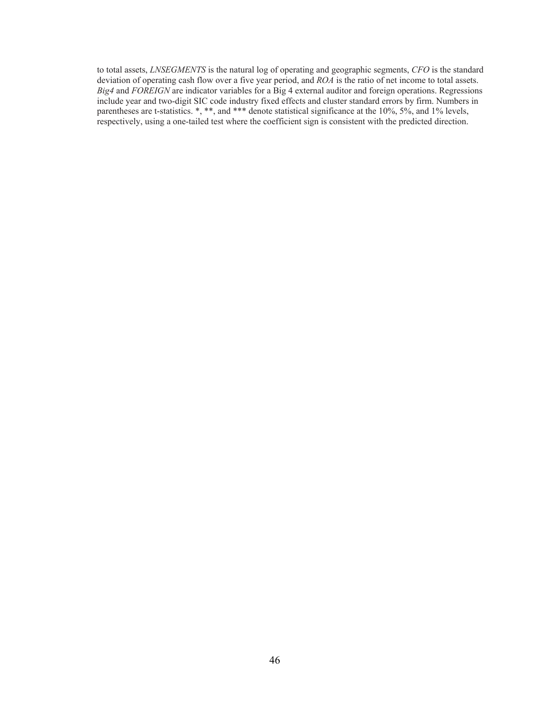to total assets, *LNSEGMENTS* is the natural log of operating and geographic segments, *CFO* is the standard deviation of operating cash flow over a five year period, and *ROA* is the ratio of net income to total assets. *Big4* and *FOREIGN* are indicator variables for a Big 4 external auditor and foreign operations. Regressions include year and two-digit SIC code industry fixed effects and cluster standard errors by firm. Numbers in parentheses are t-statistics. \*, \*\*, and \*\*\* denote statistical significance at the 10%, 5%, and 1% levels, respectively, using a one-tailed test where the coefficient sign is consistent with the predicted direction.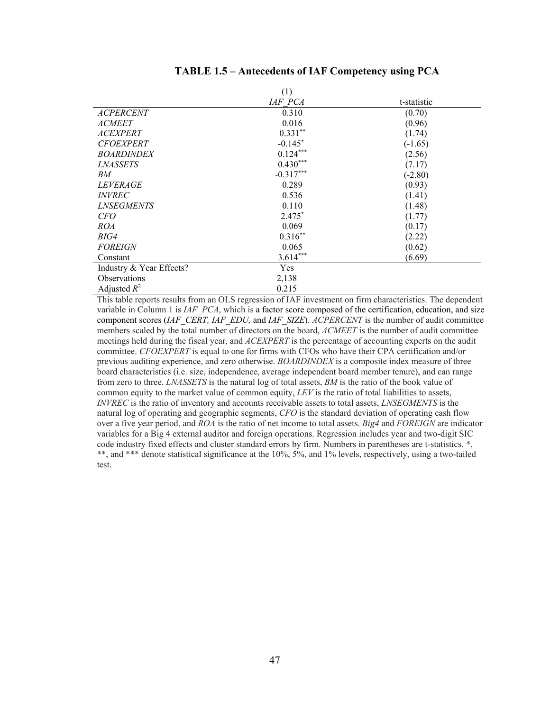|                          | (1)         |             |
|--------------------------|-------------|-------------|
|                          | IAF PCA     | t-statistic |
| <b>ACPERCENT</b>         | 0.310       | (0.70)      |
| <b>ACMEET</b>            | 0.016       | (0.96)      |
| <b>ACEXPERT</b>          | $0.331**$   | (1.74)      |
| <b>CFOEXPERT</b>         | $-0.145$ *  | $(-1.65)$   |
| <b>BOARDINDEX</b>        | $0.124***$  | (2.56)      |
| <i><b>LNASSETS</b></i>   | $0.430***$  | (7.17)      |
| BМ                       | $-0.317***$ | $(-2.80)$   |
| <i>LEVERAGE</i>          | 0.289       | (0.93)      |
| <i>INVREC</i>            | 0.536       | (1.41)      |
| <i><b>LNSEGMENTS</b></i> | 0.110       | (1.48)      |
| <i>CFO</i>               | $2.475*$    | (1.77)      |
| <i>ROA</i>               | 0.069       | (0.17)      |
| BIG4                     | $0.316**$   | (2.22)      |
| <b>FOREIGN</b>           | 0.065       | (0.62)      |
| Constant                 | $3.614***$  | (6.69)      |
| Industry & Year Effects? | <b>Yes</b>  |             |
| <b>Observations</b>      | 2,138       |             |
| Adjusted $R^2$           | 0.215       |             |

**TABLE 1.5 – Antecedents of IAF Competency using PCA** 

This table reports results from an OLS regression of IAF investment on firm characteristics. The dependent variable in Column 1 is *IAF\_PCA*, which is a factor score composed of the certification, education, and size component scores (*IAF\_CERT, IAF\_EDU,* and *IAF\_SIZE*). *ACPERCENT* is the number of audit committee members scaled by the total number of directors on the board, *ACMEET* is the number of audit committee meetings held during the fiscal year, and *ACEXPERT* is the percentage of accounting experts on the audit committee. *CFOEXPERT* is equal to one for firms with CFOs who have their CPA certification and/or previous auditing experience, and zero otherwise. *BOARDINDEX* is a composite index measure of three board characteristics (i.e. size, independence, average independent board member tenure), and can range from zero to three. *LNASSETS* is the natural log of total assets, *BM* is the ratio of the book value of common equity to the market value of common equity, *LEV* is the ratio of total liabilities to assets, *INVREC* is the ratio of inventory and accounts receivable assets to total assets, *LNSEGMENTS* is the natural log of operating and geographic segments, *CFO* is the standard deviation of operating cash flow over a five year period, and *ROA* is the ratio of net income to total assets. *Big4* and *FOREIGN* are indicator variables for a Big 4 external auditor and foreign operations. Regression includes year and two-digit SIC code industry fixed effects and cluster standard errors by firm. Numbers in parentheses are t-statistics. \*, \*\*, and \*\*\* denote statistical significance at the 10%, 5%, and 1% levels, respectively, using a two-tailed test.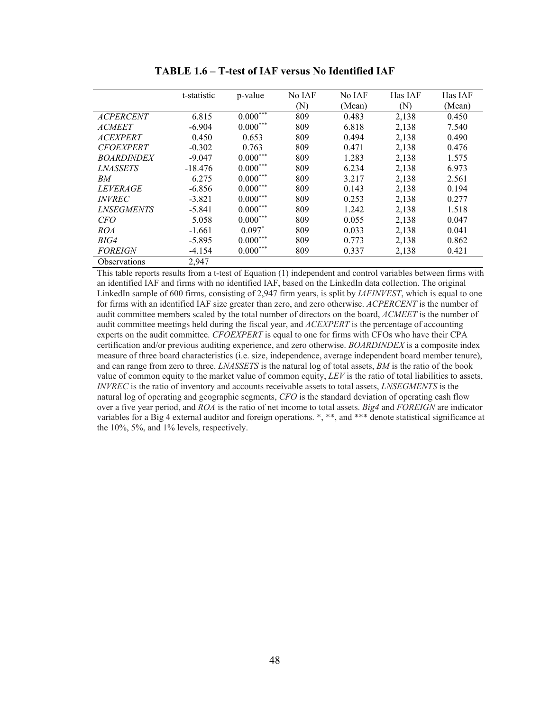|                          | t-statistic | p-value       | No IAF | No IAF | Has IAF | Has IAF |
|--------------------------|-------------|---------------|--------|--------|---------|---------|
|                          |             |               | (N)    | (Mean) | (N)     | (Mean)  |
| <b>ACPERCENT</b>         | 6.815       | $0.000^{***}$ | 809    | 0.483  | 2,138   | 0.450   |
| <b>ACMEET</b>            | $-6.904$    | $0.000***$    | 809    | 6.818  | 2,138   | 7.540   |
| <b>ACEXPERT</b>          | 0.450       | 0.653         | 809    | 0.494  | 2,138   | 0.490   |
| <b>CFOEXPERT</b>         | $-0.302$    | 0.763         | 809    | 0.471  | 2,138   | 0.476   |
| <b>BOARDINDEX</b>        | $-9.047$    | $0.000***$    | 809    | 1.283  | 2,138   | 1.575   |
| <b>LNASSETS</b>          | $-18.476$   | $0.000***$    | 809    | 6.234  | 2,138   | 6.973   |
| BМ                       | 6.275       | $0.000***$    | 809    | 3.217  | 2,138   | 2.561   |
| <i>LEVERAGE</i>          | $-6.856$    | $0.000***$    | 809    | 0.143  | 2,138   | 0.194   |
| <i><b>INVREC</b></i>     | $-3.821$    | $0.000***$    | 809    | 0.253  | 2,138   | 0.277   |
| <i><b>LNSEGMENTS</b></i> | $-5.841$    | $0.000***$    | 809    | 1.242  | 2,138   | 1.518   |
| <b>CFO</b>               | 5.058       | $0.000***$    | 809    | 0.055  | 2,138   | 0.047   |
| ROA                      | $-1.661$    | $0.097*$      | 809    | 0.033  | 2,138   | 0.041   |
| BIG4                     | $-5.895$    | $0.000***$    | 809    | 0.773  | 2,138   | 0.862   |
| <b>FOREIGN</b>           | $-4.154$    | $0.000***$    | 809    | 0.337  | 2,138   | 0.421   |
| Observations             | 2,947       |               |        |        |         |         |

**TABLE 1.6 – T-test of IAF versus No Identified IAF** 

This table reports results from a t-test of Equation (1) independent and control variables between firms with an identified IAF and firms with no identified IAF, based on the LinkedIn data collection. The original LinkedIn sample of 600 firms, consisting of 2,947 firm years, is split by *IAFINVEST*, which is equal to one for firms with an identified IAF size greater than zero, and zero otherwise. *ACPERCENT* is the number of audit committee members scaled by the total number of directors on the board, *ACMEET* is the number of audit committee meetings held during the fiscal year, and *ACEXPERT* is the percentage of accounting experts on the audit committee. *CFOEXPERT* is equal to one for firms with CFOs who have their CPA certification and/or previous auditing experience, and zero otherwise. *BOARDINDEX* is a composite index measure of three board characteristics (i.e. size, independence, average independent board member tenure), and can range from zero to three. *LNASSETS* is the natural log of total assets, *BM* is the ratio of the book value of common equity to the market value of common equity, *LEV* is the ratio of total liabilities to assets, *INVREC* is the ratio of inventory and accounts receivable assets to total assets, *LNSEGMENTS* is the natural log of operating and geographic segments, *CFO* is the standard deviation of operating cash flow over a five year period, and *ROA* is the ratio of net income to total assets. *Big4* and *FOREIGN* are indicator variables for a Big 4 external auditor and foreign operations. \*, \*\*, and \*\*\* denote statistical significance at the 10%, 5%, and 1% levels, respectively.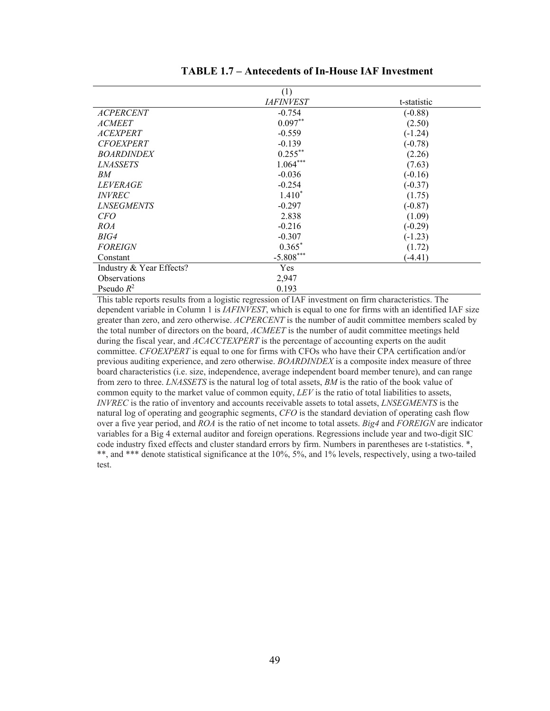|                          | (1)              |             |
|--------------------------|------------------|-------------|
|                          | <i>IAFINVEST</i> | t-statistic |
| <b>ACPERCENT</b>         | $-0.754$         | $(-0.88)$   |
| <i>ACMEET</i>            | $0.097**$        | (2.50)      |
| <i>ACEXPERT</i>          | $-0.559$         | $(-1.24)$   |
| <b>CFOEXPERT</b>         | $-0.139$         | $(-0.78)$   |
| <b>BOARDINDEX</b>        | $0.255***$       | (2.26)      |
| <i>LNASSETS</i>          | $1.064***$       | (7.63)      |
| BМ                       | $-0.036$         | $(-0.16)$   |
| <i>LEVERAGE</i>          | $-0.254$         | $(-0.37)$   |
| <i><b>INVREC</b></i>     | $1.410*$         | (1.75)      |
| <i><b>LNSEGMENTS</b></i> | $-0.297$         | $(-0.87)$   |
| <i>CFO</i>               | 2.838            | (1.09)      |
| <i>ROA</i>               | $-0.216$         | $(-0.29)$   |
| BIG4                     | $-0.307$         | $(-1.23)$   |
| <b>FOREIGN</b>           | $0.365*$         | (1.72)      |
| Constant                 | $-5.808***$      | $-4.41)$    |
| Industry & Year Effects? | Yes              |             |
| Observations             | 2,947            |             |
| Pseudo $R^2$             | 0.193            |             |

| <b>TABLE 1.7 – Antecedents of In-House IAF Investment</b> |  |  |
|-----------------------------------------------------------|--|--|
|-----------------------------------------------------------|--|--|

This table reports results from a logistic regression of IAF investment on firm characteristics. The dependent variable in Column 1 is *IAFINVEST*, which is equal to one for firms with an identified IAF size greater than zero, and zero otherwise. *ACPERCENT* is the number of audit committee members scaled by the total number of directors on the board, *ACMEET* is the number of audit committee meetings held during the fiscal year, and *ACACCTEXPERT* is the percentage of accounting experts on the audit committee. *CFOEXPERT* is equal to one for firms with CFOs who have their CPA certification and/or previous auditing experience, and zero otherwise. *BOARDINDEX* is a composite index measure of three board characteristics (i.e. size, independence, average independent board member tenure), and can range from zero to three. *LNASSETS* is the natural log of total assets, *BM* is the ratio of the book value of common equity to the market value of common equity, *LEV* is the ratio of total liabilities to assets, *INVREC* is the ratio of inventory and accounts receivable assets to total assets, *LNSEGMENTS* is the natural log of operating and geographic segments, *CFO* is the standard deviation of operating cash flow over a five year period, and *ROA* is the ratio of net income to total assets. *Big4* and *FOREIGN* are indicator variables for a Big 4 external auditor and foreign operations. Regressions include year and two-digit SIC code industry fixed effects and cluster standard errors by firm. Numbers in parentheses are t-statistics. \*, \*\*, and \*\*\* denote statistical significance at the 10%, 5%, and 1% levels, respectively, using a two-tailed test.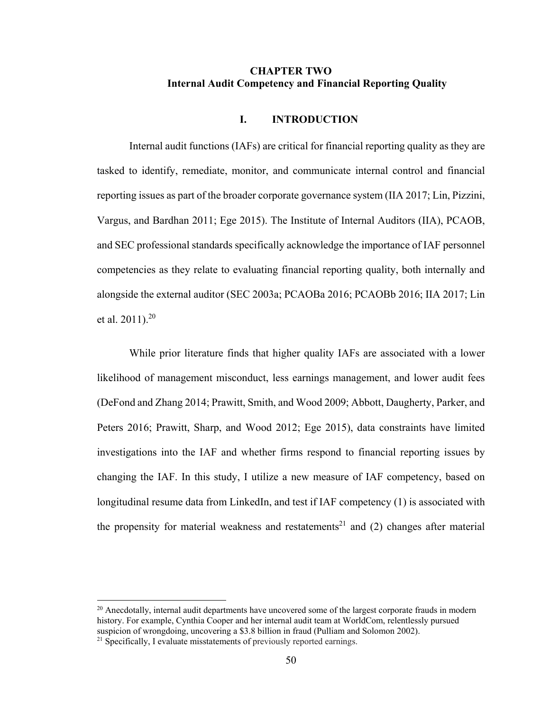### **CHAPTER TWO Internal Audit Competency and Financial Reporting Quality**

#### **I. INTRODUCTION**

Internal audit functions (IAFs) are critical for financial reporting quality as they are tasked to identify, remediate, monitor, and communicate internal control and financial reporting issues as part of the broader corporate governance system (IIA 2017; Lin, Pizzini, Vargus, and Bardhan 2011; Ege 2015). The Institute of Internal Auditors (IIA), PCAOB, and SEC professional standards specifically acknowledge the importance of IAF personnel competencies as they relate to evaluating financial reporting quality, both internally and alongside the external auditor (SEC 2003a; PCAOBa 2016; PCAOBb 2016; IIA 2017; Lin et al.  $2011$ ).<sup>20</sup>

While prior literature finds that higher quality IAFs are associated with a lower likelihood of management misconduct, less earnings management, and lower audit fees (DeFond and Zhang 2014; Prawitt, Smith, and Wood 2009; Abbott, Daugherty, Parker, and Peters 2016; Prawitt, Sharp, and Wood 2012; Ege 2015), data constraints have limited investigations into the IAF and whether firms respond to financial reporting issues by changing the IAF. In this study, I utilize a new measure of IAF competency, based on longitudinal resume data from LinkedIn, and test if IAF competency (1) is associated with the propensity for material weakness and restatements<sup>21</sup> and (2) changes after material

 $\overline{a}$ 

<sup>&</sup>lt;sup>20</sup> Anecdotally, internal audit departments have uncovered some of the largest corporate frauds in modern history. For example, Cynthia Cooper and her internal audit team at WorldCom, relentlessly pursued suspicion of wrongdoing, uncovering a \$3.8 billion in fraud (Pulliam and Solomon 2002).<br><sup>21</sup> Specifically, I evaluate misstatements of previously reported earnings.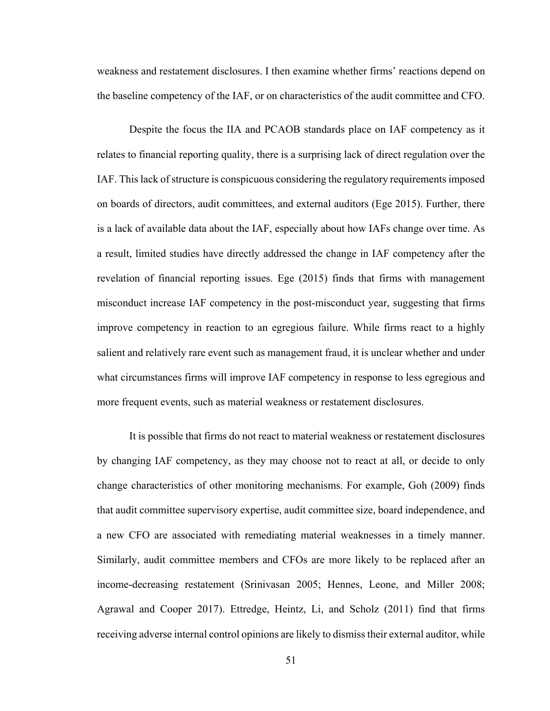weakness and restatement disclosures. I then examine whether firms' reactions depend on the baseline competency of the IAF, or on characteristics of the audit committee and CFO.

Despite the focus the IIA and PCAOB standards place on IAF competency as it relates to financial reporting quality, there is a surprising lack of direct regulation over the IAF. This lack of structure is conspicuous considering the regulatory requirements imposed on boards of directors, audit committees, and external auditors (Ege 2015). Further, there is a lack of available data about the IAF, especially about how IAFs change over time. As a result, limited studies have directly addressed the change in IAF competency after the revelation of financial reporting issues. Ege (2015) finds that firms with management misconduct increase IAF competency in the post-misconduct year, suggesting that firms improve competency in reaction to an egregious failure. While firms react to a highly salient and relatively rare event such as management fraud, it is unclear whether and under what circumstances firms will improve IAF competency in response to less egregious and more frequent events, such as material weakness or restatement disclosures.

It is possible that firms do not react to material weakness or restatement disclosures by changing IAF competency, as they may choose not to react at all, or decide to only change characteristics of other monitoring mechanisms. For example, Goh (2009) finds that audit committee supervisory expertise, audit committee size, board independence, and a new CFO are associated with remediating material weaknesses in a timely manner. Similarly, audit committee members and CFOs are more likely to be replaced after an income-decreasing restatement (Srinivasan 2005; Hennes, Leone, and Miller 2008; Agrawal and Cooper 2017). Ettredge, Heintz, Li, and Scholz (2011) find that firms receiving adverse internal control opinions are likely to dismiss their external auditor, while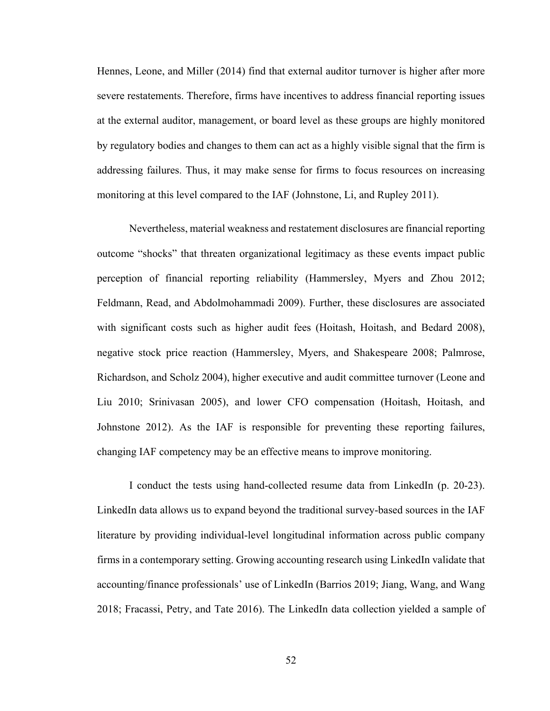Hennes, Leone, and Miller (2014) find that external auditor turnover is higher after more severe restatements. Therefore, firms have incentives to address financial reporting issues at the external auditor, management, or board level as these groups are highly monitored by regulatory bodies and changes to them can act as a highly visible signal that the firm is addressing failures. Thus, it may make sense for firms to focus resources on increasing monitoring at this level compared to the IAF (Johnstone, Li, and Rupley 2011).

Nevertheless, material weakness and restatement disclosures are financial reporting outcome "shocks" that threaten organizational legitimacy as these events impact public perception of financial reporting reliability (Hammersley, Myers and Zhou 2012; Feldmann, Read, and Abdolmohammadi 2009). Further, these disclosures are associated with significant costs such as higher audit fees (Hoitash, Hoitash, and Bedard 2008), negative stock price reaction (Hammersley, Myers, and Shakespeare 2008; Palmrose, Richardson, and Scholz 2004), higher executive and audit committee turnover (Leone and Liu 2010; Srinivasan 2005), and lower CFO compensation (Hoitash, Hoitash, and Johnstone 2012). As the IAF is responsible for preventing these reporting failures, changing IAF competency may be an effective means to improve monitoring.

I conduct the tests using hand-collected resume data from LinkedIn (p. 20-23). LinkedIn data allows us to expand beyond the traditional survey-based sources in the IAF literature by providing individual-level longitudinal information across public company firms in a contemporary setting. Growing accounting research using LinkedIn validate that accounting/finance professionals' use of LinkedIn (Barrios 2019; Jiang, Wang, and Wang 2018; Fracassi, Petry, and Tate 2016). The LinkedIn data collection yielded a sample of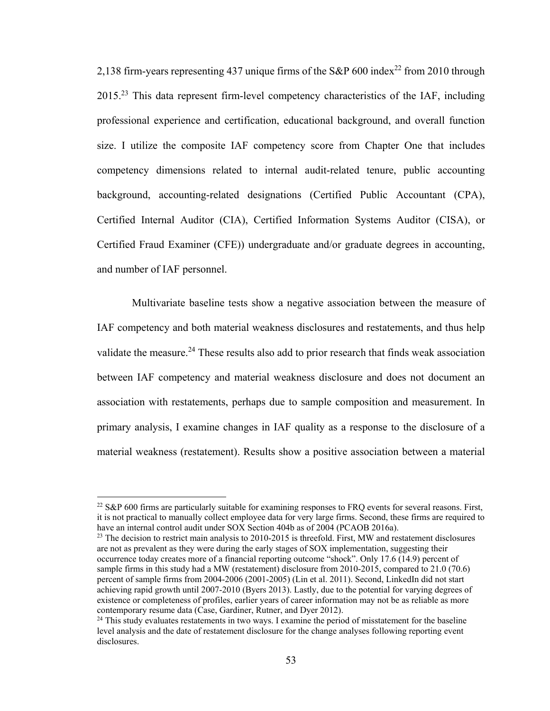2,138 firm-years representing 437 unique firms of the S&P 600 index<sup>22</sup> from 2010 through  $2015<sup>23</sup>$  This data represent firm-level competency characteristics of the IAF, including professional experience and certification, educational background, and overall function size. I utilize the composite IAF competency score from Chapter One that includes competency dimensions related to internal audit-related tenure, public accounting background, accounting-related designations (Certified Public Accountant (CPA), Certified Internal Auditor (CIA), Certified Information Systems Auditor (CISA), or Certified Fraud Examiner (CFE)) undergraduate and/or graduate degrees in accounting, and number of IAF personnel.

 Multivariate baseline tests show a negative association between the measure of IAF competency and both material weakness disclosures and restatements, and thus help validate the measure.<sup>24</sup> These results also add to prior research that finds weak association between IAF competency and material weakness disclosure and does not document an association with restatements, perhaps due to sample composition and measurement. In primary analysis, I examine changes in IAF quality as a response to the disclosure of a material weakness (restatement). Results show a positive association between a material

 $\overline{a}$ 

<sup>&</sup>lt;sup>22</sup> S&P 600 firms are particularly suitable for examining responses to FRQ events for several reasons. First, it is not practical to manually collect employee data for very large firms. Second, these firms are required to have an internal control audit under SOX Section 404b as of 2004 (PCAOB 2016a).

 $23$  The decision to restrict main analysis to 2010-2015 is threefold. First, MW and restatement disclosures are not as prevalent as they were during the early stages of SOX implementation, suggesting their occurrence today creates more of a financial reporting outcome "shock". Only 17.6 (14.9) percent of sample firms in this study had a MW (restatement) disclosure from 2010-2015, compared to 21.0 (70.6) percent of sample firms from 2004-2006 (2001-2005) (Lin et al. 2011). Second, LinkedIn did not start achieving rapid growth until 2007-2010 (Byers 2013). Lastly, due to the potential for varying degrees of existence or completeness of profiles, earlier years of career information may not be as reliable as more contemporary resume data (Case, Gardiner, Rutner, and Dyer 2012).<br><sup>24</sup> This study evaluates restatements in two ways. I examine the period of misstatement for the baseline

level analysis and the date of restatement disclosure for the change analyses following reporting event disclosures.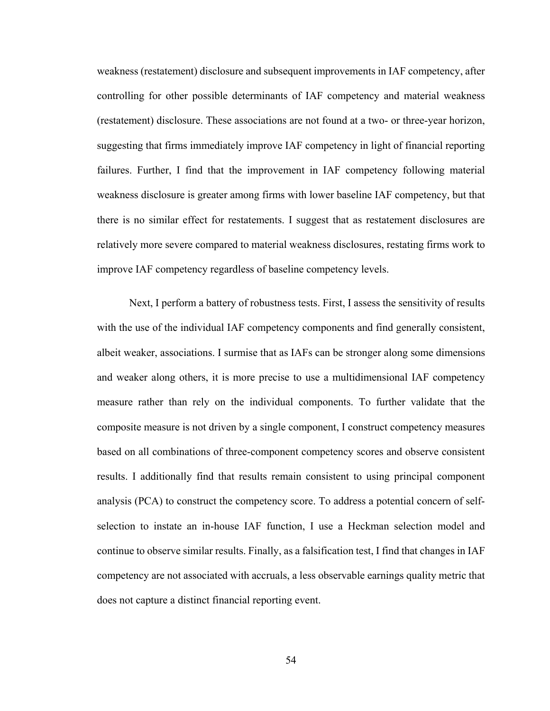weakness (restatement) disclosure and subsequent improvements in IAF competency, after controlling for other possible determinants of IAF competency and material weakness (restatement) disclosure. These associations are not found at a two- or three-year horizon, suggesting that firms immediately improve IAF competency in light of financial reporting failures. Further, I find that the improvement in IAF competency following material weakness disclosure is greater among firms with lower baseline IAF competency, but that there is no similar effect for restatements. I suggest that as restatement disclosures are relatively more severe compared to material weakness disclosures, restating firms work to improve IAF competency regardless of baseline competency levels.

Next, I perform a battery of robustness tests. First, I assess the sensitivity of results with the use of the individual IAF competency components and find generally consistent, albeit weaker, associations. I surmise that as IAFs can be stronger along some dimensions and weaker along others, it is more precise to use a multidimensional IAF competency measure rather than rely on the individual components. To further validate that the composite measure is not driven by a single component, I construct competency measures based on all combinations of three-component competency scores and observe consistent results. I additionally find that results remain consistent to using principal component analysis (PCA) to construct the competency score. To address a potential concern of selfselection to instate an in-house IAF function, I use a Heckman selection model and continue to observe similar results. Finally, as a falsification test, I find that changes in IAF competency are not associated with accruals, a less observable earnings quality metric that does not capture a distinct financial reporting event.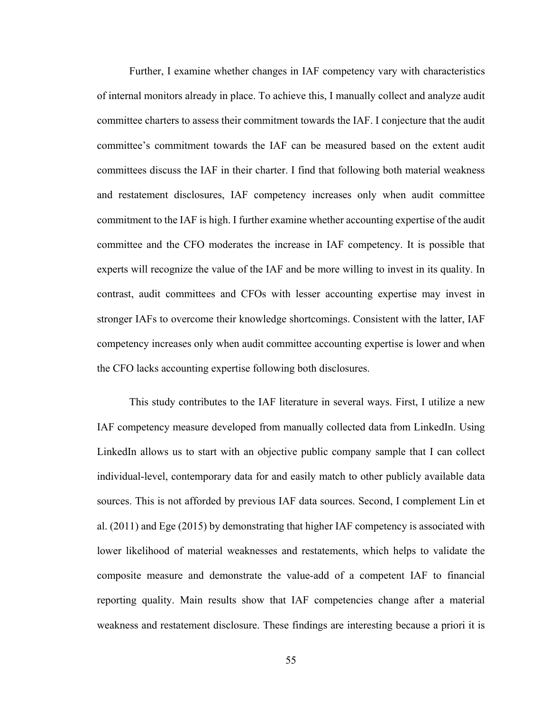Further, I examine whether changes in IAF competency vary with characteristics of internal monitors already in place. To achieve this, I manually collect and analyze audit committee charters to assess their commitment towards the IAF. I conjecture that the audit committee's commitment towards the IAF can be measured based on the extent audit committees discuss the IAF in their charter. I find that following both material weakness and restatement disclosures, IAF competency increases only when audit committee commitment to the IAF is high. I further examine whether accounting expertise of the audit committee and the CFO moderates the increase in IAF competency. It is possible that experts will recognize the value of the IAF and be more willing to invest in its quality. In contrast, audit committees and CFOs with lesser accounting expertise may invest in stronger IAFs to overcome their knowledge shortcomings. Consistent with the latter, IAF competency increases only when audit committee accounting expertise is lower and when the CFO lacks accounting expertise following both disclosures.

This study contributes to the IAF literature in several ways. First, I utilize a new IAF competency measure developed from manually collected data from LinkedIn. Using LinkedIn allows us to start with an objective public company sample that I can collect individual-level, contemporary data for and easily match to other publicly available data sources. This is not afforded by previous IAF data sources. Second, I complement Lin et al. (2011) and Ege (2015) by demonstrating that higher IAF competency is associated with lower likelihood of material weaknesses and restatements, which helps to validate the composite measure and demonstrate the value-add of a competent IAF to financial reporting quality. Main results show that IAF competencies change after a material weakness and restatement disclosure. These findings are interesting because a priori it is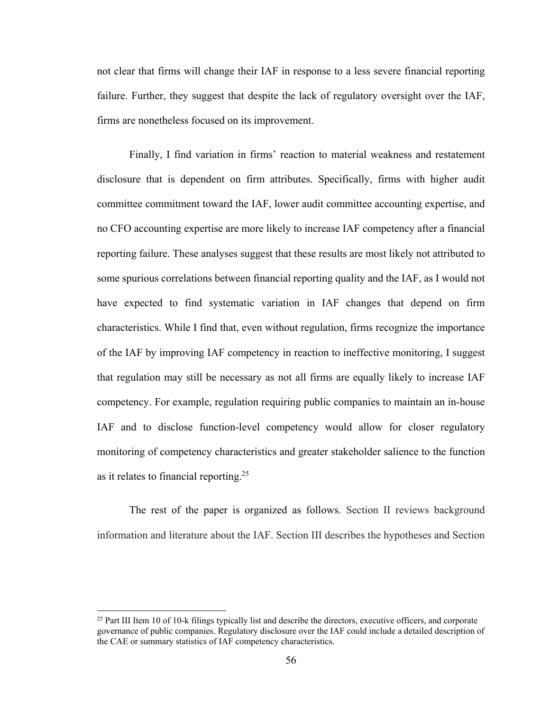not clear that firms will change their IAF in response to a less severe financial reporting failure. Further, they suggest that despite the lack of regulatory oversight over the IAF, firms are nonetheless focused on its improvement.

Finally, I find variation in firms' reaction to material weakness and restatement disclosure that is dependent on firm attributes. Specifically, firms with higher audit committee commitment toward the IAF, lower audit committee accounting expertise, and no CFO accounting expertise are more likely to increase IAF competency after a financial reporting failure. These analyses suggest that these results are most likely not attributed to some spurious correlations between financial reporting quality and the IAF, as I would not have expected to find systematic variation in IAF changes that depend on firm characteristics. While I find that, even without regulation, firms recognize the importance of the IAF by improving IAF competency in reaction to ineffective monitoring, I suggest that regulation may still be necessary as not all firms are equally likely to increase IAF competency. For example, regulation requiring public companies to maintain an in-house IAF and to disclose function-level competency would allow for closer regulatory monitoring of competency characteristics and greater stakeholder salience to the function as it relates to financial reporting.<sup>25</sup>

The rest of the paper is organized as follows. Section II reviews background information and literature about the IAF. Section III describes the hypotheses and Section

 $\overline{a}$ 

<sup>&</sup>lt;sup>25</sup> Part III Item 10 of 10-k filings typically list and describe the directors, executive officers, and corporate governance of public companies. Regulatory disclosure over the IAF could include a detailed description of the CAE or summary statistics of IAF competency characteristics.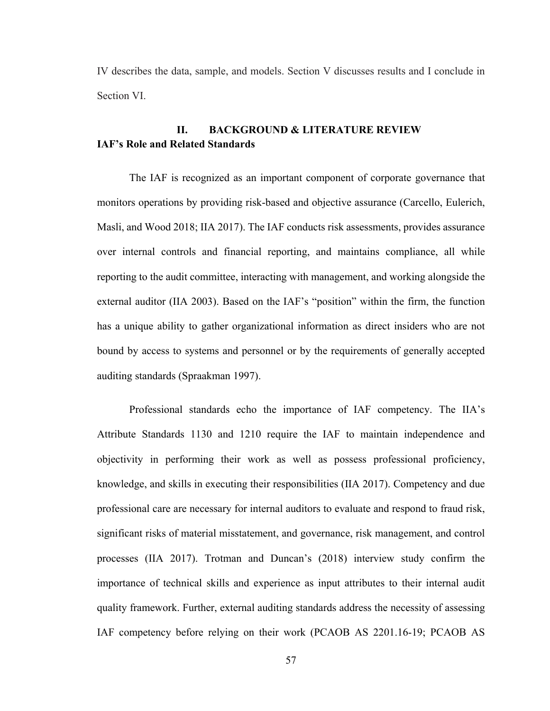IV describes the data, sample, and models. Section V discusses results and I conclude in Section VI.

# **II. BACKGROUND & LITERATURE REVIEW IAF's Role and Related Standards**

The IAF is recognized as an important component of corporate governance that monitors operations by providing risk-based and objective assurance (Carcello, Eulerich, Masli, and Wood 2018; IIA 2017). The IAF conducts risk assessments, provides assurance over internal controls and financial reporting, and maintains compliance, all while reporting to the audit committee, interacting with management, and working alongside the external auditor (IIA 2003). Based on the IAF's "position" within the firm, the function has a unique ability to gather organizational information as direct insiders who are not bound by access to systems and personnel or by the requirements of generally accepted auditing standards (Spraakman 1997).

Professional standards echo the importance of IAF competency. The IIA's Attribute Standards 1130 and 1210 require the IAF to maintain independence and objectivity in performing their work as well as possess professional proficiency, knowledge, and skills in executing their responsibilities (IIA 2017). Competency and due professional care are necessary for internal auditors to evaluate and respond to fraud risk, significant risks of material misstatement, and governance, risk management, and control processes (IIA 2017). Trotman and Duncan's (2018) interview study confirm the importance of technical skills and experience as input attributes to their internal audit quality framework. Further, external auditing standards address the necessity of assessing IAF competency before relying on their work (PCAOB AS 2201.16-19; PCAOB AS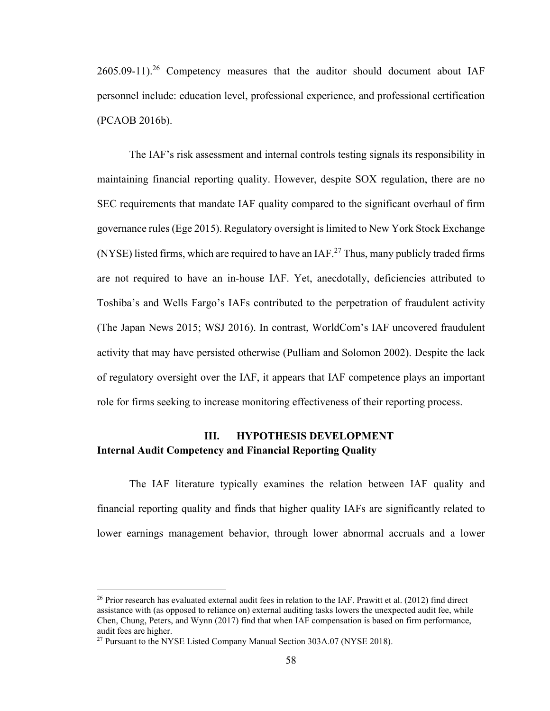$2605.09-11$ <sup>26</sup> Competency measures that the auditor should document about IAF personnel include: education level, professional experience, and professional certification (PCAOB 2016b).

The IAF's risk assessment and internal controls testing signals its responsibility in maintaining financial reporting quality. However, despite SOX regulation, there are no SEC requirements that mandate IAF quality compared to the significant overhaul of firm governance rules (Ege 2015). Regulatory oversight is limited to New York Stock Exchange (NYSE) listed firms, which are required to have an IAF.<sup>27</sup> Thus, many publicly traded firms are not required to have an in-house IAF. Yet, anecdotally, deficiencies attributed to Toshiba's and Wells Fargo's IAFs contributed to the perpetration of fraudulent activity (The Japan News 2015; WSJ 2016). In contrast, WorldCom's IAF uncovered fraudulent activity that may have persisted otherwise (Pulliam and Solomon 2002). Despite the lack of regulatory oversight over the IAF, it appears that IAF competence plays an important role for firms seeking to increase monitoring effectiveness of their reporting process.

## **III. HYPOTHESIS DEVELOPMENT Internal Audit Competency and Financial Reporting Quality**

The IAF literature typically examines the relation between IAF quality and financial reporting quality and finds that higher quality IAFs are significantly related to lower earnings management behavior, through lower abnormal accruals and a lower

1

<sup>&</sup>lt;sup>26</sup> Prior research has evaluated external audit fees in relation to the IAF. Prawitt et al. (2012) find direct assistance with (as opposed to reliance on) external auditing tasks lowers the unexpected audit fee, while Chen, Chung, Peters, and Wynn (2017) find that when IAF compensation is based on firm performance, audit fees are higher.

<sup>&</sup>lt;sup>27</sup> Pursuant to the NYSE Listed Company Manual Section 303A.07 (NYSE 2018).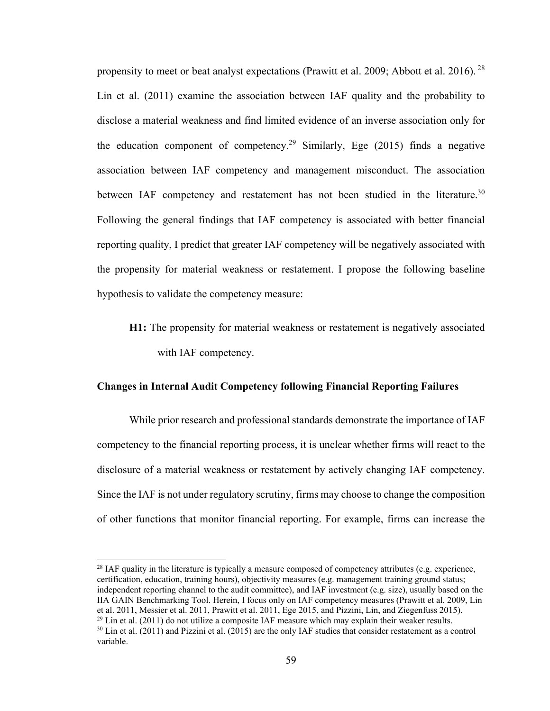propensity to meet or beat analyst expectations (Prawitt et al. 2009; Abbott et al. 2016). <sup>28</sup> Lin et al. (2011) examine the association between IAF quality and the probability to disclose a material weakness and find limited evidence of an inverse association only for the education component of competency.<sup>29</sup> Similarly, Ege  $(2015)$  finds a negative association between IAF competency and management misconduct. The association between IAF competency and restatement has not been studied in the literature.<sup>30</sup> Following the general findings that IAF competency is associated with better financial reporting quality, I predict that greater IAF competency will be negatively associated with the propensity for material weakness or restatement. I propose the following baseline hypothesis to validate the competency measure:

**H1:** The propensity for material weakness or restatement is negatively associated with IAF competency.

#### **Changes in Internal Audit Competency following Financial Reporting Failures**

While prior research and professional standards demonstrate the importance of IAF competency to the financial reporting process, it is unclear whether firms will react to the disclosure of a material weakness or restatement by actively changing IAF competency. Since the IAF is not under regulatory scrutiny, firms may choose to change the composition of other functions that monitor financial reporting. For example, firms can increase the

<sup>28</sup> IAF quality in the literature is typically a measure composed of competency attributes (e.g. experience, certification, education, training hours), objectivity measures (e.g. management training ground status; independent reporting channel to the audit committee), and IAF investment (e.g. size), usually based on the IIA GAIN Benchmarking Tool. Herein, I focus only on IAF competency measures (Prawitt et al. 2009, Lin et al. 2011, Messier et al. 2011, Prawitt et al. 2011, Ege 2015, and Pizzini, Lin, and Ziegenfuss 2015). <sup>29</sup> Lin et al. (2011) do not utilize a composite IAF measure which may explain their weaker results. <sup>30</sup> Lin et al. (2011) and Pizzini et al. (2015) are the only IAF studies that consider restatement as a control variable.

1

<sup>59</sup>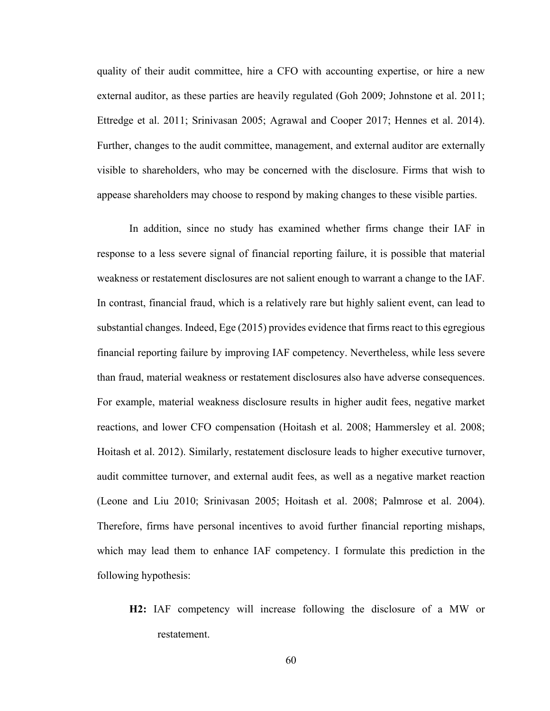quality of their audit committee, hire a CFO with accounting expertise, or hire a new external auditor, as these parties are heavily regulated (Goh 2009; Johnstone et al. 2011; Ettredge et al. 2011; Srinivasan 2005; Agrawal and Cooper 2017; Hennes et al. 2014). Further, changes to the audit committee, management, and external auditor are externally visible to shareholders, who may be concerned with the disclosure. Firms that wish to appease shareholders may choose to respond by making changes to these visible parties.

In addition, since no study has examined whether firms change their IAF in response to a less severe signal of financial reporting failure, it is possible that material weakness or restatement disclosures are not salient enough to warrant a change to the IAF. In contrast, financial fraud, which is a relatively rare but highly salient event, can lead to substantial changes. Indeed, Ege (2015) provides evidence that firms react to this egregious financial reporting failure by improving IAF competency. Nevertheless, while less severe than fraud, material weakness or restatement disclosures also have adverse consequences. For example, material weakness disclosure results in higher audit fees, negative market reactions, and lower CFO compensation (Hoitash et al. 2008; Hammersley et al. 2008; Hoitash et al. 2012). Similarly, restatement disclosure leads to higher executive turnover, audit committee turnover, and external audit fees, as well as a negative market reaction (Leone and Liu 2010; Srinivasan 2005; Hoitash et al. 2008; Palmrose et al. 2004). Therefore, firms have personal incentives to avoid further financial reporting mishaps, which may lead them to enhance IAF competency. I formulate this prediction in the following hypothesis:

**H2:** IAF competency will increase following the disclosure of a MW or restatement.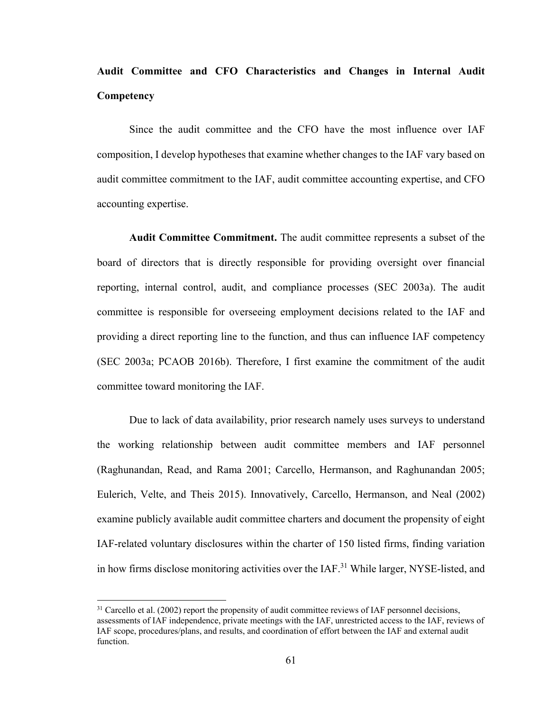# **Audit Committee and CFO Characteristics and Changes in Internal Audit Competency**

Since the audit committee and the CFO have the most influence over IAF composition, I develop hypotheses that examine whether changes to the IAF vary based on audit committee commitment to the IAF, audit committee accounting expertise, and CFO accounting expertise.

**Audit Committee Commitment.** The audit committee represents a subset of the board of directors that is directly responsible for providing oversight over financial reporting, internal control, audit, and compliance processes (SEC 2003a). The audit committee is responsible for overseeing employment decisions related to the IAF and providing a direct reporting line to the function, and thus can influence IAF competency (SEC 2003a; PCAOB 2016b). Therefore, I first examine the commitment of the audit committee toward monitoring the IAF.

Due to lack of data availability, prior research namely uses surveys to understand the working relationship between audit committee members and IAF personnel (Raghunandan, Read, and Rama 2001; Carcello, Hermanson, and Raghunandan 2005; Eulerich, Velte, and Theis 2015). Innovatively, Carcello, Hermanson, and Neal (2002) examine publicly available audit committee charters and document the propensity of eight IAF-related voluntary disclosures within the charter of 150 listed firms, finding variation in how firms disclose monitoring activities over the  $IAF<sup>31</sup>$  While larger, NYSE-listed, and

 $31$  Carcello et al. (2002) report the propensity of audit committee reviews of IAF personnel decisions, assessments of IAF independence, private meetings with the IAF, unrestricted access to the IAF, reviews of IAF scope, procedures/plans, and results, and coordination of effort between the IAF and external audit function.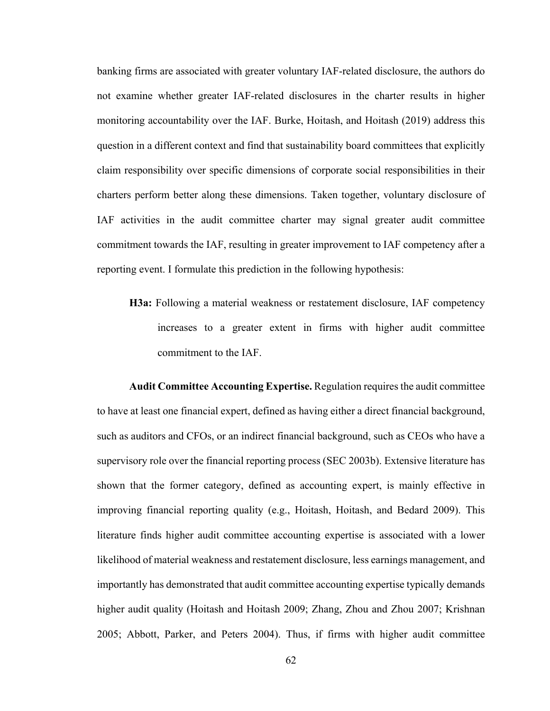banking firms are associated with greater voluntary IAF-related disclosure, the authors do not examine whether greater IAF-related disclosures in the charter results in higher monitoring accountability over the IAF. Burke, Hoitash, and Hoitash (2019) address this question in a different context and find that sustainability board committees that explicitly claim responsibility over specific dimensions of corporate social responsibilities in their charters perform better along these dimensions. Taken together, voluntary disclosure of IAF activities in the audit committee charter may signal greater audit committee commitment towards the IAF, resulting in greater improvement to IAF competency after a reporting event. I formulate this prediction in the following hypothesis:

**H3a:** Following a material weakness or restatement disclosure, IAF competency increases to a greater extent in firms with higher audit committee commitment to the IAF.

**Audit Committee Accounting Expertise.** Regulation requires the audit committee to have at least one financial expert, defined as having either a direct financial background, such as auditors and CFOs, or an indirect financial background, such as CEOs who have a supervisory role over the financial reporting process (SEC 2003b). Extensive literature has shown that the former category, defined as accounting expert, is mainly effective in improving financial reporting quality (e.g., Hoitash, Hoitash, and Bedard 2009). This literature finds higher audit committee accounting expertise is associated with a lower likelihood of material weakness and restatement disclosure, less earnings management, and importantly has demonstrated that audit committee accounting expertise typically demands higher audit quality (Hoitash and Hoitash 2009; Zhang, Zhou and Zhou 2007; Krishnan 2005; Abbott, Parker, and Peters 2004). Thus, if firms with higher audit committee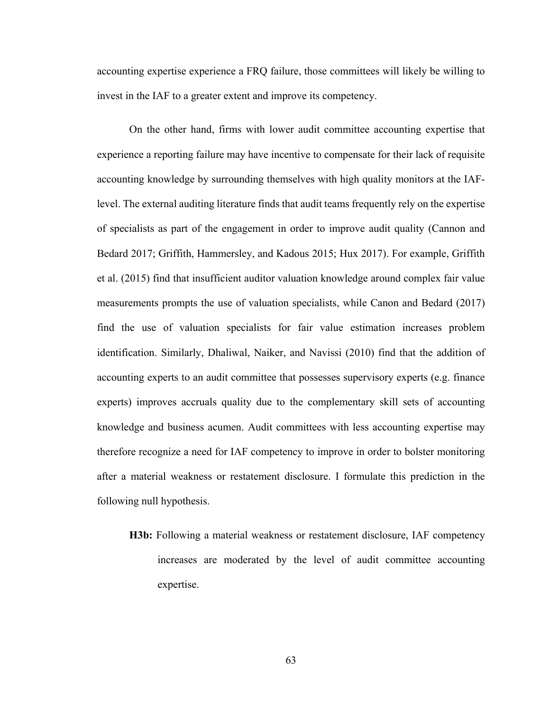accounting expertise experience a FRQ failure, those committees will likely be willing to invest in the IAF to a greater extent and improve its competency.

On the other hand, firms with lower audit committee accounting expertise that experience a reporting failure may have incentive to compensate for their lack of requisite accounting knowledge by surrounding themselves with high quality monitors at the IAFlevel. The external auditing literature finds that audit teams frequently rely on the expertise of specialists as part of the engagement in order to improve audit quality (Cannon and Bedard 2017; Griffith, Hammersley, and Kadous 2015; Hux 2017). For example, Griffith et al. (2015) find that insufficient auditor valuation knowledge around complex fair value measurements prompts the use of valuation specialists, while Canon and Bedard (2017) find the use of valuation specialists for fair value estimation increases problem identification. Similarly, Dhaliwal, Naiker, and Navissi (2010) find that the addition of accounting experts to an audit committee that possesses supervisory experts (e.g. finance experts) improves accruals quality due to the complementary skill sets of accounting knowledge and business acumen. Audit committees with less accounting expertise may therefore recognize a need for IAF competency to improve in order to bolster monitoring after a material weakness or restatement disclosure. I formulate this prediction in the following null hypothesis.

**H3b:** Following a material weakness or restatement disclosure, IAF competency increases are moderated by the level of audit committee accounting expertise.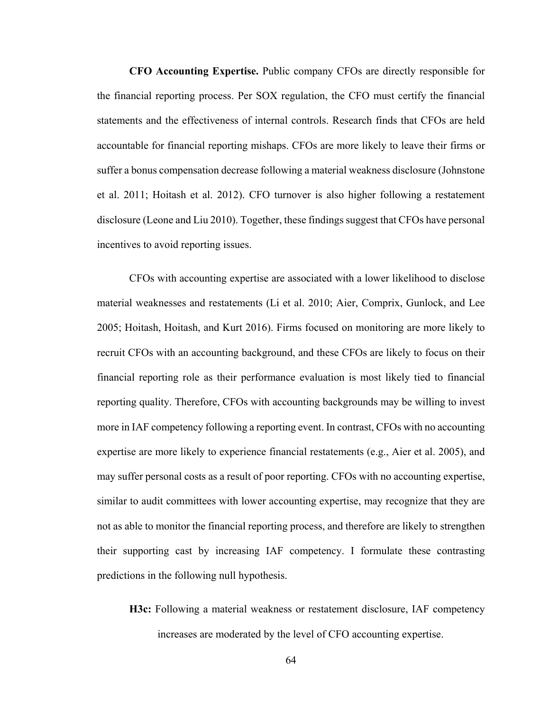**CFO Accounting Expertise.** Public company CFOs are directly responsible for the financial reporting process. Per SOX regulation, the CFO must certify the financial statements and the effectiveness of internal controls. Research finds that CFOs are held accountable for financial reporting mishaps. CFOs are more likely to leave their firms or suffer a bonus compensation decrease following a material weakness disclosure (Johnstone et al. 2011; Hoitash et al. 2012). CFO turnover is also higher following a restatement disclosure (Leone and Liu 2010). Together, these findings suggest that CFOs have personal incentives to avoid reporting issues.

CFOs with accounting expertise are associated with a lower likelihood to disclose material weaknesses and restatements (Li et al. 2010; Aier, Comprix, Gunlock, and Lee 2005; Hoitash, Hoitash, and Kurt 2016). Firms focused on monitoring are more likely to recruit CFOs with an accounting background, and these CFOs are likely to focus on their financial reporting role as their performance evaluation is most likely tied to financial reporting quality. Therefore, CFOs with accounting backgrounds may be willing to invest more in IAF competency following a reporting event. In contrast, CFOs with no accounting expertise are more likely to experience financial restatements (e.g., Aier et al. 2005), and may suffer personal costs as a result of poor reporting. CFOs with no accounting expertise, similar to audit committees with lower accounting expertise, may recognize that they are not as able to monitor the financial reporting process, and therefore are likely to strengthen their supporting cast by increasing IAF competency. I formulate these contrasting predictions in the following null hypothesis.

**H3c:** Following a material weakness or restatement disclosure, IAF competency increases are moderated by the level of CFO accounting expertise.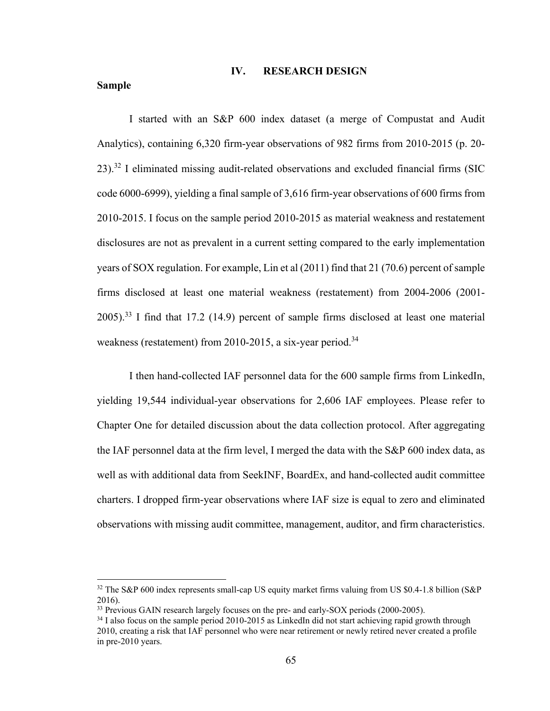#### **IV. RESEARCH DESIGN**

#### **Sample**

 $\overline{a}$ 

I started with an S&P 600 index dataset (a merge of Compustat and Audit Analytics), containing 6,320 firm-year observations of 982 firms from 2010-2015 (p. 20-  $23$ ).<sup>32</sup> I eliminated missing audit-related observations and excluded financial firms (SIC code 6000-6999), yielding a final sample of 3,616 firm-year observations of 600 firms from 2010-2015. I focus on the sample period 2010-2015 as material weakness and restatement disclosures are not as prevalent in a current setting compared to the early implementation years of SOX regulation. For example, Lin et al (2011) find that 21 (70.6) percent of sample firms disclosed at least one material weakness (restatement) from 2004-2006 (2001-  $2005$ ).<sup>33</sup> I find that 17.2 (14.9) percent of sample firms disclosed at least one material weakness (restatement) from 2010-2015, a six-year period.<sup>34</sup>

I then hand-collected IAF personnel data for the 600 sample firms from LinkedIn, yielding 19,544 individual-year observations for 2,606 IAF employees. Please refer to Chapter One for detailed discussion about the data collection protocol. After aggregating the IAF personnel data at the firm level, I merged the data with the S&P 600 index data, as well as with additional data from SeekINF, BoardEx, and hand-collected audit committee charters. I dropped firm-year observations where IAF size is equal to zero and eliminated observations with missing audit committee, management, auditor, and firm characteristics.

<sup>&</sup>lt;sup>32</sup> The S&P 600 index represents small-cap US equity market firms valuing from US \$0.4-1.8 billion (S&P) 2016).

<sup>&</sup>lt;sup>33</sup> Previous GAIN research largely focuses on the pre- and early-SOX periods (2000-2005).

 $34$  I also focus on the sample period 2010-2015 as LinkedIn did not start achieving rapid growth through 2010, creating a risk that IAF personnel who were near retirement or newly retired never created a profile in pre-2010 years.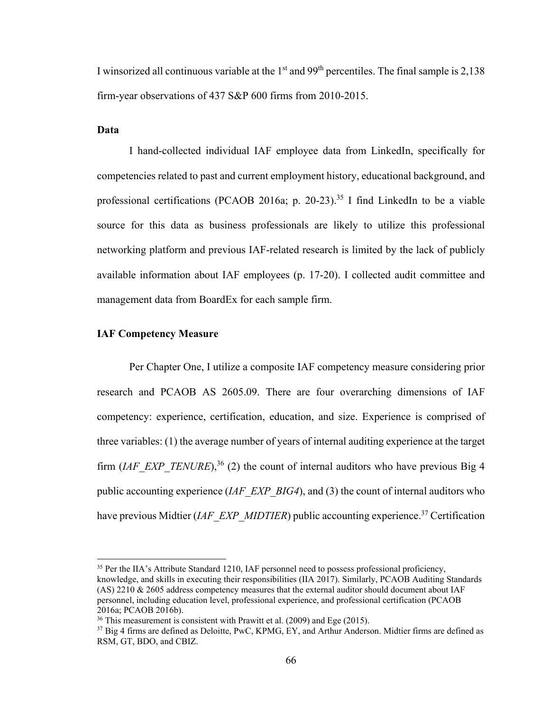I winsorized all continuous variable at the  $1<sup>st</sup>$  and  $99<sup>th</sup>$  percentiles. The final sample is 2,138 firm-year observations of 437 S&P 600 firms from 2010-2015.

# **Data**

 $\overline{a}$ 

 I hand-collected individual IAF employee data from LinkedIn, specifically for competencies related to past and current employment history, educational background, and professional certifications (PCAOB 2016a; p. 20-23).<sup>35</sup> I find LinkedIn to be a viable source for this data as business professionals are likely to utilize this professional networking platform and previous IAF-related research is limited by the lack of publicly available information about IAF employees (p. 17-20). I collected audit committee and management data from BoardEx for each sample firm.

#### **IAF Competency Measure**

 Per Chapter One, I utilize a composite IAF competency measure considering prior research and PCAOB AS 2605.09. There are four overarching dimensions of IAF competency: experience, certification, education, and size. Experience is comprised of three variables: (1) the average number of years of internal auditing experience at the target firm (*IAF\_EXP\_TENURE*),<sup>36</sup> (2) the count of internal auditors who have previous Big 4 public accounting experience (*IAF\_EXP\_BIG4*), and (3) the count of internal auditors who have previous Midtier *(IAF\_EXP\_MIDTIER*) public accounting experience.<sup>37</sup> Certification

<sup>&</sup>lt;sup>35</sup> Per the IIA's Attribute Standard 1210, IAF personnel need to possess professional proficiency, knowledge, and skills in executing their responsibilities (IIA 2017). Similarly, PCAOB Auditing Standards (AS) 2210 & 2605 address competency measures that the external auditor should document about IAF personnel, including education level, professional experience, and professional certification (PCAOB 2016a; PCAOB 2016b).

<sup>&</sup>lt;sup>36</sup> This measurement is consistent with Prawitt et al. (2009) and Ege (2015).<br><sup>37</sup> Big 4 firms are defined as Deloitte, PwC, KPMG, EY, and Arthur Anderson. Midtier firms are defined as RSM, GT, BDO, and CBIZ.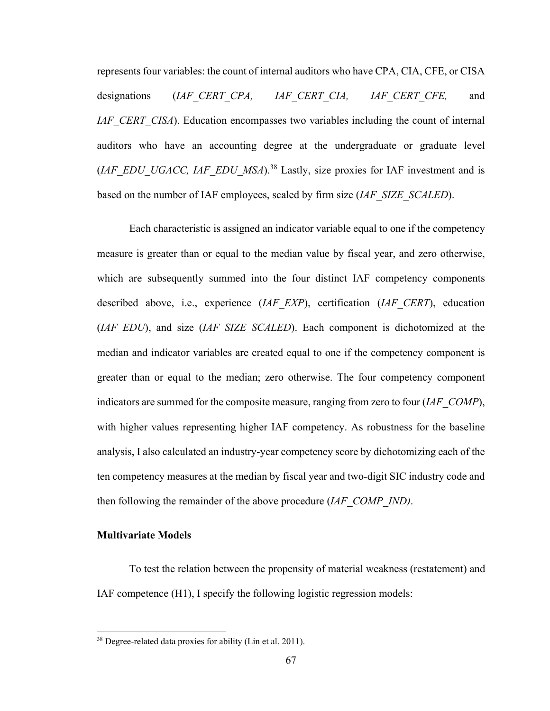represents four variables: the count of internal auditors who have CPA, CIA, CFE, or CISA designations (*IAF\_CERT\_CPA, IAF\_CERT\_CIA, IAF\_CERT\_CFE,* and *IAF\_CERT\_CISA*). Education encompasses two variables including the count of internal auditors who have an accounting degree at the undergraduate or graduate level (*IAF\_EDU\_UGACC, IAF\_EDU\_MSA*).38 Lastly, size proxies for IAF investment and is based on the number of IAF employees, scaled by firm size (*IAF\_SIZE\_SCALED*).

Each characteristic is assigned an indicator variable equal to one if the competency measure is greater than or equal to the median value by fiscal year, and zero otherwise, which are subsequently summed into the four distinct IAF competency components described above, i.e., experience (*IAF\_EXP*), certification (*IAF\_CERT*), education (*IAF\_EDU*), and size (*IAF\_SIZE\_SCALED*). Each component is dichotomized at the median and indicator variables are created equal to one if the competency component is greater than or equal to the median; zero otherwise. The four competency component indicators are summed for the composite measure, ranging from zero to four (*IAF\_COMP*), with higher values representing higher IAF competency. As robustness for the baseline analysis, I also calculated an industry-year competency score by dichotomizing each of the ten competency measures at the median by fiscal year and two-digit SIC industry code and then following the remainder of the above procedure (*IAF\_COMP\_IND)*.

# **Multivariate Models**

 $\overline{a}$ 

 To test the relation between the propensity of material weakness (restatement) and IAF competence (H1), I specify the following logistic regression models:

<sup>&</sup>lt;sup>38</sup> Degree-related data proxies for ability (Lin et al. 2011).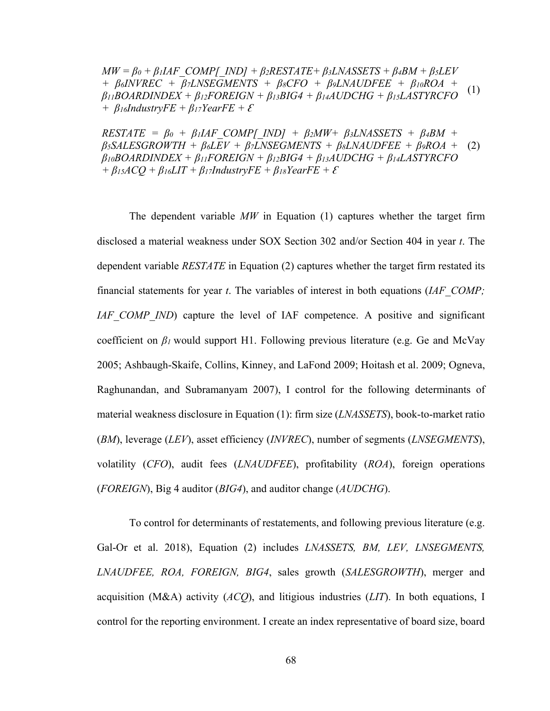$MW = \beta_0 + \beta_1 IAF$  *COMP[\_IND] +*  $\beta_2 RESTATE + \beta_3 LNAS SETS + \beta_4 BM + \beta_5 LFV$ *+ β6INVREC + β7LNSEGMENTS + β8CFO + β9LNAUDFEE + β10ROA +*   $\beta_{11}BOARDINDER + \beta_{12}FOREIGN + \beta_{13}BIG4 + \beta_{14}AUDCHG + \beta_{15}LASTYRCFO$ *+*  $\beta$ *16IndustryFE +*  $\beta$ *17YearFE +*  $\epsilon$ (1)

 $RESTATE = \beta_0 + \beta_1 IAF\ COMP[ND] + \beta_2 MW + \beta_3 LNASSETS + \beta_4 BM +$ *β5SALESGROWTH + β6LEV + β7LNSEGMENTS + β8LNAUDFEE + β9ROA +*  (2)  $\beta_{10}BOARDINDEX + \beta_{11}FOREIGN + \beta_{12}BIG4 + \beta_{13}AUDCHG + \beta_{14}LASTYRCFO$  $+ \beta_{15}ACQ + \beta_{16}LIT + \beta_{17}IndustryFE + \beta_{18}YearFE + \mathcal{E}$ 

The dependent variable *MW* in Equation (1) captures whether the target firm disclosed a material weakness under SOX Section 302 and/or Section 404 in year *t*. The dependent variable *RESTATE* in Equation (2) captures whether the target firm restated its financial statements for year *t*. The variables of interest in both equations (*IAF\_COMP; IAF* COMP *IND*) capture the level of IAF competence. A positive and significant coefficient on *β1* would support H1. Following previous literature (e.g. Ge and McVay 2005; Ashbaugh-Skaife, Collins, Kinney, and LaFond 2009; Hoitash et al. 2009; Ogneva, Raghunandan, and Subramanyam 2007), I control for the following determinants of material weakness disclosure in Equation (1): firm size (*LNASSETS*), book-to-market ratio (*BM*), leverage (*LEV*), asset efficiency (*INVREC*), number of segments (*LNSEGMENTS*), volatility (*CFO*), audit fees (*LNAUDFEE*), profitability (*ROA*), foreign operations (*FOREIGN*), Big 4 auditor (*BIG4*), and auditor change (*AUDCHG*).

To control for determinants of restatements, and following previous literature (e.g. Gal-Or et al. 2018), Equation (2) includes *LNASSETS, BM, LEV, LNSEGMENTS, LNAUDFEE, ROA, FOREIGN, BIG4*, sales growth (*SALESGROWTH*), merger and acquisition (M&A) activity (*ACQ*), and litigious industries (*LIT*). In both equations, I control for the reporting environment. I create an index representative of board size, board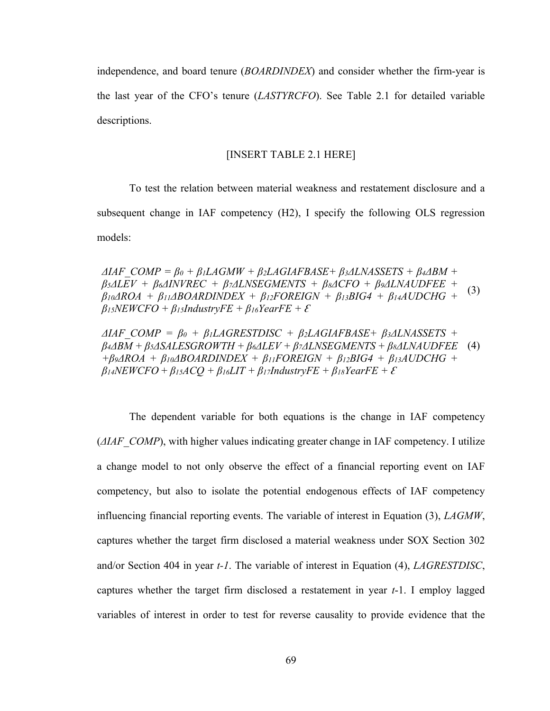independence, and board tenure (*BOARDINDEX*) and consider whether the firm-year is the last year of the CFO's tenure (*LASTYRCFO*). See Table 2.1 for detailed variable descriptions.

#### [INSERT TABLE 2.1 HERE]

To test the relation between material weakness and restatement disclosure and a subsequent change in IAF competency (H2), I specify the following OLS regression models:

 $\Delta IAF$  *COMP* =  $\beta_0$  +  $\beta_1 LAGMW$  +  $\beta_2 LAGIAFBASE+ \beta_3 \Delta LNASSETS + \beta_4 \Delta BM +$ *β5ΔLEV + β6ΔINVREC + β7ΔLNSEGMENTS + β8ΔCFO* + *β9ΔLNAUDFEE +*   $\beta$ *10* $\triangle$ *ROA* +  $\beta$ *11* $\triangle$ *BOARDINDEX* +  $\beta$ *12FOREIGN* +  $\beta$ *13BIG4* +  $\beta$ *14AUDCHG* +  $\beta$ <sub>*15NEWCFO* +  $\beta$ <sub>*15IndustryFE* +  $\beta$ <sub>*16YearFE* +  $\mathcal{E}$ </sub></sub></sub> (3)

 $\Delta IAF$  *COMP* =  $\beta_0$  +  $\beta_1LAGRESTDISC$  +  $\beta_2LAGIAFBASE+$   $\beta_3ALNASSETS$  + *β4ΔBM + β5ΔSALESGROWTH + β6ΔLEV + β7ΔLNSEGMENTS + β8ΔLNAUDFEE*  (4) *+β9ΔROA + β10ΔBOARDINDEX + β11FOREIGN + β12BIG4 + β13AUDCHG +*   $\beta$ <sup>*14NEWCFO* +  $\beta$ <sub>*15ACO* +  $\beta$ <sub>*16LIT* +  $\beta$ <sub>*17IndustryFE* +  $\beta$ <sub>*18YearFE* +  $\epsilon$ <sup>*s*</sup></sup></sub></sub></sub></sub>

The dependent variable for both equations is the change in IAF competency (*ΔIAF\_COMP*), with higher values indicating greater change in IAF competency. I utilize a change model to not only observe the effect of a financial reporting event on IAF competency, but also to isolate the potential endogenous effects of IAF competency influencing financial reporting events. The variable of interest in Equation (3), *LAGMW*, captures whether the target firm disclosed a material weakness under SOX Section 302 and/or Section 404 in year *t-1*. The variable of interest in Equation (4), *LAGRESTDISC*, captures whether the target firm disclosed a restatement in year *t*-1. I employ lagged variables of interest in order to test for reverse causality to provide evidence that the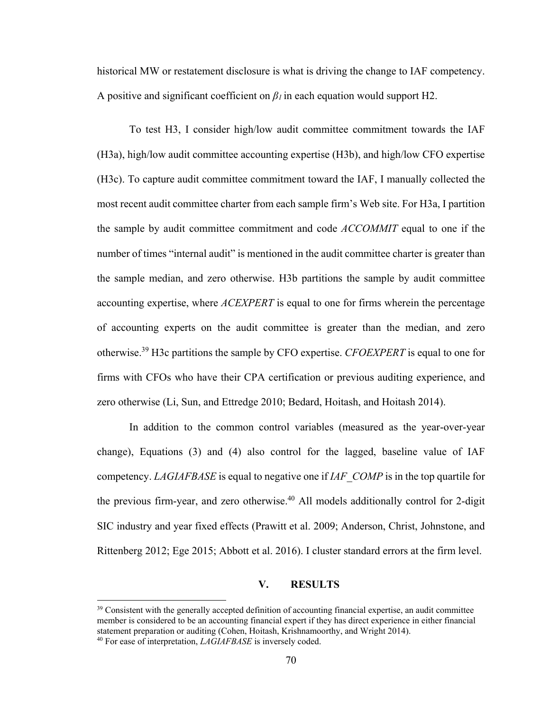historical MW or restatement disclosure is what is driving the change to IAF competency. A positive and significant coefficient on *β1* in each equation would support H2.

To test H3, I consider high/low audit committee commitment towards the IAF (H3a), high/low audit committee accounting expertise (H3b), and high/low CFO expertise (H3c). To capture audit committee commitment toward the IAF, I manually collected the most recent audit committee charter from each sample firm's Web site. For H3a, I partition the sample by audit committee commitment and code *ACCOMMIT* equal to one if the number of times "internal audit" is mentioned in the audit committee charter is greater than the sample median, and zero otherwise. H3b partitions the sample by audit committee accounting expertise, where *ACEXPERT* is equal to one for firms wherein the percentage of accounting experts on the audit committee is greater than the median, and zero otherwise.39 H3c partitions the sample by CFO expertise. *CFOEXPERT* is equal to one for firms with CFOs who have their CPA certification or previous auditing experience, and zero otherwise (Li, Sun, and Ettredge 2010; Bedard, Hoitash, and Hoitash 2014).

In addition to the common control variables (measured as the year-over-year change), Equations (3) and (4) also control for the lagged, baseline value of IAF competency. *LAGIAFBASE* is equal to negative one if *IAF\_COMP* is in the top quartile for the previous firm-year, and zero otherwise.<sup>40</sup> All models additionally control for 2-digit SIC industry and year fixed effects (Prawitt et al. 2009; Anderson, Christ, Johnstone, and Rittenberg 2012; Ege 2015; Abbott et al. 2016). I cluster standard errors at the firm level.

# **V. RESULTS**

<sup>&</sup>lt;sup>39</sup> Consistent with the generally accepted definition of accounting financial expertise, an audit committee member is considered to be an accounting financial expert if they has direct experience in either financial statement preparation or auditing (Cohen, Hoitash, Krishnamoorthy, and Wright 2014).

<sup>40</sup> For ease of interpretation, *LAGIAFBASE* is inversely coded.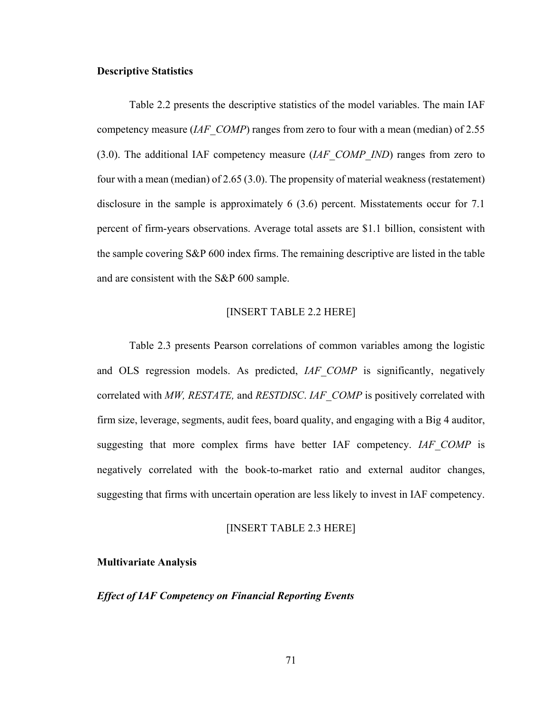#### **Descriptive Statistics**

Table 2.2 presents the descriptive statistics of the model variables. The main IAF competency measure (*IAF\_COMP*) ranges from zero to four with a mean (median) of 2.55 (3.0). The additional IAF competency measure (*IAF\_COMP\_IND*) ranges from zero to four with a mean (median) of 2.65 (3.0). The propensity of material weakness (restatement) disclosure in the sample is approximately 6 (3.6) percent. Misstatements occur for 7.1 percent of firm-years observations. Average total assets are \$1.1 billion, consistent with the sample covering S&P 600 index firms. The remaining descriptive are listed in the table and are consistent with the S&P 600 sample.

#### [INSERT TABLE 2.2 HERE]

Table 2.3 presents Pearson correlations of common variables among the logistic and OLS regression models. As predicted, *IAF\_COMP* is significantly, negatively correlated with *MW, RESTATE,* and *RESTDISC*. *IAF\_COMP* is positively correlated with firm size, leverage, segments, audit fees, board quality, and engaging with a Big 4 auditor, suggesting that more complex firms have better IAF competency. *IAF\_COMP* is negatively correlated with the book-to-market ratio and external auditor changes, suggesting that firms with uncertain operation are less likely to invest in IAF competency.

#### [INSERT TABLE 2.3 HERE]

#### **Multivariate Analysis**

#### *Effect of IAF Competency on Financial Reporting Events*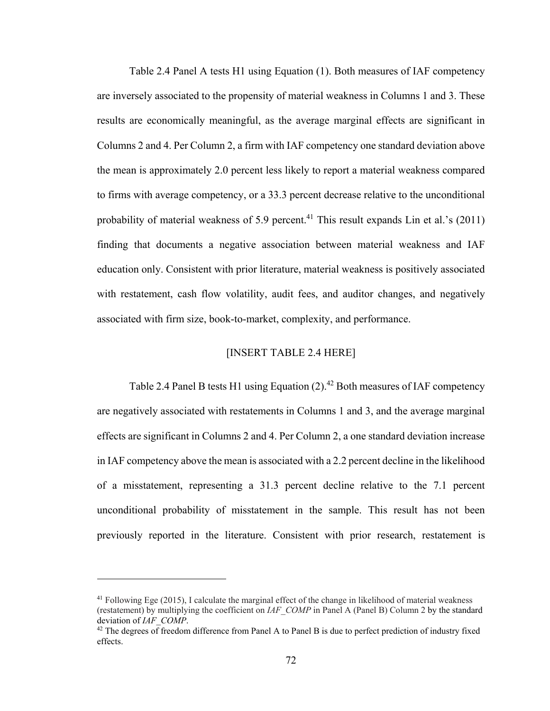Table 2.4 Panel A tests H1 using Equation (1). Both measures of IAF competency are inversely associated to the propensity of material weakness in Columns 1 and 3. These results are economically meaningful, as the average marginal effects are significant in Columns 2 and 4. Per Column 2, a firm with IAF competency one standard deviation above the mean is approximately 2.0 percent less likely to report a material weakness compared to firms with average competency, or a 33.3 percent decrease relative to the unconditional probability of material weakness of 5.9 percent.<sup>41</sup> This result expands Lin et al.'s  $(2011)$ finding that documents a negative association between material weakness and IAF education only. Consistent with prior literature, material weakness is positively associated with restatement, cash flow volatility, audit fees, and auditor changes, and negatively associated with firm size, book-to-market, complexity, and performance.

#### [INSERT TABLE 2.4 HERE]

Table 2.4 Panel B tests H1 using Equation  $(2)$ .<sup>42</sup> Both measures of IAF competency are negatively associated with restatements in Columns 1 and 3, and the average marginal effects are significant in Columns 2 and 4. Per Column 2, a one standard deviation increase in IAF competency above the mean is associated with a 2.2 percent decline in the likelihood of a misstatement, representing a 31.3 percent decline relative to the 7.1 percent unconditional probability of misstatement in the sample. This result has not been previously reported in the literature. Consistent with prior research, restatement is

<sup>41</sup> Following Ege (2015), I calculate the marginal effect of the change in likelihood of material weakness (restatement) by multiplying the coefficient on *IAF\_COMP* in Panel A (Panel B) Column 2 by the standard

<sup>&</sup>lt;sup>42</sup> The degrees of freedom difference from Panel A to Panel B is due to perfect prediction of industry fixed effects.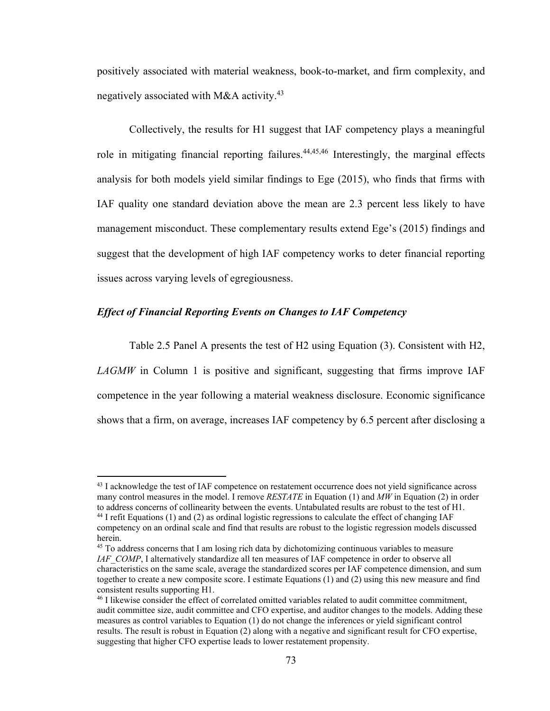positively associated with material weakness, book-to-market, and firm complexity, and negatively associated with M&A activity.<sup>43</sup>

Collectively, the results for H1 suggest that IAF competency plays a meaningful role in mitigating financial reporting failures.<sup>44,45,46</sup> Interestingly, the marginal effects analysis for both models yield similar findings to Ege (2015), who finds that firms with IAF quality one standard deviation above the mean are 2.3 percent less likely to have management misconduct. These complementary results extend Ege's (2015) findings and suggest that the development of high IAF competency works to deter financial reporting issues across varying levels of egregiousness.

# *Effect of Financial Reporting Events on Changes to IAF Competency*

 $\overline{a}$ 

Table 2.5 Panel A presents the test of H2 using Equation (3). Consistent with H2, *LAGMW* in Column 1 is positive and significant, suggesting that firms improve IAF competence in the year following a material weakness disclosure. Economic significance shows that a firm, on average, increases IAF competency by 6.5 percent after disclosing a

<sup>&</sup>lt;sup>43</sup> I acknowledge the test of IAF competence on restatement occurrence does not yield significance across many control measures in the model. I remove *RESTATE* in Equation (1) and *MW* in Equation (2) in order to address concerns of collinearity between the events. Untabulated results are robust to the test of H1.<br><sup>44</sup> I refit Equations (1) and (2) as ordinal logistic regressions to calculate the effect of changing IAF competency on an ordinal scale and find that results are robust to the logistic regression models discussed herein.

<sup>&</sup>lt;sup>45</sup> To address concerns that I am losing rich data by dichotomizing continuous variables to measure *IAF\_COMP*, I alternatively standardize all ten measures of IAF competence in order to observe all characteristics on the same scale, average the standardized scores per IAF competence dimension, and sum together to create a new composite score. I estimate Equations (1) and (2) using this new measure and find consistent results supporting H1.

<sup>46</sup> I likewise consider the effect of correlated omitted variables related to audit committee commitment, audit committee size, audit committee and CFO expertise, and auditor changes to the models. Adding these measures as control variables to Equation (1) do not change the inferences or yield significant control results. The result is robust in Equation (2) along with a negative and significant result for CFO expertise, suggesting that higher CFO expertise leads to lower restatement propensity.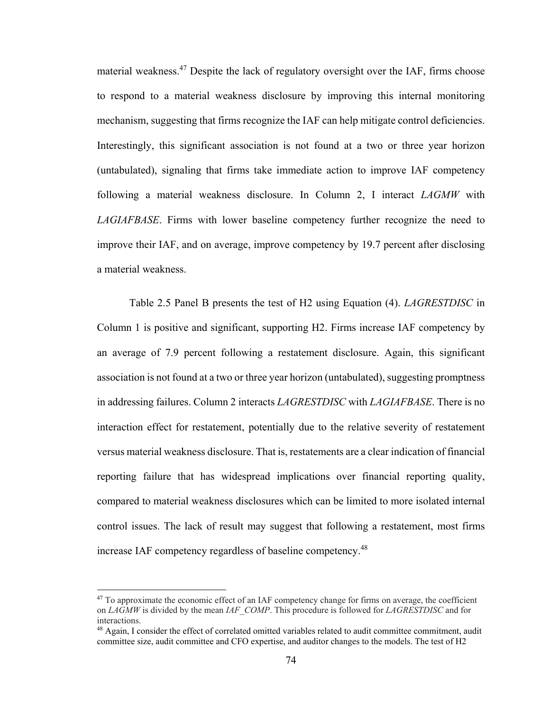material weakness.<sup>47</sup> Despite the lack of regulatory oversight over the IAF, firms choose to respond to a material weakness disclosure by improving this internal monitoring mechanism, suggesting that firms recognize the IAF can help mitigate control deficiencies. Interestingly, this significant association is not found at a two or three year horizon (untabulated), signaling that firms take immediate action to improve IAF competency following a material weakness disclosure. In Column 2, I interact *LAGMW* with *LAGIAFBASE*. Firms with lower baseline competency further recognize the need to improve their IAF, and on average, improve competency by 19.7 percent after disclosing a material weakness.

Table 2.5 Panel B presents the test of H2 using Equation (4). *LAGRESTDISC* in Column 1 is positive and significant, supporting H2. Firms increase IAF competency by an average of 7.9 percent following a restatement disclosure. Again, this significant association is not found at a two or three year horizon (untabulated), suggesting promptness in addressing failures. Column 2 interacts *LAGRESTDISC* with *LAGIAFBASE*. There is no interaction effect for restatement, potentially due to the relative severity of restatement versus material weakness disclosure. That is, restatements are a clear indication of financial reporting failure that has widespread implications over financial reporting quality, compared to material weakness disclosures which can be limited to more isolated internal control issues. The lack of result may suggest that following a restatement, most firms increase IAF competency regardless of baseline competency.<sup>48</sup>

<sup>&</sup>lt;sup>47</sup> To approximate the economic effect of an IAF competency change for firms on average, the coefficient on *LAGMW* is divided by the mean *IAF\_COMP*. This procedure is followed for *LAGRESTDISC* and for interactions.

<sup>&</sup>lt;sup>48</sup> Again, I consider the effect of correlated omitted variables related to audit committee commitment, audit committee size, audit committee and CFO expertise, and auditor changes to the models. The test of H2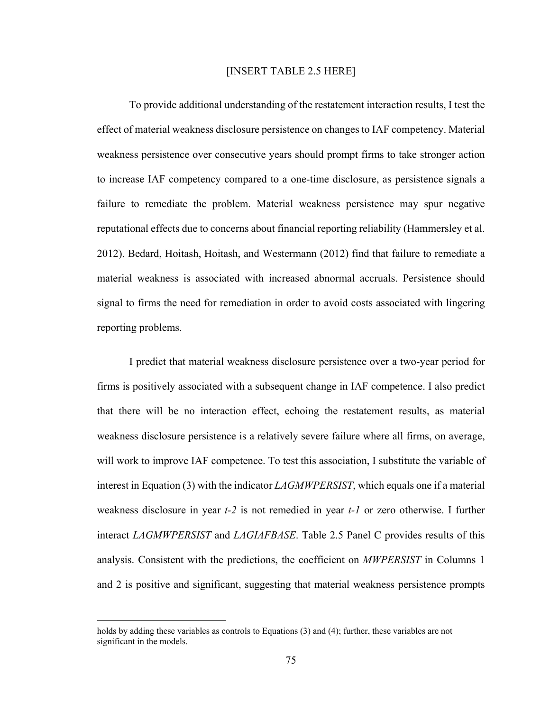#### [INSERT TABLE 2.5 HERE]

To provide additional understanding of the restatement interaction results, I test the effect of material weakness disclosure persistence on changes to IAF competency. Material weakness persistence over consecutive years should prompt firms to take stronger action to increase IAF competency compared to a one-time disclosure, as persistence signals a failure to remediate the problem. Material weakness persistence may spur negative reputational effects due to concerns about financial reporting reliability (Hammersley et al. 2012). Bedard, Hoitash, Hoitash, and Westermann (2012) find that failure to remediate a material weakness is associated with increased abnormal accruals. Persistence should signal to firms the need for remediation in order to avoid costs associated with lingering reporting problems.

I predict that material weakness disclosure persistence over a two-year period for firms is positively associated with a subsequent change in IAF competence. I also predict that there will be no interaction effect, echoing the restatement results, as material weakness disclosure persistence is a relatively severe failure where all firms, on average, will work to improve IAF competence. To test this association, I substitute the variable of interest in Equation (3) with the indicator *LAGMWPERSIST*, which equals one if a material weakness disclosure in year *t-2* is not remedied in year *t-1* or zero otherwise. I further interact *LAGMWPERSIST* and *LAGIAFBASE*. Table 2.5 Panel C provides results of this analysis. Consistent with the predictions, the coefficient on *MWPERSIST* in Columns 1 and 2 is positive and significant, suggesting that material weakness persistence prompts

1

holds by adding these variables as controls to Equations (3) and (4); further, these variables are not significant in the models.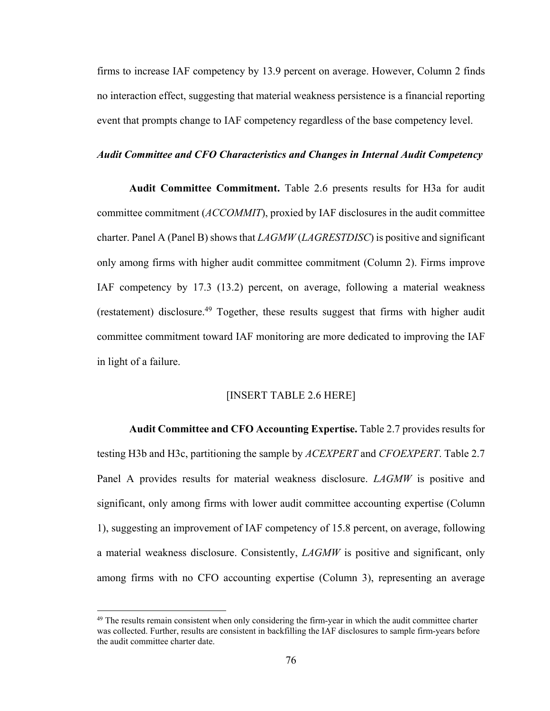firms to increase IAF competency by 13.9 percent on average. However, Column 2 finds no interaction effect, suggesting that material weakness persistence is a financial reporting event that prompts change to IAF competency regardless of the base competency level.

#### *Audit Committee and CFO Characteristics and Changes in Internal Audit Competency*

**Audit Committee Commitment.** Table 2.6 presents results for H3a for audit committee commitment (*ACCOMMIT*), proxied by IAF disclosures in the audit committee charter. Panel A (Panel B) shows that *LAGMW* (*LAGRESTDISC*) is positive and significant only among firms with higher audit committee commitment (Column 2). Firms improve IAF competency by 17.3 (13.2) percent, on average, following a material weakness (restatement) disclosure.<sup>49</sup> Together, these results suggest that firms with higher audit committee commitment toward IAF monitoring are more dedicated to improving the IAF in light of a failure.

#### [INSERT TABLE 2.6 HERE]

**Audit Committee and CFO Accounting Expertise.** Table 2.7 provides results for testing H3b and H3c, partitioning the sample by *ACEXPERT* and *CFOEXPERT*. Table 2.7 Panel A provides results for material weakness disclosure. *LAGMW* is positive and significant, only among firms with lower audit committee accounting expertise (Column 1), suggesting an improvement of IAF competency of 15.8 percent, on average, following a material weakness disclosure. Consistently, *LAGMW* is positive and significant, only among firms with no CFO accounting expertise (Column 3), representing an average

 $49$  The results remain consistent when only considering the firm-year in which the audit committee charter was collected. Further, results are consistent in backfilling the IAF disclosures to sample firm-years before the audit committee charter date.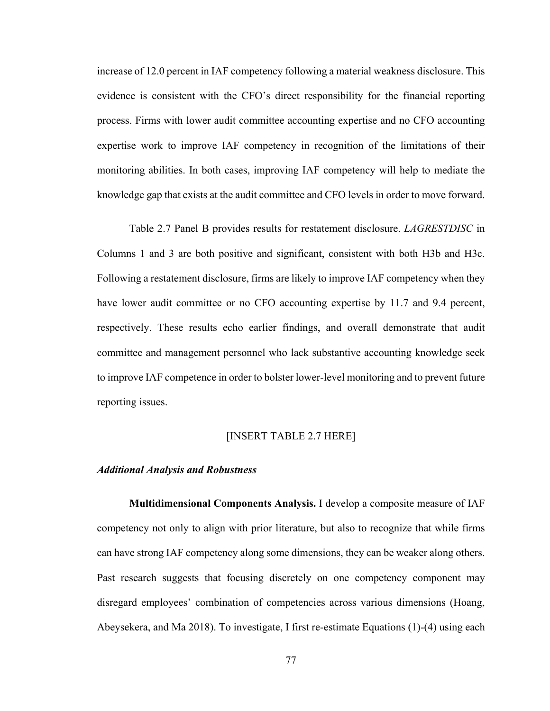increase of 12.0 percent in IAF competency following a material weakness disclosure. This evidence is consistent with the CFO's direct responsibility for the financial reporting process. Firms with lower audit committee accounting expertise and no CFO accounting expertise work to improve IAF competency in recognition of the limitations of their monitoring abilities. In both cases, improving IAF competency will help to mediate the knowledge gap that exists at the audit committee and CFO levels in order to move forward.

Table 2.7 Panel B provides results for restatement disclosure. *LAGRESTDISC* in Columns 1 and 3 are both positive and significant, consistent with both H3b and H3c. Following a restatement disclosure, firms are likely to improve IAF competency when they have lower audit committee or no CFO accounting expertise by 11.7 and 9.4 percent, respectively. These results echo earlier findings, and overall demonstrate that audit committee and management personnel who lack substantive accounting knowledge seek to improve IAF competence in order to bolster lower-level monitoring and to prevent future reporting issues.

# [INSERT TABLE 2.7 HERE]

#### *Additional Analysis and Robustness*

**Multidimensional Components Analysis.** I develop a composite measure of IAF competency not only to align with prior literature, but also to recognize that while firms can have strong IAF competency along some dimensions, they can be weaker along others. Past research suggests that focusing discretely on one competency component may disregard employees' combination of competencies across various dimensions (Hoang, Abeysekera, and Ma 2018). To investigate, I first re-estimate Equations (1)-(4) using each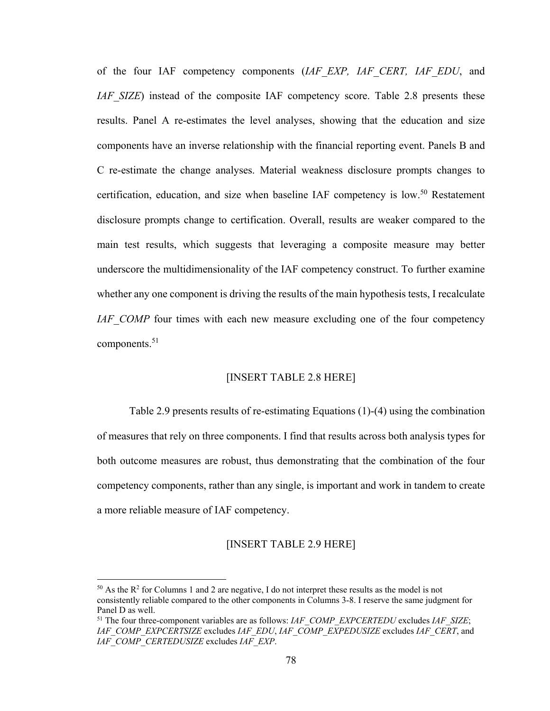of the four IAF competency components (*IAF\_EXP, IAF\_CERT, IAF\_EDU*, and *IAF* SIZE) instead of the composite IAF competency score. Table 2.8 presents these results. Panel A re-estimates the level analyses, showing that the education and size components have an inverse relationship with the financial reporting event. Panels B and C re-estimate the change analyses. Material weakness disclosure prompts changes to certification, education, and size when baseline IAF competency is  $low.^{50}$  Restatement disclosure prompts change to certification. Overall, results are weaker compared to the main test results, which suggests that leveraging a composite measure may better underscore the multidimensionality of the IAF competency construct. To further examine whether any one component is driving the results of the main hypothesis tests, I recalculate *IAF* COMP four times with each new measure excluding one of the four competency components. $51$ 

### [INSERT TABLE 2.8 HERE]

Table 2.9 presents results of re-estimating Equations (1)-(4) using the combination of measures that rely on three components. I find that results across both analysis types for both outcome measures are robust, thus demonstrating that the combination of the four competency components, rather than any single, is important and work in tandem to create a more reliable measure of IAF competency.

#### [INSERT TABLE 2.9 HERE]

1

<sup>&</sup>lt;sup>50</sup> As the  $\mathbb{R}^2$  for Columns 1 and 2 are negative, I do not interpret these results as the model is not consistently reliable compared to the other components in Columns 3-8. I reserve the same judgment for Panel D as well.

<sup>51</sup> The four three-component variables are as follows: *IAF\_COMP\_EXPCERTEDU* excludes *IAF\_SIZE*; *IAF\_COMP\_EXPCERTSIZE* excludes *IAF\_EDU*, *IAF\_COMP\_EXPEDUSIZE* excludes *IAF\_CERT*, and *IAF\_COMP\_CERTEDUSIZE* excludes *IAF\_EXP*.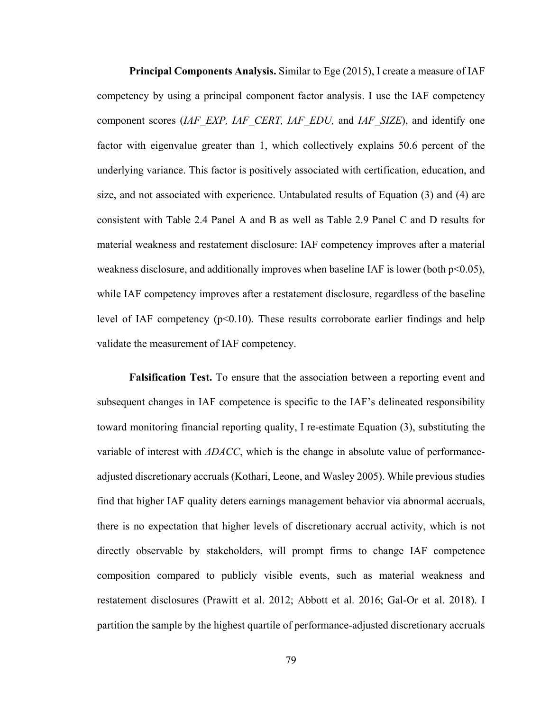**Principal Components Analysis.** Similar to Ege (2015), I create a measure of IAF competency by using a principal component factor analysis. I use the IAF competency component scores (*IAF\_EXP, IAF\_CERT, IAF\_EDU,* and *IAF\_SIZE*), and identify one factor with eigenvalue greater than 1, which collectively explains 50.6 percent of the underlying variance. This factor is positively associated with certification, education, and size, and not associated with experience. Untabulated results of Equation (3) and (4) are consistent with Table 2.4 Panel A and B as well as Table 2.9 Panel C and D results for material weakness and restatement disclosure: IAF competency improves after a material weakness disclosure, and additionally improves when baseline IAF is lower (both  $p<0.05$ ), while IAF competency improves after a restatement disclosure, regardless of the baseline level of IAF competency  $(p<0.10)$ . These results corroborate earlier findings and help validate the measurement of IAF competency.

**Falsification Test.** To ensure that the association between a reporting event and subsequent changes in IAF competence is specific to the IAF's delineated responsibility toward monitoring financial reporting quality, I re-estimate Equation (3), substituting the variable of interest with *ΔDACC*, which is the change in absolute value of performanceadjusted discretionary accruals (Kothari, Leone, and Wasley 2005). While previous studies find that higher IAF quality deters earnings management behavior via abnormal accruals, there is no expectation that higher levels of discretionary accrual activity, which is not directly observable by stakeholders, will prompt firms to change IAF competence composition compared to publicly visible events, such as material weakness and restatement disclosures (Prawitt et al. 2012; Abbott et al. 2016; Gal-Or et al. 2018). I partition the sample by the highest quartile of performance-adjusted discretionary accruals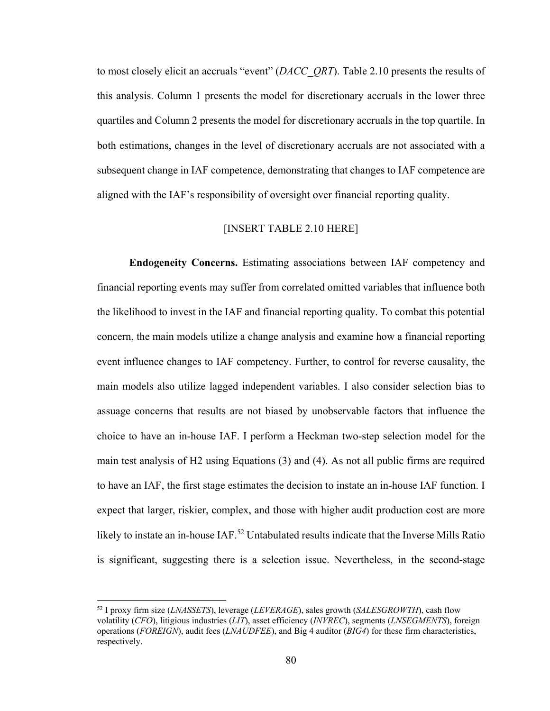to most closely elicit an accruals "event" (*DACC\_QRT*). Table 2.10 presents the results of this analysis. Column 1 presents the model for discretionary accruals in the lower three quartiles and Column 2 presents the model for discretionary accruals in the top quartile. In both estimations, changes in the level of discretionary accruals are not associated with a subsequent change in IAF competence, demonstrating that changes to IAF competence are aligned with the IAF's responsibility of oversight over financial reporting quality.

# [INSERT TABLE 2.10 HERE]

**Endogeneity Concerns.** Estimating associations between IAF competency and financial reporting events may suffer from correlated omitted variables that influence both the likelihood to invest in the IAF and financial reporting quality. To combat this potential concern, the main models utilize a change analysis and examine how a financial reporting event influence changes to IAF competency. Further, to control for reverse causality, the main models also utilize lagged independent variables. I also consider selection bias to assuage concerns that results are not biased by unobservable factors that influence the choice to have an in-house IAF. I perform a Heckman two-step selection model for the main test analysis of H2 using Equations (3) and (4). As not all public firms are required to have an IAF, the first stage estimates the decision to instate an in-house IAF function. I expect that larger, riskier, complex, and those with higher audit production cost are more likely to instate an in-house IAF.<sup>52</sup> Untabulated results indicate that the Inverse Mills Ratio is significant, suggesting there is a selection issue. Nevertheless, in the second-stage

<sup>52</sup> I proxy firm size (*LNASSETS*), leverage (*LEVERAGE*), sales growth (*SALESGROWTH*), cash flow volatility (*CFO*), litigious industries (*LIT*), asset efficiency (*INVREC*), segments (*LNSEGMENTS*), foreign operations (*FOREIGN*), audit fees (*LNAUDFEE*), and Big 4 auditor (*BIG4*) for these firm characteristics, respectively.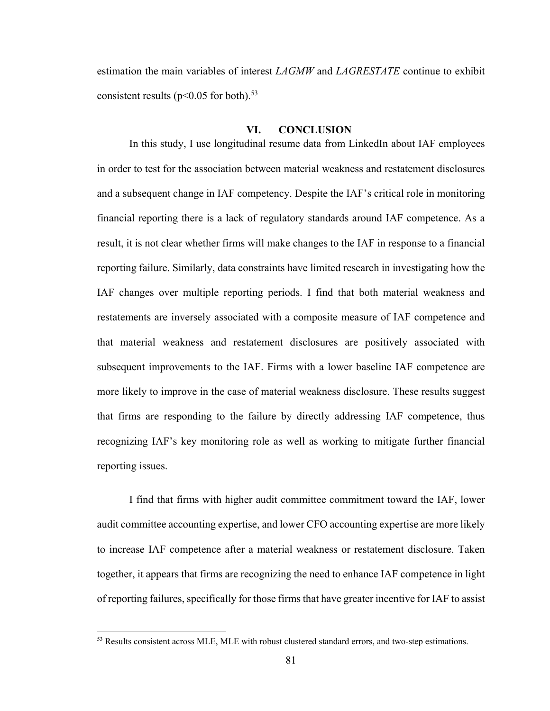estimation the main variables of interest *LAGMW* and *LAGRESTATE* continue to exhibit consistent results ( $p<0.05$  for both).<sup>53</sup>

### **VI. CONCLUSION**

In this study, I use longitudinal resume data from LinkedIn about IAF employees in order to test for the association between material weakness and restatement disclosures and a subsequent change in IAF competency. Despite the IAF's critical role in monitoring financial reporting there is a lack of regulatory standards around IAF competence. As a result, it is not clear whether firms will make changes to the IAF in response to a financial reporting failure. Similarly, data constraints have limited research in investigating how the IAF changes over multiple reporting periods. I find that both material weakness and restatements are inversely associated with a composite measure of IAF competence and that material weakness and restatement disclosures are positively associated with subsequent improvements to the IAF. Firms with a lower baseline IAF competence are more likely to improve in the case of material weakness disclosure. These results suggest that firms are responding to the failure by directly addressing IAF competence, thus recognizing IAF's key monitoring role as well as working to mitigate further financial reporting issues.

I find that firms with higher audit committee commitment toward the IAF, lower audit committee accounting expertise, and lower CFO accounting expertise are more likely to increase IAF competence after a material weakness or restatement disclosure. Taken together, it appears that firms are recognizing the need to enhance IAF competence in light of reporting failures, specifically for those firms that have greater incentive for IAF to assist

<sup>53</sup> Results consistent across MLE, MLE with robust clustered standard errors, and two-step estimations.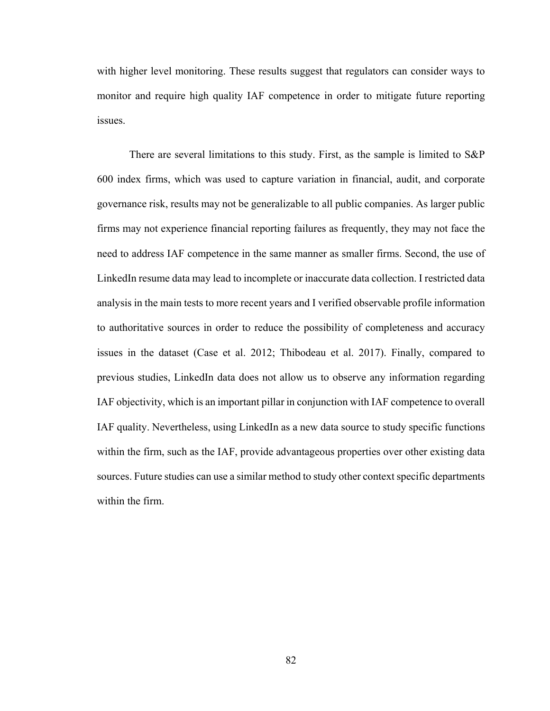with higher level monitoring. These results suggest that regulators can consider ways to monitor and require high quality IAF competence in order to mitigate future reporting issues.

There are several limitations to this study. First, as the sample is limited to S&P 600 index firms, which was used to capture variation in financial, audit, and corporate governance risk, results may not be generalizable to all public companies. As larger public firms may not experience financial reporting failures as frequently, they may not face the need to address IAF competence in the same manner as smaller firms. Second, the use of LinkedIn resume data may lead to incomplete or inaccurate data collection. I restricted data analysis in the main tests to more recent years and I verified observable profile information to authoritative sources in order to reduce the possibility of completeness and accuracy issues in the dataset (Case et al. 2012; Thibodeau et al. 2017). Finally, compared to previous studies, LinkedIn data does not allow us to observe any information regarding IAF objectivity, which is an important pillar in conjunction with IAF competence to overall IAF quality. Nevertheless, using LinkedIn as a new data source to study specific functions within the firm, such as the IAF, provide advantageous properties over other existing data sources. Future studies can use a similar method to study other context specific departments within the firm.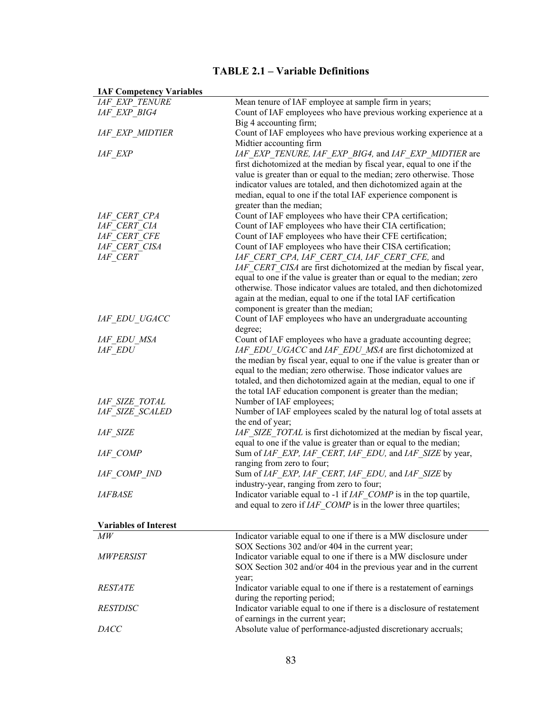# **TABLE 2.1 – Variable Definitions**

| <b>IAF Competency variables</b> |                                                                         |
|---------------------------------|-------------------------------------------------------------------------|
| <b>IAF EXP TENURE</b>           | Mean tenure of IAF employee at sample firm in years;                    |
| IAF EXP BIG4                    | Count of IAF employees who have previous working experience at a        |
|                                 | Big 4 accounting firm;                                                  |
| <b>IAF EXP MIDTIER</b>          | Count of IAF employees who have previous working experience at a        |
|                                 | Midtier accounting firm                                                 |
| <b>IAF EXP</b>                  | IAF EXP TENURE, IAF EXP BIG4, and IAF EXP MIDTIER are                   |
|                                 | first dichotomized at the median by fiscal year, equal to one if the    |
|                                 | value is greater than or equal to the median; zero otherwise. Those     |
|                                 | indicator values are totaled, and then dichotomized again at the        |
|                                 | median, equal to one if the total IAF experience component is           |
|                                 | greater than the median;                                                |
| IAF CERT CPA                    | Count of IAF employees who have their CPA certification;                |
| IAF CERT CIA                    | Count of IAF employees who have their CIA certification;                |
| IAF CERT CFE                    | Count of IAF employees who have their CFE certification;                |
| IAF CERT CISA                   | Count of IAF employees who have their CISA certification;               |
| <b>IAF CERT</b>                 | IAF CERT CPA, IAF CERT CIA, IAF CERT CFE, and                           |
|                                 | IAF CERT CISA are first dichotomized at the median by fiscal year,      |
|                                 | equal to one if the value is greater than or equal to the median; zero  |
|                                 | otherwise. Those indicator values are totaled, and then dichotomized    |
|                                 | again at the median, equal to one if the total IAF certification        |
|                                 | component is greater than the median;                                   |
| IAF EDU UGACC                   | Count of IAF employees who have an undergraduate accounting             |
|                                 | degree;                                                                 |
| IAF EDU MSA                     | Count of IAF employees who have a graduate accounting degree;           |
| <b>IAF EDU</b>                  | IAF EDU UGACC and IAF EDU MSA are first dichotomized at                 |
|                                 | the median by fiscal year, equal to one if the value is greater than or |
|                                 | equal to the median; zero otherwise. Those indicator values are         |
|                                 | totaled, and then dichotomized again at the median, equal to one if     |
|                                 | the total IAF education component is greater than the median;           |
| <b>IAF SIZE TOTAL</b>           | Number of IAF employees;                                                |
| <b>IAF SIZE SCALED</b>          | Number of IAF employees scaled by the natural log of total assets at    |
|                                 | the end of year;                                                        |
| <b>IAF SIZE</b>                 | IAF SIZE TOTAL is first dichotomized at the median by fiscal year,      |
|                                 | equal to one if the value is greater than or equal to the median;       |
| <b>IAF COMP</b>                 | Sum of IAF EXP, IAF CERT, IAF EDU, and IAF SIZE by year,                |
|                                 | ranging from zero to four;                                              |
| IAF COMP IND                    | Sum of IAF EXP, IAF CERT, IAF EDU, and IAF SIZE by                      |
|                                 | industry-year, ranging from zero to four;                               |
| <b>IAFBASE</b>                  | Indicator variable equal to -1 if IAF_COMP is in the top quartile,      |
|                                 | and equal to zero if $IAF$ COMP is in the lower three quartiles;        |
|                                 |                                                                         |
| <b>Variables of Interest</b>    |                                                                         |
| $\overline{MW}$                 | Indicator variable equal to one if there is a MW disclosure under       |
|                                 | SOX Sections 302 and/or 404 in the current year;                        |
| <b>MWPERSIST</b>                | Indicator variable equal to one if there is a MW disclosure under       |
|                                 | SOX Section 302 and/or 404 in the previous year and in the current      |
|                                 | year;                                                                   |
| <i><b>RESTATE</b></i>           | Indicator variable equal to one if there is a restatement of earnings   |
|                                 | during the reporting period;                                            |
| <b>RESTDISC</b>                 | Indicator variable equal to one if there is a disclosure of restatement |
|                                 | of earnings in the current year;                                        |
| DACC                            | Absolute value of performance-adjusted discretionary accruals;          |
|                                 |                                                                         |

**IAF Competency Variables**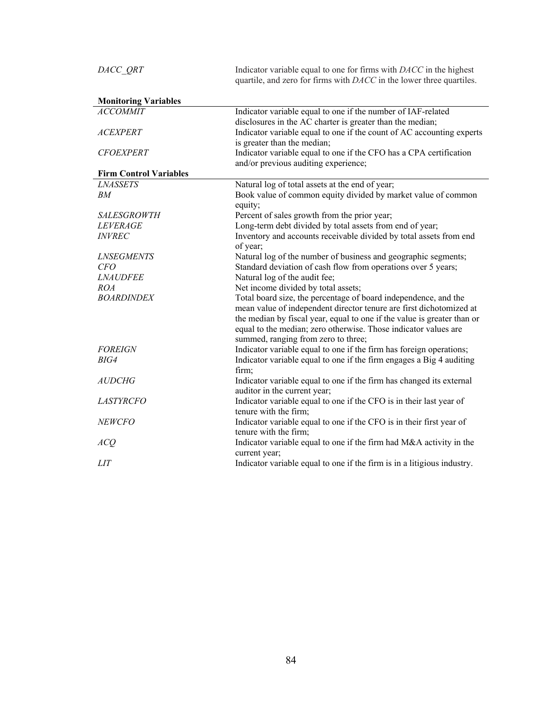| DACC QRT                      | Indicator variable equal to one for firms with DACC in the highest<br>quartile, and zero for firms with DACC in the lower three quartiles. |  |  |  |
|-------------------------------|--------------------------------------------------------------------------------------------------------------------------------------------|--|--|--|
| <b>Monitoring Variables</b>   |                                                                                                                                            |  |  |  |
| <b>ACCOMMIT</b>               | Indicator variable equal to one if the number of IAF-related                                                                               |  |  |  |
|                               | disclosures in the AC charter is greater than the median;                                                                                  |  |  |  |
| <b>ACEXPERT</b>               | Indicator variable equal to one if the count of AC accounting experts                                                                      |  |  |  |
|                               | is greater than the median;                                                                                                                |  |  |  |
| <b>CFOEXPERT</b>              | Indicator variable equal to one if the CFO has a CPA certification                                                                         |  |  |  |
|                               | and/or previous auditing experience;                                                                                                       |  |  |  |
| <b>Firm Control Variables</b> |                                                                                                                                            |  |  |  |
| <b>LNASSETS</b>               | Natural log of total assets at the end of year;                                                                                            |  |  |  |
| BM                            | Book value of common equity divided by market value of common                                                                              |  |  |  |
|                               | equity;                                                                                                                                    |  |  |  |
| <b>SALESGROWTH</b>            | Percent of sales growth from the prior year;                                                                                               |  |  |  |
| <b>LEVERAGE</b>               | Long-term debt divided by total assets from end of year;                                                                                   |  |  |  |
| <b>INVREC</b>                 | Inventory and accounts receivable divided by total assets from end                                                                         |  |  |  |
|                               | of year;                                                                                                                                   |  |  |  |
| <b>LNSEGMENTS</b>             | Natural log of the number of business and geographic segments;                                                                             |  |  |  |
| <i>CFO</i>                    | Standard deviation of cash flow from operations over 5 years;                                                                              |  |  |  |
| <b>LNAUDFEE</b>               | Natural log of the audit fee;                                                                                                              |  |  |  |
| <i>ROA</i>                    | Net income divided by total assets;                                                                                                        |  |  |  |
| <b>BOARDINDEX</b>             | Total board size, the percentage of board independence, and the                                                                            |  |  |  |
|                               | mean value of independent director tenure are first dichotomized at                                                                        |  |  |  |
|                               | the median by fiscal year, equal to one if the value is greater than or                                                                    |  |  |  |
|                               | equal to the median; zero otherwise. Those indicator values are                                                                            |  |  |  |
|                               | summed, ranging from zero to three;                                                                                                        |  |  |  |
| <b>FOREIGN</b>                | Indicator variable equal to one if the firm has foreign operations;                                                                        |  |  |  |
| BIG4                          | Indicator variable equal to one if the firm engages a Big 4 auditing                                                                       |  |  |  |
|                               | firm;                                                                                                                                      |  |  |  |
| <b>AUDCHG</b>                 | Indicator variable equal to one if the firm has changed its external                                                                       |  |  |  |
|                               | auditor in the current year;                                                                                                               |  |  |  |
| <i>LASTYRCFO</i>              | Indicator variable equal to one if the CFO is in their last year of                                                                        |  |  |  |
|                               | tenure with the firm;                                                                                                                      |  |  |  |
| <b>NEWCFO</b>                 | Indicator variable equal to one if the CFO is in their first year of                                                                       |  |  |  |
|                               | tenure with the firm;                                                                                                                      |  |  |  |
| ACQ                           | Indicator variable equal to one if the firm had M&A activity in the                                                                        |  |  |  |
|                               | current year;                                                                                                                              |  |  |  |
| <i>LIT</i>                    | Indicator variable equal to one if the firm is in a litigious industry.                                                                    |  |  |  |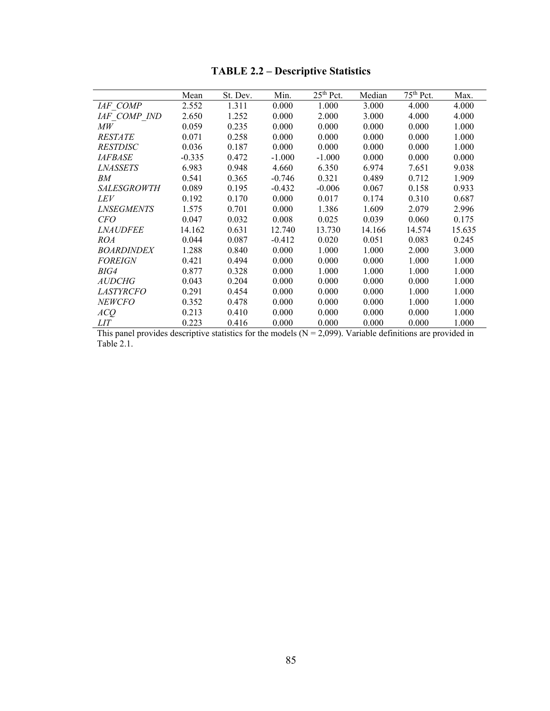|                    | Mean     | St. Dev. | Min.     | $25th$ Pct. | Median | 75 <sup>th</sup> Pct. | Max.   |
|--------------------|----------|----------|----------|-------------|--------|-----------------------|--------|
| IAF COMP           | 2.552    | 1.311    | 0.000    | 1.000       | 3.000  | 4.000                 | 4.000  |
| IAF COMP IND       | 2.650    | 1.252    | 0.000    | 2.000       | 3.000  | 4.000                 | 4.000  |
| МW                 | 0.059    | 0.235    | 0.000    | 0.000       | 0.000  | 0.000                 | 1.000  |
| <b>RESTATE</b>     | 0.071    | 0.258    | 0.000    | 0.000       | 0.000  | 0.000                 | 1.000  |
| <i>RESTDISC</i>    | 0.036    | 0.187    | 0.000    | 0.000       | 0.000  | 0.000                 | 1.000  |
| <i>IAFBASE</i>     | $-0.335$ | 0.472    | $-1.000$ | $-1.000$    | 0.000  | 0.000                 | 0.000  |
| <i>LNASSETS</i>    | 6.983    | 0.948    | 4.660    | 6.350       | 6.974  | 7.651                 | 9.038  |
| BМ                 | 0.541    | 0.365    | $-0.746$ | 0.321       | 0.489  | 0.712                 | 1.909  |
| <i>SALESGROWTH</i> | 0.089    | 0.195    | $-0.432$ | $-0.006$    | 0.067  | 0.158                 | 0.933  |
| LEV                | 0.192    | 0.170    | 0.000    | 0.017       | 0.174  | 0.310                 | 0.687  |
| <i>LNSEGMENTS</i>  | 1.575    | 0.701    | 0.000    | 1.386       | 1.609  | 2.079                 | 2.996  |
| <i>CFO</i>         | 0.047    | 0.032    | 0.008    | 0.025       | 0.039  | 0.060                 | 0.175  |
| <i>LNAUDFEE</i>    | 14.162   | 0.631    | 12.740   | 13.730      | 14.166 | 14.574                | 15.635 |
| ROA                | 0.044    | 0.087    | $-0.412$ | 0.020       | 0.051  | 0.083                 | 0.245  |
| <b>BOARDINDEX</b>  | 1.288    | 0.840    | 0.000    | 1.000       | 1.000  | 2.000                 | 3.000  |
| <b>FOREIGN</b>     | 0.421    | 0.494    | 0.000    | 0.000       | 0.000  | 1.000                 | 1.000  |
| BIG4               | 0.877    | 0.328    | 0.000    | 1.000       | 1.000  | 1.000                 | 1.000  |
| <i>AUDCHG</i>      | 0.043    | 0.204    | 0.000    | 0.000       | 0.000  | 0.000                 | 1.000  |
| <i>LASTYRCFO</i>   | 0.291    | 0.454    | 0.000    | 0.000       | 0.000  | 1.000                 | 1.000  |
| <b>NEWCFO</b>      | 0.352    | 0.478    | 0.000    | 0.000       | 0.000  | 1.000                 | 1.000  |
| ACQ                | 0.213    | 0.410    | 0.000    | 0.000       | 0.000  | 0.000                 | 1.000  |
| <i>LIT</i>         | 0.223    | 0.416    | 0.000    | 0.000       | 0.000  | 0.000                 | 1.000  |

# **TABLE 2.2 – Descriptive Statistics**

This panel provides descriptive statistics for the models  $(N = 2,099)$ . Variable definitions are provided in Table 2.1.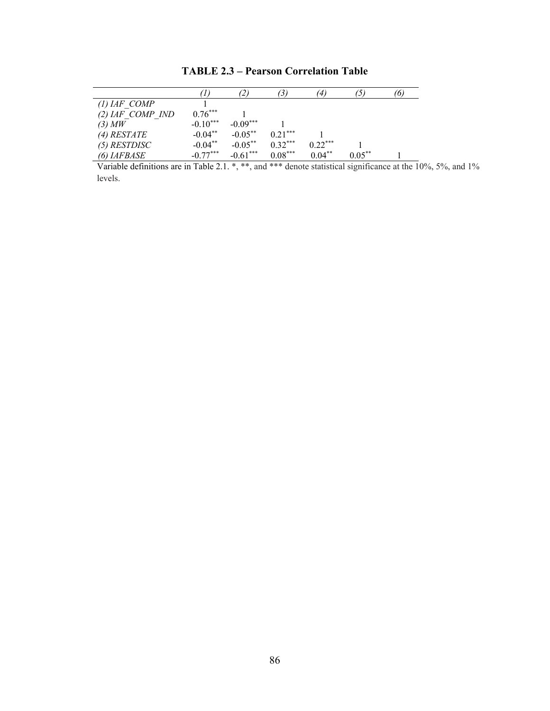|                      |            | $\mathcal{L}^{\prime}$ |           | 41        | ו כ'      | 6. |
|----------------------|------------|------------------------|-----------|-----------|-----------|----|
| $(1)$ IAF COMP       |            |                        |           |           |           |    |
| $(2)$ IAF COMP IND   | $0.76***$  |                        |           |           |           |    |
| $(3)$ MW             | $-0.10***$ | $-0.09***$             |           |           |           |    |
| $(4)$ RESTATE        | $-0.04**$  | $-0.05***$             | $0.21***$ |           |           |    |
| $(5)$ RESTDISC       | $-0.04**$  | $-0.05***$             | $0.32***$ | $0.22***$ |           |    |
| $(6)$ <i>IAFBASE</i> | $-0.77***$ | $-0.61***$             | $0.08***$ | $0.04***$ | $0.05***$ |    |

**TABLE 2.3 – Pearson Correlation Table** 

Variable definitions are in Table 2.1. \*, \*\*, and \*\*\* denote statistical significance at the 10%, 5%, and 1% levels.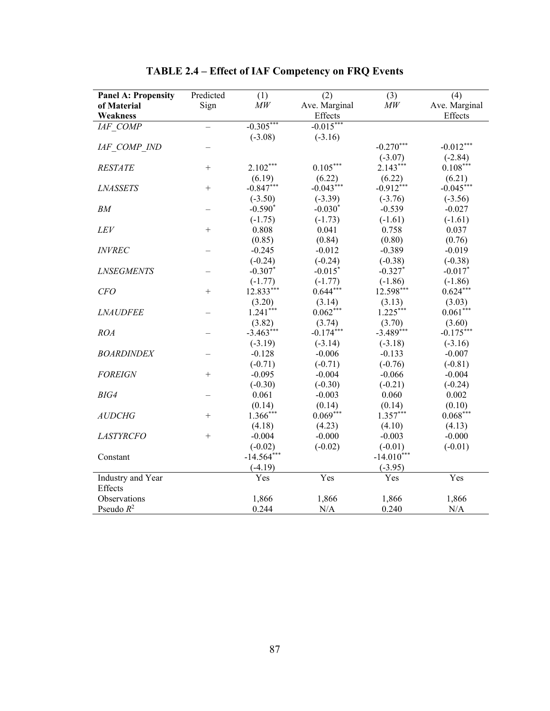| <b>Panel A: Propensity</b> | Predicted | (1)           | (2)           | (3)           | (4)           |
|----------------------------|-----------|---------------|---------------|---------------|---------------|
| of Material                | Sign      | $\mathit{MW}$ | Ave. Marginal | $\mathit{MW}$ | Ave. Marginal |
| Weakness                   |           |               | Effects       |               | Effects       |
| IAF COMP                   |           | $-0.305***$   | $-0.015***$   |               |               |
|                            |           | $(-3.08)$     | $(-3.16)$     |               |               |
| IAF COMP IND               |           |               |               | $-0.270***$   | $-0.012***$   |
|                            |           |               |               | $(-3.07)$     | $(-2.84)$     |
| <b>RESTATE</b>             | $^{+}$    | $2.102***$    | $0.105***$    | $2.143***$    | $0.108***$    |
|                            |           | (6.19)        | (6.22)        | (6.22)        | (6.21)        |
| <b>LNASSETS</b>            | $+$       | $-0.847***$   | $-0.043***$   | $-0.912***$   | $-0.045***$   |
|                            |           | $(-3.50)$     | $(-3.39)$     | $(-3.76)$     | $(-3.56)$     |
| BМ                         |           | $-0.590*$     | $-0.030*$     | $-0.539$      | $-0.027$      |
|                            |           | $(-1.75)$     | $(-1.73)$     | $(-1.61)$     | $(-1.61)$     |
| LEV                        | $^{+}$    | 0.808         | 0.041         | 0.758         | 0.037         |
|                            |           | (0.85)        | (0.84)        | (0.80)        | (0.76)        |
| <b>INVREC</b>              |           | $-0.245$      | $-0.012$      | $-0.389$      | $-0.019$      |
|                            |           | $(-0.24)$     | $(-0.24)$     | $(-0.38)$     | $(-0.38)$     |
| <b>LNSEGMENTS</b>          |           | $-0.307*$     | $-0.015*$     | $-0.327*$     | $-0.017*$     |
|                            |           | $(-1.77)$     | $(-1.77)$     | $(-1.86)$     | $(-1.86)$     |
| CFO                        | $^{+}$    | 12.833***     | $0.644***$    | 12.598***     | $0.624***$    |
|                            |           | (3.20)        | (3.14)        | (3.13)        | (3.03)        |
| <b>LNAUDFEE</b>            |           | $1.241***$    | $0.062***$    | $1.225***$    | $0.061***$    |
|                            |           | (3.82)        | (3.74)        | (3.70)        | (3.60)        |
| <b>ROA</b>                 |           | $-3.463***$   | $-0.174***$   | $-3.489***$   | $-0.175***$   |
|                            |           | $(-3.19)$     | $(-3.14)$     | $(-3.18)$     | $(-3.16)$     |
| <b>BOARDINDEX</b>          |           | $-0.128$      | $-0.006$      | $-0.133$      | $-0.007$      |
|                            |           | $(-0.71)$     | $(-0.71)$     | $(-0.76)$     | $(-0.81)$     |
| <b>FOREIGN</b>             | $^{+}$    | $-0.095$      | $-0.004$      | $-0.066$      | $-0.004$      |
|                            |           | $(-0.30)$     | $(-0.30)$     | $(-0.21)$     | $(-0.24)$     |
| BIG4                       |           | 0.061         | $-0.003$      | 0.060         | 0.002         |
|                            |           | (0.14)        | (0.14)        | (0.14)        | (0.10)        |
| <b>AUDCHG</b>              | $^{+}$    | $1.366***$    | $0.069***$    | $1.357***$    | $0.068***$    |
|                            |           | (4.18)        | (4.23)        | (4.10)        | (4.13)        |
| <b>LASTYRCFO</b>           | $+$       | $-0.004$      | $-0.000$      | $-0.003$      | $-0.000$      |
|                            |           | $(-0.02)$     | $(-0.02)$     | $(-0.01)$     | $(-0.01)$     |
| Constant                   |           | $-14.564***$  |               | $-14.010***$  |               |
|                            |           | $(-4.19)$     |               | $(-3.95)$     |               |
| Industry and Year          |           | Yes           | Yes           | Yes           | Yes           |
| Effects                    |           |               |               |               |               |
| Observations               |           | 1,866         | 1,866         | 1,866         | 1,866         |
| Pseudo $R^2$               |           | 0.244         | N/A           | 0.240         | N/A           |

**TABLE 2.4 – Effect of IAF Competency on FRQ Events**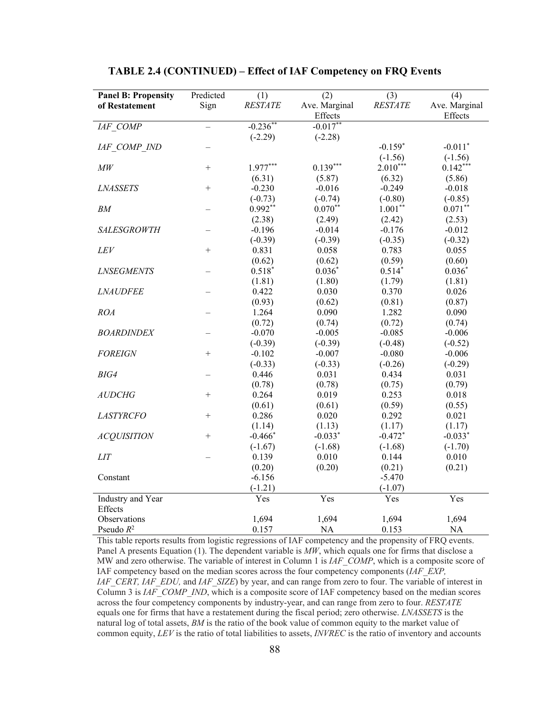| <b>Panel B: Propensity</b> | Predicted       | (1)            | (2)           | (3)            | (4)           |
|----------------------------|-----------------|----------------|---------------|----------------|---------------|
| of Restatement             | Sign            | <b>RESTATE</b> | Ave. Marginal | <b>RESTATE</b> | Ave. Marginal |
|                            |                 |                | Effects       |                | Effects       |
| IAF COMP                   | $\equiv$        | $-0.236**$     | $-0.017**$    |                |               |
|                            |                 | $(-2.29)$      | $(-2.28)$     |                |               |
| IAF COMP IND               |                 |                |               | $-0.159*$      | $-0.011*$     |
|                            |                 |                |               | $(-1.56)$      | $(-1.56)$     |
| M W                        | $^{+}$          | $1.977***$     | $0.139***$    | $2.010***$     | $0.142***$    |
|                            |                 | (6.31)         | (5.87)        | (6.32)         | (5.86)        |
| <b>LNASSETS</b>            | $\! + \!\!\!\!$ | $-0.230$       | $-0.016$      | $-0.249$       | $-0.018$      |
|                            |                 | $(-0.73)$      | $(-0.74)$     | $(-0.80)$      | $(-0.85)$     |
| BM                         |                 | $0.992**$      | $0.070**$     | $1.001**$      | $0.071***$    |
|                            |                 | (2.38)         | (2.49)        | (2.42)         | (2.53)        |
| <b>SALESGROWTH</b>         |                 | $-0.196$       | $-0.014$      | $-0.176$       | $-0.012$      |
|                            |                 | $(-0.39)$      | $(-0.39)$     | $(-0.35)$      | $(-0.32)$     |
| LEV                        | $+$             | 0.831          | 0.058         | 0.783          | 0.055         |
|                            |                 | (0.62)         | (0.62)        | (0.59)         | (0.60)        |
| <b>LNSEGMENTS</b>          |                 | $0.518*$       | $0.036*$      | $0.514*$       | $0.036*$      |
|                            |                 | (1.81)         | (1.80)        | (1.79)         | (1.81)        |
| <b>LNAUDFEE</b>            |                 | 0.422          | 0.030         | 0.370          | 0.026         |
|                            |                 | (0.93)         | (0.62)        | (0.81)         | (0.87)        |
| <b>ROA</b>                 |                 | 1.264          | 0.090         | 1.282          | 0.090         |
|                            |                 | (0.72)         | (0.74)        | (0.72)         | (0.74)        |
| <b>BOARDINDEX</b>          |                 | $-0.070$       | $-0.005$      | $-0.085$       | $-0.006$      |
|                            |                 | $(-0.39)$      | $(-0.39)$     | $(-0.48)$      | $(-0.52)$     |
| <b>FOREIGN</b>             | $^{+}$          | $-0.102$       | $-0.007$      | $-0.080$       | $-0.006$      |
|                            |                 | $(-0.33)$      | $(-0.33)$     | $(-0.26)$      | $(-0.29)$     |
| BIG4                       |                 | 0.446          | 0.031         | 0.434          | 0.031         |
|                            |                 | (0.78)         | (0.78)        | (0.75)         | (0.79)        |
| <b>AUDCHG</b>              | $^{+}$          | 0.264          | 0.019         | 0.253          | 0.018         |
|                            |                 | (0.61)         | (0.61)        | (0.59)         | (0.55)        |
| <b>LASTYRCFO</b>           | $^{+}$          | 0.286          | 0.020         | 0.292          | 0.021         |
|                            |                 | (1.14)         | (1.13)        | (1.17)         | (1.17)        |
| <b>ACQUISITION</b>         | $^{+}$          | $-0.466*$      | $-0.033*$     | $-0.472*$      | $-0.033*$     |
|                            |                 | $(-1.67)$      | $(-1.68)$     | $(-1.68)$      | $(-1.70)$     |
| <b>LIT</b>                 |                 | 0.139          | 0.010         | 0.144          | 0.010         |
|                            |                 | (0.20)         | (0.20)        | (0.21)         | (0.21)        |
| Constant                   |                 | $-6.156$       |               | $-5.470$       |               |
|                            |                 | $(-1.21)$      |               | $(-1.07)$      |               |
| Industry and Year          |                 | Yes            | Yes           | Yes            | Yes           |
| Effects                    |                 |                |               |                |               |
| Observations               |                 | 1,694          | 1,694         | 1,694          | 1,694         |
| Pseudo $R^2$               |                 | 0.157          | <b>NA</b>     | 0.153          | NA            |

# **TABLE 2.4 (CONTINUED) – Effect of IAF Competency on FRQ Events**

This table reports results from logistic regressions of IAF competency and the propensity of FRQ events. Panel A presents Equation (1). The dependent variable is *MW*, which equals one for firms that disclose a MW and zero otherwise. The variable of interest in Column 1 is *IAF\_COMP*, which is a composite score of IAF competency based on the median scores across the four competency components (*IAF\_EXP, IAF\_CERT, IAF\_EDU, and IAF\_SIZE*) by year, and can range from zero to four. The variable of interest in Column 3 is *IAF\_COMP\_IND*, which is a composite score of IAF competency based on the median scores across the four competency components by industry-year, and can range from zero to four. *RESTATE*  equals one for firms that have a restatement during the fiscal period; zero otherwise. *LNASSETS* is the natural log of total assets, *BM* is the ratio of the book value of common equity to the market value of common equity, *LEV* is the ratio of total liabilities to assets, *INVREC* is the ratio of inventory and accounts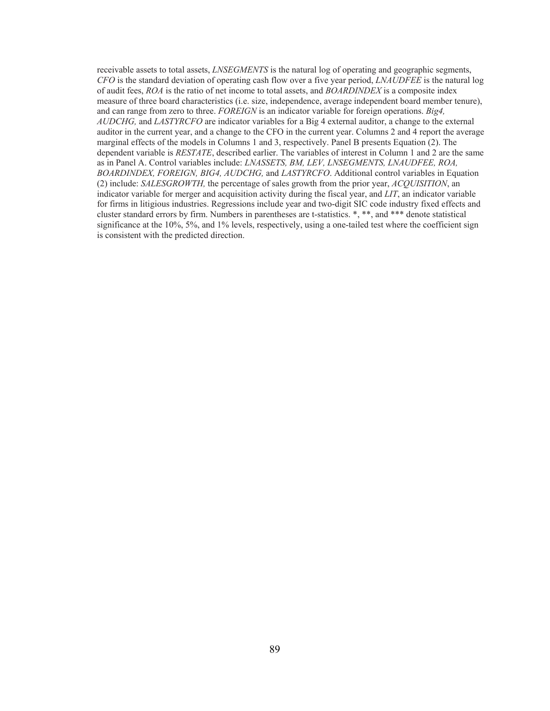receivable assets to total assets, *LNSEGMENTS* is the natural log of operating and geographic segments, *CFO* is the standard deviation of operating cash flow over a five year period, *LNAUDFEE* is the natural log of audit fees, *ROA* is the ratio of net income to total assets, and *BOARDINDEX* is a composite index measure of three board characteristics (i.e. size, independence, average independent board member tenure), and can range from zero to three. *FOREIGN* is an indicator variable for foreign operations. *Big4, AUDCHG,* and *LASTYRCFO* are indicator variables for a Big 4 external auditor, a change to the external auditor in the current year, and a change to the CFO in the current year. Columns 2 and 4 report the average marginal effects of the models in Columns 1 and 3, respectively. Panel B presents Equation (2). The dependent variable is *RESTATE*, described earlier. The variables of interest in Column 1 and 2 are the same as in Panel A. Control variables include: *LNASSETS, BM, LEV, LNSEGMENTS, LNAUDFEE, ROA, BOARDINDEX, FOREIGN, BIG4, AUDCHG,* and *LASTYRCFO*. Additional control variables in Equation (2) include: *SALESGROWTH,* the percentage of sales growth from the prior year, *ACQUISITION*, an indicator variable for merger and acquisition activity during the fiscal year, and *LIT*, an indicator variable for firms in litigious industries. Regressions include year and two-digit SIC code industry fixed effects and cluster standard errors by firm. Numbers in parentheses are t-statistics. \*, \*\*, and \*\*\* denote statistical significance at the 10%, 5%, and 1% levels, respectively, using a one-tailed test where the coefficient sign is consistent with the predicted direction.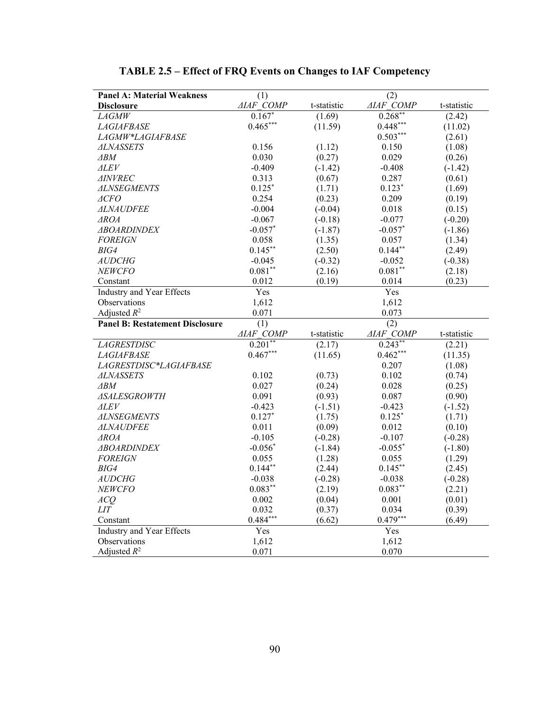| <b>Panel A: Material Weakness</b>      | (1)              | (2)         |                  |             |
|----------------------------------------|------------------|-------------|------------------|-------------|
| <b>Disclosure</b>                      | <b>AIAF COMP</b> | t-statistic | <b>AIAF COMP</b> | t-statistic |
| <b>LAGMW</b>                           | $0.167*$         | (1.69)      | $0.268**$        | (2.42)      |
| <i>LAGIAFBASE</i>                      | $0.465***$       | (11.59)     | $0.448***$       | (11.02)     |
| <i>LAGMW*LAGIAFBASE</i>                |                  |             | $0.503***$       | (2.61)      |
| <b>ALNASSETS</b>                       | 0.156            | (1.12)      | 0.150            | (1.08)      |
| ∆BM                                    | 0.030            | (0.27)      | 0.029            | (0.26)      |
| <i>ALEV</i>                            | $-0.409$         | $(-1.42)$   | $-0.408$         | $(-1.42)$   |
| <i>AINVREC</i>                         | 0.313            | (0.67)      | 0.287            | (0.61)      |
| <b>ALNSEGMENTS</b>                     | $0.125*$         | (1.71)      | $0.123*$         | (1.69)      |
| ⊿CFO                                   | 0.254            | (0.23)      | 0.209            | (0.19)      |
| <i>ALNAUDFEE</i>                       | $-0.004$         | $(-0.04)$   | 0.018            | (0.15)      |
| <i>AROA</i>                            | $-0.067$         | $(-0.18)$   | $-0.077$         | $(-0.20)$   |
| <b>ABOARDINDEX</b>                     | $-0.057*$        | $(-1.87)$   | $-0.057*$        | $(-1.86)$   |
| <b>FOREIGN</b>                         | 0.058            | (1.35)      | 0.057            | (1.34)      |
| BIG4                                   | $0.145***$       | (2.50)      | $0.144***$       | (2.49)      |
| <b>AUDCHG</b>                          | $-0.045$         | $(-0.32)$   | $-0.052$         | $(-0.38)$   |
| NEWCFO                                 | $0.081^{**}$     | (2.16)      | $0.081**$        | (2.18)      |
| Constant                               | 0.012            | (0.19)      | 0.014            | (0.23)      |
| <b>Industry and Year Effects</b>       | Yes              |             | Yes              |             |
| Observations                           | 1,612            |             | 1,612            |             |
| Adjusted $R^2$                         | 0.071            |             | 0.073            |             |
| <b>Panel B: Restatement Disclosure</b> | (1)              |             | $\overline{(2)}$ |             |
|                                        | <b>AIAF COMP</b> | t-statistic | <b>AIAF COMP</b> | t-statistic |
| <b>LAGRESTDISC</b>                     | $0.201$ **       | (2.17)      | $0.243**$        | (2.21)      |
| <b>LAGIAFBASE</b>                      | $0.467***$       | (11.65)     | $0.462***$       | (11.35)     |
| LAGRESTDISC*LAGIAFBASE                 |                  |             | 0.207            | (1.08)      |
| <b>ALNASSETS</b>                       | 0.102            | (0.73)      | 0.102            | (0.74)      |
| $\triangle$ BM                         | 0.027            | (0.24)      | 0.028            | (0.25)      |
| <b>ASALESGROWTH</b>                    | 0.091            | (0.93)      | 0.087            | (0.90)      |
| <b>ALEV</b>                            | $-0.423$         | $(-1.51)$   | $-0.423$         | $(-1.52)$   |
| <b>ALNSEGMENTS</b>                     | $0.127*$         | (1.75)      | $0.125*$         | (1.71)      |
| <i>ALNAUDFEE</i>                       | 0.011            | (0.09)      | 0.012            | (0.10)      |
| $\triangle ROA$                        | $-0.105$         | $(-0.28)$   | $-0.107$         | $(-0.28)$   |
| <b>ABOARDINDEX</b>                     | $-0.056*$        | $(-1.84)$   | $-0.055*$        | $(-1.80)$   |
| <b>FOREIGN</b>                         | 0.055            | (1.28)      | 0.055            | (1.29)      |
| BIG4                                   | $0.144***$       | (2.44)      | $0.145***$       | (2.45)      |
| <i>AUDCHG</i>                          | $-0.038$         | $(-0.28)$   | $-0.038$         | $(-0.28)$   |
| NEWCFO                                 | $0.083**$        | (2.19)      | $0.083**$        | (2.21)      |
| ACO                                    | 0.002            | (0.04)      | 0.001            | (0.01)      |
| LIT                                    | 0.032            | (0.37)      | 0.034            | (0.39)      |
| Constant                               | $0.484***$       | (6.62)      | $0.479***$       | (6.49)      |
| <b>Industry and Year Effects</b>       | Yes              |             | Yes              |             |
| Observations                           | 1,612            |             | 1,612            |             |
| Adjusted $R^2$                         | 0.071            |             | 0.070            |             |

# **TABLE 2.5 – Effect of FRQ Events on Changes to IAF Competency**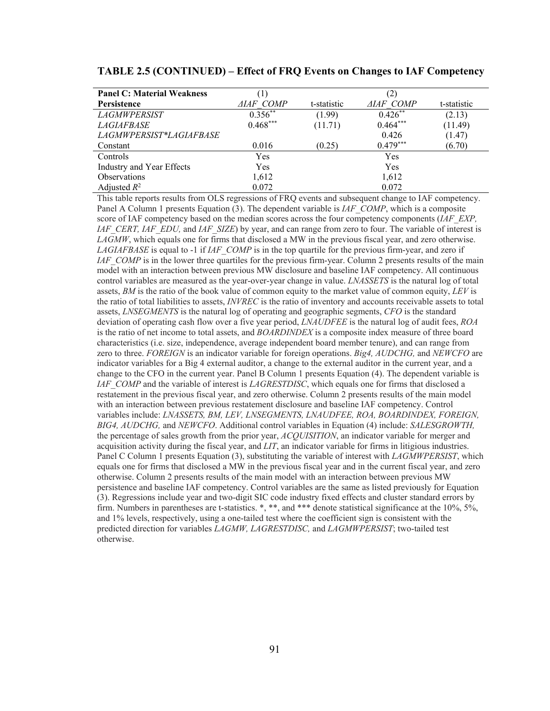| <b>Panel C: Material Weakness</b> | $\left(1\right)$ |             | $\left( 2\right)$ |             |
|-----------------------------------|------------------|-------------|-------------------|-------------|
| <b>Persistence</b>                | <i>AIAF COMP</i> | t-statistic | <b>AIAF COMP</b>  | t-statistic |
| <b>LAGMWPERSIST</b>               | $0.356**$        | (1.99)      | $0.426**$         | (2.13)      |
| <i>LAGIAFBASE</i>                 | $0.468***$       | (11.71)     | $0.464***$        | (11.49)     |
| LAGMWPERSIST*LAGIAFBASE           |                  |             | 0.426             | (1.47)      |
| Constant                          | 0.016            | (0.25)      | $0.479***$        | (6.70)      |
| Controls                          | Yes              |             | Yes               |             |
| Industry and Year Effects         | Yes              |             | Yes               |             |
| <b>Observations</b>               | 1,612            |             | 1,612             |             |
| Adjusted $R^2$                    | 0.072            |             | 0.072             |             |

#### **TABLE 2.5 (CONTINUED) – Effect of FRQ Events on Changes to IAF Competency**

This table reports results from OLS regressions of FRQ events and subsequent change to IAF competency. Panel A Column 1 presents Equation (3). The dependent variable is *IAF\_COMP*, which is a composite score of IAF competency based on the median scores across the four competency components (*IAF\_EXP*, *IAF\_CERT, IAF\_EDU, and IAF\_SIZE*) by year, and can range from zero to four. The variable of interest is *LAGMW*, which equals one for firms that disclosed a MW in the previous fiscal year, and zero otherwise. *LAGIAFBASE* is equal to -1 if *IAF\_COMP* is in the top quartile for the previous firm-year, and zero if *IAF\_COMP* is in the lower three quartiles for the previous firm-year. Column 2 presents results of the main model with an interaction between previous MW disclosure and baseline IAF competency. All continuous control variables are measured as the year-over-year change in value. *LNASSETS* is the natural log of total assets, *BM* is the ratio of the book value of common equity to the market value of common equity, *LEV* is the ratio of total liabilities to assets, *INVREC* is the ratio of inventory and accounts receivable assets to total assets, *LNSEGMENTS* is the natural log of operating and geographic segments, *CFO* is the standard deviation of operating cash flow over a five year period, *LNAUDFEE* is the natural log of audit fees, *ROA*  is the ratio of net income to total assets, and *BOARDINDEX* is a composite index measure of three board characteristics (i.e. size, independence, average independent board member tenure), and can range from zero to three. *FOREIGN* is an indicator variable for foreign operations. *Big4, AUDCHG,* and *NEWCFO* are indicator variables for a Big 4 external auditor, a change to the external auditor in the current year, and a change to the CFO in the current year. Panel B Column 1 presents Equation (4). The dependent variable is *IAF\_COMP* and the variable of interest is *LAGRESTDISC*, which equals one for firms that disclosed a restatement in the previous fiscal year, and zero otherwise. Column 2 presents results of the main model with an interaction between previous restatement disclosure and baseline IAF competency. Control variables include: *LNASSETS, BM, LEV, LNSEGMENTS, LNAUDFEE, ROA, BOARDINDEX, FOREIGN, BIG4, AUDCHG,* and *NEWCFO*. Additional control variables in Equation (4) include: *SALESGROWTH,*  the percentage of sales growth from the prior year, *ACQUISITION*, an indicator variable for merger and acquisition activity during the fiscal year, and *LIT*, an indicator variable for firms in litigious industries. Panel C Column 1 presents Equation (3), substituting the variable of interest with *LAGMWPERSIST*, which equals one for firms that disclosed a MW in the previous fiscal year and in the current fiscal year, and zero otherwise. Column 2 presents results of the main model with an interaction between previous MW persistence and baseline IAF competency. Control variables are the same as listed previously for Equation (3). Regressions include year and two-digit SIC code industry fixed effects and cluster standard errors by firm. Numbers in parentheses are t-statistics. \*, \*\*, and \*\*\* denote statistical significance at the 10%, 5%, and 1% levels, respectively, using a one-tailed test where the coefficient sign is consistent with the predicted direction for variables *LAGMW, LAGRESTDISC,* and *LAGMWPERSIST*; two-tailed test otherwise.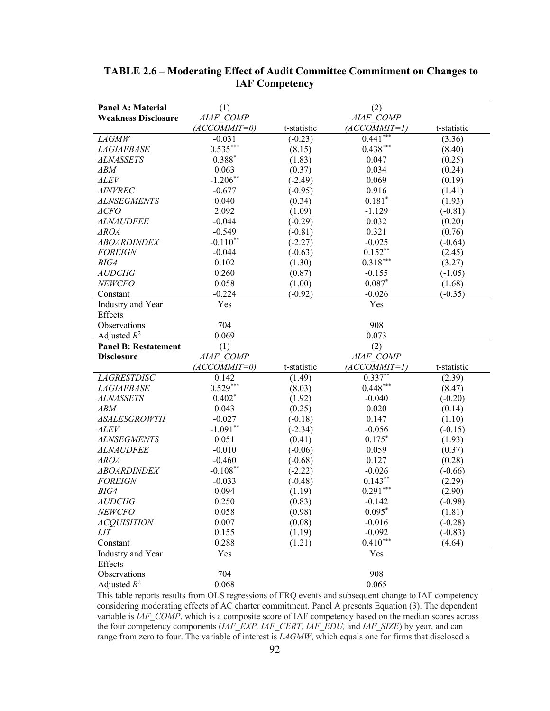| <b>Panel A: Material</b>    | (1)              |             | (2)                     |             |
|-----------------------------|------------------|-------------|-------------------------|-------------|
| <b>Weakness Disclosure</b>  | <b>AIAF COMP</b> |             | <b>AIAF COMP</b>        |             |
|                             | $(ACCOMMIT=0)$   | t-statistic | $(ACCOMMIT=1)$          | t-statistic |
| <b>LAGMW</b>                | $-0.031$         | $(-0.23)$   | $0.441***$              | (3.36)      |
| <b>LAGIAFBASE</b>           | $0.535***$       | (8.15)      | $0.438***$              | (8.40)      |
| <b>ALNASSETS</b>            | $0.388*$         | (1.83)      | 0.047                   | (0.25)      |
| $\triangle$ BM              | 0.063            | (0.37)      | 0.034                   | (0.24)      |
| $\triangle$ LEV             | $-1.206**$       | $(-2.49)$   | 0.069                   | (0.19)      |
| <b>AINVREC</b>              | $-0.677$         | $(-0.95)$   | 0.916                   | (1.41)      |
| <b>ALNSEGMENTS</b>          | 0.040            | (0.34)      | $0.181*$                | (1.93)      |
| $\triangle$ CFO             | 2.092            | (1.09)      | $-1.129$                | $(-0.81)$   |
| <b>ALNAUDFEE</b>            | $-0.044$         | $(-0.29)$   | 0.032                   | (0.20)      |
| $\triangle A$               | $-0.549$         | $(-0.81)$   | 0.321                   | (0.76)      |
| <b>ABOARDINDEX</b>          | $-0.110**$       | $(-2.27)$   | $-0.025$                | $(-0.64)$   |
| <b>FOREIGN</b>              | $-0.044$         | $(-0.63)$   | $0.152**$               | (2.45)      |
| BIG4                        | 0.102            | (1.30)      | $0.318***$              | (3.27)      |
| <b>AUDCHG</b>               | 0.260            | (0.87)      | $-0.155$                | $(-1.05)$   |
| <b>NEWCFO</b>               | 0.058            | (1.00)      | $0.087*$                | (1.68)      |
| Constant                    | $-0.224$         | $(-0.92)$   | $-0.026$                | $(-0.35)$   |
| Industry and Year           | Yes              |             | Yes                     |             |
| Effects                     |                  |             |                         |             |
| Observations                | 704              |             | 908                     |             |
| Adjusted $R^2$              | 0.069            |             | 0.073                   |             |
|                             |                  |             |                         |             |
| <b>Panel B: Restatement</b> | (1)              |             | (2)                     |             |
| <b>Disclosure</b>           | <b>AIAF COMP</b> |             | <b>AIAF COMP</b>        |             |
|                             | $(ACCOMMIT=0)$   | t-statistic | (ACCOMMIT=1)            | t-statistic |
| <b>LAGRESTDISC</b>          | 0.142            | (1.49)      |                         | (2.39)      |
| <b>LAGIAFBASE</b>           | $0.529***$       | (8.03)      | $0.337**$<br>$0.448***$ | (8.47)      |
| <b>ALNASSETS</b>            | $0.402*$         | (1.92)      | $-0.040$                | $(-0.20)$   |
| $\triangle$ BM              | 0.043            | (0.25)      | 0.020                   | (0.14)      |
| <b>ASALESGROWTH</b>         | $-0.027$         | $(-0.18)$   | 0.147                   | (1.10)      |
| <b>ALEV</b>                 | $-1.091**$       | $(-2.34)$   | $-0.056$                | $(-0.15)$   |
| <b>ALNSEGMENTS</b>          | 0.051            | (0.41)      | $0.175*$                | (1.93)      |
| <b>ALNAUDFEE</b>            | $-0.010$         | $(-0.06)$   | 0.059                   | (0.37)      |
| $\triangle ROA$             | $-0.460$         | $(-0.68)$   | 0.127                   | (0.28)      |
| <b>ABOARDINDEX</b>          | $-0.108**$       | $(-2.22)$   | $-0.026$                | $(-0.66)$   |
| <b>FOREIGN</b>              | $-0.033$         | $(-0.48)$   | $0.143***$              | (2.29)      |
| BIG4                        | 0.094            | (1.19)      | $0.291***$              | (2.90)      |
| AUDCHG                      | 0.250            | (0.83)      | $-0.142$                | $(-0.98)$   |
| <b>NEWCFO</b>               | 0.058            | (0.98)      | $0.095*$                | (1.81)      |
| <b>ACQUISITION</b>          | 0.007            | (0.08)      | $-0.016$                | $(-0.28)$   |
| LIТ                         | 0.155            | (1.19)      | $-0.092$                | $(-0.83)$   |
| Constant                    | 0.288            | (1.21)      | $0.410***$              | (4.64)      |
| Industry and Year           | Yes              |             | Yes                     |             |
| Effects                     |                  |             |                         |             |
| Observations                | 704              |             | 908                     |             |

# **TABLE 2.6 – Moderating Effect of Audit Committee Commitment on Changes to IAF Competency**

This table reports results from OLS regressions of FRQ events and subsequent change to IAF competency considering moderating effects of AC charter commitment. Panel A presents Equation (3). The dependent variable is *IAF\_COMP*, which is a composite score of IAF competency based on the median scores across the four competency components (*IAF\_EXP, IAF\_CERT, IAF\_EDU,* and *IAF\_SIZE*) by year, and can range from zero to four. The variable of interest is *LAGMW*, which equals one for firms that disclosed a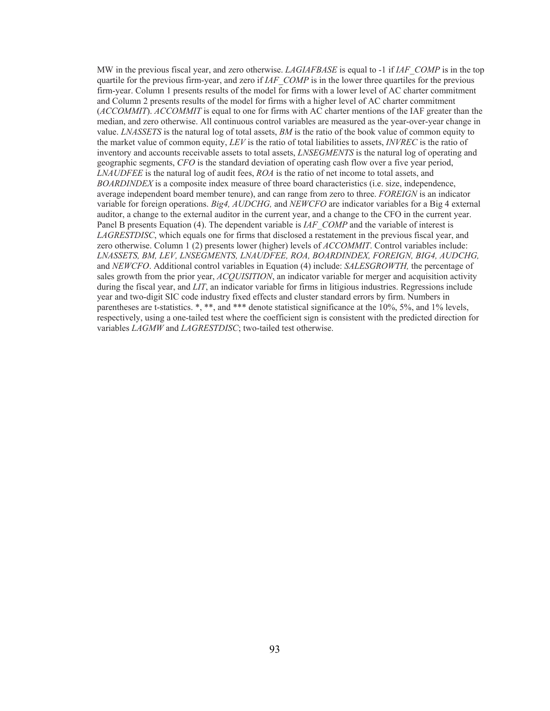MW in the previous fiscal year, and zero otherwise. *LAGIAFBASE* is equal to -1 if *IAF\_COMP* is in the top quartile for the previous firm-year, and zero if *IAF\_COMP* is in the lower three quartiles for the previous firm-year. Column 1 presents results of the model for firms with a lower level of AC charter commitment and Column 2 presents results of the model for firms with a higher level of AC charter commitment (*ACCOMMIT*). *ACCOMMIT* is equal to one for firms with AC charter mentions of the IAF greater than the median, and zero otherwise. All continuous control variables are measured as the year-over-year change in value. *LNASSETS* is the natural log of total assets, *BM* is the ratio of the book value of common equity to the market value of common equity, *LEV* is the ratio of total liabilities to assets, *INVREC* is the ratio of inventory and accounts receivable assets to total assets, *LNSEGMENTS* is the natural log of operating and geographic segments, *CFO* is the standard deviation of operating cash flow over a five year period, *LNAUDFEE* is the natural log of audit fees, *ROA* is the ratio of net income to total assets, and *BOARDINDEX* is a composite index measure of three board characteristics (i.e. size, independence, average independent board member tenure), and can range from zero to three. *FOREIGN* is an indicator variable for foreign operations. *Big4, AUDCHG,* and *NEWCFO* are indicator variables for a Big 4 external auditor, a change to the external auditor in the current year, and a change to the CFO in the current year. Panel B presents Equation (4). The dependent variable is *IAF\_COMP* and the variable of interest is *LAGRESTDISC*, which equals one for firms that disclosed a restatement in the previous fiscal year, and zero otherwise. Column 1 (2) presents lower (higher) levels of *ACCOMMIT*. Control variables include: *LNASSETS, BM, LEV, LNSEGMENTS, LNAUDFEE, ROA, BOARDINDEX, FOREIGN, BIG4, AUDCHG,*  and *NEWCFO*. Additional control variables in Equation (4) include: *SALESGROWTH,* the percentage of sales growth from the prior year, *ACQUISITION*, an indicator variable for merger and acquisition activity during the fiscal year, and *LIT*, an indicator variable for firms in litigious industries. Regressions include year and two-digit SIC code industry fixed effects and cluster standard errors by firm. Numbers in parentheses are t-statistics. \*, \*\*, and \*\*\* denote statistical significance at the 10%, 5%, and 1% levels, respectively, using a one-tailed test where the coefficient sign is consistent with the predicted direction for variables *LAGMW* and *LAGRESTDISC*; two-tailed test otherwise.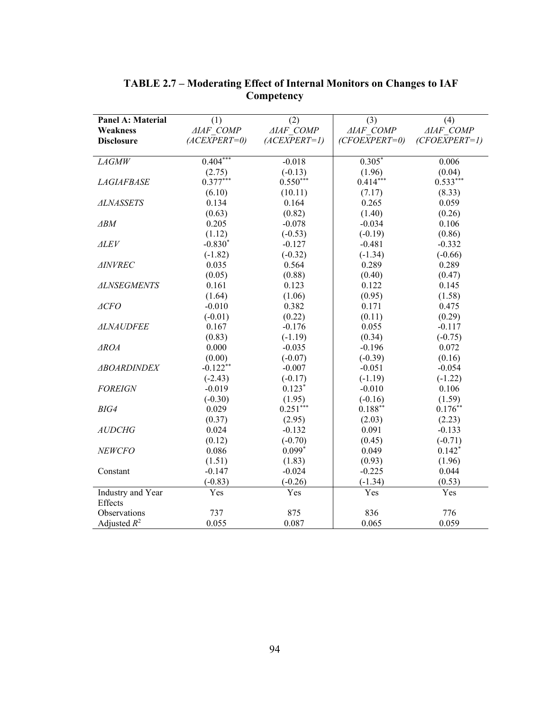| Panel A: Material            | (1)              | (2)              | (3)              | (4)              |
|------------------------------|------------------|------------------|------------------|------------------|
| <b>Weakness</b>              | <b>AIAF COMP</b> | <b>AIAF COMP</b> | <b>AIAF COMP</b> | <b>AIAF COMP</b> |
| <b>Disclosure</b>            | $(ACEXPERT=0)$   | $(ACEXPERT=1)$   | $(CFOEXPERT=0)$  | $(CFOEXPERT=1)$  |
| <b>LAGMW</b>                 | $0.404***$       | $-0.018$         | $0.305*$         | 0.006            |
|                              | (2.75)           | $(-0.13)$        | (1.96)           | (0.04)           |
| <b>LAGIAFBASE</b>            | $0.377***$       | $0.550***$       | $0.414***$       | $0.533***$       |
|                              | (6.10)           | (10.11)          | (7.17)           | (8.33)           |
| <b>ALNASSETS</b>             | 0.134            | 0.164            | 0.265            | 0.059            |
|                              | (0.63)           | (0.82)           | (1.40)           | (0.26)           |
| $\triangle$ BM               | 0.205            | $-0.078$         | $-0.034$         | 0.106            |
|                              | (1.12)           | $(-0.53)$        | $(-0.19)$        | (0.86)           |
| $\triangle$ LEV              | $-0.830*$        | $-0.127$         | $-0.481$         | $-0.332$         |
|                              | $(-1.82)$        | $(-0.32)$        | $(-1.34)$        | $(-0.66)$        |
| <b>AINVREC</b>               | 0.035            | 0.564            | 0.289            | 0.289            |
|                              | (0.05)           | (0.88)           | (0.40)           | (0.47)           |
| <b>ALNSEGMENTS</b>           | 0.161            | 0.123            | 0.122            | 0.145            |
|                              | (1.64)           | (1.06)           | (0.95)           | (1.58)           |
| ACFO                         | $-0.010$         | 0.382            | 0.171            | 0.475            |
|                              | $(-0.01)$        | (0.22)           | (0.11)           | (0.29)           |
| <b>ALNAUDFEE</b>             | 0.167            | $-0.176$         | 0.055            | $-0.117$         |
|                              | (0.83)           | $(-1.19)$        | (0.34)           | $(-0.75)$        |
| $\triangle$ ROA              | 0.000            | $-0.035$         | $-0.196$         | 0.072            |
|                              | (0.00)           | $(-0.07)$        | $(-0.39)$        | (0.16)           |
| <b>ABOARDINDEX</b>           | $-0.122**$       | $-0.007$         | $-0.051$         | $-0.054$         |
|                              | $(-2.43)$        | $(-0.17)$        | $(-1.19)$        | $(-1.22)$        |
| <b>FOREIGN</b>               | $-0.019$         | $0.123*$         | $-0.010$         | 0.106            |
|                              | $(-0.30)$        | (1.95)           | $(-0.16)$        | (1.59)           |
| BIG4                         | 0.029            | $0.251***$       | $0.188***$       | $0.176***$       |
|                              | (0.37)           | (2.95)           | (2.03)           | (2.23)           |
| <b>AUDCHG</b>                | 0.024            | $-0.132$         | 0.091            | $-0.133$         |
|                              | (0.12)           | $(-0.70)$        | (0.45)           | $(-0.71)$        |
| NEWCFO                       | 0.086            | $0.099*$         | 0.049            | $0.142*$         |
|                              | (1.51)           | (1.83)           | (0.93)           | (1.96)           |
| Constant                     | $-0.147$         | $-0.024$         | $-0.225$         | 0.044            |
|                              | $(-0.83)$        | $(-0.26)$        | $(-1.34)$        | (0.53)           |
| Industry and Year<br>Effects | Yes              | Yes              | Yes              | Yes              |
| Observations                 | 737              | 875              | 836              | 776              |
| Adjusted $R^2$               | 0.055            | 0.087            | 0.065            | 0.059            |

# **TABLE 2.7 – Moderating Effect of Internal Monitors on Changes to IAF Competency**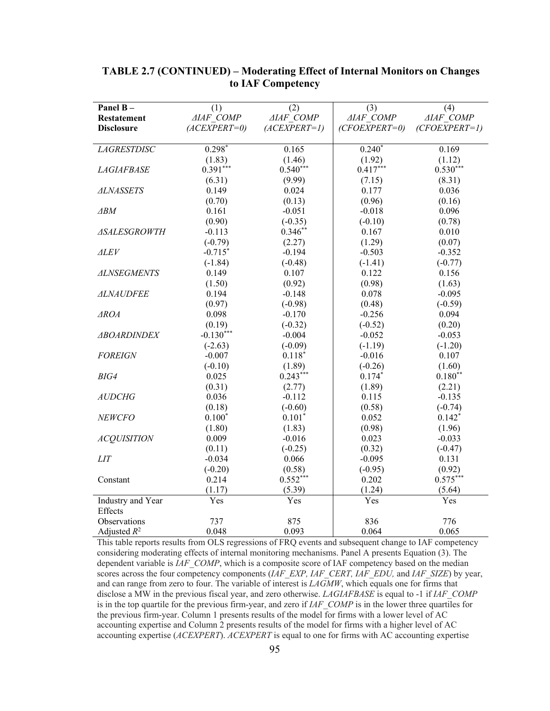|                     |                         | (2)              |                  |                         |
|---------------------|-------------------------|------------------|------------------|-------------------------|
| Panel B-            | (1)<br><b>AIAF COMP</b> | <b>AIAF COMP</b> | (3)              | (4)<br><b>AIAF COMP</b> |
| <b>Restatement</b>  |                         |                  | <b>AIAF COMP</b> |                         |
| <b>Disclosure</b>   | $(ACEXPERT=0)$          | $(ACEXPERT=1)$   | $(CFOEXPERT=0)$  | $(CFOEXPERT=1)$         |
| <b>LAGRESTDISC</b>  | $0.298*$                | 0.165            | $0.240*$         | 0.169                   |
|                     | (1.83)                  | (1.46)           | (1.92)           | (1.12)                  |
| <b>LAGIAFBASE</b>   | $0.391***$              | $0.540***$       | $0.417***$       | $0.530***$              |
|                     | (6.31)                  | (9.99)           | (7.15)           | (8.31)                  |
| <b>ALNASSETS</b>    | 0.149                   | 0.024            | 0.177            | 0.036                   |
|                     | (0.70)                  | (0.13)           | (0.96)           | (0.16)                  |
| $\triangle$ BM      | 0.161                   | $-0.051$         | $-0.018$         | 0.096                   |
|                     | (0.90)                  | $(-0.35)$        | $(-0.10)$        | (0.78)                  |
| <b>ASALESGROWTH</b> | $-0.113$                | $0.346**$        | 0.167            | 0.010                   |
|                     | $(-0.79)$               | (2.27)           | (1.29)           | (0.07)                  |
| $\triangle$ LEV     | $-0.715*$               | $-0.194$         | $-0.503$         | $-0.352$                |
|                     | $(-1.84)$               | $(-0.48)$        | $(-1.41)$        | $(-0.77)$               |
| <b>ALNSEGMENTS</b>  | 0.149                   | 0.107            | 0.122            | 0.156                   |
|                     | (1.50)                  | (0.92)           | (0.98)           | (1.63)                  |
| <b>ALNAUDFEE</b>    | 0.194                   | $-0.148$         | 0.078            | $-0.095$                |
|                     | (0.97)                  | $(-0.98)$        | (0.48)           | $(-0.59)$               |
| $\triangle A$       | 0.098                   | $-0.170$         | $-0.256$         | 0.094                   |
|                     | (0.19)                  | $(-0.32)$        | $(-0.52)$        | (0.20)                  |
| <b>ABOARDINDEX</b>  | $-0.130***$             | $-0.004$         | $-0.052$         | $-0.053$                |
|                     | $(-2.63)$               | $(-0.09)$        | $(-1.19)$        | $(-1.20)$               |
| <b>FOREIGN</b>      | $-0.007$                | $0.118*$         | $-0.016$         | 0.107                   |
|                     | $(-0.10)$               | (1.89)           | $(-0.26)$        | (1.60)                  |
| BIG4                | 0.025                   | $0.243***$       | $0.174*$         | $0.180**$               |
|                     | (0.31)                  | (2.77)           | (1.89)           | (2.21)                  |
| <b>AUDCHG</b>       | 0.036                   | $-0.112$         | 0.115            | $-0.135$                |
|                     | (0.18)                  | $(-0.60)$        | (0.58)           | $(-0.74)$               |
| <b>NEWCFO</b>       | $0.100*$                | $0.101*$         | 0.052            | $0.142*$                |
|                     | (1.80)                  | (1.83)           | (0.98)           | (1.96)                  |
| <b>ACQUISITION</b>  | 0.009                   | $-0.016$         | 0.023            | $-0.033$                |
|                     | (0.11)                  | $(-0.25)$        | (0.32)           | $(-0.47)$               |
| <b>LIT</b>          | $-0.034$                | 0.066            | $-0.095$         | 0.131                   |
|                     | $(-0.20)$               | (0.58)           | $(-0.95)$        | (0.92)                  |
| Constant            | 0.214                   | $0.552***$       | 0.202            | $0.575***$              |
|                     | (1.17)                  | (5.39)           | (1.24)           | (5.64)                  |
| Industry and Year   | Yes                     | Yes              | Yes              | Yes                     |
| Effects             |                         |                  |                  |                         |
| Observations        | 737                     | 875              | 836              | 776                     |
| Adjusted $R^2$      | 0.048                   | 0.093            | 0.064            | 0.065                   |

## **TABLE 2.7 (CONTINUED) – Moderating Effect of Internal Monitors on Changes to IAF Competency**

This table reports results from OLS regressions of FRQ events and subsequent change to IAF competency considering moderating effects of internal monitoring mechanisms. Panel A presents Equation (3). The dependent variable is *IAF\_COMP*, which is a composite score of IAF competency based on the median scores across the four competency components (*IAF\_EXP, IAF\_CERT, IAF\_EDU,* and *IAF\_SIZE*) by year, and can range from zero to four. The variable of interest is *LAGMW*, which equals one for firms that disclose a MW in the previous fiscal year, and zero otherwise. *LAGIAFBASE* is equal to -1 if *IAF\_COMP*  is in the top quartile for the previous firm-year, and zero if *IAF\_COMP* is in the lower three quartiles for the previous firm-year. Column 1 presents results of the model for firms with a lower level of AC accounting expertise and Column 2 presents results of the model for firms with a higher level of AC accounting expertise (*ACEXPERT*). *ACEXPERT* is equal to one for firms with AC accounting expertise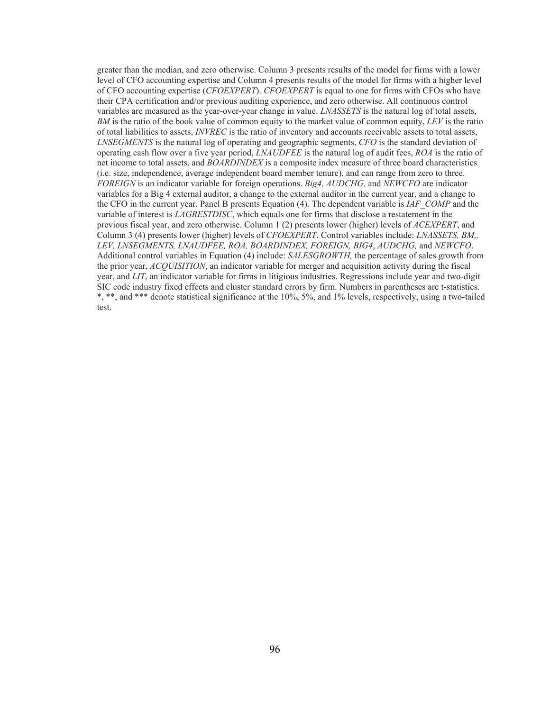greater than the median, and zero otherwise. Column 3 presents results of the model for firms with a lower level of CFO accounting expertise and Column 4 presents results of the model for firms with a higher level of CFO accounting expertise (*CFOEXPERT*). *CFOEXPERT* is equal to one for firms with CFOs who have their CPA certification and/or previous auditing experience, and zero otherwise. All continuous control variables are measured as the year-over-year change in value. *LNASSETS* is the natural log of total assets, *BM* is the ratio of the book value of common equity to the market value of common equity, *LEV* is the ratio of total liabilities to assets, *INVREC* is the ratio of inventory and accounts receivable assets to total assets, *LNSEGMENTS* is the natural log of operating and geographic segments, *CFO* is the standard deviation of operating cash flow over a five year period, *LNAUDFEE* is the natural log of audit fees, *ROA* is the ratio of net income to total assets, and *BOARDINDEX* is a composite index measure of three board characteristics (i.e. size, independence, average independent board member tenure), and can range from zero to three. *FOREIGN* is an indicator variable for foreign operations. *Big4, AUDCHG,* and *NEWCFO* are indicator variables for a Big 4 external auditor, a change to the external auditor in the current year, and a change to the CFO in the current year. Panel B presents Equation (4). The dependent variable is *IAF\_COMP* and the variable of interest is *LAGRESTDISC*, which equals one for firms that disclose a restatement in the previous fiscal year, and zero otherwise. Column 1 (2) presents lower (higher) levels of *ACEXPERT*, and Column 3 (4) presents lower (higher) levels of *CFOEXPERT*. Control variables include: *LNASSETS, BM,, LEV, LNSEGMENTS, LNAUDFEE, ROA, BOARDINDEX, FOREIGN, BIG4*, *AUDCHG,* and *NEWCFO*. Additional control variables in Equation (4) include: *SALESGROWTH,* the percentage of sales growth from the prior year, *ACQUISITION*, an indicator variable for merger and acquisition activity during the fiscal year, and *LIT*, an indicator variable for firms in litigious industries. Regressions include year and two-digit SIC code industry fixed effects and cluster standard errors by firm. Numbers in parentheses are t-statistics. \*, \*\*, and \*\*\* denote statistical significance at the 10%, 5%, and 1% levels, respectively, using a two-tailed test.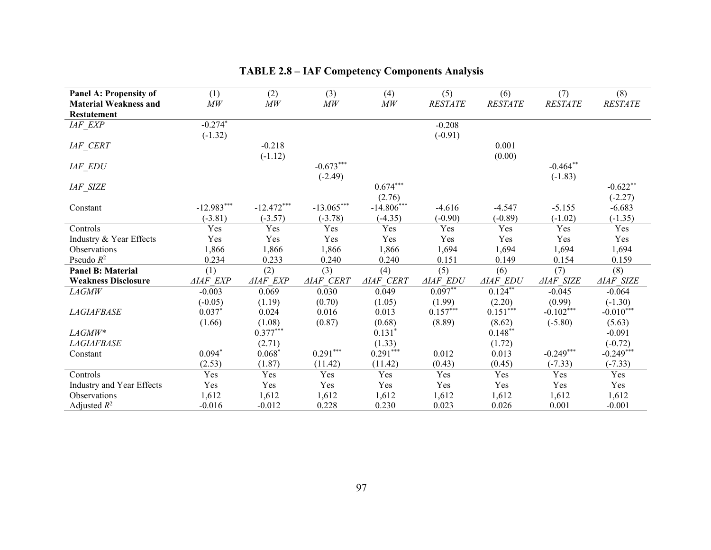| <b>Panel A: Propensity of</b> | (1)             | (2)             | (3)              | (4)              | (5)             | (6)             | (7)              | (8)              |
|-------------------------------|-----------------|-----------------|------------------|------------------|-----------------|-----------------|------------------|------------------|
| <b>Material Weakness and</b>  | MW              | M W             | MW               | MW               | <b>RESTATE</b>  | <b>RESTATE</b>  | $\it RESTATE$    | <b>RESTATE</b>   |
| <b>Restatement</b>            |                 |                 |                  |                  |                 |                 |                  |                  |
| IAF_EXP                       | $-0.274*$       |                 |                  |                  | $-0.208$        |                 |                  |                  |
|                               | $(-1.32)$       |                 |                  |                  | $(-0.91)$       |                 |                  |                  |
| $IAF$ <sub>_</sub> $CERT$     |                 | $-0.218$        |                  |                  |                 | 0.001           |                  |                  |
|                               |                 | $(-1.12)$       |                  |                  |                 | (0.00)          |                  |                  |
| IAF_EDU                       |                 |                 | $-0.673***$      |                  |                 |                 | $-0.464**$       |                  |
|                               |                 |                 | $(-2.49)$        |                  |                 |                 | $(-1.83)$        |                  |
| IAF_SIZE                      |                 |                 |                  | $0.674***$       |                 |                 |                  | $-0.622**$       |
|                               |                 |                 |                  | (2.76)           |                 |                 |                  | $(-2.27)$        |
| Constant                      | $-12.983***$    | $-12.472***$    | $-13.065***$     | $-14.806***$     | $-4.616$        | $-4.547$        | $-5.155$         | $-6.683$         |
|                               | $(-3.81)$       | $(-3.57)$       | $(-3.78)$        | $(-4.35)$        | $(-0.90)$       | $(-0.89)$       | $(-1.02)$        | $(-1.35)$        |
| Controls                      | Yes             | Yes             | Yes              | Yes              | Yes             | Yes             | Yes              | Yes              |
| Industry & Year Effects       | Yes             | Yes             | Yes              | Yes              | Yes             | Yes             | Yes              | Yes              |
| Observations                  | 1,866           | 1,866           | 1,866            | 1,866            | 1,694           | 1,694           | 1,694            | 1,694            |
| Pseudo $R^2$                  | 0.234           | 0.233           | 0.240            | 0.240            | 0.151           | 0.149           | 0.154            | 0.159            |
| <b>Panel B: Material</b>      | (1)             | (2)             | (3)              | (4)              | (5)             | (6)             | (7)              | (8)              |
| <b>Weakness Disclosure</b>    | <b>AIAF EXP</b> | <b>AIAF EXP</b> | <b>AIAF CERT</b> | <b>AIAF CERT</b> | <b>AIAF EDU</b> | <b>AIAF EDU</b> | <b>AIAF SIZE</b> | <b>AIAF SIZE</b> |
| $\it{LAGMW}$                  | $-0.003$        | 0.069           | 0.030            | 0.049            | $0.097**$       | $0.124***$      | $-0.045$         | $-0.064$         |
|                               | $(-0.05)$       | (1.19)          | (0.70)           | (1.05)           | (1.99)          | (2.20)          | (0.99)           | $(-1.30)$        |
| <b>LAGIAFBASE</b>             | $0.037*$        | 0.024           | 0.016            | 0.013            | $0.157***$      | $0.151***$      | $-0.102$ ***     | $-0.010***$      |
|                               | (1.66)          | (1.08)          | (0.87)           | (0.68)           | (8.89)          | (8.62)          | $(-5.80)$        | (5.63)           |
| $LAGMW^*$                     |                 | $0.377***$      |                  | $0.131*$         |                 | $0.148**$       |                  | $-0.091$         |
| <b>LAGIAFBASE</b>             |                 | (2.71)          |                  | (1.33)           |                 | (1.72)          |                  | $(-0.72)$        |
| Constant                      | $0.094*$        | $0.068*$        | $0.291***$       | $0.291***$       | 0.012           | 0.013           | $-0.249***$      | $-0.249***$      |
|                               | (2.53)          | (1.87)          | (11.42)          | (11.42)          | (0.43)          | (0.45)          | $(-7.33)$        | $(-7.33)$        |
| Controls                      | Yes             | Yes             | Yes              | Yes              | Yes             | Yes             | Yes              | Yes              |
| Industry and Year Effects     | Yes             | Yes             | Yes              | Yes              | Yes             | Yes             | Yes              | Yes              |
| <b>Observations</b>           | 1,612           | 1,612           | 1,612            | 1,612            | 1,612           | 1,612           | 1,612            | 1,612            |
| Adjusted $R^2$                | $-0.016$        | $-0.012$        | 0.228            | 0.230            | 0.023           | 0.026           | 0.001            | $-0.001$         |

# **TABLE 2.8 – IAF Competency Components Analysis**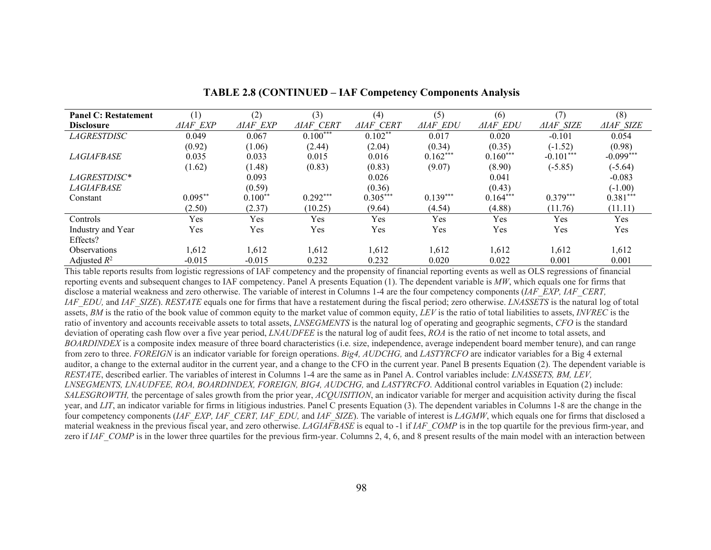| <b>Panel C: Restatement</b> | (1)             | (2)             | (3)              | (4)              | (5)             | (6)             | (7)              | (8)              |
|-----------------------------|-----------------|-----------------|------------------|------------------|-----------------|-----------------|------------------|------------------|
| <b>Disclosure</b>           | <i>AIAF EXP</i> | <b>AIAF EXP</b> | <b>AIAF CERT</b> | <b>AIAF CERT</b> | <b>AIAF EDU</b> | <b>AIAF EDU</b> | <b>AIAF SIZE</b> | <b>AIAF SIZE</b> |
| LAGRESTDISC                 | 0.049           | 0.067           | $0.100***$       | $0.102**$        | 0.017           | 0.020           | $-0.101$         | 0.054            |
|                             | (0.92)          | (1.06)          | (2.44)           | (2.04)           | (0.34)          | (0.35)          | $(-1.52)$        | (0.98)           |
| <i>LAGIAFBASE</i>           | 0.035           | 0.033           | 0.015            | 0.016            | $0.162***$      | $0.160***$      | $-0.101***$      | $-0.099***$      |
|                             | (1.62)          | (1.48)          | (0.83)           | (0.83)           | (9.07)          | (8.90)          | $(-5.85)$        | $(-5.64)$        |
| LAGRESTDISC*                |                 | 0.093           |                  | 0.026            |                 | 0.041           |                  | $-0.083$         |
| LAGIAFBASE                  |                 | (0.59)          |                  | (0.36)           |                 | (0.43)          |                  | $(-1.00)$        |
| Constant                    | $0.095***$      | $0.100**$       | $0.292***$       | $0.305***$       | $0.139***$      | $0.164***$      | $0.379***$       | $0.381***$       |
|                             | (2.50)          | (2.37)          | (10.25)          | (9.64)           | (4.54)          | (4.88)          | (11.76)          | (11.11)          |
| Controls                    | Yes             | Yes             | Yes              | Yes              | Yes             | Yes             | Yes              | Yes              |
| Industry and Year           | Yes             | Yes             | Yes              | Yes              | Yes             | Yes             | Yes              | Yes              |
| Effects?                    |                 |                 |                  |                  |                 |                 |                  |                  |
| Observations                | 1,612           | 1,612           | 1,612            | 1,612            | 1,612           | 1,612           | 1,612            | 1,612            |
| Adjusted $R^2$              | $-0.015$        | $-0.015$        | 0.232            | 0.232            | 0.020           | 0.022           | 0.001            | 0.001            |

#### **TABLE 2.8 (CONTINUED – IAF Competency Components Analysis**

This table reports results from logistic regressions of IAF competency and the propensity of financial reporting events as well as OLS regressions of financial reporting events and subsequent changes to IAF competency. Panel A presents Equation (1). The dependent variable is *MW*, which equals one for firms that disclose a material weakness and zero otherwise. The variable of interest in Columns 1-4 are the four competency components (*IAF\_EXP, IAF\_CERT, IAF\_EDU,* and *IAF\_SIZE*). *RESTATE* equals one for firms that have a restatement during the fiscal period; zero otherwise. *LNASSETS* is the natural log of total assets, *BM* is the ratio of the book value of common equity to the market value of common equity, *LEV* is the ratio of total liabilities to assets, *INVREC* is the ratio of inventory and accounts receivable assets to total assets, *LNSEGMENTS* is the natural log of operating and geographic segments, *CFO* is the standard deviation of operating cash flow over a five year period, *LNAUDFEE* is the natural log of audit fees, *ROA* is the ratio of net income to total assets, and *BOARDINDEX* is a composite index measure of three board characteristics (i.e. size, independence, average independent board member tenure), and can range from zero to three. *FOREIGN* is an indicator variable for foreign operations. *Big4, AUDCHG,* and *LASTYRCFO* are indicator variables for a Big 4 external auditor, a change to the external auditor in the current year, and a change to the CFO in the current year. Panel B presents Equation (2). The dependent variable is *RESTATE*, described earlier. The variables of interest in Columns 1-4 are the same as in Panel A. Control variables include: *LNASSETS, BM, LEV, LNSEGMENTS, LNAUDFEE, ROA, BOARDINDEX, FOREIGN, BIG4, AUDCHG,* and *LASTYRCFO*. Additional control variables in Equation (2) include: *SALESGROWTH,* the percentage of sales growth from the prior year, *ACQUISITION*, an indicator variable for merger and acquisition activity during the fiscal year, and *LIT*, an indicator variable for firms in litigious industries. Panel C presents Equation (3). The dependent variables in Columns 1-8 are the change in the four competency components (*IAF\_EXP, IAF\_CERT, IAF\_EDU,* and *IAF\_SIZE*). The variable of interest is *LAGMW*, which equals one for firms that disclosed a material weakness in the previous fiscal year, and zero otherwise. *LAGIAFBASE* is equal to -1 if *IAF\_COMP* is in the top quartile for the previous firm-year, and zero if *IAF\_COMP* is in the lower three quartiles for the previous firm-year. Columns 2, 4, 6, and 8 present results of the main model with an interaction between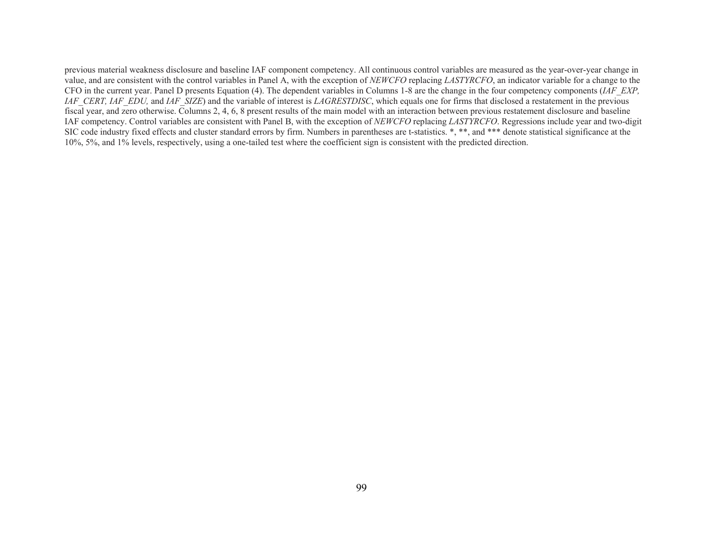previous material weakness disclosure and baseline IAF component competency. All continuous control variables are measured as the year-over-year change in value, and are consistent with the control variables in Panel A, with the exception of *NEWCFO* replacing *LASTYRCFO*, an indicator variable for a change to the CFO in the current year. Panel D presents Equation (4). The dependent variables in Columns 1-8 are the change in the four competency components (*IAF\_EXP, IAF\_CERT, IAF\_EDU,* and *IAF\_SIZE*) and the variable of interest is *LAGRESTDISC*, which equals one for firms that disclosed a restatement in the previous fiscal year, and zero otherwise. Columns 2, 4, 6, 8 present results of the main model with an interaction between previous restatement disclosure and baseline IAF competency. Control variables are consistent with Panel B, with the exception of *NEWCFO* replacing *LASTYRCFO*. Regressions include year and two-digit SIC code industry fixed effects and cluster standard errors by firm. Numbers in parentheses are t-statistics. \*, \*\*, and \*\*\* denote statistical significance at the 10%, 5%, and 1% levels, respectively, using a one-tailed test where the coefficient sign is consistent with the predicted direction.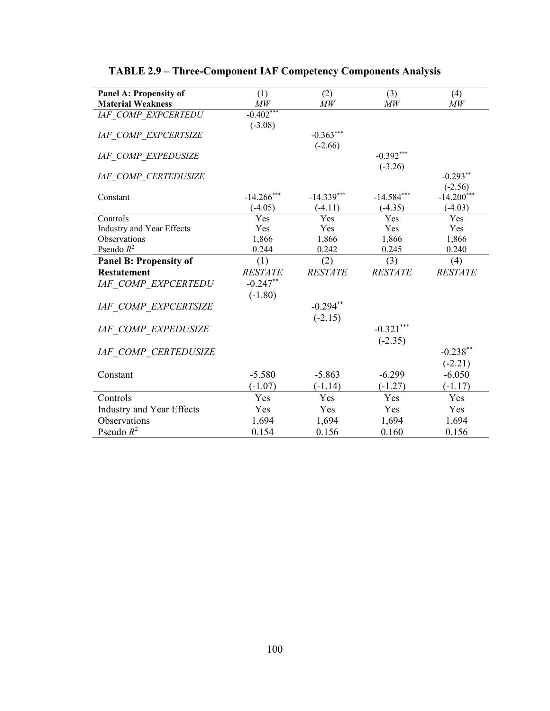| Panel A: Propensity of           | (1)            | (2)            | (3)             | (4)             |
|----------------------------------|----------------|----------------|-----------------|-----------------|
| <b>Material Weakness</b>         | M W            | MW             | $\overline{MW}$ | $\overline{MW}$ |
| <b>IAF COMP EXPCERTEDU</b>       | $-0.402***$    |                |                 |                 |
|                                  | $(-3.08)$      |                |                 |                 |
| <b>IAF COMP EXPCERTSIZE</b>      |                | $-0.363***$    |                 |                 |
|                                  |                | $(-2.66)$      |                 |                 |
| <b>IAF COMP EXPEDUSIZE</b>       |                |                | $-0.392***$     |                 |
|                                  |                |                | $(-3.26)$       |                 |
| <b>IAF COMP CERTEDUSIZE</b>      |                |                |                 | $-0.293**$      |
|                                  |                |                |                 | $(-2.56)$       |
| Constant                         | $-14.266***$   | $-14.339***$   | $-14.584***$    | $-14.200***$    |
|                                  | $(-4.05)$      | $(-4.11)$      | $(-4.35)$       | $(-4.03)$       |
| Controls                         | Yes            | Yes            | Yes             | Yes             |
| Industry and Year Effects        | Yes            | Yes            | Yes             | Yes             |
| Observations                     | 1,866          | 1,866          | 1,866           | 1,866           |
| Pseudo $R^2$                     | 0.244          | 0.242          | 0.245           | 0.240           |
| <b>Panel B: Propensity of</b>    | (1)            | (2)            | (3)             | (4)             |
| <b>Restatement</b>               | <b>RESTATE</b> | <b>RESTATE</b> | <b>RESTATE</b>  | <b>RESTATE</b>  |
| <b>IAF COMP EXPCERTEDU</b>       | $-0.247**$     |                |                 |                 |
|                                  | $(-1.80)$      |                |                 |                 |
| <b>IAF COMP EXPCERTSIZE</b>      |                | $-0.294**$     |                 |                 |
|                                  |                | $(-2.15)$      |                 |                 |
| <b>IAF COMP EXPEDUSIZE</b>       |                |                | $-0.321***$     |                 |
|                                  |                |                | $(-2.35)$       |                 |
|                                  |                |                |                 | $-0.238***$     |
| <b>IAF COMP CERTEDUSIZE</b>      |                |                |                 |                 |
|                                  |                |                |                 | $(-2.21)$       |
| Constant                         | $-5.580$       | $-5.863$       | $-6.299$        | $-6.050$        |
|                                  | $(-1.07)$      | $(-1.14)$      | $(-1.27)$       | $(-1.17)$       |
| Controls                         | Yes            | Yes            | Yes             | Yes             |
| <b>Industry and Year Effects</b> | Yes            | Yes            | Yes             | Yes             |
| Observations                     | 1,694          | 1,694          | 1,694           | 1,694           |
| Pseudo $R^2$                     | 0.154          | 0.156          | 0.160           | 0.156           |

# **TABLE 2.9 – Three-Component IAF Competency Components Analysis**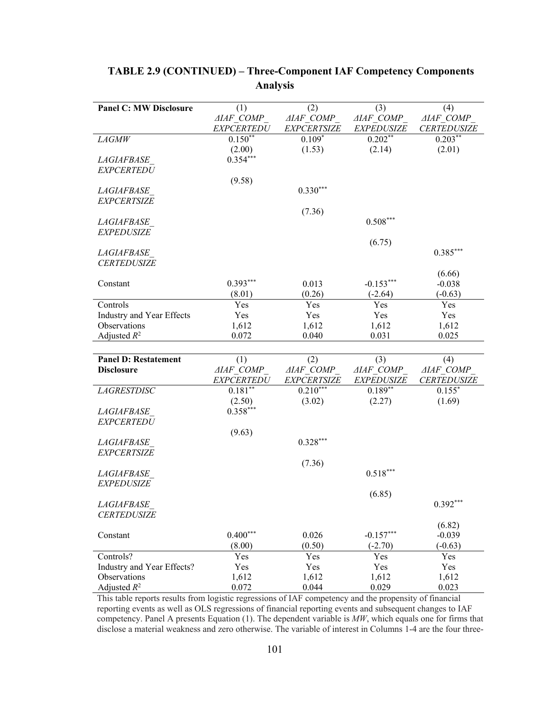| <b>Panel C: MW Disclosure</b><br>(1)<br>(2)<br>(3)                                         | (4)                |
|--------------------------------------------------------------------------------------------|--------------------|
| $\triangle IAF\_COMP$<br><b>AIAF COMP</b><br><b>AIAF COMP</b>                              | <b>AIAF COMP</b>   |
| <b>EXPCERTEDU</b><br><b>EXPCERTSIZE</b><br><b>EXPEDUSIZE</b>                               | <b>CERTEDUSIZE</b> |
| $0.202**$<br>LAGMW<br>$0.150**$<br>$0.109*$                                                | $0.203***$         |
| (1.53)<br>(2.14)<br>(2.00)                                                                 | (2.01)             |
| $0.354***$<br><i>LAGIAFBASE</i>                                                            |                    |
| <b>EXPCERTEDU</b>                                                                          |                    |
| (9.58)                                                                                     |                    |
| $0.330***$<br><i>LAGIAFBASE</i>                                                            |                    |
| <b>EXPCERTSIZE</b>                                                                         |                    |
| (7.36)                                                                                     |                    |
| $0.508***$<br><i>LAGIAFBASE</i>                                                            |                    |
| <b>EXPEDUSIZE</b>                                                                          |                    |
| (6.75)                                                                                     |                    |
| <b>LAGIAFBASE</b>                                                                          | $0.385***$         |
| <b>CERTEDUSIZE</b>                                                                         |                    |
|                                                                                            | (6.66)             |
| $0.393***$<br>0.013<br>$-0.153***$<br>Constant                                             | $-0.038$           |
| (0.26)<br>(8.01)<br>$(-2.64)$                                                              | $(-0.63)$          |
| Controls<br>Yes<br>Yes<br>Yes                                                              | Yes                |
| Industry and Year Effects<br>Yes<br>Yes<br>Yes                                             | Yes                |
| Observations<br>1,612<br>1,612<br>1,612                                                    | 1,612              |
| Adjusted $R^2$<br>0.072<br>0.040<br>0.031                                                  | 0.025              |
|                                                                                            |                    |
|                                                                                            |                    |
|                                                                                            |                    |
| <b>Panel D: Restatement</b><br>(1)<br>(2)<br>(3)                                           | (4)                |
| <b>AIAF COMP</b><br><b>AIAF COMP</b><br><b>AIAF COMP</b><br><b>Disclosure</b>              | <b>AIAF COMP</b>   |
| <b>EXPEDUSIZE</b><br><b>EXPCERTEDU</b><br>EXPCERTSIZE                                      | <b>CERTEDUSIZE</b> |
| $0.210***$<br>$0.181**$<br>$0.189**$<br><b>LAGRESTDISC</b>                                 | $0.155*$           |
| (3.02)<br>(2.50)<br>(2.27)                                                                 | (1.69)             |
| $0.358***$<br><i>LAGIAFBASE</i>                                                            |                    |
| <b>EXPCERTEDU</b>                                                                          |                    |
| (9.63)                                                                                     |                    |
| $0.328***$<br>LAGIAFBASE                                                                   |                    |
| <b>EXPCERTSIZE</b>                                                                         |                    |
| (7.36)                                                                                     |                    |
| $0.518***$<br><b>LAGIAFBASE</b>                                                            |                    |
| <b>EXPEDUSIZE</b>                                                                          |                    |
| (6.85)                                                                                     |                    |
| <b>LAGIAFBASE</b>                                                                          | $0.392***$         |
| <b>CERTEDUSIZE</b>                                                                         |                    |
|                                                                                            | (6.82)             |
| $0.400***$<br>$-0.157***$<br>0.026<br>Constant                                             | $-0.039$           |
| (0.50)<br>(8.00)<br>$(-2.70)$                                                              | $(-0.63)$          |
| Controls?<br>Yes<br>Yes<br>Yes                                                             | Yes                |
| Industry and Year Effects?<br>Yes<br>Yes<br>Yes<br>Observations<br>1,612<br>1,612<br>1,612 | Yes<br>1,612       |

# **TABLE 2.9 (CONTINUED) – Three-Component IAF Competency Components Analysis**

This table reports results from logistic regressions of IAF competency and the propensity of financial reporting events as well as OLS regressions of financial reporting events and subsequent changes to IAF competency. Panel A presents Equation (1). The dependent variable is *MW*, which equals one for firms that disclose a material weakness and zero otherwise. The variable of interest in Columns 1-4 are the four three-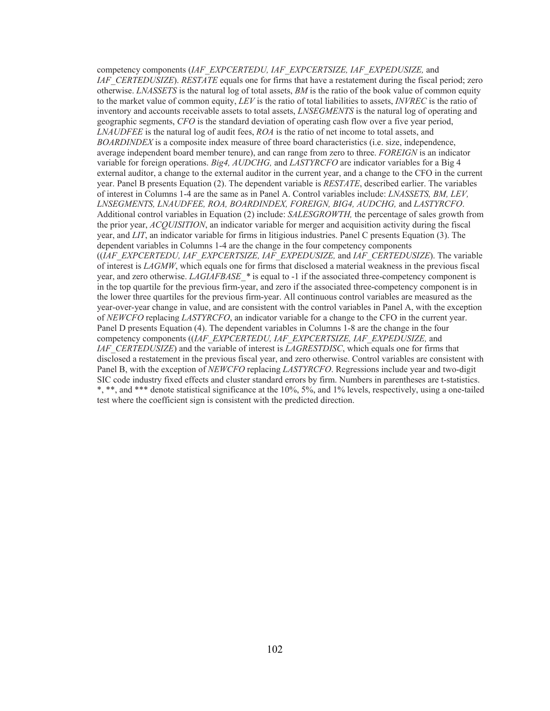competency components (*IAF\_EXPCERTEDU, IAF\_EXPCERTSIZE, IAF\_EXPEDUSIZE,* and *IAF\_CERTEDUSIZE*). *RESTATE* equals one for firms that have a restatement during the fiscal period; zero otherwise. *LNASSETS* is the natural log of total assets, *BM* is the ratio of the book value of common equity to the market value of common equity, *LEV* is the ratio of total liabilities to assets, *INVREC* is the ratio of inventory and accounts receivable assets to total assets, *LNSEGMENTS* is the natural log of operating and geographic segments, *CFO* is the standard deviation of operating cash flow over a five year period, *LNAUDFEE* is the natural log of audit fees, *ROA* is the ratio of net income to total assets, and *BOARDINDEX* is a composite index measure of three board characteristics (i.e. size, independence, average independent board member tenure), and can range from zero to three. *FOREIGN* is an indicator variable for foreign operations. *Big4, AUDCHG,* and *LASTYRCFO* are indicator variables for a Big 4 external auditor, a change to the external auditor in the current year, and a change to the CFO in the current year. Panel B presents Equation (2). The dependent variable is *RESTATE*, described earlier. The variables of interest in Columns 1-4 are the same as in Panel A. Control variables include: *LNASSETS, BM, LEV, LNSEGMENTS, LNAUDFEE, ROA, BOARDINDEX, FOREIGN, BIG4, AUDCHG,* and *LASTYRCFO*. Additional control variables in Equation (2) include: *SALESGROWTH,* the percentage of sales growth from the prior year, *ACQUISITION*, an indicator variable for merger and acquisition activity during the fiscal year, and *LIT*, an indicator variable for firms in litigious industries. Panel C presents Equation (3). The dependent variables in Columns 1-4 are the change in the four competency components ((*IAF\_EXPCERTEDU, IAF\_EXPCERTSIZE, IAF\_EXPEDUSIZE,* and *IAF\_CERTEDUSIZE*). The variable of interest is *LAGMW*, which equals one for firms that disclosed a material weakness in the previous fiscal year, and zero otherwise. *LAGIAFBASE* \* is equal to -1 if the associated three-competency component is in the top quartile for the previous firm-year, and zero if the associated three-competency component is in the lower three quartiles for the previous firm-year. All continuous control variables are measured as the year-over-year change in value, and are consistent with the control variables in Panel A, with the exception of *NEWCFO* replacing *LASTYRCFO*, an indicator variable for a change to the CFO in the current year. Panel D presents Equation (4). The dependent variables in Columns 1-8 are the change in the four competency components ((*IAF\_EXPCERTEDU, IAF\_EXPCERTSIZE, IAF\_EXPEDUSIZE,* and *IAF\_CERTEDUSIZE*) and the variable of interest is *LAGRESTDISC*, which equals one for firms that disclosed a restatement in the previous fiscal year, and zero otherwise. Control variables are consistent with Panel B, with the exception of *NEWCFO* replacing *LASTYRCFO*. Regressions include year and two-digit SIC code industry fixed effects and cluster standard errors by firm. Numbers in parentheses are t-statistics. \*, \*\*, and \*\*\* denote statistical significance at the 10%, 5%, and 1% levels, respectively, using a one-tailed test where the coefficient sign is consistent with the predicted direction.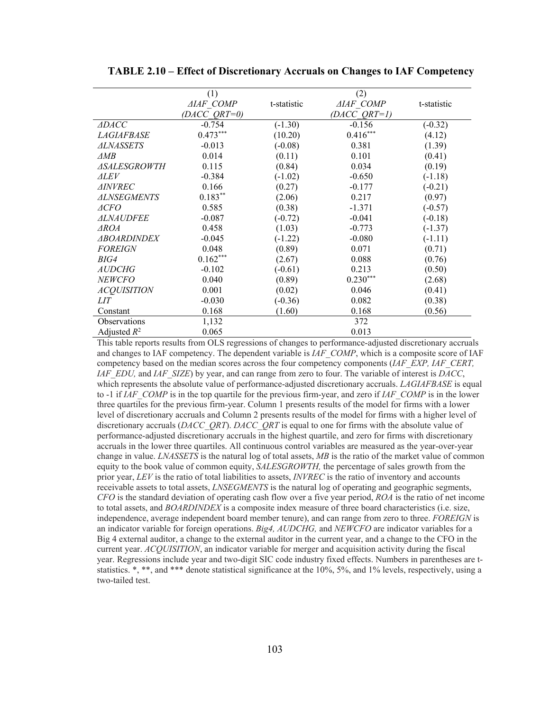|                     | (1)              |             | (2)              |             |
|---------------------|------------------|-------------|------------------|-------------|
|                     | <b>AIAF COMP</b> | t-statistic | <b>AIAF COMP</b> | t-statistic |
|                     | (DACC QRT=0)     |             | $(DACC\ ORT=1)$  |             |
| <b>ADACC</b>        | $-0.754$         | $(-1.30)$   | $-0.156$         | $(-0.32)$   |
| <i>LAGIAFBASE</i>   | $0.473***$       | (10.20)     | $0.416***$       | (4.12)      |
| <i>ALNASSETS</i>    | $-0.013$         | $(-0.08)$   | 0.381            | (1.39)      |
| ⊿MB                 | 0.014            | (0.11)      | 0.101            | (0.41)      |
| <i>ASALESGROWTH</i> | 0.115            | (0.84)      | 0.034            | (0.19)      |
| <i>ALEV</i>         | $-0.384$         | $(-1.02)$   | $-0.650$         | $(-1.18)$   |
| ⊿INVREC             | 0.166            | (0.27)      | $-0.177$         | $(-0.21)$   |
| <b>ALNSEGMENTS</b>  | $0.183**$        | (2.06)      | 0.217            | (0.97)      |
| ⊿CFO                | 0.585            | (0.38)      | $-1.371$         | $(-0.57)$   |
| <i>ALNAUDFEE</i>    | $-0.087$         | $(-0.72)$   | $-0.041$         | $(-0.18)$   |
| <i>AROA</i>         | 0.458            | (1.03)      | $-0.773$         | $(-1.37)$   |
| <b>ABOARDINDEX</b>  | $-0.045$         | $(-1.22)$   | $-0.080$         | $(-1.11)$   |
| <b>FOREIGN</b>      | 0.048            | (0.89)      | 0.071            | (0.71)      |
| BIG4                | $0.162***$       | (2.67)      | 0.088            | (0.76)      |
| <b>AUDCHG</b>       | $-0.102$         | $(-0.61)$   | 0.213            | (0.50)      |
| <b>NEWCFO</b>       | 0.040            | (0.89)      | $0.230***$       | (2.68)      |
| <b>ACQUISITION</b>  | 0.001            | (0.02)      | 0.046            | (0.41)      |
| <i>LIT</i>          | $-0.030$         | $(-0.36)$   | 0.082            | (0.38)      |
| Constant            | 0.168            | (1.60)      | 0.168            | (0.56)      |
| Observations        | 1,132            |             | 372              |             |
| Adjusted $R^2$      | 0.065            |             | 0.013            |             |

**TABLE 2.10 – Effect of Discretionary Accruals on Changes to IAF Competency** 

This table reports results from OLS regressions of changes to performance-adjusted discretionary accruals and changes to IAF competency. The dependent variable is *IAF\_COMP*, which is a composite score of IAF competency based on the median scores across the four competency components (*IAF\_EXP, IAF\_CERT, IAF\_EDU,* and *IAF\_SIZE*) by year, and can range from zero to four. The variable of interest is *DACC*, which represents the absolute value of performance-adjusted discretionary accruals. *LAGIAFBASE* is equal to -1 if *IAF\_COMP* is in the top quartile for the previous firm-year, and zero if *IAF\_COMP* is in the lower three quartiles for the previous firm-year. Column 1 presents results of the model for firms with a lower level of discretionary accruals and Column 2 presents results of the model for firms with a higher level of discretionary accruals (*DACC\_QRT*). *DACC\_QRT* is equal to one for firms with the absolute value of performance-adjusted discretionary accruals in the highest quartile, and zero for firms with discretionary accruals in the lower three quartiles. All continuous control variables are measured as the year-over-year change in value. *LNASSETS* is the natural log of total assets, *MB* is the ratio of the market value of common equity to the book value of common equity, *SALESGROWTH,* the percentage of sales growth from the prior year, *LEV* is the ratio of total liabilities to assets, *INVREC* is the ratio of inventory and accounts receivable assets to total assets, *LNSEGMENTS* is the natural log of operating and geographic segments, *CFO* is the standard deviation of operating cash flow over a five year period, *ROA* is the ratio of net income to total assets, and *BOARDINDEX* is a composite index measure of three board characteristics (i.e. size, independence, average independent board member tenure), and can range from zero to three. *FOREIGN* is an indicator variable for foreign operations. *Big4, AUDCHG,* and *NEWCFO* are indicator variables for a Big 4 external auditor, a change to the external auditor in the current year, and a change to the CFO in the current year. *ACQUISITION*, an indicator variable for merger and acquisition activity during the fiscal year. Regressions include year and two-digit SIC code industry fixed effects. Numbers in parentheses are tstatistics. \*, \*\*, and \*\*\* denote statistical significance at the 10%, 5%, and 1% levels, respectively, using a two-tailed test.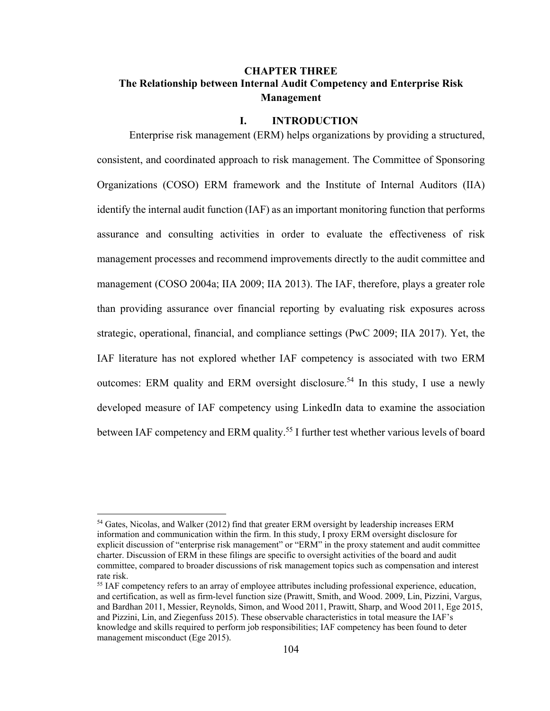# **CHAPTER THREE The Relationship between Internal Audit Competency and Enterprise Risk Management**

#### **I. INTRODUCTION**

Enterprise risk management (ERM) helps organizations by providing a structured, consistent, and coordinated approach to risk management. The Committee of Sponsoring Organizations (COSO) ERM framework and the Institute of Internal Auditors (IIA) identify the internal audit function (IAF) as an important monitoring function that performs assurance and consulting activities in order to evaluate the effectiveness of risk management processes and recommend improvements directly to the audit committee and management (COSO 2004a; IIA 2009; IIA 2013). The IAF, therefore, plays a greater role than providing assurance over financial reporting by evaluating risk exposures across strategic, operational, financial, and compliance settings (PwC 2009; IIA 2017). Yet, the IAF literature has not explored whether IAF competency is associated with two ERM outcomes: ERM quality and ERM oversight disclosure.<sup>54</sup> In this study, I use a newly developed measure of IAF competency using LinkedIn data to examine the association between IAF competency and ERM quality.<sup>55</sup> I further test whether various levels of board

 $\overline{a}$ 

<sup>&</sup>lt;sup>54</sup> Gates, Nicolas, and Walker (2012) find that greater ERM oversight by leadership increases ERM information and communication within the firm. In this study, I proxy ERM oversight disclosure for explicit discussion of "enterprise risk management" or "ERM" in the proxy statement and audit committee charter. Discussion of ERM in these filings are specific to oversight activities of the board and audit committee, compared to broader discussions of risk management topics such as compensation and interest rate risk.

<sup>&</sup>lt;sup>55</sup> IAF competency refers to an array of employee attributes including professional experience, education, and certification, as well as firm-level function size (Prawitt, Smith, and Wood. 2009, Lin, Pizzini, Vargus, and Bardhan 2011, Messier, Reynolds, Simon, and Wood 2011, Prawitt, Sharp, and Wood 2011, Ege 2015, and Pizzini, Lin, and Ziegenfuss 2015). These observable characteristics in total measure the IAF's knowledge and skills required to perform job responsibilities; IAF competency has been found to deter management misconduct (Ege 2015).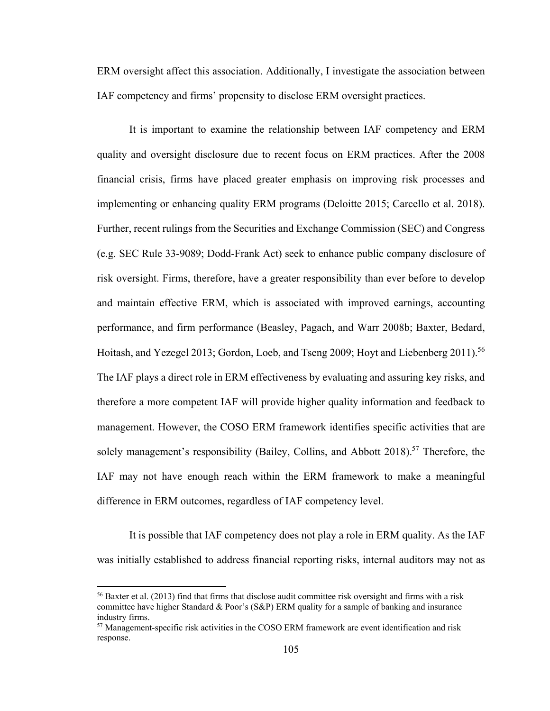ERM oversight affect this association. Additionally, I investigate the association between IAF competency and firms' propensity to disclose ERM oversight practices.

It is important to examine the relationship between IAF competency and ERM quality and oversight disclosure due to recent focus on ERM practices. After the 2008 financial crisis, firms have placed greater emphasis on improving risk processes and implementing or enhancing quality ERM programs (Deloitte 2015; Carcello et al. 2018). Further, recent rulings from the Securities and Exchange Commission (SEC) and Congress (e.g. SEC Rule 33-9089; Dodd-Frank Act) seek to enhance public company disclosure of risk oversight. Firms, therefore, have a greater responsibility than ever before to develop and maintain effective ERM, which is associated with improved earnings, accounting performance, and firm performance (Beasley, Pagach, and Warr 2008b; Baxter, Bedard, Hoitash, and Yezegel 2013; Gordon, Loeb, and Tseng 2009; Hoyt and Liebenberg 2011).<sup>56</sup> The IAF plays a direct role in ERM effectiveness by evaluating and assuring key risks, and therefore a more competent IAF will provide higher quality information and feedback to management. However, the COSO ERM framework identifies specific activities that are solely management's responsibility (Bailey, Collins, and Abbott 2018).<sup>57</sup> Therefore, the IAF may not have enough reach within the ERM framework to make a meaningful difference in ERM outcomes, regardless of IAF competency level.

It is possible that IAF competency does not play a role in ERM quality. As the IAF was initially established to address financial reporting risks, internal auditors may not as

1

<sup>&</sup>lt;sup>56</sup> Baxter et al. (2013) find that firms that disclose audit committee risk oversight and firms with a risk committee have higher Standard & Poor's (S&P) ERM quality for a sample of banking and insurance industry firms.

 $57$  Management-specific risk activities in the COSO ERM framework are event identification and risk response.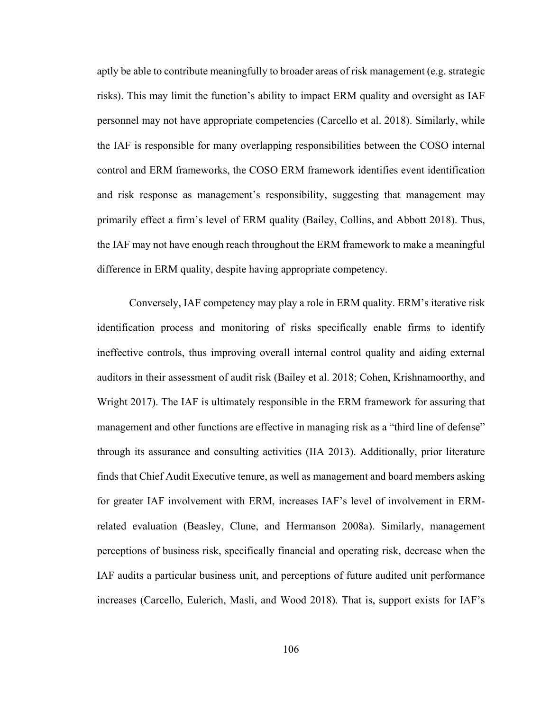aptly be able to contribute meaningfully to broader areas of risk management (e.g. strategic risks). This may limit the function's ability to impact ERM quality and oversight as IAF personnel may not have appropriate competencies (Carcello et al. 2018). Similarly, while the IAF is responsible for many overlapping responsibilities between the COSO internal control and ERM frameworks, the COSO ERM framework identifies event identification and risk response as management's responsibility, suggesting that management may primarily effect a firm's level of ERM quality (Bailey, Collins, and Abbott 2018). Thus, the IAF may not have enough reach throughout the ERM framework to make a meaningful difference in ERM quality, despite having appropriate competency.

Conversely, IAF competency may play a role in ERM quality. ERM's iterative risk identification process and monitoring of risks specifically enable firms to identify ineffective controls, thus improving overall internal control quality and aiding external auditors in their assessment of audit risk (Bailey et al. 2018; Cohen, Krishnamoorthy, and Wright 2017). The IAF is ultimately responsible in the ERM framework for assuring that management and other functions are effective in managing risk as a "third line of defense" through its assurance and consulting activities (IIA 2013). Additionally, prior literature finds that Chief Audit Executive tenure, as well as management and board members asking for greater IAF involvement with ERM, increases IAF's level of involvement in ERMrelated evaluation (Beasley, Clune, and Hermanson 2008a). Similarly, management perceptions of business risk, specifically financial and operating risk, decrease when the IAF audits a particular business unit, and perceptions of future audited unit performance increases (Carcello, Eulerich, Masli, and Wood 2018). That is, support exists for IAF's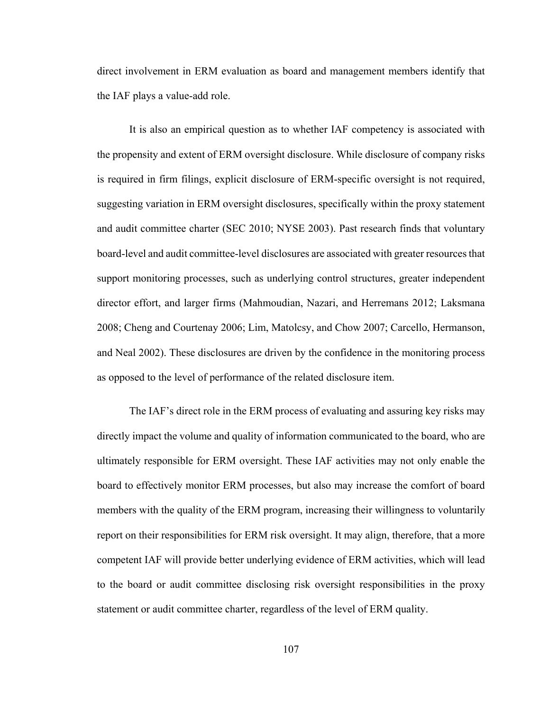direct involvement in ERM evaluation as board and management members identify that the IAF plays a value-add role.

It is also an empirical question as to whether IAF competency is associated with the propensity and extent of ERM oversight disclosure. While disclosure of company risks is required in firm filings, explicit disclosure of ERM-specific oversight is not required, suggesting variation in ERM oversight disclosures, specifically within the proxy statement and audit committee charter (SEC 2010; NYSE 2003). Past research finds that voluntary board-level and audit committee-level disclosures are associated with greater resources that support monitoring processes, such as underlying control structures, greater independent director effort, and larger firms (Mahmoudian, Nazari, and Herremans 2012; Laksmana 2008; Cheng and Courtenay 2006; Lim, Matolcsy, and Chow 2007; Carcello, Hermanson, and Neal 2002). These disclosures are driven by the confidence in the monitoring process as opposed to the level of performance of the related disclosure item.

The IAF's direct role in the ERM process of evaluating and assuring key risks may directly impact the volume and quality of information communicated to the board, who are ultimately responsible for ERM oversight. These IAF activities may not only enable the board to effectively monitor ERM processes, but also may increase the comfort of board members with the quality of the ERM program, increasing their willingness to voluntarily report on their responsibilities for ERM risk oversight. It may align, therefore, that a more competent IAF will provide better underlying evidence of ERM activities, which will lead to the board or audit committee disclosing risk oversight responsibilities in the proxy statement or audit committee charter, regardless of the level of ERM quality.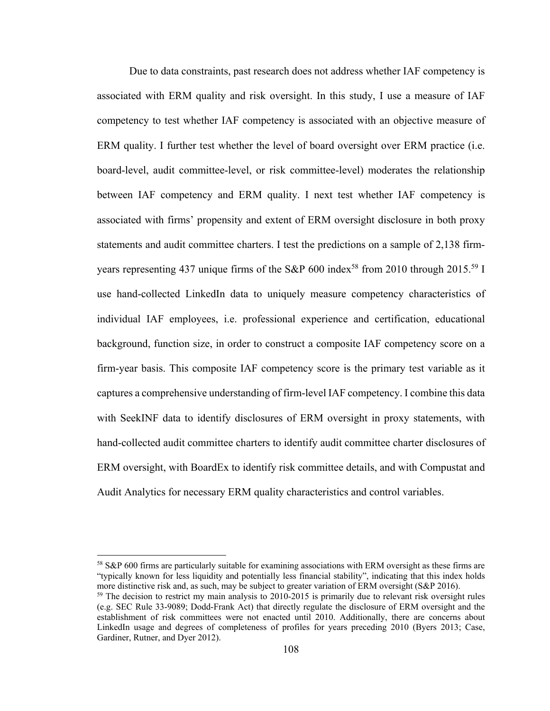Due to data constraints, past research does not address whether IAF competency is associated with ERM quality and risk oversight. In this study, I use a measure of IAF competency to test whether IAF competency is associated with an objective measure of ERM quality. I further test whether the level of board oversight over ERM practice (i.e. board-level, audit committee-level, or risk committee-level) moderates the relationship between IAF competency and ERM quality. I next test whether IAF competency is associated with firms' propensity and extent of ERM oversight disclosure in both proxy statements and audit committee charters. I test the predictions on a sample of 2,138 firmyears representing 437 unique firms of the S&P 600 index<sup>58</sup> from 2010 through 2015.<sup>59</sup> I use hand-collected LinkedIn data to uniquely measure competency characteristics of individual IAF employees, i.e. professional experience and certification, educational background, function size, in order to construct a composite IAF competency score on a firm-year basis. This composite IAF competency score is the primary test variable as it captures a comprehensive understanding of firm-level IAF competency. I combine this data with SeekINF data to identify disclosures of ERM oversight in proxy statements, with hand-collected audit committee charters to identify audit committee charter disclosures of ERM oversight, with BoardEx to identify risk committee details, and with Compustat and Audit Analytics for necessary ERM quality characteristics and control variables.

1

<sup>58</sup> S&P 600 firms are particularly suitable for examining associations with ERM oversight as these firms are "typically known for less liquidity and potentially less financial stability", indicating that this index holds more distinctive risk and, as such, may be subject to greater variation of ERM oversight (S&P 2016).

 $59$  The decision to restrict my main analysis to 2010-2015 is primarily due to relevant risk oversight rules (e.g. SEC Rule 33-9089; Dodd-Frank Act) that directly regulate the disclosure of ERM oversight and the establishment of risk committees were not enacted until 2010. Additionally, there are concerns about LinkedIn usage and degrees of completeness of profiles for years preceding 2010 (Byers 2013; Case, Gardiner, Rutner, and Dyer 2012).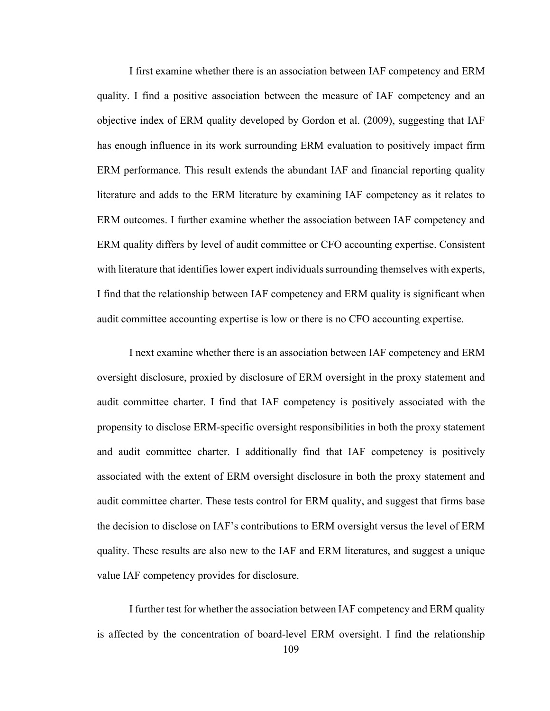I first examine whether there is an association between IAF competency and ERM quality. I find a positive association between the measure of IAF competency and an objective index of ERM quality developed by Gordon et al. (2009), suggesting that IAF has enough influence in its work surrounding ERM evaluation to positively impact firm ERM performance. This result extends the abundant IAF and financial reporting quality literature and adds to the ERM literature by examining IAF competency as it relates to ERM outcomes. I further examine whether the association between IAF competency and ERM quality differs by level of audit committee or CFO accounting expertise. Consistent with literature that identifies lower expert individuals surrounding themselves with experts, I find that the relationship between IAF competency and ERM quality is significant when audit committee accounting expertise is low or there is no CFO accounting expertise.

I next examine whether there is an association between IAF competency and ERM oversight disclosure, proxied by disclosure of ERM oversight in the proxy statement and audit committee charter. I find that IAF competency is positively associated with the propensity to disclose ERM-specific oversight responsibilities in both the proxy statement and audit committee charter. I additionally find that IAF competency is positively associated with the extent of ERM oversight disclosure in both the proxy statement and audit committee charter. These tests control for ERM quality, and suggest that firms base the decision to disclose on IAF's contributions to ERM oversight versus the level of ERM quality. These results are also new to the IAF and ERM literatures, and suggest a unique value IAF competency provides for disclosure.

I further test for whether the association between IAF competency and ERM quality is affected by the concentration of board-level ERM oversight. I find the relationship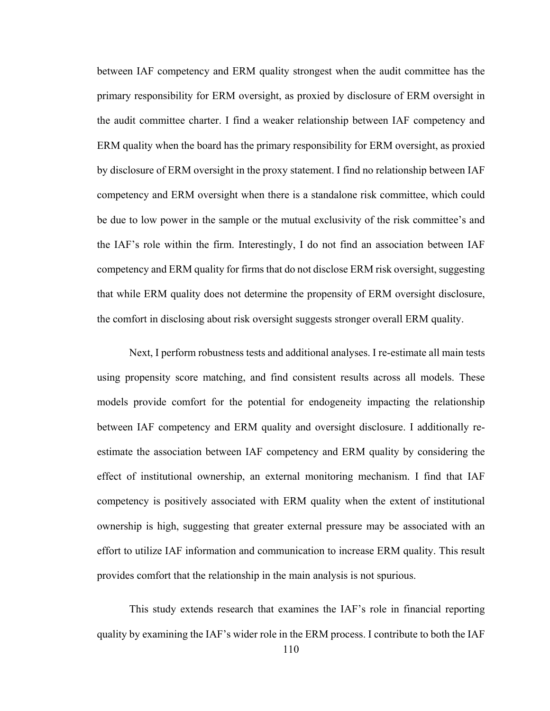between IAF competency and ERM quality strongest when the audit committee has the primary responsibility for ERM oversight, as proxied by disclosure of ERM oversight in the audit committee charter. I find a weaker relationship between IAF competency and ERM quality when the board has the primary responsibility for ERM oversight, as proxied by disclosure of ERM oversight in the proxy statement. I find no relationship between IAF competency and ERM oversight when there is a standalone risk committee, which could be due to low power in the sample or the mutual exclusivity of the risk committee's and the IAF's role within the firm. Interestingly, I do not find an association between IAF competency and ERM quality for firms that do not disclose ERM risk oversight, suggesting that while ERM quality does not determine the propensity of ERM oversight disclosure, the comfort in disclosing about risk oversight suggests stronger overall ERM quality.

Next, I perform robustness tests and additional analyses. I re-estimate all main tests using propensity score matching, and find consistent results across all models. These models provide comfort for the potential for endogeneity impacting the relationship between IAF competency and ERM quality and oversight disclosure. I additionally reestimate the association between IAF competency and ERM quality by considering the effect of institutional ownership, an external monitoring mechanism. I find that IAF competency is positively associated with ERM quality when the extent of institutional ownership is high, suggesting that greater external pressure may be associated with an effort to utilize IAF information and communication to increase ERM quality. This result provides comfort that the relationship in the main analysis is not spurious.

This study extends research that examines the IAF's role in financial reporting quality by examining the IAF's wider role in the ERM process. I contribute to both the IAF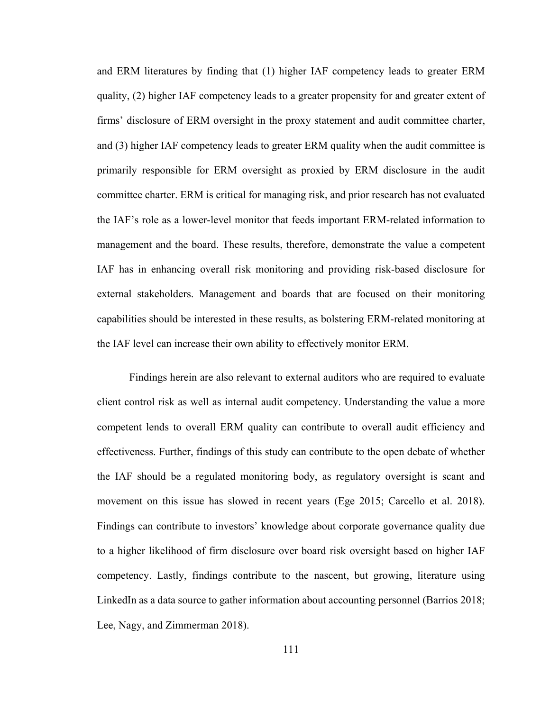and ERM literatures by finding that (1) higher IAF competency leads to greater ERM quality, (2) higher IAF competency leads to a greater propensity for and greater extent of firms' disclosure of ERM oversight in the proxy statement and audit committee charter, and (3) higher IAF competency leads to greater ERM quality when the audit committee is primarily responsible for ERM oversight as proxied by ERM disclosure in the audit committee charter. ERM is critical for managing risk, and prior research has not evaluated the IAF's role as a lower-level monitor that feeds important ERM-related information to management and the board. These results, therefore, demonstrate the value a competent IAF has in enhancing overall risk monitoring and providing risk-based disclosure for external stakeholders. Management and boards that are focused on their monitoring capabilities should be interested in these results, as bolstering ERM-related monitoring at the IAF level can increase their own ability to effectively monitor ERM.

Findings herein are also relevant to external auditors who are required to evaluate client control risk as well as internal audit competency. Understanding the value a more competent lends to overall ERM quality can contribute to overall audit efficiency and effectiveness. Further, findings of this study can contribute to the open debate of whether the IAF should be a regulated monitoring body, as regulatory oversight is scant and movement on this issue has slowed in recent years (Ege 2015; Carcello et al. 2018). Findings can contribute to investors' knowledge about corporate governance quality due to a higher likelihood of firm disclosure over board risk oversight based on higher IAF competency. Lastly, findings contribute to the nascent, but growing, literature using LinkedIn as a data source to gather information about accounting personnel (Barrios 2018; Lee, Nagy, and Zimmerman 2018).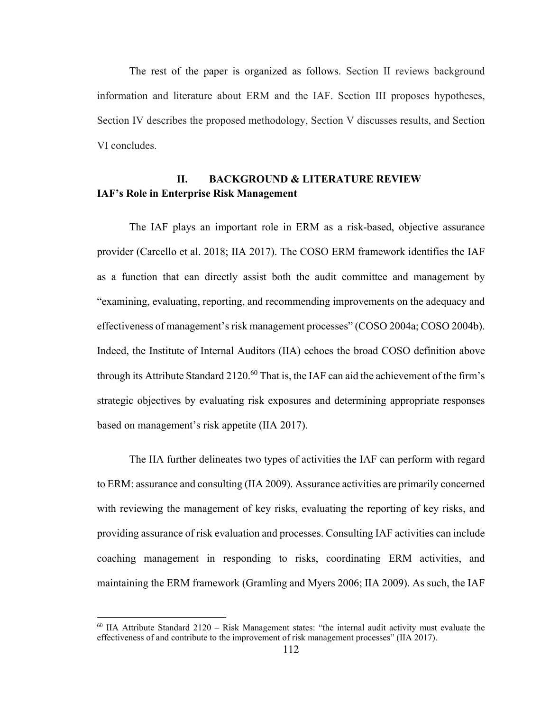The rest of the paper is organized as follows. Section II reviews background information and literature about ERM and the IAF. Section III proposes hypotheses, Section IV describes the proposed methodology, Section V discusses results, and Section VI concludes.

# **II. BACKGROUND & LITERATURE REVIEW IAF's Role in Enterprise Risk Management**

The IAF plays an important role in ERM as a risk-based, objective assurance provider (Carcello et al. 2018; IIA 2017). The COSO ERM framework identifies the IAF as a function that can directly assist both the audit committee and management by "examining, evaluating, reporting, and recommending improvements on the adequacy and effectiveness of management's risk management processes" (COSO 2004a; COSO 2004b). Indeed, the Institute of Internal Auditors (IIA) echoes the broad COSO definition above through its Attribute Standard 2120.<sup>60</sup> That is, the IAF can aid the achievement of the firm's strategic objectives by evaluating risk exposures and determining appropriate responses based on management's risk appetite (IIA 2017).

The IIA further delineates two types of activities the IAF can perform with regard to ERM: assurance and consulting (IIA 2009). Assurance activities are primarily concerned with reviewing the management of key risks, evaluating the reporting of key risks, and providing assurance of risk evaluation and processes. Consulting IAF activities can include coaching management in responding to risks, coordinating ERM activities, and maintaining the ERM framework (Gramling and Myers 2006; IIA 2009). As such, the IAF

 $\overline{a}$ 

 $60$  IIA Attribute Standard 2120 – Risk Management states: "the internal audit activity must evaluate the effectiveness of and contribute to the improvement of risk management processes" (IIA 2017).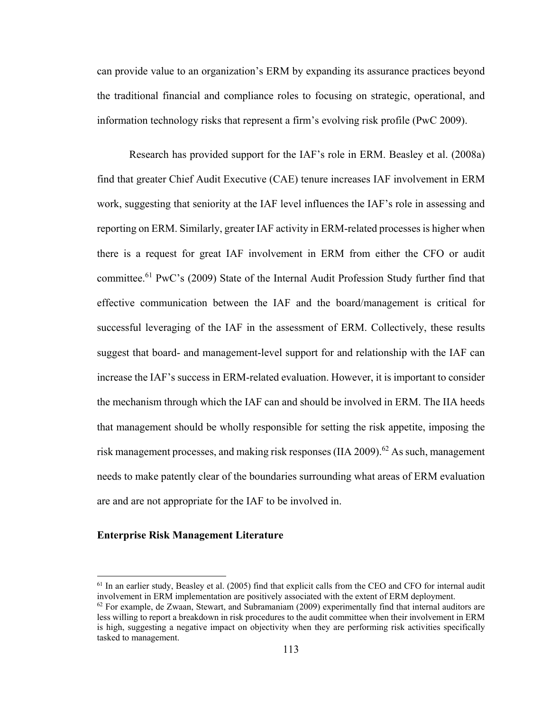can provide value to an organization's ERM by expanding its assurance practices beyond the traditional financial and compliance roles to focusing on strategic, operational, and information technology risks that represent a firm's evolving risk profile (PwC 2009).

Research has provided support for the IAF's role in ERM. Beasley et al. (2008a) find that greater Chief Audit Executive (CAE) tenure increases IAF involvement in ERM work, suggesting that seniority at the IAF level influences the IAF's role in assessing and reporting on ERM. Similarly, greater IAF activity in ERM-related processes is higher when there is a request for great IAF involvement in ERM from either the CFO or audit committee.61 PwC's (2009) State of the Internal Audit Profession Study further find that effective communication between the IAF and the board/management is critical for successful leveraging of the IAF in the assessment of ERM. Collectively, these results suggest that board- and management-level support for and relationship with the IAF can increase the IAF's success in ERM-related evaluation. However, it is important to consider the mechanism through which the IAF can and should be involved in ERM. The IIA heeds that management should be wholly responsible for setting the risk appetite, imposing the risk management processes, and making risk responses (IIA 2009).<sup>62</sup> As such, management needs to make patently clear of the boundaries surrounding what areas of ERM evaluation are and are not appropriate for the IAF to be involved in.

## **Enterprise Risk Management Literature**

 $\overline{\phantom{a}}$ 

<sup>&</sup>lt;sup>61</sup> In an earlier study, Beasley et al. (2005) find that explicit calls from the CEO and CFO for internal audit involvement in ERM implementation are positively associated with the extent of ERM deployment.

 $62$  For example, de Zwaan, Stewart, and Subramaniam (2009) experimentally find that internal auditors are less willing to report a breakdown in risk procedures to the audit committee when their involvement in ERM is high, suggesting a negative impact on objectivity when they are performing risk activities specifically tasked to management.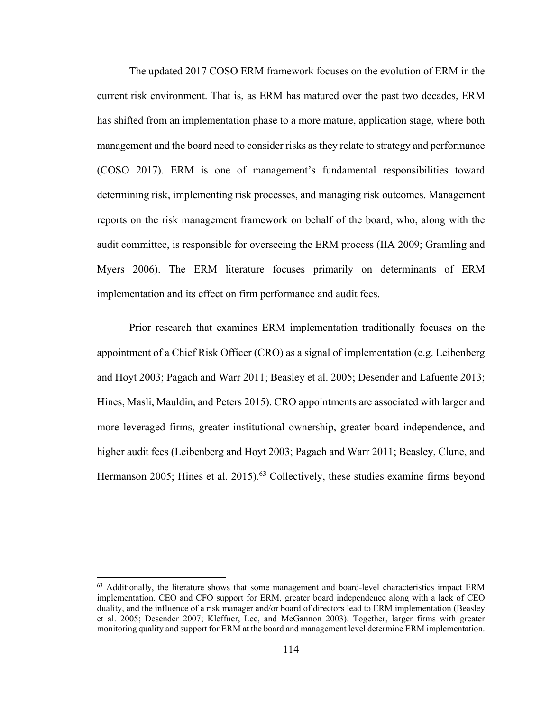The updated 2017 COSO ERM framework focuses on the evolution of ERM in the current risk environment. That is, as ERM has matured over the past two decades, ERM has shifted from an implementation phase to a more mature, application stage, where both management and the board need to consider risks as they relate to strategy and performance (COSO 2017). ERM is one of management's fundamental responsibilities toward determining risk, implementing risk processes, and managing risk outcomes. Management reports on the risk management framework on behalf of the board, who, along with the audit committee, is responsible for overseeing the ERM process (IIA 2009; Gramling and Myers 2006). The ERM literature focuses primarily on determinants of ERM implementation and its effect on firm performance and audit fees.

Prior research that examines ERM implementation traditionally focuses on the appointment of a Chief Risk Officer (CRO) as a signal of implementation (e.g. Leibenberg and Hoyt 2003; Pagach and Warr 2011; Beasley et al. 2005; Desender and Lafuente 2013; Hines, Masli, Mauldin, and Peters 2015). CRO appointments are associated with larger and more leveraged firms, greater institutional ownership, greater board independence, and higher audit fees (Leibenberg and Hoyt 2003; Pagach and Warr 2011; Beasley, Clune, and Hermanson 2005; Hines et al. 2015).<sup>63</sup> Collectively, these studies examine firms beyond

 $\overline{\phantom{a}}$ 

<sup>&</sup>lt;sup>63</sup> Additionally, the literature shows that some management and board-level characteristics impact ERM implementation. CEO and CFO support for ERM, greater board independence along with a lack of CEO duality, and the influence of a risk manager and/or board of directors lead to ERM implementation (Beasley et al. 2005; Desender 2007; Kleffner, Lee, and McGannon 2003). Together, larger firms with greater monitoring quality and support for ERM at the board and management level determine ERM implementation.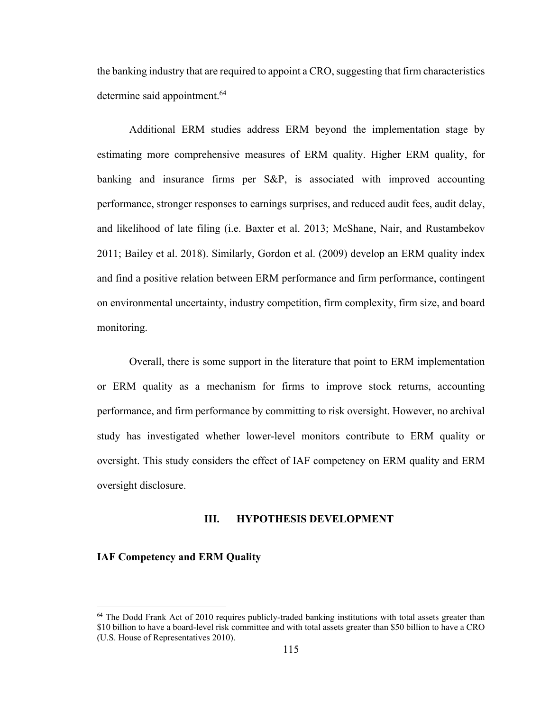the banking industry that are required to appoint a CRO, suggesting that firm characteristics determine said appointment.<sup>64</sup>

Additional ERM studies address ERM beyond the implementation stage by estimating more comprehensive measures of ERM quality. Higher ERM quality, for banking and insurance firms per S&P, is associated with improved accounting performance, stronger responses to earnings surprises, and reduced audit fees, audit delay, and likelihood of late filing (i.e. Baxter et al. 2013; McShane, Nair, and Rustambekov 2011; Bailey et al. 2018). Similarly, Gordon et al. (2009) develop an ERM quality index and find a positive relation between ERM performance and firm performance, contingent on environmental uncertainty, industry competition, firm complexity, firm size, and board monitoring.

Overall, there is some support in the literature that point to ERM implementation or ERM quality as a mechanism for firms to improve stock returns, accounting performance, and firm performance by committing to risk oversight. However, no archival study has investigated whether lower-level monitors contribute to ERM quality or oversight. This study considers the effect of IAF competency on ERM quality and ERM oversight disclosure.

#### **III. HYPOTHESIS DEVELOPMENT**

#### **IAF Competency and ERM Quality**

1

<sup>&</sup>lt;sup>64</sup> The Dodd Frank Act of 2010 requires publicly-traded banking institutions with total assets greater than \$10 billion to have a board-level risk committee and with total assets greater than \$50 billion to have a CRO (U.S. House of Representatives 2010).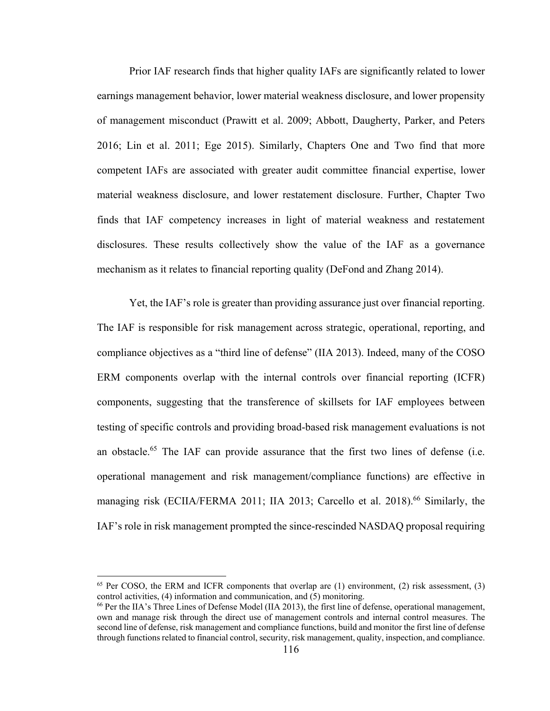Prior IAF research finds that higher quality IAFs are significantly related to lower earnings management behavior, lower material weakness disclosure, and lower propensity of management misconduct (Prawitt et al. 2009; Abbott, Daugherty, Parker, and Peters 2016; Lin et al. 2011; Ege 2015). Similarly, Chapters One and Two find that more competent IAFs are associated with greater audit committee financial expertise, lower material weakness disclosure, and lower restatement disclosure. Further, Chapter Two finds that IAF competency increases in light of material weakness and restatement disclosures. These results collectively show the value of the IAF as a governance mechanism as it relates to financial reporting quality (DeFond and Zhang 2014).

Yet, the IAF's role is greater than providing assurance just over financial reporting. The IAF is responsible for risk management across strategic, operational, reporting, and compliance objectives as a "third line of defense" (IIA 2013). Indeed, many of the COSO ERM components overlap with the internal controls over financial reporting (ICFR) components, suggesting that the transference of skillsets for IAF employees between testing of specific controls and providing broad-based risk management evaluations is not an obstacle.<sup>65</sup> The IAF can provide assurance that the first two lines of defense (i.e. operational management and risk management/compliance functions) are effective in managing risk (ECIIA/FERMA 2011; IIA 2013; Carcello et al. 2018).<sup>66</sup> Similarly, the IAF's role in risk management prompted the since-rescinded NASDAQ proposal requiring

 $\overline{\phantom{a}}$ 

 $65$  Per COSO, the ERM and ICFR components that overlap are (1) environment, (2) risk assessment, (3) control activities, (4) information and communication, and (5) monitoring.

<sup>66</sup> Per the IIA's Three Lines of Defense Model (IIA 2013), the first line of defense, operational management, own and manage risk through the direct use of management controls and internal control measures. The second line of defense, risk management and compliance functions, build and monitor the first line of defense through functions related to financial control, security, risk management, quality, inspection, and compliance.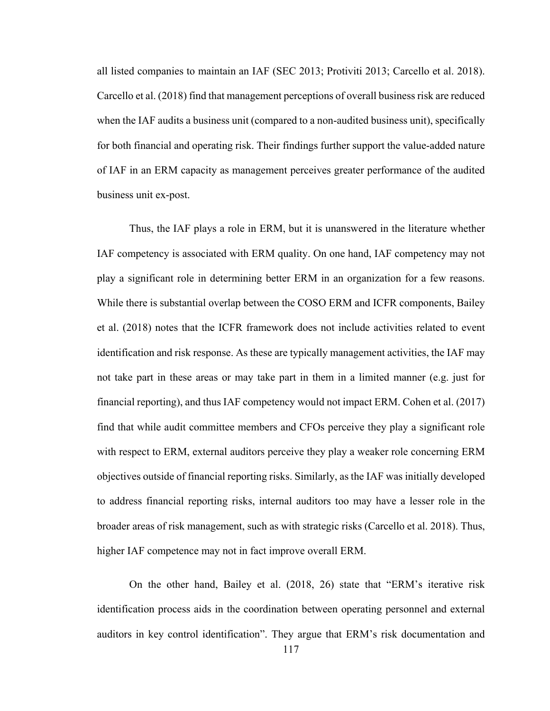all listed companies to maintain an IAF (SEC 2013; Protiviti 2013; Carcello et al. 2018). Carcello et al. (2018) find that management perceptions of overall business risk are reduced when the IAF audits a business unit (compared to a non-audited business unit), specifically for both financial and operating risk. Their findings further support the value-added nature of IAF in an ERM capacity as management perceives greater performance of the audited business unit ex-post.

Thus, the IAF plays a role in ERM, but it is unanswered in the literature whether IAF competency is associated with ERM quality. On one hand, IAF competency may not play a significant role in determining better ERM in an organization for a few reasons. While there is substantial overlap between the COSO ERM and ICFR components, Bailey et al. (2018) notes that the ICFR framework does not include activities related to event identification and risk response. As these are typically management activities, the IAF may not take part in these areas or may take part in them in a limited manner (e.g. just for financial reporting), and thus IAF competency would not impact ERM. Cohen et al. (2017) find that while audit committee members and CFOs perceive they play a significant role with respect to ERM, external auditors perceive they play a weaker role concerning ERM objectives outside of financial reporting risks. Similarly, as the IAF was initially developed to address financial reporting risks, internal auditors too may have a lesser role in the broader areas of risk management, such as with strategic risks (Carcello et al. 2018). Thus, higher IAF competence may not in fact improve overall ERM.

On the other hand, Bailey et al. (2018, 26) state that "ERM's iterative risk identification process aids in the coordination between operating personnel and external auditors in key control identification". They argue that ERM's risk documentation and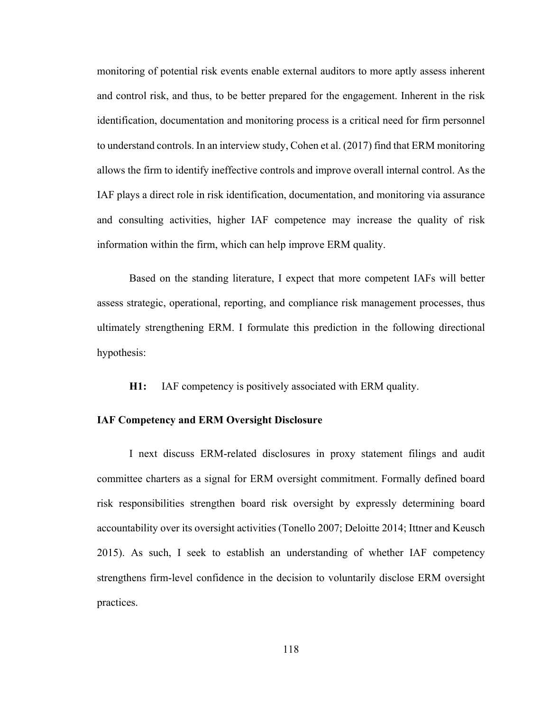monitoring of potential risk events enable external auditors to more aptly assess inherent and control risk, and thus, to be better prepared for the engagement. Inherent in the risk identification, documentation and monitoring process is a critical need for firm personnel to understand controls. In an interview study, Cohen et al. (2017) find that ERM monitoring allows the firm to identify ineffective controls and improve overall internal control. As the IAF plays a direct role in risk identification, documentation, and monitoring via assurance and consulting activities, higher IAF competence may increase the quality of risk information within the firm, which can help improve ERM quality.

Based on the standing literature, I expect that more competent IAFs will better assess strategic, operational, reporting, and compliance risk management processes, thus ultimately strengthening ERM. I formulate this prediction in the following directional hypothesis:

**H1:** IAF competency is positively associated with ERM quality.

#### **IAF Competency and ERM Oversight Disclosure**

I next discuss ERM-related disclosures in proxy statement filings and audit committee charters as a signal for ERM oversight commitment. Formally defined board risk responsibilities strengthen board risk oversight by expressly determining board accountability over its oversight activities (Tonello 2007; Deloitte 2014; Ittner and Keusch 2015). As such, I seek to establish an understanding of whether IAF competency strengthens firm-level confidence in the decision to voluntarily disclose ERM oversight practices.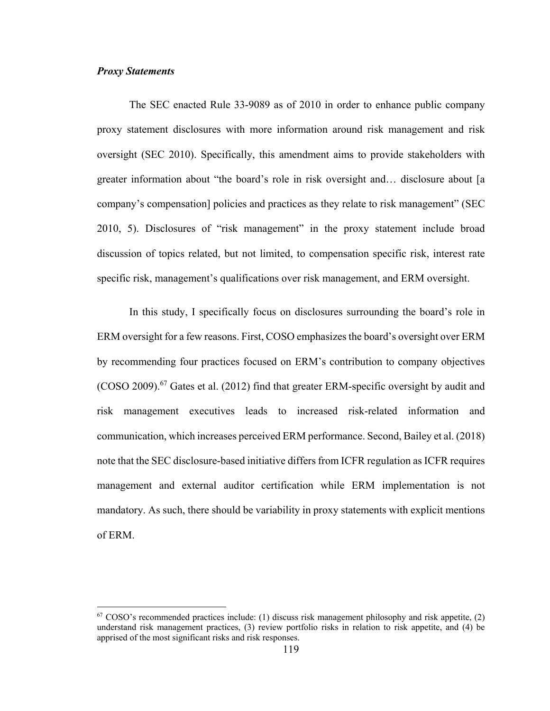#### *Proxy Statements*

 $\overline{\phantom{a}}$ 

 The SEC enacted Rule 33-9089 as of 2010 in order to enhance public company proxy statement disclosures with more information around risk management and risk oversight (SEC 2010). Specifically, this amendment aims to provide stakeholders with greater information about "the board's role in risk oversight and… disclosure about [a company's compensation] policies and practices as they relate to risk management" (SEC 2010, 5). Disclosures of "risk management" in the proxy statement include broad discussion of topics related, but not limited, to compensation specific risk, interest rate specific risk, management's qualifications over risk management, and ERM oversight.

In this study, I specifically focus on disclosures surrounding the board's role in ERM oversight for a few reasons. First, COSO emphasizes the board's oversight over ERM by recommending four practices focused on ERM's contribution to company objectives (COSO 2009).<sup>67</sup> Gates et al. (2012) find that greater ERM-specific oversight by audit and risk management executives leads to increased risk-related information and communication, which increases perceived ERM performance. Second, Bailey et al. (2018) note that the SEC disclosure-based initiative differs from ICFR regulation as ICFR requires management and external auditor certification while ERM implementation is not mandatory. As such, there should be variability in proxy statements with explicit mentions of ERM.

 $67$  COSO's recommended practices include: (1) discuss risk management philosophy and risk appetite, (2) understand risk management practices, (3) review portfolio risks in relation to risk appetite, and (4) be apprised of the most significant risks and risk responses.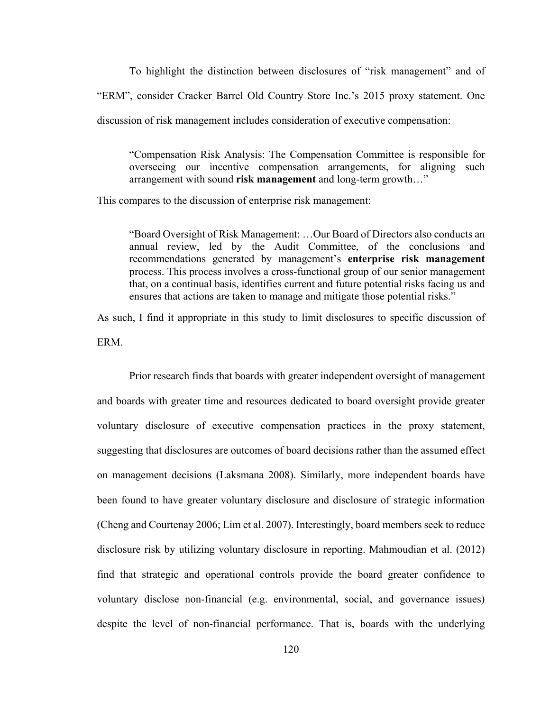To highlight the distinction between disclosures of "risk management" and of "ERM", consider Cracker Barrel Old Country Store Inc.'s 2015 proxy statement. One discussion of risk management includes consideration of executive compensation:

"Compensation Risk Analysis: The Compensation Committee is responsible for overseeing our incentive compensation arrangements, for aligning such arrangement with sound **risk management** and long-term growth…"

This compares to the discussion of enterprise risk management:

"Board Oversight of Risk Management: …Our Board of Directors also conducts an annual review, led by the Audit Committee, of the conclusions and recommendations generated by management's **enterprise risk management** process. This process involves a cross-functional group of our senior management that, on a continual basis, identifies current and future potential risks facing us and ensures that actions are taken to manage and mitigate those potential risks."

As such, I find it appropriate in this study to limit disclosures to specific discussion of ERM.

Prior research finds that boards with greater independent oversight of management and boards with greater time and resources dedicated to board oversight provide greater voluntary disclosure of executive compensation practices in the proxy statement, suggesting that disclosures are outcomes of board decisions rather than the assumed effect on management decisions (Laksmana 2008). Similarly, more independent boards have been found to have greater voluntary disclosure and disclosure of strategic information (Cheng and Courtenay 2006; Lim et al. 2007). Interestingly, board members seek to reduce disclosure risk by utilizing voluntary disclosure in reporting. Mahmoudian et al. (2012) find that strategic and operational controls provide the board greater confidence to voluntary disclose non-financial (e.g. environmental, social, and governance issues) despite the level of non-financial performance. That is, boards with the underlying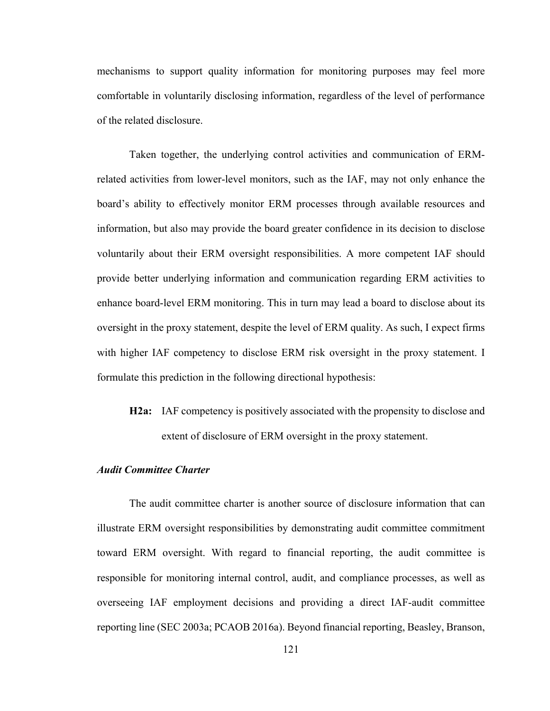mechanisms to support quality information for monitoring purposes may feel more comfortable in voluntarily disclosing information, regardless of the level of performance of the related disclosure.

Taken together, the underlying control activities and communication of ERMrelated activities from lower-level monitors, such as the IAF, may not only enhance the board's ability to effectively monitor ERM processes through available resources and information, but also may provide the board greater confidence in its decision to disclose voluntarily about their ERM oversight responsibilities. A more competent IAF should provide better underlying information and communication regarding ERM activities to enhance board-level ERM monitoring. This in turn may lead a board to disclose about its oversight in the proxy statement, despite the level of ERM quality. As such, I expect firms with higher IAF competency to disclose ERM risk oversight in the proxy statement. I formulate this prediction in the following directional hypothesis:

**H2a:** IAF competency is positively associated with the propensity to disclose and extent of disclosure of ERM oversight in the proxy statement.

## *Audit Committee Charter*

The audit committee charter is another source of disclosure information that can illustrate ERM oversight responsibilities by demonstrating audit committee commitment toward ERM oversight. With regard to financial reporting, the audit committee is responsible for monitoring internal control, audit, and compliance processes, as well as overseeing IAF employment decisions and providing a direct IAF-audit committee reporting line (SEC 2003a; PCAOB 2016a). Beyond financial reporting, Beasley, Branson,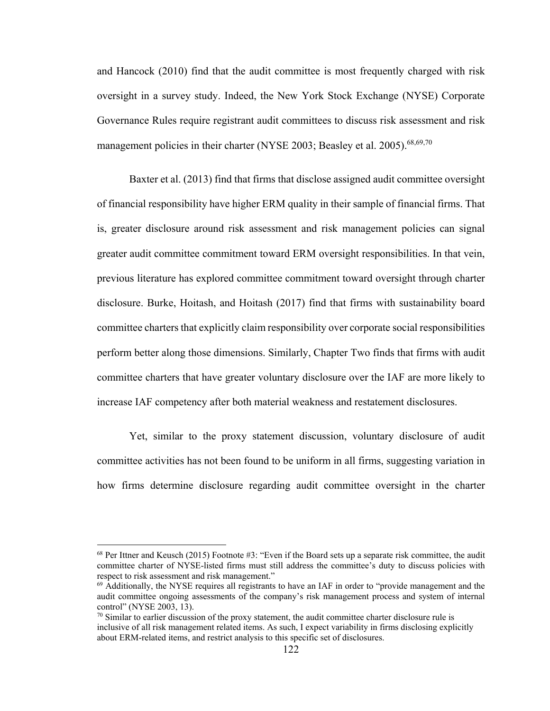and Hancock (2010) find that the audit committee is most frequently charged with risk oversight in a survey study. Indeed, the New York Stock Exchange (NYSE) Corporate Governance Rules require registrant audit committees to discuss risk assessment and risk management policies in their charter (NYSE 2003; Beasley et al. 2005).<sup>68,69,70</sup>

Baxter et al. (2013) find that firms that disclose assigned audit committee oversight of financial responsibility have higher ERM quality in their sample of financial firms. That is, greater disclosure around risk assessment and risk management policies can signal greater audit committee commitment toward ERM oversight responsibilities. In that vein, previous literature has explored committee commitment toward oversight through charter disclosure. Burke, Hoitash, and Hoitash (2017) find that firms with sustainability board committee charters that explicitly claim responsibility over corporate social responsibilities perform better along those dimensions. Similarly, Chapter Two finds that firms with audit committee charters that have greater voluntary disclosure over the IAF are more likely to increase IAF competency after both material weakness and restatement disclosures.

Yet, similar to the proxy statement discussion, voluntary disclosure of audit committee activities has not been found to be uniform in all firms, suggesting variation in how firms determine disclosure regarding audit committee oversight in the charter

1

<sup>68</sup> Per Ittner and Keusch (2015) Footnote #3: "Even if the Board sets up a separate risk committee, the audit committee charter of NYSE-listed firms must still address the committee's duty to discuss policies with respect to risk assessment and risk management."

 $69$  Additionally, the NYSE requires all registrants to have an IAF in order to "provide management and the audit committee ongoing assessments of the company's risk management process and system of internal control" (NYSE 2003, 13).

 $70$  Similar to earlier discussion of the proxy statement, the audit committee charter disclosure rule is inclusive of all risk management related items. As such, I expect variability in firms disclosing explicitly about ERM-related items, and restrict analysis to this specific set of disclosures.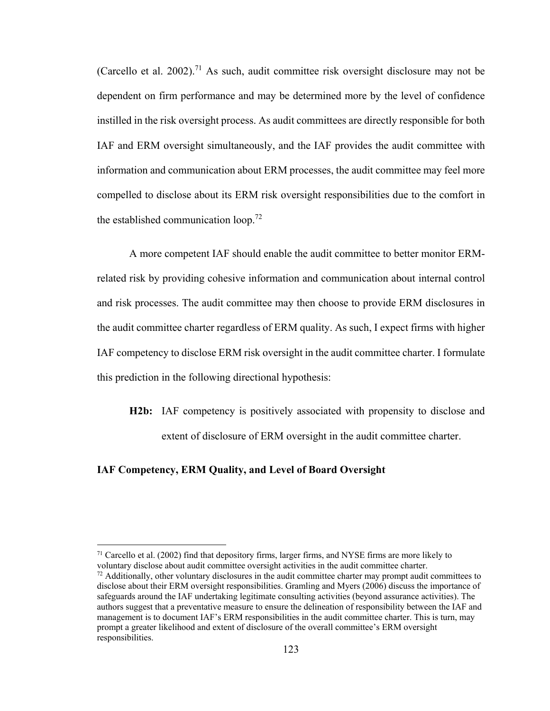(Carcello et al. 2002).<sup>71</sup> As such, audit committee risk oversight disclosure may not be dependent on firm performance and may be determined more by the level of confidence instilled in the risk oversight process. As audit committees are directly responsible for both IAF and ERM oversight simultaneously, and the IAF provides the audit committee with information and communication about ERM processes, the audit committee may feel more compelled to disclose about its ERM risk oversight responsibilities due to the comfort in the established communication loop.<sup>72</sup>

A more competent IAF should enable the audit committee to better monitor ERMrelated risk by providing cohesive information and communication about internal control and risk processes. The audit committee may then choose to provide ERM disclosures in the audit committee charter regardless of ERM quality. As such, I expect firms with higher IAF competency to disclose ERM risk oversight in the audit committee charter. I formulate this prediction in the following directional hypothesis:

**H2b:** IAF competency is positively associated with propensity to disclose and extent of disclosure of ERM oversight in the audit committee charter.

## **IAF Competency, ERM Quality, and Level of Board Oversight**

 $\overline{\phantom{a}}$ 

 $71$  Carcello et al. (2002) find that depository firms, larger firms, and NYSE firms are more likely to voluntary disclose about audit committee oversight activities in the audit committee charter.

 $72$  Additionally, other voluntary disclosures in the audit committee charter may prompt audit committees to disclose about their ERM oversight responsibilities. Gramling and Myers (2006) discuss the importance of safeguards around the IAF undertaking legitimate consulting activities (beyond assurance activities). The authors suggest that a preventative measure to ensure the delineation of responsibility between the IAF and management is to document IAF's ERM responsibilities in the audit committee charter. This is turn, may prompt a greater likelihood and extent of disclosure of the overall committee's ERM oversight responsibilities.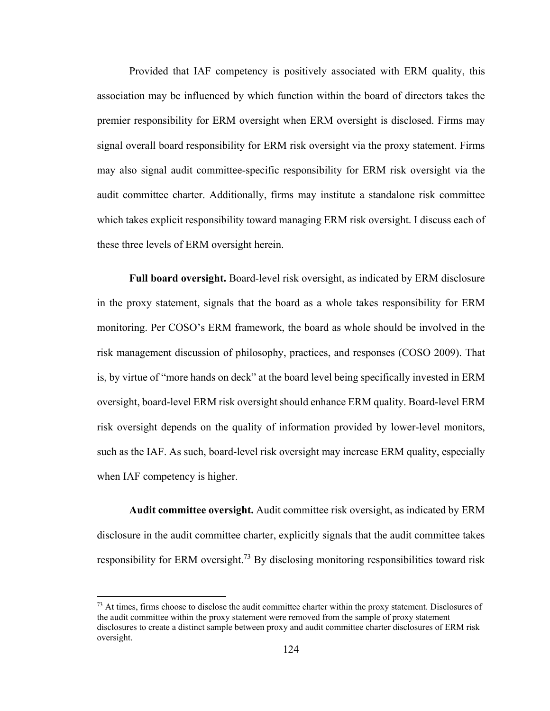Provided that IAF competency is positively associated with ERM quality, this association may be influenced by which function within the board of directors takes the premier responsibility for ERM oversight when ERM oversight is disclosed. Firms may signal overall board responsibility for ERM risk oversight via the proxy statement. Firms may also signal audit committee-specific responsibility for ERM risk oversight via the audit committee charter. Additionally, firms may institute a standalone risk committee which takes explicit responsibility toward managing ERM risk oversight. I discuss each of these three levels of ERM oversight herein.

**Full board oversight.** Board-level risk oversight, as indicated by ERM disclosure in the proxy statement, signals that the board as a whole takes responsibility for ERM monitoring. Per COSO's ERM framework, the board as whole should be involved in the risk management discussion of philosophy, practices, and responses (COSO 2009). That is, by virtue of "more hands on deck" at the board level being specifically invested in ERM oversight, board-level ERM risk oversight should enhance ERM quality. Board-level ERM risk oversight depends on the quality of information provided by lower-level monitors, such as the IAF. As such, board-level risk oversight may increase ERM quality, especially when IAF competency is higher.

**Audit committee oversight.** Audit committee risk oversight, as indicated by ERM disclosure in the audit committee charter, explicitly signals that the audit committee takes responsibility for ERM oversight.<sup>73</sup> By disclosing monitoring responsibilities toward risk

 $\overline{\phantom{a}}$ 

 $73$  At times, firms choose to disclose the audit committee charter within the proxy statement. Disclosures of the audit committee within the proxy statement were removed from the sample of proxy statement disclosures to create a distinct sample between proxy and audit committee charter disclosures of ERM risk oversight.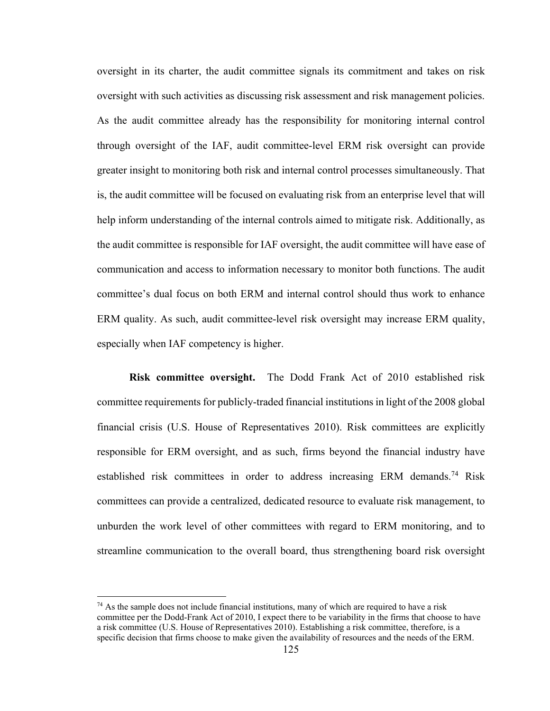oversight in its charter, the audit committee signals its commitment and takes on risk oversight with such activities as discussing risk assessment and risk management policies. As the audit committee already has the responsibility for monitoring internal control through oversight of the IAF, audit committee-level ERM risk oversight can provide greater insight to monitoring both risk and internal control processes simultaneously. That is, the audit committee will be focused on evaluating risk from an enterprise level that will help inform understanding of the internal controls aimed to mitigate risk. Additionally, as the audit committee is responsible for IAF oversight, the audit committee will have ease of communication and access to information necessary to monitor both functions. The audit committee's dual focus on both ERM and internal control should thus work to enhance ERM quality. As such, audit committee-level risk oversight may increase ERM quality, especially when IAF competency is higher.

**Risk committee oversight.** The Dodd Frank Act of 2010 established risk committee requirements for publicly-traded financial institutions in light of the 2008 global financial crisis (U.S. House of Representatives 2010). Risk committees are explicitly responsible for ERM oversight, and as such, firms beyond the financial industry have established risk committees in order to address increasing ERM demands.<sup>74</sup> Risk committees can provide a centralized, dedicated resource to evaluate risk management, to unburden the work level of other committees with regard to ERM monitoring, and to streamline communication to the overall board, thus strengthening board risk oversight

1

 $74$  As the sample does not include financial institutions, many of which are required to have a risk committee per the Dodd-Frank Act of 2010, I expect there to be variability in the firms that choose to have a risk committee (U.S. House of Representatives 2010). Establishing a risk committee, therefore, is a specific decision that firms choose to make given the availability of resources and the needs of the ERM.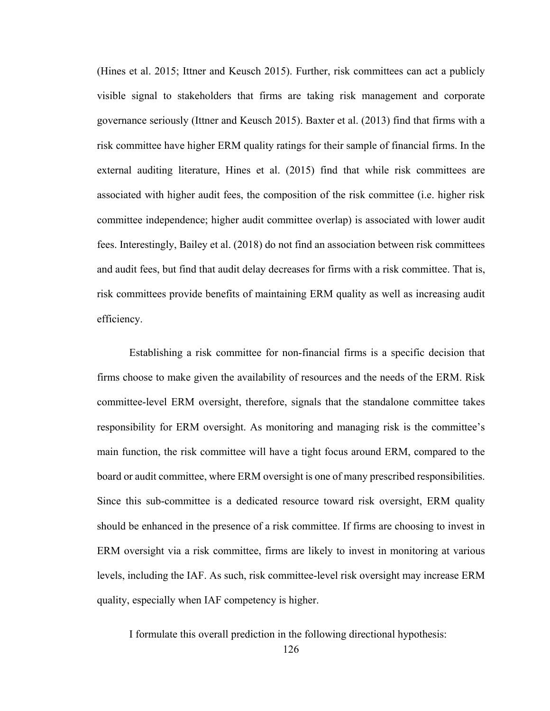(Hines et al. 2015; Ittner and Keusch 2015). Further, risk committees can act a publicly visible signal to stakeholders that firms are taking risk management and corporate governance seriously (Ittner and Keusch 2015). Baxter et al. (2013) find that firms with a risk committee have higher ERM quality ratings for their sample of financial firms. In the external auditing literature, Hines et al. (2015) find that while risk committees are associated with higher audit fees, the composition of the risk committee (i.e. higher risk committee independence; higher audit committee overlap) is associated with lower audit fees. Interestingly, Bailey et al. (2018) do not find an association between risk committees and audit fees, but find that audit delay decreases for firms with a risk committee. That is, risk committees provide benefits of maintaining ERM quality as well as increasing audit efficiency.

Establishing a risk committee for non-financial firms is a specific decision that firms choose to make given the availability of resources and the needs of the ERM. Risk committee-level ERM oversight, therefore, signals that the standalone committee takes responsibility for ERM oversight. As monitoring and managing risk is the committee's main function, the risk committee will have a tight focus around ERM, compared to the board or audit committee, where ERM oversight is one of many prescribed responsibilities. Since this sub-committee is a dedicated resource toward risk oversight, ERM quality should be enhanced in the presence of a risk committee. If firms are choosing to invest in ERM oversight via a risk committee, firms are likely to invest in monitoring at various levels, including the IAF. As such, risk committee-level risk oversight may increase ERM quality, especially when IAF competency is higher.

I formulate this overall prediction in the following directional hypothesis: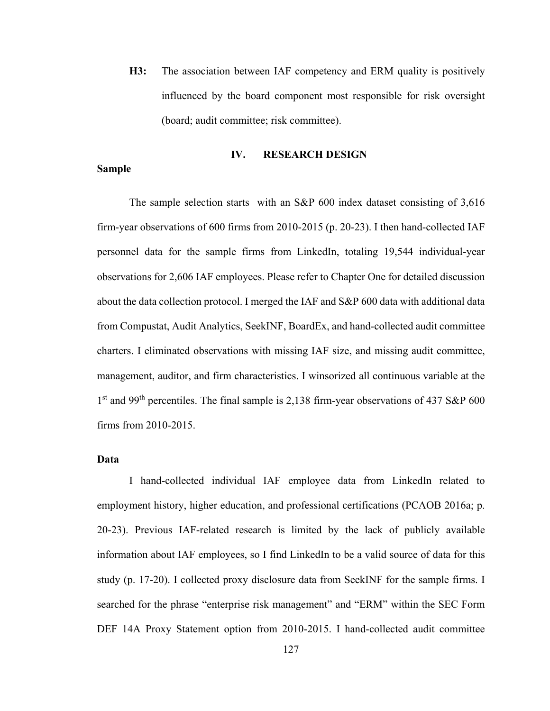**H3:** The association between IAF competency and ERM quality is positively influenced by the board component most responsible for risk oversight (board; audit committee; risk committee).

#### **IV. RESEARCH DESIGN**

#### **Sample**

The sample selection starts with an S&P 600 index dataset consisting of 3,616 firm-year observations of 600 firms from 2010-2015 (p. 20-23). I then hand-collected IAF personnel data for the sample firms from LinkedIn, totaling 19,544 individual-year observations for 2,606 IAF employees. Please refer to Chapter One for detailed discussion about the data collection protocol. I merged the IAF and S&P 600 data with additional data from Compustat, Audit Analytics, SeekINF, BoardEx, and hand-collected audit committee charters. I eliminated observations with missing IAF size, and missing audit committee, management, auditor, and firm characteristics. I winsorized all continuous variable at the 1<sup>st</sup> and 99<sup>th</sup> percentiles. The final sample is 2,138 firm-year observations of 437 S&P 600 firms from 2010-2015.

## **Data**

 I hand-collected individual IAF employee data from LinkedIn related to employment history, higher education, and professional certifications (PCAOB 2016a; p. 20-23). Previous IAF-related research is limited by the lack of publicly available information about IAF employees, so I find LinkedIn to be a valid source of data for this study (p. 17-20). I collected proxy disclosure data from SeekINF for the sample firms. I searched for the phrase "enterprise risk management" and "ERM" within the SEC Form DEF 14A Proxy Statement option from 2010-2015. I hand-collected audit committee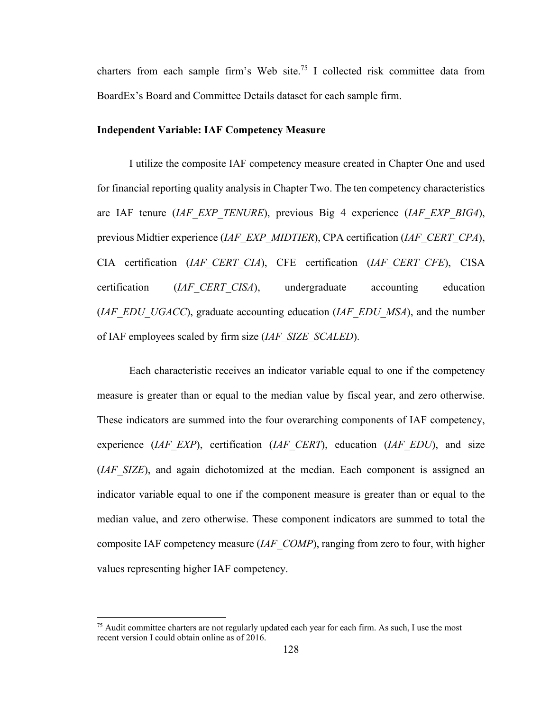charters from each sample firm's Web site.<sup>75</sup> I collected risk committee data from BoardEx's Board and Committee Details dataset for each sample firm.

#### **Independent Variable: IAF Competency Measure**

 I utilize the composite IAF competency measure created in Chapter One and used for financial reporting quality analysis in Chapter Two. The ten competency characteristics are IAF tenure (*IAF\_EXP\_TENURE*), previous Big 4 experience (*IAF\_EXP\_BIG4*), previous Midtier experience (*IAF\_EXP\_MIDTIER*), CPA certification (*IAF\_CERT\_CPA*), CIA certification (*IAF\_CERT\_CIA*), CFE certification (*IAF\_CERT\_CFE*), CISA certification (*IAF\_CERT\_CISA*), undergraduate accounting education (*IAF\_EDU\_UGACC*), graduate accounting education (*IAF\_EDU\_MSA*), and the number of IAF employees scaled by firm size (*IAF\_SIZE\_SCALED*).

Each characteristic receives an indicator variable equal to one if the competency measure is greater than or equal to the median value by fiscal year, and zero otherwise. These indicators are summed into the four overarching components of IAF competency, experience (*IAF\_EXP*), certification (*IAF\_CERT*), education (*IAF\_EDU*), and size (*IAF\_SIZE*), and again dichotomized at the median. Each component is assigned an indicator variable equal to one if the component measure is greater than or equal to the median value, and zero otherwise. These component indicators are summed to total the composite IAF competency measure (*IAF\_COMP*), ranging from zero to four, with higher values representing higher IAF competency.

 $\overline{\phantom{a}}$ 

 $75$  Audit committee charters are not regularly updated each year for each firm. As such, I use the most recent version I could obtain online as of 2016.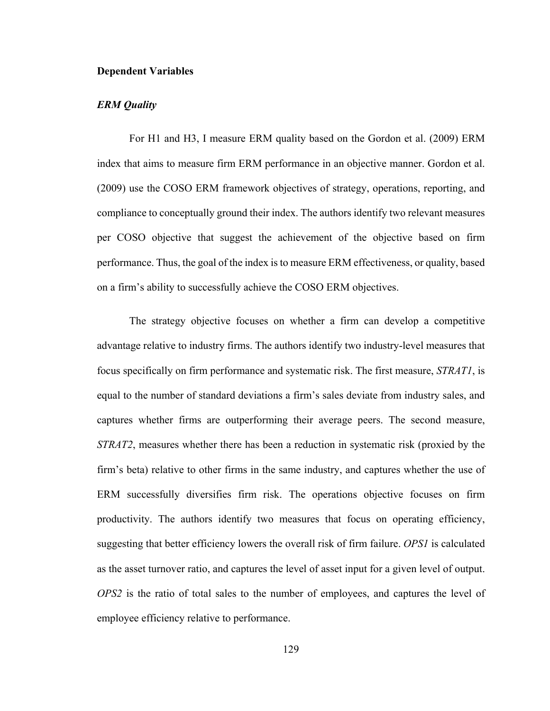#### **Dependent Variables**

#### *ERM Quality*

For H1 and H3, I measure ERM quality based on the Gordon et al. (2009) ERM index that aims to measure firm ERM performance in an objective manner. Gordon et al. (2009) use the COSO ERM framework objectives of strategy, operations, reporting, and compliance to conceptually ground their index. The authors identify two relevant measures per COSO objective that suggest the achievement of the objective based on firm performance. Thus, the goal of the index is to measure ERM effectiveness, or quality, based on a firm's ability to successfully achieve the COSO ERM objectives.

The strategy objective focuses on whether a firm can develop a competitive advantage relative to industry firms. The authors identify two industry-level measures that focus specifically on firm performance and systematic risk. The first measure, *STRAT1*, is equal to the number of standard deviations a firm's sales deviate from industry sales, and captures whether firms are outperforming their average peers. The second measure, *STRAT2*, measures whether there has been a reduction in systematic risk (proxied by the firm's beta) relative to other firms in the same industry, and captures whether the use of ERM successfully diversifies firm risk. The operations objective focuses on firm productivity. The authors identify two measures that focus on operating efficiency, suggesting that better efficiency lowers the overall risk of firm failure. *OPS1* is calculated as the asset turnover ratio, and captures the level of asset input for a given level of output. *OPS2* is the ratio of total sales to the number of employees, and captures the level of employee efficiency relative to performance.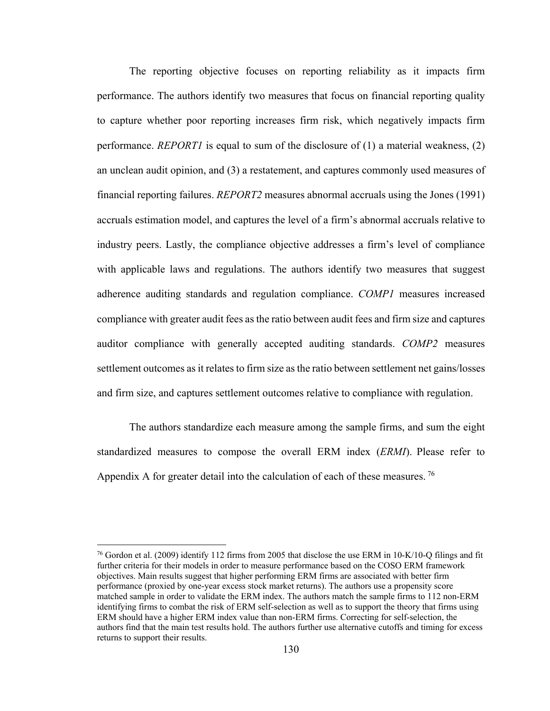The reporting objective focuses on reporting reliability as it impacts firm performance. The authors identify two measures that focus on financial reporting quality to capture whether poor reporting increases firm risk, which negatively impacts firm performance. *REPORT1* is equal to sum of the disclosure of (1) a material weakness, (2) an unclean audit opinion, and (3) a restatement, and captures commonly used measures of financial reporting failures. *REPORT2* measures abnormal accruals using the Jones (1991) accruals estimation model, and captures the level of a firm's abnormal accruals relative to industry peers. Lastly, the compliance objective addresses a firm's level of compliance with applicable laws and regulations. The authors identify two measures that suggest adherence auditing standards and regulation compliance. *COMP1* measures increased compliance with greater audit fees as the ratio between audit fees and firm size and captures auditor compliance with generally accepted auditing standards. *COMP2* measures settlement outcomes as it relates to firm size as the ratio between settlement net gains/losses and firm size, and captures settlement outcomes relative to compliance with regulation.

The authors standardize each measure among the sample firms, and sum the eight standardized measures to compose the overall ERM index (*ERMI*). Please refer to Appendix A for greater detail into the calculation of each of these measures.<sup>76</sup>

 $\overline{\phantom{a}}$ 

<sup>76</sup> Gordon et al. (2009) identify 112 firms from 2005 that disclose the use ERM in 10-K/10-Q filings and fit further criteria for their models in order to measure performance based on the COSO ERM framework objectives. Main results suggest that higher performing ERM firms are associated with better firm performance (proxied by one-year excess stock market returns). The authors use a propensity score matched sample in order to validate the ERM index. The authors match the sample firms to 112 non-ERM identifying firms to combat the risk of ERM self-selection as well as to support the theory that firms using ERM should have a higher ERM index value than non-ERM firms. Correcting for self-selection, the authors find that the main test results hold. The authors further use alternative cutoffs and timing for excess returns to support their results.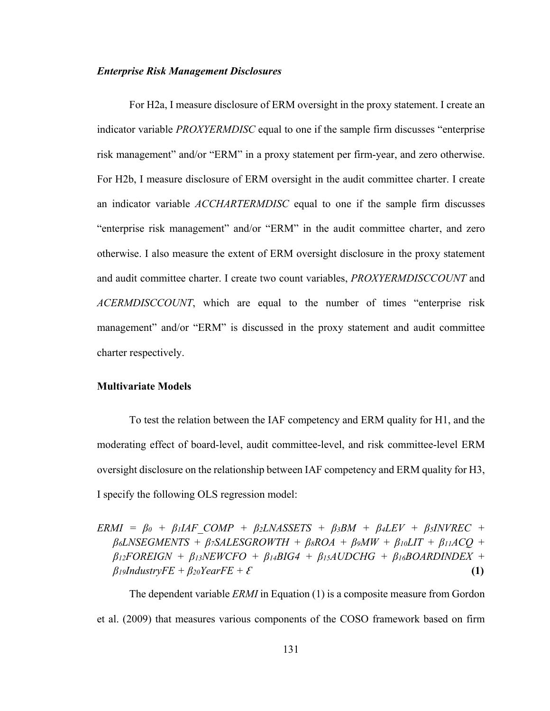#### *Enterprise Risk Management Disclosures*

For H2a, I measure disclosure of ERM oversight in the proxy statement. I create an indicator variable *PROXYERMDISC* equal to one if the sample firm discusses "enterprise risk management" and/or "ERM" in a proxy statement per firm-year, and zero otherwise. For H2b, I measure disclosure of ERM oversight in the audit committee charter. I create an indicator variable *ACCHARTERMDISC* equal to one if the sample firm discusses "enterprise risk management" and/or "ERM" in the audit committee charter, and zero otherwise. I also measure the extent of ERM oversight disclosure in the proxy statement and audit committee charter. I create two count variables, *PROXYERMDISCCOUNT* and *ACERMDISCCOUNT*, which are equal to the number of times "enterprise risk management" and/or "ERM" is discussed in the proxy statement and audit committee charter respectively.

#### **Multivariate Models**

To test the relation between the IAF competency and ERM quality for H1, and the moderating effect of board-level, audit committee-level, and risk committee-level ERM oversight disclosure on the relationship between IAF competency and ERM quality for H3, I specify the following OLS regression model:

 $ERMI = \beta_0 + \beta_1 IAF\ COMP + \beta_2 LNASSETS + \beta_3 BM + \beta_4 LEV + \beta_5 INVREC +$  $\beta$ *6LNSEGMENTS* +  $\beta$ *7SALESGROWTH* +  $\beta$ *8ROA* +  $\beta$ *9MW* +  $\beta$ *10LIT* +  $\beta$ *11ACQ* + *β12FOREIGN + β13NEWCFO + β14BIG4 + β15AUDCHG + β16BOARDINDEX +*   $\beta$ <sub>*l*</sub>*gIndustryFE* +  $\beta$ <sub>20</sub>*YearFE* +  $\mathcal{E}$  (1)

The dependent variable *ERMI* in Equation (1) is a composite measure from Gordon et al. (2009) that measures various components of the COSO framework based on firm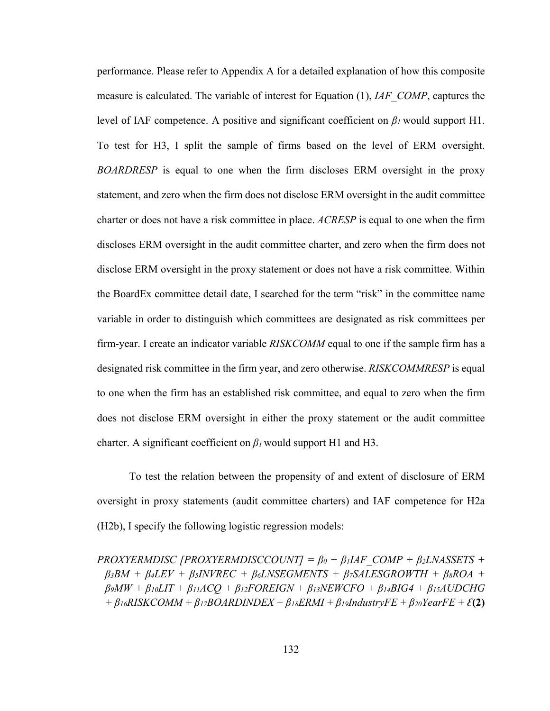performance. Please refer to Appendix A for a detailed explanation of how this composite measure is calculated. The variable of interest for Equation (1), *IAF\_COMP*, captures the level of IAF competence. A positive and significant coefficient on *β1* would support H1. To test for H3, I split the sample of firms based on the level of ERM oversight. *BOARDRESP* is equal to one when the firm discloses ERM oversight in the proxy statement, and zero when the firm does not disclose ERM oversight in the audit committee charter or does not have a risk committee in place. *ACRESP* is equal to one when the firm discloses ERM oversight in the audit committee charter, and zero when the firm does not disclose ERM oversight in the proxy statement or does not have a risk committee. Within the BoardEx committee detail date, I searched for the term "risk" in the committee name variable in order to distinguish which committees are designated as risk committees per firm-year. I create an indicator variable *RISKCOMM* equal to one if the sample firm has a designated risk committee in the firm year, and zero otherwise. *RISKCOMMRESP* is equal to one when the firm has an established risk committee, and equal to zero when the firm does not disclose ERM oversight in either the proxy statement or the audit committee charter. A significant coefficient on *β1* would support H1 and H3.

 To test the relation between the propensity of and extent of disclosure of ERM oversight in proxy statements (audit committee charters) and IAF competence for H2a (H2b), I specify the following logistic regression models:

*PROXYERMDISC [PROXYERMDISCCOUNT] =*  $\beta_0 + \beta_1 IAF$  *COMP +*  $\beta_2 LNASSETS$  *+*  $\beta$ <sup>3BM</sup> +  $\beta$ <sup>4</sup>LEV +  $\beta$ <sup>5</sup>*INVREC* +  $\beta$ <sup>6</sup>*LNSEGMENTS* +  $\beta$ <sup>7</sup>*SALESGROWTH* +  $\beta$ <sup>8</sup>*ROA* +  $\beta$ <sup>*9MW* +  $\beta$ <sub>*10</sub>LIT* +  $\beta$ <sub>*11ACO* +  $\beta$ <sub>*12FOREIGN* +  $\beta$ <sub>*13NEWCFO* +  $\beta$ <sub>*14BIG4* +  $\beta$ <sub>*15AUDCHG*</sup></sub></sub></sub></sub></sub></sub>  $+ \beta_{16}$ RISKCOMM +  $\beta_{17}$ BOARDINDEX +  $\beta_{18}$ ERMI +  $\beta_{19}$ IndustryFE +  $\beta_{20}$ YearFE +  $\mathcal{E}(2)$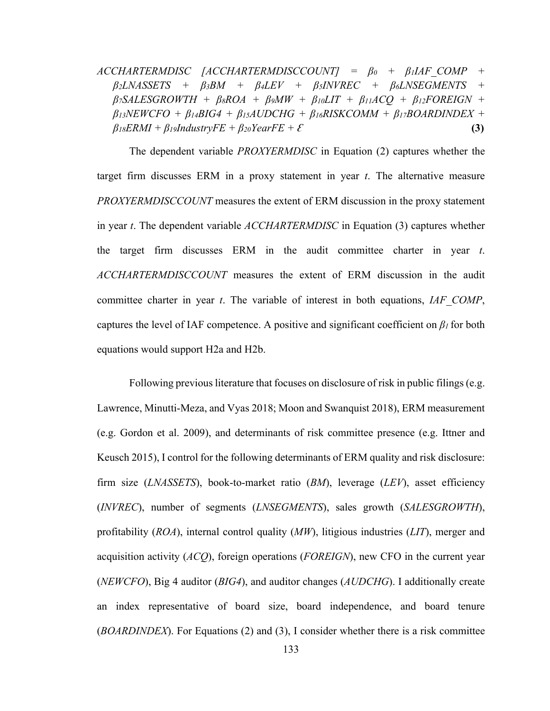*ACCHARTERMDISC [ACCHARTERMDISCCOUNT] = β0 + β1IAF\_COMP + β2LNASSETS + β3BM + β4LEV + β5INVREC + β6LNSEGMENTS +*   $\beta$ <sup>*7SALESGROWTH* +  $\beta$ <sub>8</sub>*ROA* +  $\beta$ <sub>9</sub>*MW* +  $\beta$ <sub>10</sub>*LIT* +  $\beta$ <sub>11</sub>*ACQ* +  $\beta$ <sub>12</sub>*FOREIGN* +</sup> *β13NEWCFO + β14BIG4 + β15AUDCHG + β16RISKCOMM + β17BOARDINDEX +*   $\beta$ *i8ERMI* + *βi9IndustryFE* + *β*<sub>20</sub>*YearFE* + *ξ* (3)

The dependent variable *PROXYERMDISC* in Equation (2) captures whether the target firm discusses ERM in a proxy statement in year *t*. The alternative measure *PROXYERMDISCCOUNT* measures the extent of ERM discussion in the proxy statement in year *t*. The dependent variable *ACCHARTERMDISC* in Equation (3) captures whether the target firm discusses ERM in the audit committee charter in year *t*. *ACCHARTERMDISCCOUNT* measures the extent of ERM discussion in the audit committee charter in year *t*. The variable of interest in both equations, *IAF\_COMP*, captures the level of IAF competence. A positive and significant coefficient on *β1* for both equations would support H2a and H2b.

 Following previous literature that focuses on disclosure of risk in public filings (e.g. Lawrence, Minutti-Meza, and Vyas 2018; Moon and Swanquist 2018), ERM measurement (e.g. Gordon et al. 2009), and determinants of risk committee presence (e.g. Ittner and Keusch 2015), I control for the following determinants of ERM quality and risk disclosure: firm size (*LNASSETS*), book-to-market ratio (*BM*), leverage (*LEV*), asset efficiency (*INVREC*), number of segments (*LNSEGMENTS*), sales growth (*SALESGROWTH*), profitability (*ROA*), internal control quality (*MW*), litigious industries (*LIT*), merger and acquisition activity (*ACQ*), foreign operations (*FOREIGN*), new CFO in the current year (*NEWCFO*), Big 4 auditor (*BIG4*), and auditor changes (*AUDCHG*). I additionally create an index representative of board size, board independence, and board tenure (*BOARDINDEX*). For Equations (2) and (3), I consider whether there is a risk committee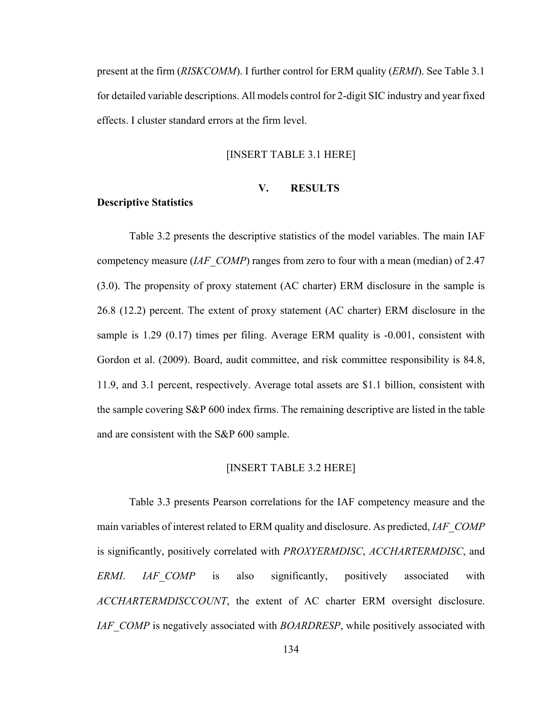present at the firm (*RISKCOMM*). I further control for ERM quality (*ERMI*). See Table 3.1 for detailed variable descriptions. All models control for 2-digit SIC industry and year fixed effects. I cluster standard errors at the firm level.

#### [INSERT TABLE 3.1 HERE]

#### **V. RESULTS**

#### **Descriptive Statistics**

Table 3.2 presents the descriptive statistics of the model variables. The main IAF competency measure (*IAF\_COMP*) ranges from zero to four with a mean (median) of 2.47 (3.0). The propensity of proxy statement (AC charter) ERM disclosure in the sample is 26.8 (12.2) percent. The extent of proxy statement (AC charter) ERM disclosure in the sample is 1.29 (0.17) times per filing. Average ERM quality is -0.001, consistent with Gordon et al. (2009). Board, audit committee, and risk committee responsibility is 84.8, 11.9, and 3.1 percent, respectively. Average total assets are \$1.1 billion, consistent with the sample covering S&P 600 index firms. The remaining descriptive are listed in the table and are consistent with the S&P 600 sample.

#### [INSERT TABLE 3.2 HERE]

Table 3.3 presents Pearson correlations for the IAF competency measure and the main variables of interest related to ERM quality and disclosure. As predicted, *IAF\_COMP*  is significantly, positively correlated with *PROXYERMDISC*, *ACCHARTERMDISC*, and *ERMI*. *IAF\_COMP* is also significantly, positively associated with *ACCHARTERMDISCCOUNT*, the extent of AC charter ERM oversight disclosure. *IAF* COMP is negatively associated with *BOARDRESP*, while positively associated with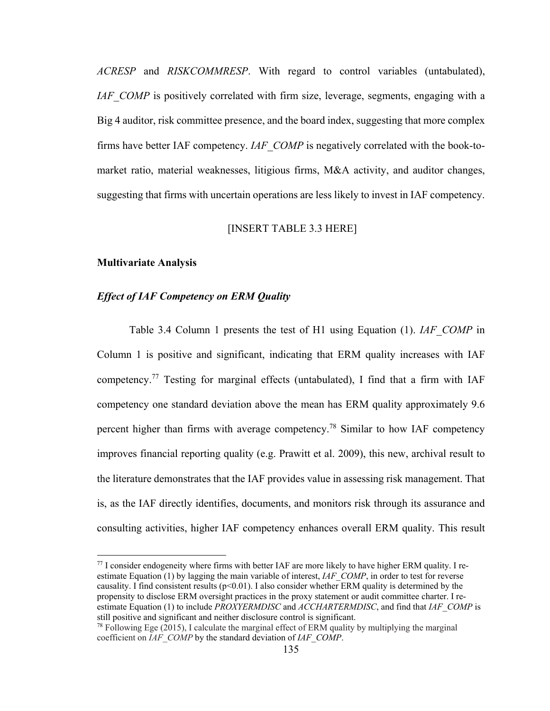*ACRESP* and *RISKCOMMRESP*. With regard to control variables (untabulated), *IAF* COMP is positively correlated with firm size, leverage, segments, engaging with a Big 4 auditor, risk committee presence, and the board index, suggesting that more complex firms have better IAF competency. *IAF\_COMP* is negatively correlated with the book-tomarket ratio, material weaknesses, litigious firms, M&A activity, and auditor changes, suggesting that firms with uncertain operations are less likely to invest in IAF competency.

# [INSERT TABLE 3.3 HERE]

#### **Multivariate Analysis**

1

# *Effect of IAF Competency on ERM Quality*

Table 3.4 Column 1 presents the test of H1 using Equation (1). *IAF\_COMP* in Column 1 is positive and significant, indicating that ERM quality increases with IAF competency.<sup>77</sup> Testing for marginal effects (untabulated), I find that a firm with IAF competency one standard deviation above the mean has ERM quality approximately 9.6 percent higher than firms with average competency.<sup>78</sup> Similar to how IAF competency improves financial reporting quality (e.g. Prawitt et al. 2009), this new, archival result to the literature demonstrates that the IAF provides value in assessing risk management. That is, as the IAF directly identifies, documents, and monitors risk through its assurance and consulting activities, higher IAF competency enhances overall ERM quality. This result

 $77$  I consider endogeneity where firms with better IAF are more likely to have higher ERM quality. I reestimate Equation (1) by lagging the main variable of interest, *IAF\_COMP*, in order to test for reverse causality. I find consistent results ( $p<0.01$ ). I also consider whether ERM quality is determined by the propensity to disclose ERM oversight practices in the proxy statement or audit committee charter. I reestimate Equation (1) to include *PROXYERMDISC* and *ACCHARTERMDISC*, and find that *IAF\_COMP* is still positive and significant and neither disclosure control is significant.<br><sup>78</sup> Following Ege (2015), I calculate the marginal effect of ERM quality by multiplying the marginal

coefficient on *IAF\_COMP* by the standard deviation of *IAF\_COMP*.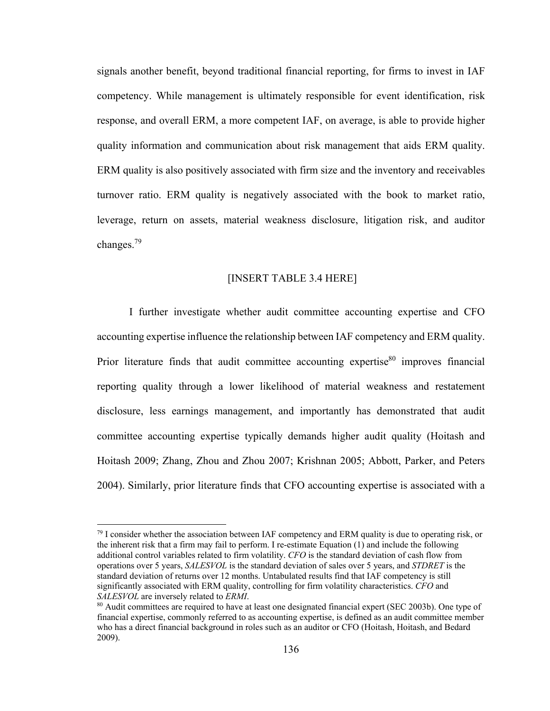signals another benefit, beyond traditional financial reporting, for firms to invest in IAF competency. While management is ultimately responsible for event identification, risk response, and overall ERM, a more competent IAF, on average, is able to provide higher quality information and communication about risk management that aids ERM quality. ERM quality is also positively associated with firm size and the inventory and receivables turnover ratio. ERM quality is negatively associated with the book to market ratio, leverage, return on assets, material weakness disclosure, litigation risk, and auditor changes.79

#### [INSERT TABLE 3.4 HERE]

 I further investigate whether audit committee accounting expertise and CFO accounting expertise influence the relationship between IAF competency and ERM quality. Prior literature finds that audit committee accounting expertise<sup>80</sup> improves financial reporting quality through a lower likelihood of material weakness and restatement disclosure, less earnings management, and importantly has demonstrated that audit committee accounting expertise typically demands higher audit quality (Hoitash and Hoitash 2009; Zhang, Zhou and Zhou 2007; Krishnan 2005; Abbott, Parker, and Peters 2004). Similarly, prior literature finds that CFO accounting expertise is associated with a

 $\overline{a}$ 

 $^{79}$  I consider whether the association between IAF competency and ERM quality is due to operating risk, or the inherent risk that a firm may fail to perform. I re-estimate Equation (1) and include the following additional control variables related to firm volatility. *CFO* is the standard deviation of cash flow from operations over 5 years, *SALESVOL* is the standard deviation of sales over 5 years, and *STDRET* is the standard deviation of returns over 12 months. Untabulated results find that IAF competency is still significantly associated with ERM quality, controlling for firm volatility characteristics. *CFO* and *SALESVOL* are inversely related to *ERMI*.<br><sup>80</sup> Audit committees are required to have at least one designated financial expert (SEC 2003b). One type of

financial expertise, commonly referred to as accounting expertise, is defined as an audit committee member who has a direct financial background in roles such as an auditor or CFO (Hoitash, Hoitash, and Bedard 2009).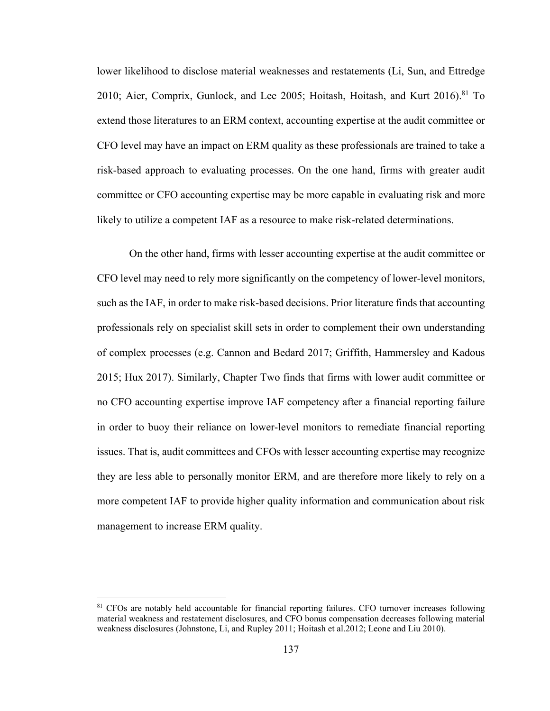lower likelihood to disclose material weaknesses and restatements (Li, Sun, and Ettredge 2010; Aier, Comprix, Gunlock, and Lee 2005; Hoitash, Hoitash, and Kurt  $2016$ .<sup>81</sup> To extend those literatures to an ERM context, accounting expertise at the audit committee or CFO level may have an impact on ERM quality as these professionals are trained to take a risk-based approach to evaluating processes. On the one hand, firms with greater audit committee or CFO accounting expertise may be more capable in evaluating risk and more likely to utilize a competent IAF as a resource to make risk-related determinations.

On the other hand, firms with lesser accounting expertise at the audit committee or CFO level may need to rely more significantly on the competency of lower-level monitors, such as the IAF, in order to make risk-based decisions. Prior literature finds that accounting professionals rely on specialist skill sets in order to complement their own understanding of complex processes (e.g. Cannon and Bedard 2017; Griffith, Hammersley and Kadous 2015; Hux 2017). Similarly, Chapter Two finds that firms with lower audit committee or no CFO accounting expertise improve IAF competency after a financial reporting failure in order to buoy their reliance on lower-level monitors to remediate financial reporting issues. That is, audit committees and CFOs with lesser accounting expertise may recognize they are less able to personally monitor ERM, and are therefore more likely to rely on a more competent IAF to provide higher quality information and communication about risk management to increase ERM quality.

1

<sup>&</sup>lt;sup>81</sup> CFOs are notably held accountable for financial reporting failures. CFO turnover increases following material weakness and restatement disclosures, and CFO bonus compensation decreases following material weakness disclosures (Johnstone, Li, and Rupley 2011; Hoitash et al.2012; Leone and Liu 2010).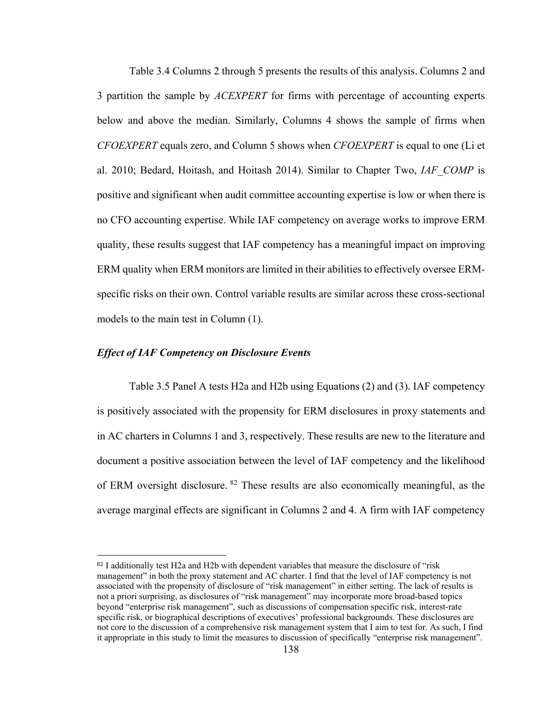Table 3.4 Columns 2 through 5 presents the results of this analysis. Columns 2 and 3 partition the sample by *ACEXPERT* for firms with percentage of accounting experts below and above the median. Similarly, Columns 4 shows the sample of firms when *CFOEXPERT* equals zero, and Column 5 shows when *CFOEXPERT* is equal to one (Li et al. 2010; Bedard, Hoitash, and Hoitash 2014). Similar to Chapter Two, *IAF\_COMP* is positive and significant when audit committee accounting expertise is low or when there is no CFO accounting expertise. While IAF competency on average works to improve ERM quality, these results suggest that IAF competency has a meaningful impact on improving ERM quality when ERM monitors are limited in their abilities to effectively oversee ERMspecific risks on their own. Control variable results are similar across these cross-sectional models to the main test in Column (1).

## *Effect of IAF Competency on Disclosure Events*

1

 Table 3.5 Panel A tests H2a and H2b using Equations (2) and (3). IAF competency is positively associated with the propensity for ERM disclosures in proxy statements and in AC charters in Columns 1 and 3, respectively. These results are new to the literature and document a positive association between the level of IAF competency and the likelihood of ERM oversight disclosure. <sup>82</sup> These results are also economically meaningful, as the average marginal effects are significant in Columns 2 and 4. A firm with IAF competency

<sup>82</sup> I additionally test H2a and H2b with dependent variables that measure the disclosure of "risk management" in both the proxy statement and AC charter. I find that the level of IAF competency is not associated with the propensity of disclosure of "risk management" in either setting. The lack of results is not a priori surprising, as disclosures of "risk management" may incorporate more broad-based topics beyond "enterprise risk management", such as discussions of compensation specific risk, interest-rate specific risk, or biographical descriptions of executives' professional backgrounds. These disclosures are not core to the discussion of a comprehensive risk management system that I aim to test for. As such, I find it appropriate in this study to limit the measures to discussion of specifically "enterprise risk management".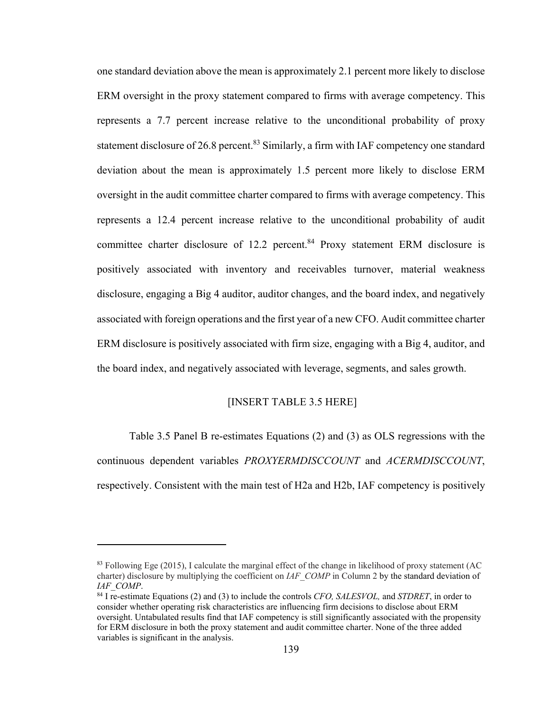one standard deviation above the mean is approximately 2.1 percent more likely to disclose ERM oversight in the proxy statement compared to firms with average competency. This represents a 7.7 percent increase relative to the unconditional probability of proxy statement disclosure of 26.8 percent.<sup>83</sup> Similarly, a firm with IAF competency one standard deviation about the mean is approximately 1.5 percent more likely to disclose ERM oversight in the audit committee charter compared to firms with average competency. This represents a 12.4 percent increase relative to the unconditional probability of audit committee charter disclosure of 12.2 percent.<sup>84</sup> Proxy statement ERM disclosure is positively associated with inventory and receivables turnover, material weakness disclosure, engaging a Big 4 auditor, auditor changes, and the board index, and negatively associated with foreign operations and the first year of a new CFO. Audit committee charter ERM disclosure is positively associated with firm size, engaging with a Big 4, auditor, and the board index, and negatively associated with leverage, segments, and sales growth.

# [INSERT TABLE 3.5 HERE]

Table 3.5 Panel B re-estimates Equations (2) and (3) as OLS regressions with the continuous dependent variables *PROXYERMDISCCOUNT* and *ACERMDISCCOUNT*, respectively. Consistent with the main test of H2a and H2b, IAF competency is positively

 $\overline{a}$ 

<sup>83</sup> Following Ege (2015), I calculate the marginal effect of the change in likelihood of proxy statement (AC charter) disclosure by multiplying the coefficient on *IAF\_COMP* in Column 2 by the standard deviation of *IAF\_COMP*. 84 I re-estimate Equations (2) and (3) to include the controls *CFO, SALESVOL,* and *STDRET*, in order to

consider whether operating risk characteristics are influencing firm decisions to disclose about ERM oversight. Untabulated results find that IAF competency is still significantly associated with the propensity for ERM disclosure in both the proxy statement and audit committee charter. None of the three added variables is significant in the analysis.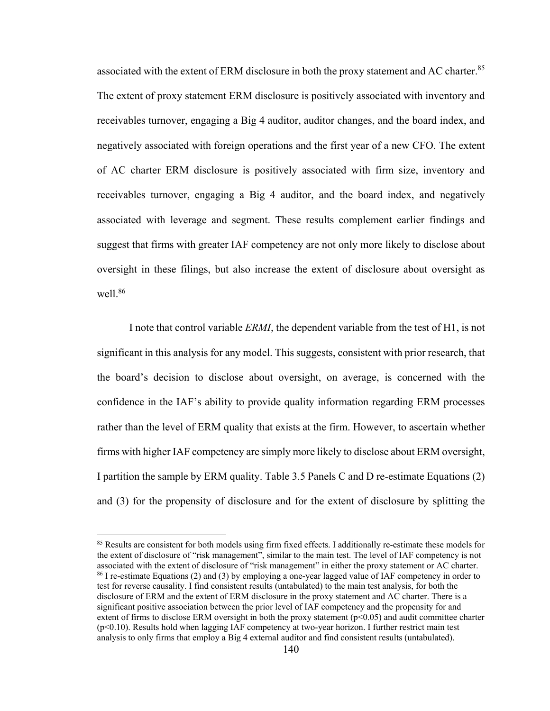associated with the extent of ERM disclosure in both the proxy statement and AC charter.<sup>85</sup> The extent of proxy statement ERM disclosure is positively associated with inventory and receivables turnover, engaging a Big 4 auditor, auditor changes, and the board index, and negatively associated with foreign operations and the first year of a new CFO. The extent of AC charter ERM disclosure is positively associated with firm size, inventory and receivables turnover, engaging a Big 4 auditor, and the board index, and negatively associated with leverage and segment. These results complement earlier findings and suggest that firms with greater IAF competency are not only more likely to disclose about oversight in these filings, but also increase the extent of disclosure about oversight as well.<sup>86</sup>

I note that control variable *ERMI*, the dependent variable from the test of H1, is not significant in this analysis for any model. This suggests, consistent with prior research, that the board's decision to disclose about oversight, on average, is concerned with the confidence in the IAF's ability to provide quality information regarding ERM processes rather than the level of ERM quality that exists at the firm. However, to ascertain whether firms with higher IAF competency are simply more likely to disclose about ERM oversight, I partition the sample by ERM quality. Table 3.5 Panels C and D re-estimate Equations (2) and (3) for the propensity of disclosure and for the extent of disclosure by splitting the

<sup>85</sup> Results are consistent for both models using firm fixed effects. I additionally re-estimate these models for the extent of disclosure of "risk management", similar to the main test. The level of IAF competency is not associated with the extent of disclosure of "risk management" in either the proxy statement or AC charter.<br><sup>86</sup> I re-estimate Equations (2) and (3) by employing a one-year lagged value of IAF competency in order to test for reverse causality. I find consistent results (untabulated) to the main test analysis, for both the disclosure of ERM and the extent of ERM disclosure in the proxy statement and AC charter. There is a significant positive association between the prior level of IAF competency and the propensity for and extent of firms to disclose ERM oversight in both the proxy statement (p<0.05) and audit committee charter (p<0.10). Results hold when lagging IAF competency at two-year horizon. I further restrict main test

 $\overline{a}$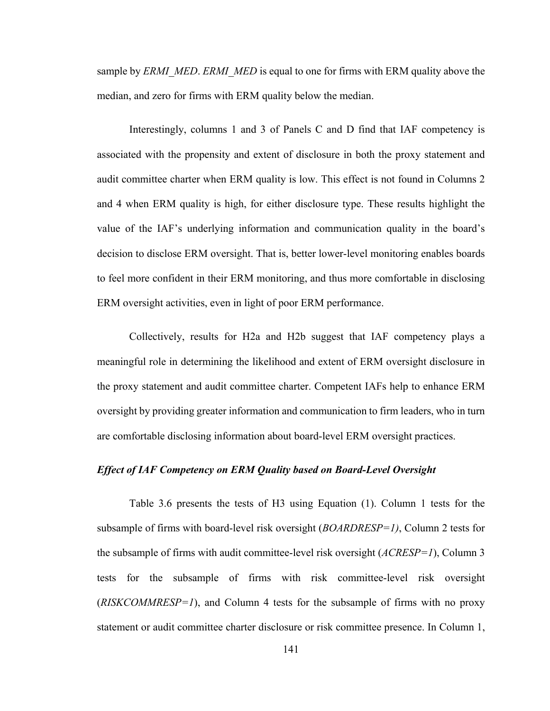sample by *ERMI\_MED. ERMI\_MED* is equal to one for firms with ERM quality above the median, and zero for firms with ERM quality below the median.

Interestingly, columns 1 and 3 of Panels C and D find that IAF competency is associated with the propensity and extent of disclosure in both the proxy statement and audit committee charter when ERM quality is low. This effect is not found in Columns 2 and 4 when ERM quality is high, for either disclosure type. These results highlight the value of the IAF's underlying information and communication quality in the board's decision to disclose ERM oversight. That is, better lower-level monitoring enables boards to feel more confident in their ERM monitoring, and thus more comfortable in disclosing ERM oversight activities, even in light of poor ERM performance.

Collectively, results for H2a and H2b suggest that IAF competency plays a meaningful role in determining the likelihood and extent of ERM oversight disclosure in the proxy statement and audit committee charter. Competent IAFs help to enhance ERM oversight by providing greater information and communication to firm leaders, who in turn are comfortable disclosing information about board-level ERM oversight practices.

### *Effect of IAF Competency on ERM Quality based on Board-Level Oversight*

Table 3.6 presents the tests of H3 using Equation (1). Column 1 tests for the subsample of firms with board-level risk oversight (*BOARDRESP=1)*, Column 2 tests for the subsample of firms with audit committee-level risk oversight (*ACRESP=1*), Column 3 tests for the subsample of firms with risk committee-level risk oversight (*RISKCOMMRESP=1*), and Column 4 tests for the subsample of firms with no proxy statement or audit committee charter disclosure or risk committee presence. In Column 1,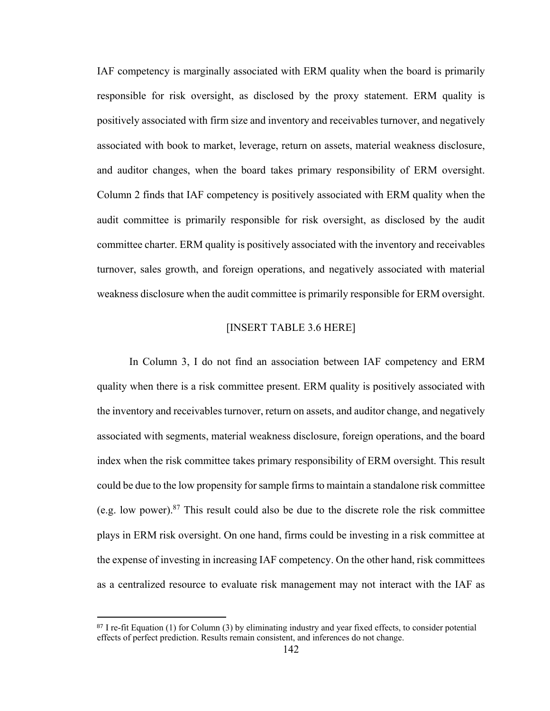IAF competency is marginally associated with ERM quality when the board is primarily responsible for risk oversight, as disclosed by the proxy statement. ERM quality is positively associated with firm size and inventory and receivables turnover, and negatively associated with book to market, leverage, return on assets, material weakness disclosure, and auditor changes, when the board takes primary responsibility of ERM oversight. Column 2 finds that IAF competency is positively associated with ERM quality when the audit committee is primarily responsible for risk oversight, as disclosed by the audit committee charter. ERM quality is positively associated with the inventory and receivables turnover, sales growth, and foreign operations, and negatively associated with material weakness disclosure when the audit committee is primarily responsible for ERM oversight.

# [INSERT TABLE 3.6 HERE]

In Column 3, I do not find an association between IAF competency and ERM quality when there is a risk committee present. ERM quality is positively associated with the inventory and receivables turnover, return on assets, and auditor change, and negatively associated with segments, material weakness disclosure, foreign operations, and the board index when the risk committee takes primary responsibility of ERM oversight. This result could be due to the low propensity for sample firms to maintain a standalone risk committee (e.g. low power).<sup>87</sup> This result could also be due to the discrete role the risk committee plays in ERM risk oversight. On one hand, firms could be investing in a risk committee at the expense of investing in increasing IAF competency. On the other hand, risk committees as a centralized resource to evaluate risk management may not interact with the IAF as

 $\overline{a}$ 

<sup>&</sup>lt;sup>87</sup> I re-fit Equation (1) for Column (3) by eliminating industry and year fixed effects, to consider potential effects of perfect prediction. Results remain consistent, and inferences do not change.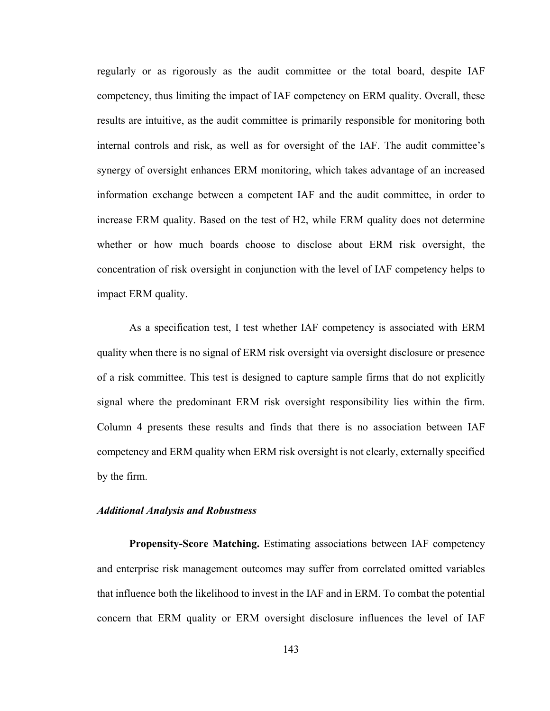regularly or as rigorously as the audit committee or the total board, despite IAF competency, thus limiting the impact of IAF competency on ERM quality. Overall, these results are intuitive, as the audit committee is primarily responsible for monitoring both internal controls and risk, as well as for oversight of the IAF. The audit committee's synergy of oversight enhances ERM monitoring, which takes advantage of an increased information exchange between a competent IAF and the audit committee, in order to increase ERM quality. Based on the test of H2, while ERM quality does not determine whether or how much boards choose to disclose about ERM risk oversight, the concentration of risk oversight in conjunction with the level of IAF competency helps to impact ERM quality.

As a specification test, I test whether IAF competency is associated with ERM quality when there is no signal of ERM risk oversight via oversight disclosure or presence of a risk committee. This test is designed to capture sample firms that do not explicitly signal where the predominant ERM risk oversight responsibility lies within the firm. Column 4 presents these results and finds that there is no association between IAF competency and ERM quality when ERM risk oversight is not clearly, externally specified by the firm.

#### *Additional Analysis and Robustness*

**Propensity-Score Matching.** Estimating associations between IAF competency and enterprise risk management outcomes may suffer from correlated omitted variables that influence both the likelihood to invest in the IAF and in ERM. To combat the potential concern that ERM quality or ERM oversight disclosure influences the level of IAF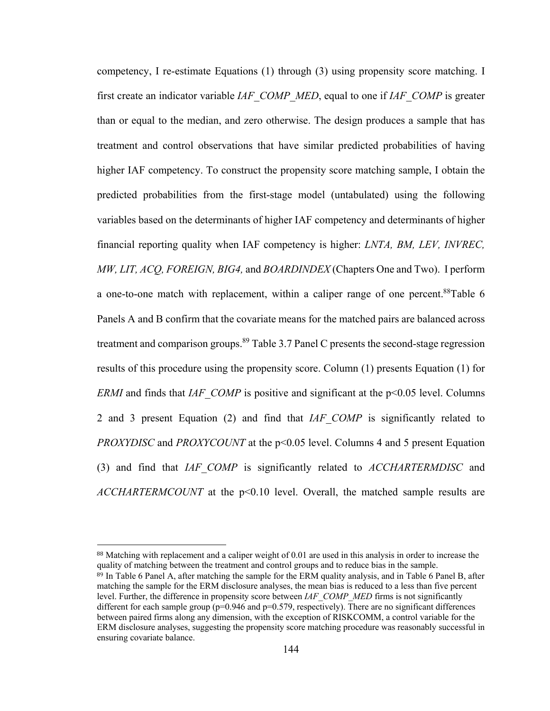competency, I re-estimate Equations (1) through (3) using propensity score matching. I first create an indicator variable *IAF\_COMP\_MED*, equal to one if *IAF\_COMP* is greater than or equal to the median, and zero otherwise. The design produces a sample that has treatment and control observations that have similar predicted probabilities of having higher IAF competency. To construct the propensity score matching sample, I obtain the predicted probabilities from the first-stage model (untabulated) using the following variables based on the determinants of higher IAF competency and determinants of higher financial reporting quality when IAF competency is higher: *LNTA, BM, LEV, INVREC, MW, LIT, ACQ, FOREIGN, BIG4,* and *BOARDINDEX* (Chapters One and Two). I perform a one-to-one match with replacement, within a caliper range of one percent.<sup>88</sup>Table 6 Panels A and B confirm that the covariate means for the matched pairs are balanced across treatment and comparison groups.<sup>89</sup> Table 3.7 Panel C presents the second-stage regression results of this procedure using the propensity score. Column (1) presents Equation (1) for *ERMI* and finds that *IAF\_COMP* is positive and significant at the p<0.05 level. Columns 2 and 3 present Equation (2) and find that *IAF\_COMP* is significantly related to *PROXYDISC* and *PROXYCOUNT* at the p<0.05 level. Columns 4 and 5 present Equation (3) and find that *IAF\_COMP* is significantly related to *ACCHARTERMDISC* and *ACCHARTERMCOUNT* at the p<0.10 level. Overall, the matched sample results are

 $\overline{a}$ 

<sup>88</sup> Matching with replacement and a caliper weight of 0.01 are used in this analysis in order to increase the quality of matching between the treatment and control groups and to reduce bias in the sample.

<sup>89</sup> In Table 6 Panel A, after matching the sample for the ERM quality analysis, and in Table 6 Panel B, after matching the sample for the ERM disclosure analyses, the mean bias is reduced to a less than five percent level. Further, the difference in propensity score between *IAF\_COMP\_MED* firms is not significantly different for each sample group  $(p=0.946$  and  $p=0.579$ , respectively). There are no significant differences between paired firms along any dimension, with the exception of RISKCOMM, a control variable for the ERM disclosure analyses, suggesting the propensity score matching procedure was reasonably successful in ensuring covariate balance.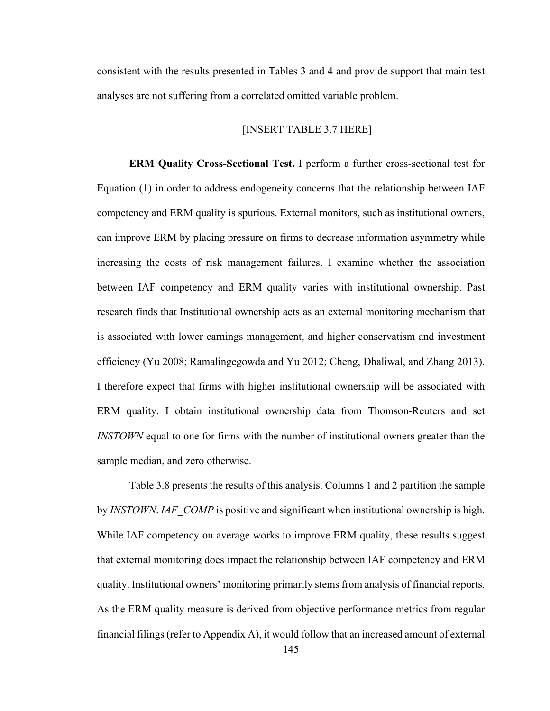consistent with the results presented in Tables 3 and 4 and provide support that main test analyses are not suffering from a correlated omitted variable problem.

#### [INSERT TABLE 3.7 HERE]

**ERM Quality Cross-Sectional Test.** I perform a further cross-sectional test for Equation (1) in order to address endogeneity concerns that the relationship between IAF competency and ERM quality is spurious. External monitors, such as institutional owners, can improve ERM by placing pressure on firms to decrease information asymmetry while increasing the costs of risk management failures. I examine whether the association between IAF competency and ERM quality varies with institutional ownership. Past research finds that Institutional ownership acts as an external monitoring mechanism that is associated with lower earnings management, and higher conservatism and investment efficiency (Yu 2008; Ramalingegowda and Yu 2012; Cheng, Dhaliwal, and Zhang 2013). I therefore expect that firms with higher institutional ownership will be associated with ERM quality. I obtain institutional ownership data from Thomson-Reuters and set *INSTOWN* equal to one for firms with the number of institutional owners greater than the sample median, and zero otherwise.

Table 3.8 presents the results of this analysis. Columns 1 and 2 partition the sample by *INSTOWN*. *IAF\_COMP* is positive and significant when institutional ownership is high. While IAF competency on average works to improve ERM quality, these results suggest that external monitoring does impact the relationship between IAF competency and ERM quality. Institutional owners' monitoring primarily stems from analysis of financial reports. As the ERM quality measure is derived from objective performance metrics from regular financial filings (refer to Appendix A), it would follow that an increased amount of external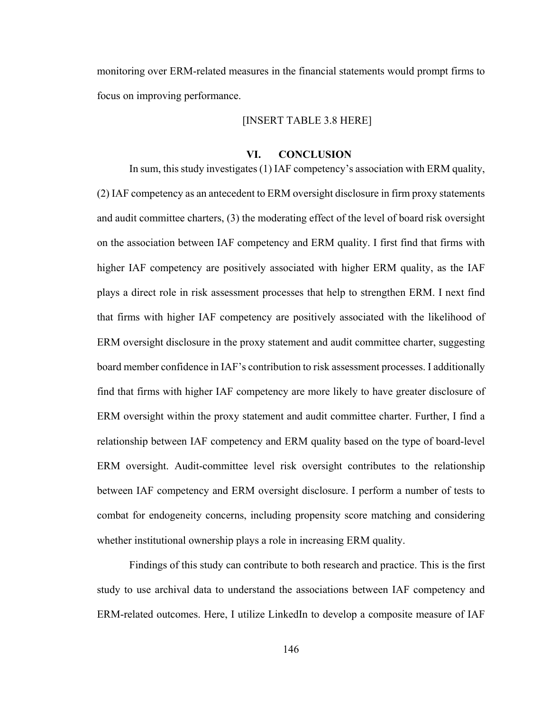monitoring over ERM-related measures in the financial statements would prompt firms to focus on improving performance.

# [INSERT TABLE 3.8 HERE]

## **VI. CONCLUSION**

In sum, this study investigates (1) IAF competency's association with ERM quality, (2) IAF competency as an antecedent to ERM oversight disclosure in firm proxy statements and audit committee charters, (3) the moderating effect of the level of board risk oversight on the association between IAF competency and ERM quality. I first find that firms with higher IAF competency are positively associated with higher ERM quality, as the IAF plays a direct role in risk assessment processes that help to strengthen ERM. I next find that firms with higher IAF competency are positively associated with the likelihood of ERM oversight disclosure in the proxy statement and audit committee charter, suggesting board member confidence in IAF's contribution to risk assessment processes. I additionally find that firms with higher IAF competency are more likely to have greater disclosure of ERM oversight within the proxy statement and audit committee charter. Further, I find a relationship between IAF competency and ERM quality based on the type of board-level ERM oversight. Audit-committee level risk oversight contributes to the relationship between IAF competency and ERM oversight disclosure. I perform a number of tests to combat for endogeneity concerns, including propensity score matching and considering whether institutional ownership plays a role in increasing ERM quality.

Findings of this study can contribute to both research and practice. This is the first study to use archival data to understand the associations between IAF competency and ERM-related outcomes. Here, I utilize LinkedIn to develop a composite measure of IAF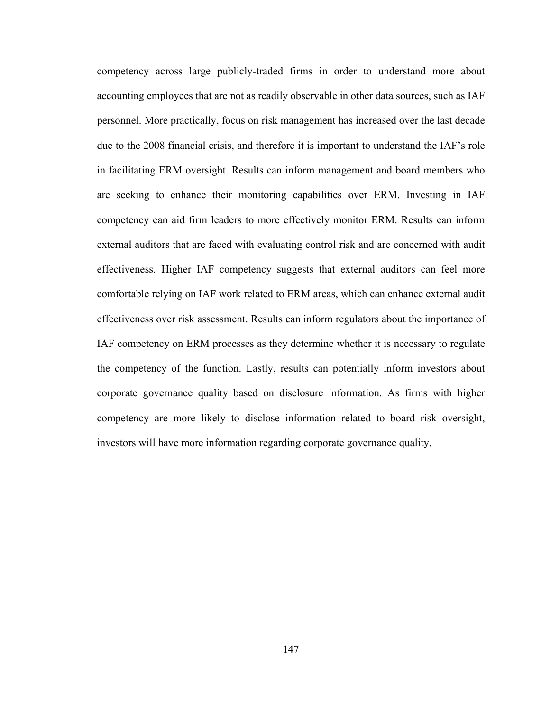competency across large publicly-traded firms in order to understand more about accounting employees that are not as readily observable in other data sources, such as IAF personnel. More practically, focus on risk management has increased over the last decade due to the 2008 financial crisis, and therefore it is important to understand the IAF's role in facilitating ERM oversight. Results can inform management and board members who are seeking to enhance their monitoring capabilities over ERM. Investing in IAF competency can aid firm leaders to more effectively monitor ERM. Results can inform external auditors that are faced with evaluating control risk and are concerned with audit effectiveness. Higher IAF competency suggests that external auditors can feel more comfortable relying on IAF work related to ERM areas, which can enhance external audit effectiveness over risk assessment. Results can inform regulators about the importance of IAF competency on ERM processes as they determine whether it is necessary to regulate the competency of the function. Lastly, results can potentially inform investors about corporate governance quality based on disclosure information. As firms with higher competency are more likely to disclose information related to board risk oversight, investors will have more information regarding corporate governance quality.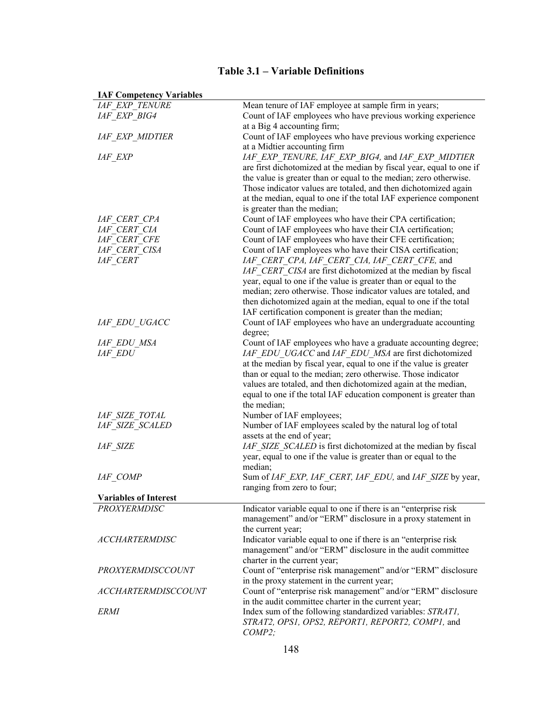| <b>IAF Competency Variables</b>                     |                                                                                                            |
|-----------------------------------------------------|------------------------------------------------------------------------------------------------------------|
| <b>IAF EXP TENURE</b>                               | Mean tenure of IAF employee at sample firm in years;                                                       |
| IAF EXP BIG4                                        | Count of IAF employees who have previous working experience                                                |
|                                                     | at a Big 4 accounting firm;                                                                                |
| <b>IAF EXP MIDTIER</b>                              | Count of IAF employees who have previous working experience                                                |
|                                                     | at a Midtier accounting firm                                                                               |
| <i>IAF EXP</i>                                      | IAF EXP TENURE, IAF EXP BIG4, and IAF EXP MIDTIER                                                          |
|                                                     | are first dichotomized at the median by fiscal year, equal to one if                                       |
|                                                     | the value is greater than or equal to the median; zero otherwise.                                          |
|                                                     | Those indicator values are totaled, and then dichotomized again                                            |
|                                                     | at the median, equal to one if the total IAF experience component                                          |
|                                                     | is greater than the median;                                                                                |
| IAF CERT CPA                                        | Count of IAF employees who have their CPA certification;                                                   |
| IAF CERT CIA                                        | Count of IAF employees who have their CIA certification;                                                   |
| <b>IAF CERT CFE</b>                                 | Count of IAF employees who have their CFE certification;                                                   |
| IAF CERT CISA<br><b>IAF CERT</b>                    | Count of IAF employees who have their CISA certification;<br>IAF CERT CPA, IAF CERT CIA, IAF CERT CFE, and |
|                                                     | IAF CERT CISA are first dichotomized at the median by fiscal                                               |
|                                                     | year, equal to one if the value is greater than or equal to the                                            |
|                                                     | median; zero otherwise. Those indicator values are totaled, and                                            |
|                                                     | then dichotomized again at the median, equal to one if the total                                           |
|                                                     | IAF certification component is greater than the median;                                                    |
| IAF EDU UGACC                                       | Count of IAF employees who have an undergraduate accounting                                                |
|                                                     | degree;                                                                                                    |
| IAF EDU MSA                                         | Count of IAF employees who have a graduate accounting degree;                                              |
| <i>IAF EDU</i>                                      | IAF EDU UGACC and IAF EDU MSA are first dichotomized                                                       |
|                                                     | at the median by fiscal year, equal to one if the value is greater                                         |
|                                                     | than or equal to the median; zero otherwise. Those indicator                                               |
|                                                     | values are totaled, and then dichotomized again at the median,                                             |
|                                                     | equal to one if the total IAF education component is greater than                                          |
|                                                     | the median;                                                                                                |
| IAF SIZE TOTAL                                      | Number of IAF employees;                                                                                   |
| IAF SIZE SCALED                                     | Number of IAF employees scaled by the natural log of total                                                 |
|                                                     | assets at the end of year;                                                                                 |
| <b>IAF SIZE</b>                                     | IAF SIZE SCALED is first dichotomized at the median by fiscal                                              |
|                                                     | year, equal to one if the value is greater than or equal to the                                            |
|                                                     | median;                                                                                                    |
| IAF COMP                                            | Sum of IAF EXP, IAF CERT, IAF EDU, and IAF SIZE by year,                                                   |
|                                                     | ranging from zero to four;                                                                                 |
| <b>Variables of Interest</b><br><b>PROXYERMDISC</b> | Indicator variable equal to one if there is an "enterprise risk                                            |
|                                                     | management" and/or "ERM" disclosure in a proxy statement in                                                |
|                                                     | the current year;                                                                                          |
| <b>ACCHARTERMDISC</b>                               | Indicator variable equal to one if there is an "enterprise risk                                            |
|                                                     | management" and/or "ERM" disclosure in the audit committee                                                 |
|                                                     | charter in the current year;                                                                               |
| <b>PROXYERMDISCCOUNT</b>                            | Count of "enterprise risk management" and/or "ERM" disclosure                                              |
|                                                     | in the proxy statement in the current year;                                                                |
| <b>ACCHARTERMDISCCOUNT</b>                          | Count of "enterprise risk management" and/or "ERM" disclosure                                              |
|                                                     | in the audit committee charter in the current year;                                                        |
| <i>ERMI</i>                                         | Index sum of the following standardized variables: STRAT1,                                                 |
|                                                     | STRAT2, OPS1, OPS2, REPORT1, REPORT2, COMP1, and                                                           |
|                                                     | COMP2;                                                                                                     |

# **Table 3.1 – Variable Definitions**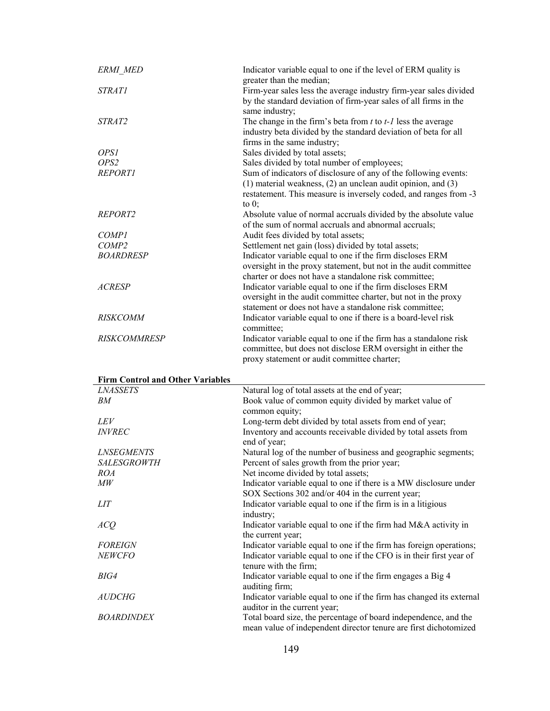| <b>ERMI MED</b>                                            | Indicator variable equal to one if the level of ERM quality is<br>greater than the median;                                                              |
|------------------------------------------------------------|---------------------------------------------------------------------------------------------------------------------------------------------------------|
| <b>STRATI</b>                                              | Firm-year sales less the average industry firm-year sales divided<br>by the standard deviation of firm-year sales of all firms in the<br>same industry; |
| STRAT2                                                     | The change in the firm's beta from $t$ to $t$ - $l$ less the average                                                                                    |
|                                                            | industry beta divided by the standard deviation of beta for all                                                                                         |
|                                                            | firms in the same industry;                                                                                                                             |
| <i>OPSI</i>                                                | Sales divided by total assets;                                                                                                                          |
| OPS <sub>2</sub>                                           | Sales divided by total number of employees;                                                                                                             |
| <b>REPORTI</b>                                             | Sum of indicators of disclosure of any of the following events:                                                                                         |
|                                                            | $(1)$ material weakness, $(2)$ an unclean audit opinion, and $(3)$<br>restatement. This measure is inversely coded, and ranges from -3<br>to $0$ ;      |
| REPORT2                                                    | Absolute value of normal accruals divided by the absolute value                                                                                         |
|                                                            | of the sum of normal accruals and abnormal accruals;                                                                                                    |
| <i>COMP1</i>                                               | Audit fees divided by total assets;                                                                                                                     |
| COMP <sub>2</sub>                                          | Settlement net gain (loss) divided by total assets;                                                                                                     |
| <b>BOARDRESP</b>                                           | Indicator variable equal to one if the firm discloses ERM                                                                                               |
|                                                            | oversight in the proxy statement, but not in the audit committee                                                                                        |
| <b>ACRESP</b>                                              | charter or does not have a standalone risk committee;<br>Indicator variable equal to one if the firm discloses ERM                                      |
|                                                            | oversight in the audit committee charter, but not in the proxy                                                                                          |
|                                                            | statement or does not have a standalone risk committee;                                                                                                 |
| <b>RISKCOMM</b>                                            | Indicator variable equal to one if there is a board-level risk                                                                                          |
|                                                            | committee;                                                                                                                                              |
| <b>RISKCOMMRESP</b>                                        | Indicator variable equal to one if the firm has a standalone risk                                                                                       |
|                                                            | committee, but does not disclose ERM oversight in either the                                                                                            |
|                                                            |                                                                                                                                                         |
|                                                            | proxy statement or audit committee charter;                                                                                                             |
|                                                            |                                                                                                                                                         |
| <b>Firm Control and Other Variables</b><br><b>LNASSETS</b> | Natural log of total assets at the end of year;                                                                                                         |
| BM                                                         | Book value of common equity divided by market value of                                                                                                  |
|                                                            | common equity;                                                                                                                                          |
| <i>LEV</i>                                                 | Long-term debt divided by total assets from end of year;                                                                                                |
| <b>INVREC</b>                                              | Inventory and accounts receivable divided by total assets from                                                                                          |
|                                                            | end of year;                                                                                                                                            |
| <b>LNSEGMENTS</b>                                          | Natural log of the number of business and geographic segments;                                                                                          |
| <i>SALESGROWTH</i><br><i>ROA</i>                           | Percent of sales growth from the prior year;                                                                                                            |
| $\mathit{MW}$                                              | Net income divided by total assets;<br>Indicator variable equal to one if there is a MW disclosure under                                                |
|                                                            | SOX Sections 302 and/or 404 in the current year;                                                                                                        |
| <i>LIT</i>                                                 | Indicator variable equal to one if the firm is in a litigious                                                                                           |
|                                                            | industry;                                                                                                                                               |
| ACQ                                                        | Indicator variable equal to one if the firm had M&A activity in<br>the current year;                                                                    |
| <b>FOREIGN</b>                                             | Indicator variable equal to one if the firm has foreign operations;                                                                                     |
| <b>NEWCFO</b>                                              | Indicator variable equal to one if the CFO is in their first year of                                                                                    |
|                                                            | tenure with the firm;                                                                                                                                   |
| BIG4                                                       | Indicator variable equal to one if the firm engages a Big 4                                                                                             |
|                                                            | auditing firm;                                                                                                                                          |
| <i>AUDCHG</i>                                              | Indicator variable equal to one if the firm has changed its external                                                                                    |
| <b>BOARDINDEX</b>                                          | auditor in the current year;<br>Total board size, the percentage of board independence, and the                                                         |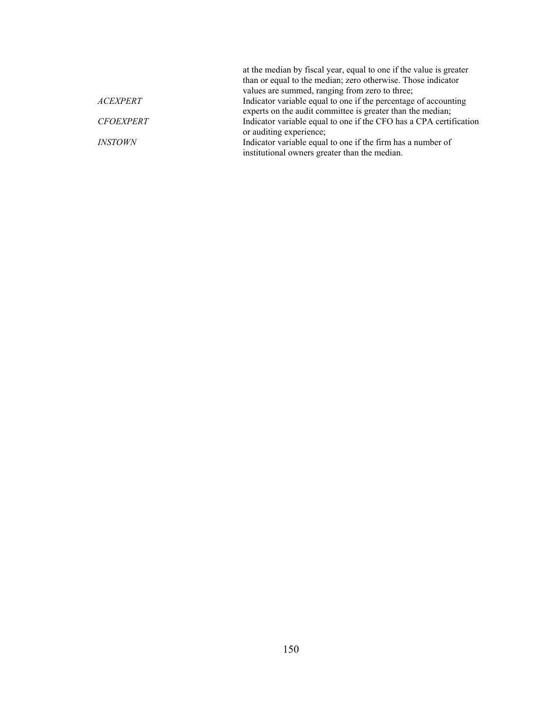|                       | at the median by fiscal year, equal to one if the value is greater<br>than or equal to the median; zero otherwise. Those indicator<br>values are summed, ranging from zero to three; |
|-----------------------|--------------------------------------------------------------------------------------------------------------------------------------------------------------------------------------|
| <b>ACEXPERT</b>       | Indicator variable equal to one if the percentage of accounting                                                                                                                      |
|                       | experts on the audit committee is greater than the median;                                                                                                                           |
| <b>CFOEXPERT</b>      | Indicator variable equal to one if the CFO has a CPA certification                                                                                                                   |
|                       | or auditing experience;                                                                                                                                                              |
| <i><b>INSTOWN</b></i> | Indicator variable equal to one if the firm has a number of                                                                                                                          |
|                       | institutional owners greater than the median.                                                                                                                                        |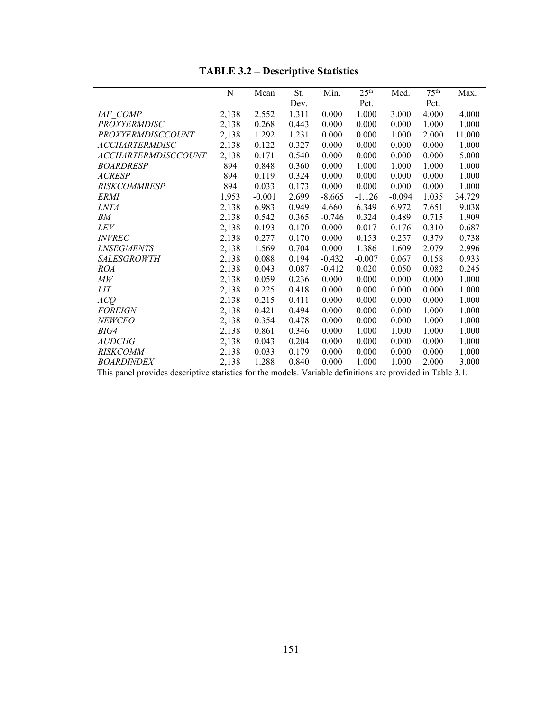# **TABLE 3.2 – Descriptive Statistics**

|                            | N     | Mean     | St.   | Min.     | 25 <sup>th</sup> | Med.     | 75 <sup>th</sup> | Max.   |
|----------------------------|-------|----------|-------|----------|------------------|----------|------------------|--------|
|                            |       |          | Dev.  |          | Pct.             |          | Pct.             |        |
| IAF COMP                   | 2,138 | 2.552    | 1.311 | 0.000    | 1.000            | 3.000    | 4.000            | 4.000  |
| <b>PROXYERMDISC</b>        | 2,138 | 0.268    | 0.443 | 0.000    | 0.000            | 0.000    | 1.000            | 1.000  |
| PROXYERMDISCCOUNT          | 2,138 | 1.292    | 1.231 | 0.000    | 0.000            | 1.000    | 2.000            | 11.000 |
| <b>ACCHARTERMDISC</b>      | 2,138 | 0.122    | 0.327 | 0.000    | 0.000            | 0.000    | 0.000            | 1.000  |
| <i>ACCHARTERMDISCCOUNT</i> | 2,138 | 0.171    | 0.540 | 0.000    | 0.000            | 0.000    | 0.000            | 5.000  |
| <b>BOARDRESP</b>           | 894   | 0.848    | 0.360 | 0.000    | 1.000            | 1.000    | 1.000            | 1.000  |
| <b>ACRESP</b>              | 894   | 0.119    | 0.324 | 0.000    | 0.000            | 0.000    | 0.000            | 1.000  |
| <b>RISKCOMMRESP</b>        | 894   | 0.033    | 0.173 | 0.000    | 0.000            | 0.000    | 0.000            | 1.000  |
| <i>ERMI</i>                | 1,953 | $-0.001$ | 2.699 | $-8.665$ | $-1.126$         | $-0.094$ | 1.035            | 34.729 |
| <i>LNTA</i>                | 2,138 | 6.983    | 0.949 | 4.660    | 6.349            | 6.972    | 7.651            | 9.038  |
| BМ                         | 2,138 | 0.542    | 0.365 | $-0.746$ | 0.324            | 0.489    | 0.715            | 1.909  |
| <i>LEV</i>                 | 2,138 | 0.193    | 0.170 | 0.000    | 0.017            | 0.176    | 0.310            | 0.687  |
| <i><b>INVREC</b></i>       | 2,138 | 0.277    | 0.170 | 0.000    | 0.153            | 0.257    | 0.379            | 0.738  |
| <i><b>LNSEGMENTS</b></i>   | 2,138 | 1.569    | 0.704 | 0.000    | 1.386            | 1.609    | 2.079            | 2.996  |
| <i>SALESGROWTH</i>         | 2,138 | 0.088    | 0.194 | $-0.432$ | $-0.007$         | 0.067    | 0.158            | 0.933  |
| <i>ROA</i>                 | 2,138 | 0.043    | 0.087 | $-0.412$ | 0.020            | 0.050    | 0.082            | 0.245  |
| $\overline{MW}$            | 2,138 | 0.059    | 0.236 | 0.000    | 0.000            | 0.000    | 0.000            | 1.000  |
| <b>LIT</b>                 | 2,138 | 0.225    | 0.418 | 0.000    | 0.000            | 0.000    | 0.000            | 1.000  |
| ACQ                        | 2,138 | 0.215    | 0.411 | 0.000    | 0.000            | 0.000    | 0.000            | 1.000  |
| <b>FOREIGN</b>             | 2,138 | 0.421    | 0.494 | 0.000    | 0.000            | 0.000    | 1.000            | 1.000  |
| <b>NEWCFO</b>              | 2,138 | 0.354    | 0.478 | 0.000    | 0.000            | 0.000    | 1.000            | 1.000  |
| BIG4                       | 2,138 | 0.861    | 0.346 | 0.000    | 1.000            | 1.000    | 1.000            | 1.000  |
| <b>AUDCHG</b>              | 2,138 | 0.043    | 0.204 | 0.000    | 0.000            | 0.000    | 0.000            | 1.000  |
| <i>RISKCOMM</i>            | 2,138 | 0.033    | 0.179 | 0.000    | 0.000            | 0.000    | 0.000            | 1.000  |
| <i>BOARDINDEX</i>          | 2,138 | 1.288    | 0.840 | 0.000    | 1.000            | 1.000    | 2.000            | 3.000  |

This panel provides descriptive statistics for the models. Variable definitions are provided in Table 3.1.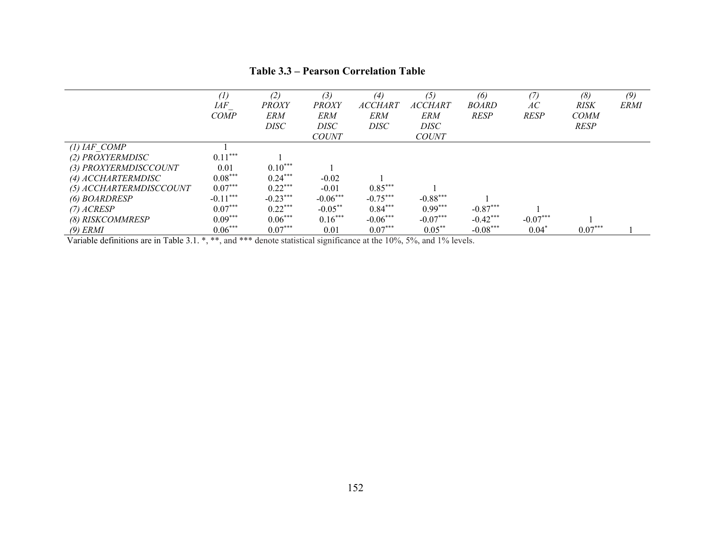|                                                                                                                                                                                                                                                                                                                                                                                          | (1)<br>IAF<br><b>COMP</b>                               | (2)<br><b>PROXY</b><br><b>ERM</b><br>DISC | (3)<br><b>PROXY</b><br>ERM<br>DISC<br><b>COUNT</b> | $\left(4\right)$<br><i>ACCHART</i><br><b>ERM</b><br><b>DISC</b> | (5)<br><b>ACCHART</b><br><b>ERM</b><br>DISC<br><b>COUNT</b> | (6)<br><b>BOARD</b><br><b>RESP</b> | (7)<br>АC<br><b>RESP</b> | (8)<br><b>RISK</b><br><b>COMM</b><br><b>RESP</b> | (9)<br><b>ERMI</b> |
|------------------------------------------------------------------------------------------------------------------------------------------------------------------------------------------------------------------------------------------------------------------------------------------------------------------------------------------------------------------------------------------|---------------------------------------------------------|-------------------------------------------|----------------------------------------------------|-----------------------------------------------------------------|-------------------------------------------------------------|------------------------------------|--------------------------|--------------------------------------------------|--------------------|
| $(1)$ IAF COMP                                                                                                                                                                                                                                                                                                                                                                           | $0.11***$                                               |                                           |                                                    |                                                                 |                                                             |                                    |                          |                                                  |                    |
| (2) PROXYERMDISC<br>(3) PROXYERMDISCCOUNT                                                                                                                                                                                                                                                                                                                                                | 0.01                                                    | $0.10***$                                 |                                                    |                                                                 |                                                             |                                    |                          |                                                  |                    |
| (4) ACCHARTERMDISC                                                                                                                                                                                                                                                                                                                                                                       | $0.08***$                                               | $0.24***$                                 | $-0.02$                                            |                                                                 |                                                             |                                    |                          |                                                  |                    |
| (5) ACCHARTERMDISCCOUNT                                                                                                                                                                                                                                                                                                                                                                  | $0.07***$                                               | $0.22***$                                 | $-0.01$                                            | $0.85***$                                                       |                                                             |                                    |                          |                                                  |                    |
| (6) BOARDRESP                                                                                                                                                                                                                                                                                                                                                                            | $-0.11***$                                              | $-0.23***$                                | $-0.06***$                                         | $-0.75***$                                                      | $-0.88***$                                                  |                                    |                          |                                                  |                    |
| $(7)$ ACRESP                                                                                                                                                                                                                                                                                                                                                                             | $0.07***$                                               | $0.22***$                                 | $-0.05***$                                         | $0.84***$                                                       | $0.99***$                                                   | $-0.87***$                         |                          |                                                  |                    |
| (8) RISKCOMMRESP                                                                                                                                                                                                                                                                                                                                                                         | $0.09***$                                               | $0.06***$                                 | $0.16***$                                          | $-0.06***$                                                      | $-0.07***$                                                  | $-0.42***$                         | $-0.07***$               |                                                  |                    |
| $(9)$ ERMI<br><del></del><br>$\ddot{\phantom{a}}$ and $\ddot{\phantom{a}}$ and $\ddot{\phantom{a}}$ and $\ddot{\phantom{a}}$ and $\ddot{\phantom{a}}$ and $\ddot{\phantom{a}}$ and $\ddot{\phantom{a}}$ and $\ddot{\phantom{a}}$ and $\ddot{\phantom{a}}$ and $\ddot{\phantom{a}}$ and $\ddot{\phantom{a}}$ and $\ddot{\phantom{a}}$ and $\ddot{\phantom{a}}$ and $\ddot{\phantom{a}}$ a | $0.06***$<br><b>Contract Contract Contract Contract</b> | $0.07***$                                 | 0.01                                               | $0.07***$                                                       | $0.05***$<br>$\sim$ $\sim$ $\sim$ $\sim$ $\sim$             | $-0.08***$                         | $0.04*$                  | $0.07***$                                        |                    |

#### **Table 3.3 – Pearson Correlation Table**

Variable definitions are in Table 3.1. \*, \*\*, and \*\*\* denote statistical significance at the 10%, 5%, and 1% levels.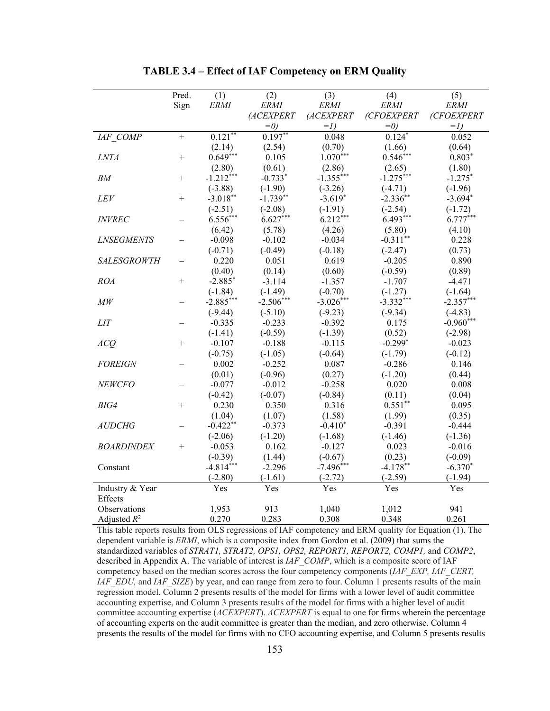|                    | Pred.     | (1)<br><b>ERMI</b>    | (2)<br><b>ERMI</b>  | (3)<br><b>ERMI</b>    | (4)<br><b>ERMI</b>    | (5)<br><b>ERMI</b> |
|--------------------|-----------|-----------------------|---------------------|-----------------------|-----------------------|--------------------|
|                    | Sign      |                       | (ACEXPERT           | (ACEXPERT             | (CFOEXPERT            | (CFOEXPERT         |
|                    |           |                       | $=0$                | $=1$                  | $=0$                  | $=1$               |
| IAF_COMP           | $\ddot{}$ | $0.121**$             | $0.197**$           | 0.048                 | $0.124*$              | 0.052              |
|                    |           | (2.14)                | (2.54)              | (0.70)                | (1.66)                | (0.64)             |
| <b>LNTA</b>        | $^{+}$    | $0.649***$            | 0.105               | $1.070***$            | $0.546***$            | $0.803*$           |
|                    |           |                       |                     |                       |                       |                    |
| BM                 | $+$       | (2.80)<br>$-1.212***$ | (0.61)<br>$-0.733*$ | (2.86)<br>$-1.355***$ | (2.65)<br>$-1.275***$ | (1.80)             |
|                    |           |                       |                     |                       |                       | $-1.275$ *         |
|                    |           | $(-3.88)$             | $(-1.90)$           | $(-3.26)$             | $(-4.71)$             | $(-1.96)$          |
| <b>LEV</b>         | $^{+}$    | $-3.018**$            | $-1.739**$          | $-3.619*$             | $-2.336$ **           | $-3.694*$          |
|                    |           | $(-2.51)$             | $(-2.08)$           | $(-1.91)$             | $(-2.54)$             | $(-1.72)$          |
| <i>INVREC</i>      |           | $6.556***$            | $6.627***$          | $6.212***$            | $6.493***$            | $6.777***$         |
|                    |           | (6.42)                | (5.78)              | (4.26)                | (5.80)                | (4.10)             |
| <b>LNSEGMENTS</b>  |           | $-0.098$              | $-0.102$            | $-0.034$              | $-0.311**$            | 0.228              |
|                    |           | $(-0.71)$             | $(-0.49)$           | $(-0.18)$             | $(-2.47)$             | (0.73)             |
| <b>SALESGROWTH</b> |           | 0.220                 | 0.051               | 0.619                 | $-0.205$              | 0.890              |
|                    |           | (0.40)                | (0.14)              | (0.60)                | $(-0.59)$             | (0.89)             |
| <b>ROA</b>         | $^{+}$    | $-2.885*$             | $-3.114$            | $-1.357$              | $-1.707$              | $-4.471$           |
|                    |           | $(-1.84)$             | $(-1.49)$           | $(-0.70)$             | $(-1.27)$             | $(-1.64)$          |
| МW                 |           | $-2.885***$           | $-2.506***$         | $-3.026***$           | $-3.332***$           | $-2.357***$        |
|                    |           | $(-9.44)$             | $(-5.10)$           | $(-9.23)$             | $(-9.34)$             | $(-4.83)$          |
| <b>LIT</b>         |           | $-0.335$              | $-0.233$            | $-0.392$              | 0.175                 | $-0.960***$        |
|                    |           | $(-1.41)$             | $(-0.59)$           | $(-1.39)$             | (0.52)                | $(-2.98)$          |
| ACQ                | $^{+}$    | $-0.107$              | $-0.188$            | $-0.115$              | $-0.299*$             | $-0.023$           |
|                    |           | $(-0.75)$             | $(-1.05)$           | $(-0.64)$             | $(-1.79)$             | $(-0.12)$          |
| <b>FOREIGN</b>     |           | 0.002                 | $-0.252$            | 0.087                 | $-0.286$              | 0.146              |
|                    |           | (0.01)                | $(-0.96)$           | (0.27)                | $(-1.20)$             | (0.44)             |
| <b>NEWCFO</b>      |           | $-0.077$              | $-0.012$            | $-0.258$              | 0.020                 | 0.008              |
|                    |           | $(-0.42)$             | $(-0.07)$           | $(-0.84)$             | (0.11)                | (0.04)             |
| BIG4               | $^{+}$    | 0.230                 | 0.350               | 0.316                 | $0.551**$             | 0.095              |
|                    |           | (1.04)                | (1.07)              | (1.58)                | (1.99)                | (0.35)             |
| <b>AUDCHG</b>      |           | $-0.422**$            | $-0.373$            | $-0.410*$             | $-0.391$              | $-0.444$           |
|                    |           | $(-2.06)$             | $(-1.20)$           | $(-1.68)$             | $(-1.46)$             | $(-1.36)$          |
| <b>BOARDINDEX</b>  | $+$       | $-0.053$              | 0.162               | $-0.127$              | 0.023                 | $-0.016$           |
|                    |           | $(-0.39)$             | (1.44)              | $(-0.67)$             | (0.23)                | $(-0.09)$          |
| Constant           |           | $-4.814***$           | $-2.296$            | $-7.496***$           | $-4.178**$            | $-6.370*$          |
|                    |           | $(-2.80)$             | $(-1.61)$           | $(-2.72)$             | $(-2.59)$             | $(-1.94)$          |
| Industry & Year    |           | Yes                   | Yes                 | Yes                   | Yes                   | Yes                |
| Effects            |           |                       |                     |                       |                       |                    |
| Observations       |           | 1,953                 | 913                 | 1,040                 | 1,012                 | 941                |
| Adjusted $R^2$     |           | 0.270                 | 0.283               | 0.308                 | 0.348                 | 0.261              |

**TABLE 3.4 – Effect of IAF Competency on ERM Quality** 

This table reports results from OLS regressions of IAF competency and ERM quality for Equation (1). The dependent variable is *ERMI*, which is a composite index from Gordon et al. (2009) that sums the standardized variables of *STRAT1, STRAT2, OPS1, OPS2, REPORT1, REPORT2, COMP1,* and *COMP2*, described in Appendix A. The variable of interest is *IAF\_COMP*, which is a composite score of IAF competency based on the median scores across the four competency components (*IAF\_EXP, IAF\_CERT, IAF\_EDU,* and *IAF\_SIZE*) by year, and can range from zero to four. Column 1 presents results of the main regression model. Column 2 presents results of the model for firms with a lower level of audit committee accounting expertise, and Column 3 presents results of the model for firms with a higher level of audit committee accounting expertise (*ACEXPERT*). *ACEXPERT* is equal to one for firms wherein the percentage of accounting experts on the audit committee is greater than the median, and zero otherwise. Column 4 presents the results of the model for firms with no CFO accounting expertise, and Column 5 presents results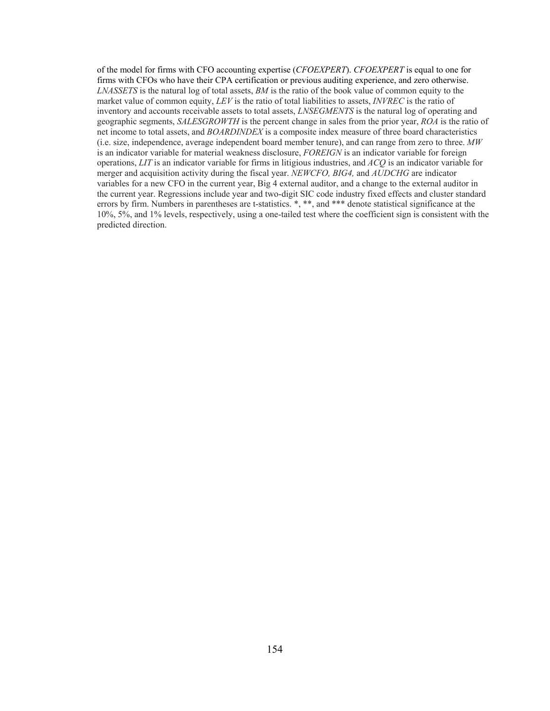of the model for firms with CFO accounting expertise (*CFOEXPERT*). *CFOEXPERT* is equal to one for firms with CFOs who have their CPA certification or previous auditing experience, and zero otherwise. *LNASSETS* is the natural log of total assets, *BM* is the ratio of the book value of common equity to the market value of common equity, *LEV* is the ratio of total liabilities to assets, *INVREC* is the ratio of inventory and accounts receivable assets to total assets, *LNSEGMENTS* is the natural log of operating and geographic segments, *SALESGROWTH* is the percent change in sales from the prior year, *ROA* is the ratio of net income to total assets, and *BOARDINDEX* is a composite index measure of three board characteristics (i.e. size, independence, average independent board member tenure), and can range from zero to three. *MW*  is an indicator variable for material weakness disclosure, *FOREIGN* is an indicator variable for foreign operations, *LIT* is an indicator variable for firms in litigious industries, and *ACQ* is an indicator variable for merger and acquisition activity during the fiscal year. *NEWCFO, BIG4,* and *AUDCHG* are indicator variables for a new CFO in the current year, Big 4 external auditor, and a change to the external auditor in the current year. Regressions include year and two-digit SIC code industry fixed effects and cluster standard errors by firm. Numbers in parentheses are t-statistics. \*, \*\*, and \*\*\* denote statistical significance at the 10%, 5%, and 1% levels, respectively, using a one-tailed test where the coefficient sign is consistent with the predicted direction.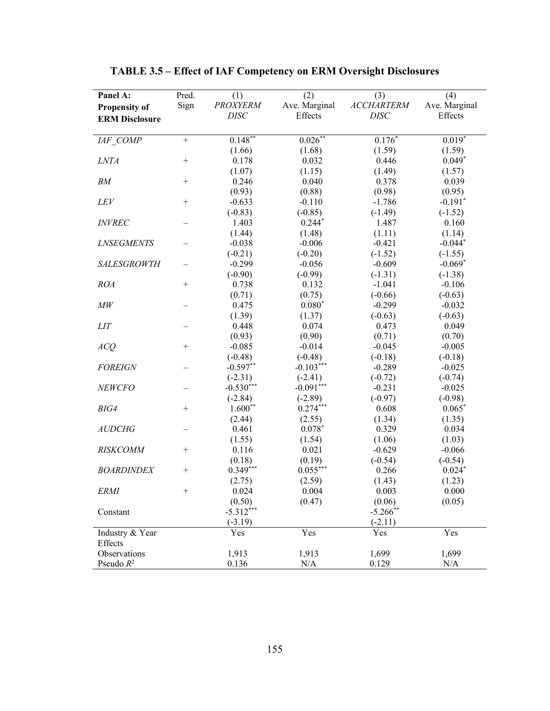| Panel A:              | Pred.            | (1)         | (2)           | (3)                                                                     | (4)           |
|-----------------------|------------------|-------------|---------------|-------------------------------------------------------------------------|---------------|
| <b>Propensity of</b>  | Sign             | PROXYERM    | Ave. Marginal | $\label{eq:accHARTERM} \begin{array}{ll} \mbox{ACCHARTERM} \end{array}$ | Ave. Marginal |
| <b>ERM Disclosure</b> |                  | <b>DISC</b> | Effects       | <b>DISC</b>                                                             | Effects       |
|                       |                  |             |               |                                                                         |               |
| IAF COMP              | $+$              | $0.148**$   | $0.026***$    | $0.176*$                                                                | $0.019*$      |
|                       |                  | (1.66)      | (1.68)        | (1.59)                                                                  | (1.59)        |
| <b>LNTA</b>           | $\boldsymbol{+}$ | 0.178       | 0.032         | 0.446                                                                   | $0.049*$      |
|                       |                  | (1.07)      | (1.15)        | (1.49)                                                                  | (1.57)        |
| BM                    | $\boldsymbol{+}$ | 0.246       | 0.040         | 0.378                                                                   | 0.039         |
|                       |                  | (0.93)      | (0.88)        | (0.98)                                                                  | (0.95)        |
| <i>LEV</i>            | $^{+}$           | $-0.633$    | $-0.110$      | $-1.786$                                                                | $-0.191*$     |
|                       |                  | $(-0.83)$   | $(-0.85)$     | $(-1.49)$                                                               | $(-1.52)$     |
| <b>INVREC</b>         |                  | 1.403       | $0.244*$      | 1.487                                                                   | 0.160         |
|                       |                  | (1.44)      | (1.48)        | (1.11)                                                                  | (1.14)        |
| <b>LNSEGMENTS</b>     |                  | $-0.038$    | $-0.006$      | $-0.421$                                                                | $-0.044*$     |
|                       |                  | $(-0.21)$   | $(-0.20)$     | $(-1.52)$                                                               | $(-1.55)$     |
| <b>SALESGROWTH</b>    |                  | $-0.299$    | $-0.056$      | $-0.609$                                                                | $-0.069*$     |
|                       |                  | $(-0.90)$   | $(-0.99)$     | $(-1.31)$                                                               | $(-1.38)$     |
| <b>ROA</b>            | $^{+}$           | 0.738       | 0.132         | $-1.041$                                                                | $-0.106$      |
|                       |                  | (0.71)      | (0.75)        | $(-0.66)$                                                               | $(-0.63)$     |
| M W                   |                  | 0.475       | $0.080*$      | $-0.299$                                                                | $-0.032$      |
|                       |                  | (1.39)      | (1.37)        | $(-0.63)$                                                               | $(-0.63)$     |
| LIT                   |                  | 0.448       | 0.074         | 0.473                                                                   | 0.049         |
|                       |                  | (0.93)      | (0.90)        | (0.71)                                                                  | (0.70)        |
| ACQ                   | $^{+}$           | $-0.085$    | $-0.014$      | $-0.045$                                                                | $-0.005$      |
|                       |                  | $(-0.48)$   | $(-0.48)$     | $(-0.18)$                                                               | $(-0.18)$     |
| <b>FOREIGN</b>        |                  | $-0.597**$  | $-0.103***$   | $-0.289$                                                                | $-0.025$      |
|                       |                  | $(-2.31)$   | $(-2.41)$     | $(-0.72)$                                                               | $(-0.74)$     |
| NEWCFO                |                  | $-0.530***$ | $-0.091***$   | $-0.231$                                                                | $-0.025$      |
|                       |                  | $(-2.84)$   | $(-2.89)$     | $(-0.97)$                                                               | $(-0.98)$     |
| BIG4                  | $^{+}$           | $1.600**$   | $0.274***$    | 0.608                                                                   | $0.065*$      |
|                       |                  | (2.44)      | (2.55)        | (1.34)                                                                  | (1.35)        |
| <b>AUDCHG</b>         |                  | 0.461       | $0.078*$      | 0.329                                                                   | 0.034         |
|                       |                  | (1.55)      | (1.54)        | (1.06)                                                                  | (1.03)        |
| <b>RISKCOMM</b>       | $^{+}$           | 0.116       | 0.021         | $-0.629$                                                                | $-0.066$      |
|                       |                  | (0.18)      | (0.19)        | $(-0.54)$                                                               | $(-0.54)$     |
| <b>BOARDINDEX</b>     | $+$              | $0.349***$  | $0.055***$    | 0.266                                                                   | $0.024*$      |
|                       |                  | (2.75)      | (2.59)        | (1.43)                                                                  | (1.23)        |
| <i>ERMI</i>           | $^{+}$           | 0.024       | 0.004         | 0.003                                                                   | 0.000         |
|                       |                  | (0.50)      | (0.47)        | (0.06)                                                                  | (0.05)        |
| Constant              |                  | $-5.312***$ |               | $-5.266$ **                                                             |               |
|                       |                  | $(-3.19)$   |               | $(-2.11)$                                                               |               |
| Industry & Year       |                  | Yes         | Yes           | Yes                                                                     | Yes           |
| Effects               |                  |             |               |                                                                         |               |
| Observations          |                  | 1,913       | 1,913         | 1,699                                                                   | 1,699         |
| Pseudo $R^2$          |                  | 0.136       | N/A           | 0.129                                                                   | N/A           |

# **TABLE 3.5 – Effect of IAF Competency on ERM Oversight Disclosures**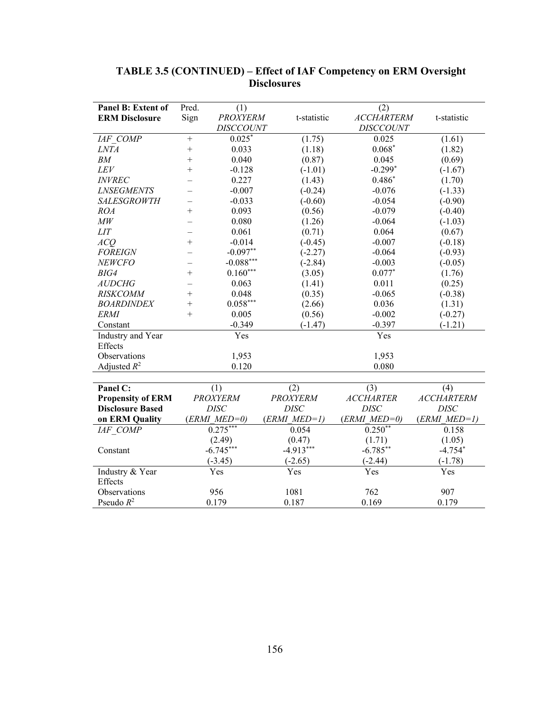| Panel B: Extent of       | Pred.     | (1)              |                 | (2)               |                   |
|--------------------------|-----------|------------------|-----------------|-------------------|-------------------|
| <b>ERM Disclosure</b>    | Sign      | <b>PROXYERM</b>  | t-statistic     | <b>ACCHARTERM</b> | t-statistic       |
|                          |           | <b>DISCCOUNT</b> |                 | <b>DISCCOUNT</b>  |                   |
| IAF COMP                 | $\ddot{}$ | $0.025*$         | (1.75)          | 0.025             | (1.61)            |
| <b>LNTA</b>              | $^{+}$    | 0.033            | (1.18)          | $0.068*$          | (1.82)            |
| BM                       | $^{+}$    | 0.040            | (0.87)          | 0.045             | (0.69)            |
| LEV                      | $^{+}$    | $-0.128$         | $(-1.01)$       | $-0.299*$         | $(-1.67)$         |
| <b>INVREC</b>            |           | 0.227            | (1.43)          | $0.486*$          | (1.70)            |
| <b>LNSEGMENTS</b>        |           | $-0.007$         | $(-0.24)$       | $-0.076$          | $(-1.33)$         |
| <b>SALESGROWTH</b>       |           | $-0.033$         | $(-0.60)$       | $-0.054$          | $(-0.90)$         |
| <b>ROA</b>               | $^{+}$    | 0.093            | (0.56)          | $-0.079$          | $(-0.40)$         |
| $\mathit{MW}$            |           | 0.080            | (1.26)          | $-0.064$          | $(-1.03)$         |
| LIT                      |           | 0.061            | (0.71)          | 0.064             | (0.67)            |
| ACQ                      | $^{+}$    | $-0.014$         | $(-0.45)$       | $-0.007$          | $(-0.18)$         |
| <b>FOREIGN</b>           |           | $-0.097**$       | $(-2.27)$       | $-0.064$          | $(-0.93)$         |
| <b>NEWCFO</b>            |           | $-0.088***$      | $(-2.84)$       | $-0.003$          | $(-0.05)$         |
| BIG4                     | $^{+}$    | $0.160***$       | (3.05)          | $0.077*$          | (1.76)            |
| <b>AUDCHG</b>            |           | 0.063            | (1.41)          | 0.011             | (0.25)            |
| <b>RISKCOMM</b>          | $^{+}$    | 0.048            | (0.35)          | $-0.065$          | $(-0.38)$         |
| <b>BOARDINDEX</b>        | $^{+}$    | $0.058***$       | (2.66)          | 0.036             | (1.31)            |
| <b>ERMI</b>              | $^{+}$    | 0.005            | (0.56)          | $-0.002$          | $(-0.27)$         |
| Constant                 |           | $-0.349$         | $(-1.47)$       | $-0.397$          | $(-1.21)$         |
| Industry and Year        |           | Yes              |                 | Yes               |                   |
| Effects                  |           |                  |                 |                   |                   |
| Observations             |           | 1,953            |                 | 1,953             |                   |
| Adjusted $R^2$           |           | 0.120            |                 | 0.080             |                   |
|                          |           |                  |                 |                   |                   |
| Panel C:                 |           | (1)              | (2)             | (3)               | (4)               |
| <b>Propensity of ERM</b> |           | <b>PROXYERM</b>  | <b>PROXYERM</b> | <b>ACCHARTER</b>  | <b>ACCHARTERM</b> |
| <b>Disclosure Based</b>  |           | <b>DISC</b>      | <b>DISC</b>     | <b>DISC</b>       | <b>DISC</b>       |
| on ERM Quality           |           | $(ERMI$ $MED=0)$ | $(ERMI MED=1)$  | $(ERMI MED=0)$    | $(ERMI MED=1)$    |
| IAF COMP                 |           | $0.275***$       | 0.054           | $0.250**$         | 0.158             |
|                          |           | (2.49)           | (0.47)          | (1.71)            | (1.05)            |
| Constant                 |           | $-6.745***$      | $-4.913***$     | $-6.785**$        | $-4.754*$         |
|                          |           | $(-3.45)$        | $(-2.65)$       | $(-2.44)$         | $(-1.78)$         |
| Industry & Year          |           | Yes              | Yes             | Yes               | Yes               |
| Effects                  |           |                  |                 |                   |                   |
|                          |           | 956              | 1081            | 762               | 907               |
| Observations             |           |                  |                 |                   |                   |

# **TABLE 3.5 (CONTINUED) – Effect of IAF Competency on ERM Oversight Disclosures**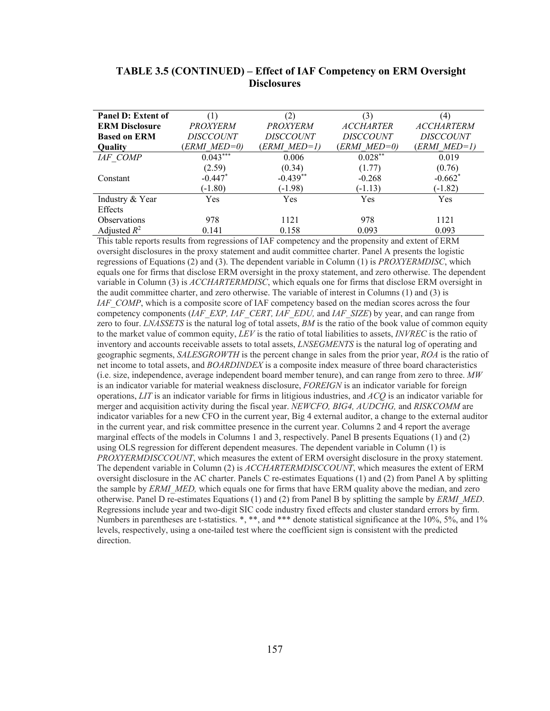| <b>Panel D: Extent of</b> |                  |                  | (3)              | $\left( 4\right)$ |
|---------------------------|------------------|------------------|------------------|-------------------|
| <b>ERM Disclosure</b>     | <b>PROXYERM</b>  | PROXYERM         | <b>ACCHARTER</b> | <b>ACCHARTERM</b> |
| <b>Based on ERM</b>       | <i>DISCCOUNT</i> | <i>DISCCOUNT</i> | <i>DISCCOUNT</i> | <i>DISCCOUNT</i>  |
| Quality                   | ERMI MED=0)      | ERMI MED=1)      | (ERMI MED=0)     | ERMI MED=1)       |
| <b>IAF COMP</b>           | $0.043***$       | 0.006            | $0.028**$        | 0.019             |
|                           | (2.59)           | (0.34)           | (1.77)           | (0.76)            |
| Constant                  | $-0.447*$        | $-0.439**$       | $-0.268$         | $-0.662*$         |
|                           | $(-1.80)$        | $(-1.98)$        | $(-1.13)$        | $(-1.82)$         |
| Industry & Year           | Yes              | <b>Yes</b>       | Yes              | <b>Yes</b>        |
| Effects                   |                  |                  |                  |                   |
| <b>Observations</b>       | 978              | 1121             | 978              | 1121              |
| Adjusted $R^2$            | 0.141            | 0.158            | 0.093            | 0.093             |

# **TABLE 3.5 (CONTINUED) – Effect of IAF Competency on ERM Oversight Disclosures**

This table reports results from regressions of IAF competency and the propensity and extent of ERM oversight disclosures in the proxy statement and audit committee charter. Panel A presents the logistic regressions of Equations (2) and (3). The dependent variable in Column (1) is *PROXYERMDISC*, which equals one for firms that disclose ERM oversight in the proxy statement, and zero otherwise. The dependent variable in Column (3) is *ACCHARTERMDISC*, which equals one for firms that disclose ERM oversight in the audit committee charter, and zero otherwise. The variable of interest in Columns (1) and (3) is *IAF\_COMP*, which is a composite score of IAF competency based on the median scores across the four competency components (*IAF\_EXP, IAF\_CERT, IAF\_EDU,* and *IAF\_SIZE*) by year, and can range from zero to four. *LNASSETS* is the natural log of total assets, *BM* is the ratio of the book value of common equity to the market value of common equity, *LEV* is the ratio of total liabilities to assets, *INVREC* is the ratio of inventory and accounts receivable assets to total assets, *LNSEGMENTS* is the natural log of operating and geographic segments, *SALESGROWTH* is the percent change in sales from the prior year, *ROA* is the ratio of net income to total assets, and *BOARDINDEX* is a composite index measure of three board characteristics (i.e. size, independence, average independent board member tenure), and can range from zero to three. *MW*  is an indicator variable for material weakness disclosure, *FOREIGN* is an indicator variable for foreign operations, *LIT* is an indicator variable for firms in litigious industries, and *ACQ* is an indicator variable for merger and acquisition activity during the fiscal year. *NEWCFO, BIG4, AUDCHG,* and *RISKCOMM* are indicator variables for a new CFO in the current year, Big 4 external auditor, a change to the external auditor in the current year, and risk committee presence in the current year. Columns 2 and 4 report the average marginal effects of the models in Columns 1 and 3, respectively. Panel B presents Equations (1) and (2) using OLS regression for different dependent measures. The dependent variable in Column (1) is *PROXYERMDISCCOUNT*, which measures the extent of ERM oversight disclosure in the proxy statement. The dependent variable in Column (2) is *ACCHARTERMDISCCOUNT*, which measures the extent of ERM oversight disclosure in the AC charter. Panels C re-estimates Equations (1) and (2) from Panel A by splitting the sample by *ERMI\_MED,* which equals one for firms that have ERM quality above the median, and zero otherwise. Panel D re-estimates Equations (1) and (2) from Panel B by splitting the sample by *ERMI\_MED*. Regressions include year and two-digit SIC code industry fixed effects and cluster standard errors by firm. Numbers in parentheses are t-statistics. \*, \*\*, and \*\*\* denote statistical significance at the 10%, 5%, and 1% levels, respectively, using a one-tailed test where the coefficient sign is consistent with the predicted direction.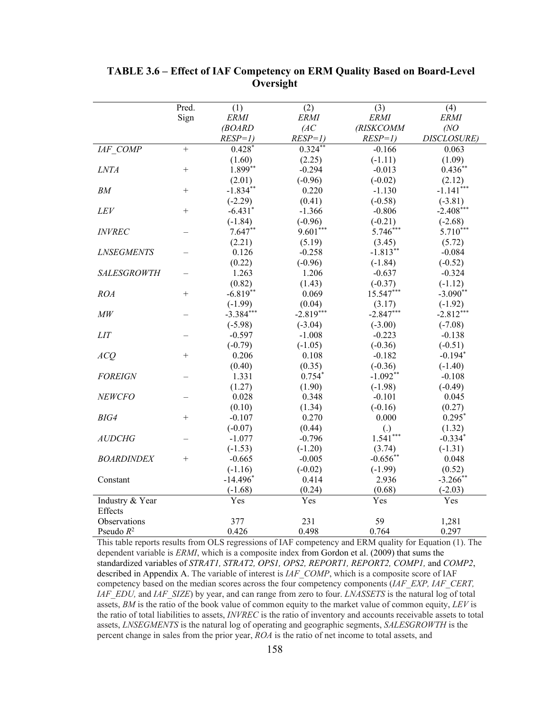|                    | Pred.  | (1)         | (2)         | (3)               | (4)         |
|--------------------|--------|-------------|-------------|-------------------|-------------|
|                    | Sign   | <b>ERMI</b> | <b>ERMI</b> | <b>ERMI</b>       | <b>ERMI</b> |
|                    |        | (BOARD      | (AC)        | (RISKCOMM         | (NO)        |
|                    |        | $RESP=1$ )  | $RESP=1$ )  | $RESP=1$ )        | DISCLOSURE) |
| IAF COMP           | $+$    | $0.428*$    | $0.324**$   | $-0.166$          | 0.063       |
|                    |        | (1.60)      | (2.25)      | $(-1.11)$         | (1.09)      |
| LNTA               | $^{+}$ | 1.899**     | $-0.294$    | $-0.013$          | $0.436**$   |
|                    |        | (2.01)      | $(-0.96)$   | $(-0.02)$         | (2.12)      |
| BM                 | $^{+}$ | $-1.834**$  | 0.220       | $-1.130$          | $-1.141***$ |
|                    |        | $(-2.29)$   | (0.41)      | $(-0.58)$         | $(-3.81)$   |
| LEV                | $^{+}$ | $-6.431*$   | $-1.366$    | $-0.806$          | $-2.408***$ |
|                    |        | $(-1.84)$   | $(-0.96)$   | $(-0.21)$         | $(-2.68)$   |
| <b>INVREC</b>      |        | $7.647**$   | $9.601***$  | $5.746***$        | 5.710***    |
|                    |        | (2.21)      | (5.19)      | (3.45)            | (5.72)      |
| <b>LNSEGMENTS</b>  |        | 0.126       | $-0.258$    | $-1.813**$        | $-0.084$    |
|                    |        | (0.22)      | $(-0.96)$   | $(-1.84)$         | $(-0.52)$   |
| <b>SALESGROWTH</b> |        | 1.263       | 1.206       | $-0.637$          | $-0.324$    |
|                    |        | (0.82)      | (1.43)      | $(-0.37)$         | $(-1.12)$   |
| <b>ROA</b>         | $+$    | $-6.819**$  | 0.069       | 15.547***         | $-3.090**$  |
|                    |        | $(-1.99)$   | (0.04)      | (3.17)            | $(-1.92)$   |
| M W                |        | $-3.384***$ | $-2.819***$ | $-2.847***$       | $-2.812***$ |
|                    |        | $(-5.98)$   | $(-3.04)$   | $(-3.00)$         | $(-7.08)$   |
| <b>LIT</b>         |        | $-0.597$    | $-1.008$    | $-0.223$          | $-0.138$    |
|                    |        | $(-0.79)$   | $(-1.05)$   | $(-0.36)$         | $(-0.51)$   |
| ACQ                | $^{+}$ | 0.206       | 0.108       | $-0.182$          | $-0.194*$   |
|                    |        | (0.40)      | (0.35)      | $(-0.36)$         | $(-1.40)$   |
| <b>FOREIGN</b>     |        | 1.331       | $0.754*$    | $-1.092**$        | $-0.108$    |
|                    |        | (1.27)      | (1.90)      | $(-1.98)$         | $(-0.49)$   |
| NEWCFO             |        | 0.028       | 0.348       | $-0.101$          | 0.045       |
|                    |        | (0.10)      | (1.34)      | $(-0.16)$         | (0.27)      |
| BIG4               | $^{+}$ | $-0.107$    | 0.270       | 0.000             | $0.295*$    |
|                    |        | $(-0.07)$   | (0.44)      | $\left( .\right)$ | (1.32)      |
| <b>AUDCHG</b>      |        | $-1.077$    | $-0.796$    | $1.541***$        | $-0.334*$   |
|                    |        | $(-1.53)$   | $(-1.20)$   | (3.74)            | $(-1.31)$   |
| <b>BOARDINDEX</b>  | $^{+}$ | $-0.665$    | $-0.005$    | $-0.656**$        | 0.048       |
|                    |        | $(-1.16)$   | $(-0.02)$   | $(-1.99)$         | (0.52)      |
| Constant           |        | $-14.496*$  | 0.414       | 2.936             | $-3.266$ ** |
|                    |        | $(-1.68)$   | (0.24)      | (0.68)            | $(-2.03)$   |
| Industry & Year    |        | Yes         | Yes         | Yes               | Yes         |
| Effects            |        |             |             |                   |             |
| Observations       |        | 377         | 231         | 59                | 1,281       |
| Pseudo $R^2$       |        | 0.426       | 0.498       | 0.764             | 0.297       |

# **TABLE 3.6 – Effect of IAF Competency on ERM Quality Based on Board-Level Oversight**

This table reports results from OLS regressions of IAF competency and ERM quality for Equation (1). The dependent variable is *ERMI*, which is a composite index from Gordon et al. (2009) that sums the standardized variables of *STRAT1, STRAT2, OPS1, OPS2, REPORT1, REPORT2, COMP1,* and *COMP2*, described in Appendix A. The variable of interest is *IAF\_COMP*, which is a composite score of IAF competency based on the median scores across the four competency components (*IAF\_EXP, IAF\_CERT, IAF\_EDU,* and *IAF\_SIZE*) by year, and can range from zero to four. *LNASSETS* is the natural log of total assets, *BM* is the ratio of the book value of common equity to the market value of common equity, *LEV* is the ratio of total liabilities to assets, *INVREC* is the ratio of inventory and accounts receivable assets to total assets, *LNSEGMENTS* is the natural log of operating and geographic segments, *SALESGROWTH* is the percent change in sales from the prior year, *ROA* is the ratio of net income to total assets, and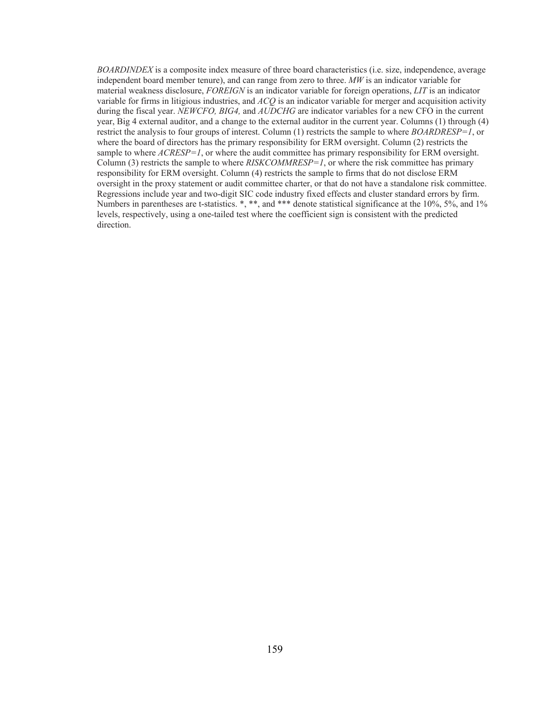*BOARDINDEX* is a composite index measure of three board characteristics (i.e. size, independence, average independent board member tenure), and can range from zero to three. *MW* is an indicator variable for material weakness disclosure, *FOREIGN* is an indicator variable for foreign operations, *LIT* is an indicator variable for firms in litigious industries, and *ACQ* is an indicator variable for merger and acquisition activity during the fiscal year. *NEWCFO, BIG4,* and *AUDCHG* are indicator variables for a new CFO in the current year, Big 4 external auditor, and a change to the external auditor in the current year. Columns (1) through (4) restrict the analysis to four groups of interest. Column (1) restricts the sample to where *BOARDRESP=1*, or where the board of directors has the primary responsibility for ERM oversight. Column (2) restricts the sample to where  $ACRESP=1$ , or where the audit committee has primary responsibility for ERM oversight. Column (3) restricts the sample to where *RISKCOMMRESP=1*, or where the risk committee has primary responsibility for ERM oversight. Column (4) restricts the sample to firms that do not disclose ERM oversight in the proxy statement or audit committee charter, or that do not have a standalone risk committee. Regressions include year and two-digit SIC code industry fixed effects and cluster standard errors by firm. Numbers in parentheses are t-statistics. \*, \*\*, and \*\*\* denote statistical significance at the 10%, 5%, and 1% levels, respectively, using a one-tailed test where the coefficient sign is consistent with the predicted direction.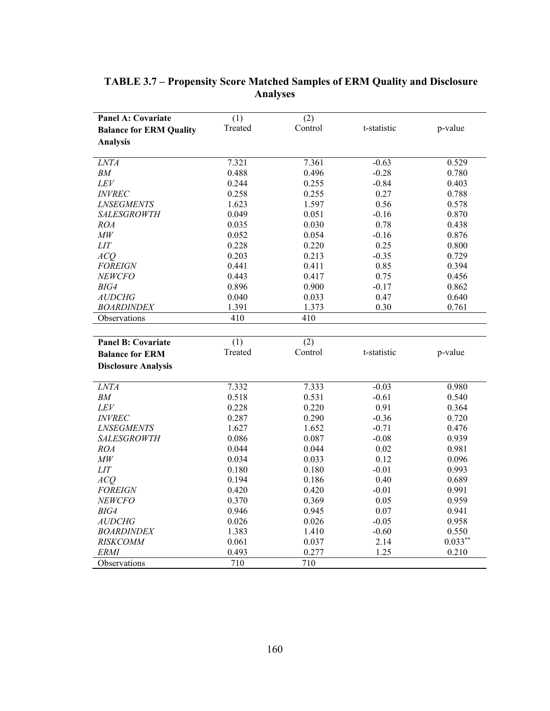| <b>Panel A: Covariate</b>      | (1)              | (2)              |             |            |
|--------------------------------|------------------|------------------|-------------|------------|
| <b>Balance for ERM Quality</b> | Treated          | Control          | t-statistic | p-value    |
| <b>Analysis</b>                |                  |                  |             |            |
|                                |                  |                  |             |            |
| LNTA                           | 7.321            | 7.361            | $-0.63$     | 0.529      |
| BM                             | 0.488            | 0.496            | $-0.28$     | 0.780      |
| ${\cal L}{\cal E}{\cal V}$     | 0.244            | 0.255            | $-0.84$     | 0.403      |
| <b>INVREC</b>                  | 0.258            | 0.255            | 0.27        | 0.788      |
| <b>LNSEGMENTS</b>              | 1.623            | 1.597            | 0.56        | 0.578      |
| <b>SALESGROWTH</b>             | 0.049            | 0.051            | $-0.16$     | 0.870      |
| <b>ROA</b>                     | 0.035            | 0.030            | 0.78        | 0.438      |
| $\mathit{MW}$                  | 0.052            | 0.054            | $-0.16$     | 0.876      |
| LIT                            | 0.228            | 0.220            | 0.25        | 0.800      |
| ACQ                            | 0.203            | 0.213            | $-0.35$     | 0.729      |
| <b>FOREIGN</b>                 | 0.441            | 0.411            | 0.85        | 0.394      |
| <b>NEWCFO</b>                  | 0.443            | 0.417            | 0.75        | 0.456      |
| BIG4                           | 0.896            | 0.900            | $-0.17$     | 0.862      |
| <b>AUDCHG</b>                  | 0.040            | 0.033            | 0.47        | 0.640      |
| <b>BOARDINDEX</b>              | 1.391            | 1.373            | 0.30        | 0.761      |
| Observations                   | 410              | 410              |             |            |
|                                |                  |                  |             |            |
| <b>Panel B: Covariate</b>      | $\overline{(1)}$ | $\overline{(2)}$ |             |            |
| <b>Balance for ERM</b>         | Treated          | Control          | t-statistic | p-value    |
| <b>Disclosure Analysis</b>     |                  |                  |             |            |
| LNTA                           | 7.332            | 7.333            | $-0.03$     | 0.980      |
| BM                             | 0.518            | 0.531            | $-0.61$     | 0.540      |
| LEV                            | 0.228            | 0.220            | 0.91        | 0.364      |
| <b>INVREC</b>                  | 0.287            | 0.290            | $-0.36$     | 0.720      |
| <b>LNSEGMENTS</b>              | 1.627            | 1.652            | $-0.71$     | 0.476      |
| <b>SALESGROWTH</b>             | 0.086            | 0.087            | $-0.08$     | 0.939      |
| ROA                            | 0.044            | 0.044            | 0.02        | 0.981      |
| $\mathit{MW}$                  | 0.034            | 0.033            | 0.12        | 0.096      |
| $LIT$                          | 0.180            | 0.180            | $-0.01$     | 0.993      |
| ACO                            | 0.194            | 0.186            | 0.40        | 0.689      |
| <b>FOREIGN</b>                 | 0.420            | 0.420            | $-0.01$     | 0.991      |
| <b>NEWCFO</b>                  | 0.370            | 0.369            | 0.05        | 0.959      |
| BIG4                           | 0.946            | 0.945            | 0.07        | 0.941      |
| <b>AUDCHG</b>                  | 0.026            | 0.026            | $-0.05$     | 0.958      |
| <b>BOARDINDEX</b>              | 1.383            | 1.410            | $-0.60$     | 0.550      |
| <b>RISKCOMM</b>                | 0.061            | 0.037            | 2.14        | $0.033***$ |
| ERMI                           | 0.493            | 0.277            | 1.25        | 0.210      |
| Observations                   | 710              | 710              |             |            |
|                                |                  |                  |             |            |

# **TABLE 3.7 – Propensity Score Matched Samples of ERM Quality and Disclosure Analyses**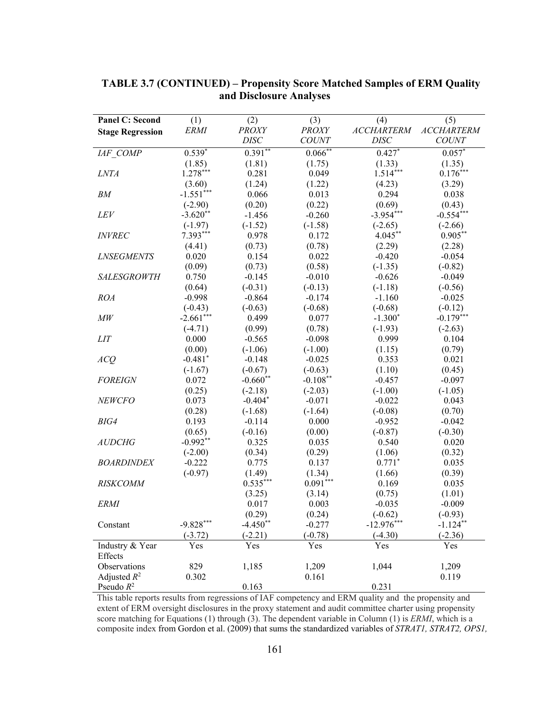| <b>Panel C: Second</b>  | (1)             | (2)                | (3)          | (4)                | (5)                      |
|-------------------------|-----------------|--------------------|--------------|--------------------|--------------------------|
|                         | <b>ERMI</b>     | <b>PROXY</b>       | <b>PROXY</b> | <b>ACCHARTERM</b>  | <b>ACCHARTERM</b>        |
| <b>Stage Regression</b> |                 | <b>DISC</b>        | <b>COUNT</b> | <b>DISC</b>        | <b>COUNT</b>             |
| IAF COMP                | $0.539*$        | $0.391**$          | $0.066**$    | $0.427*$           | $0.057^*$                |
|                         | (1.85)          | (1.81)             | (1.75)       | (1.33)             | (1.35)                   |
| <b>LNTA</b>             | $1.278***$      | 0.281              | 0.049        | $1.514***$         | $0.176***$               |
|                         | (3.60)          | (1.24)             | (1.22)       | (4.23)             | (3.29)                   |
| BM                      | $-1.551***$     | 0.066              | 0.013        | 0.294              | 0.038                    |
|                         | $(-2.90)$       | (0.20)             | (0.22)       | (0.69)             | (0.43)                   |
| LEV                     | $-3.620**$      | $-1.456$           | $-0.260$     | $-3.954***$        | $-0.554***$              |
|                         | $(-1.97)$       | $(-1.52)$          | $(-1.58)$    | $(-2.65)$          | $(-2.66)$                |
| <b>INVREC</b>           | $7.393***$      | 0.978              | 0.172        | $4.045***$         | $0.905***$               |
|                         |                 |                    | (0.78)       |                    | (2.28)                   |
| <b>LNSEGMENTS</b>       | (4.41)<br>0.020 | (0.73)<br>0.154    | 0.022        | (2.29)<br>$-0.420$ | $-0.054$                 |
|                         |                 |                    | (0.58)       |                    | $(-0.82)$                |
|                         | (0.09)<br>0.750 | (0.73)<br>$-0.145$ |              | $(-1.35)$          | $-0.049$                 |
| <b>SALESGROWTH</b>      |                 |                    | $-0.010$     | $-0.626$           |                          |
|                         | (0.64)          | $(-0.31)$          | $(-0.13)$    | $(-1.18)$          | $(-0.56)$                |
| <b>ROA</b>              | $-0.998$        | $-0.864$           | $-0.174$     | $-1.160$           | $-0.025$                 |
|                         | $(-0.43)$       | $(-0.63)$<br>0.499 | $(-0.68)$    | $(-0.68)$          | $(-0.12)$<br>$-0.179***$ |
| MW                      | $-2.661***$     |                    | 0.077        | $-1.300*$          |                          |
|                         | $(-4.71)$       | (0.99)             | (0.78)       | $(-1.93)$          | $(-2.63)$                |
| <b>LIT</b>              | 0.000           | $-0.565$           | $-0.098$     | 0.999              | 0.104                    |
|                         | (0.00)          | $(-1.06)$          | $(-1.00)$    | (1.15)             | (0.79)                   |
| ACQ                     | $-0.481*$       | $-0.148$           | $-0.025$     | 0.353              | 0.021                    |
|                         | $(-1.67)$       | $(-0.67)$          | $(-0.63)$    | (1.10)             | (0.45)                   |
| <b>FOREIGN</b>          | 0.072           | $-0.660**$         | $-0.108**$   | $-0.457$           | $-0.097$                 |
|                         | (0.25)          | $(-2.18)$          | $(-2.03)$    | $(-1.00)$          | $(-1.05)$                |
| <b>NEWCFO</b>           | 0.073           | $-0.404*$          | $-0.071$     | $-0.022$           | 0.043                    |
|                         | (0.28)          | $(-1.68)$          | $(-1.64)$    | $(-0.08)$          | (0.70)                   |
| BIG4                    | 0.193           | $-0.114$           | 0.000        | $-0.952$           | $-0.042$                 |
|                         | (0.65)          | $(-0.16)$          | (0.00)       | $(-0.87)$          | $(-0.30)$                |
| <b>AUDCHG</b>           | $-0.992**$      | 0.325              | 0.035        | 0.540              | 0.020                    |
|                         | $(-2.00)$       | (0.34)             | (0.29)       | (1.06)             | (0.32)                   |
| <b>BOARDINDEX</b>       | $-0.222$        | 0.775              | 0.137        | $0.771*$           | 0.035                    |
|                         | $(-0.97)$       | (1.49)             | (1.34)       | (1.66)             | (0.39)                   |
| <b>RISKCOMM</b>         |                 | $0.535***$         | $0.091***$   | 0.169              | 0.035                    |
|                         |                 | (3.25)             | (3.14)       | (0.75)             | (1.01)                   |
| <b>ERMI</b>             |                 | 0.017              | 0.003        | $-0.035$           | $-0.009$                 |
|                         |                 | (0.29)             | (0.24)       | $(-0.62)$          | $(-0.93)$                |
| Constant                | $-9.828***$     | $-4.450**$         | $-0.277$     | $-12.976***$       | $-1.124***$              |
|                         | $(-3.72)$       | $(-2.21)$          | $(-0.78)$    | $(-4.30)$          | $(-2.36)$                |
| Industry & Year         | Yes             | Yes                | Yes          | Yes                | Yes                      |
| Effects                 |                 |                    |              |                    |                          |
| Observations            | 829             | 1,185              | 1,209        | 1,044              | 1,209                    |
| Adjusted $R^2$          | 0.302           |                    | 0.161        |                    | 0.119                    |
| Pseudo $R^2$            |                 | 0.163              |              | 0.231              |                          |

# **TABLE 3.7 (CONTINUED) – Propensity Score Matched Samples of ERM Quality and Disclosure Analyses**

This table reports results from regressions of IAF competency and ERM quality and the propensity and extent of ERM oversight disclosures in the proxy statement and audit committee charter using propensity score matching for Equations (1) through (3). The dependent variable in Column (1) is *ERMI*, which is a composite index from Gordon et al. (2009) that sums the standardized variables of *STRAT1, STRAT2, OPS1,*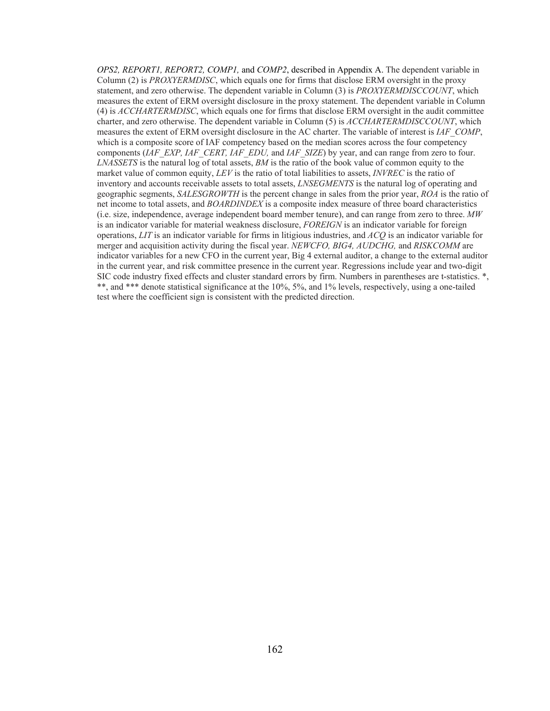*OPS2, REPORT1, REPORT2, COMP1,* and *COMP2*, described in Appendix A. The dependent variable in Column (2) is *PROXYERMDISC*, which equals one for firms that disclose ERM oversight in the proxy statement, and zero otherwise. The dependent variable in Column (3) is *PROXYERMDISCCOUNT*, which measures the extent of ERM oversight disclosure in the proxy statement. The dependent variable in Column (4) is *ACCHARTERMDISC*, which equals one for firms that disclose ERM oversight in the audit committee charter, and zero otherwise. The dependent variable in Column (5) is *ACCHARTERMDISCCOUNT*, which measures the extent of ERM oversight disclosure in the AC charter. The variable of interest is *IAF\_COMP*, which is a composite score of IAF competency based on the median scores across the four competency components (*IAF\_EXP, IAF\_CERT, IAF\_EDU,* and *IAF\_SIZE*) by year, and can range from zero to four. *LNASSETS* is the natural log of total assets, *BM* is the ratio of the book value of common equity to the market value of common equity, *LEV* is the ratio of total liabilities to assets, *INVREC* is the ratio of inventory and accounts receivable assets to total assets, *LNSEGMENTS* is the natural log of operating and geographic segments, *SALESGROWTH* is the percent change in sales from the prior year, *ROA* is the ratio of net income to total assets, and *BOARDINDEX* is a composite index measure of three board characteristics (i.e. size, independence, average independent board member tenure), and can range from zero to three. *MW*  is an indicator variable for material weakness disclosure, *FOREIGN* is an indicator variable for foreign operations, *LIT* is an indicator variable for firms in litigious industries, and *ACQ* is an indicator variable for merger and acquisition activity during the fiscal year. *NEWCFO, BIG4, AUDCHG,* and *RISKCOMM* are indicator variables for a new CFO in the current year, Big 4 external auditor, a change to the external auditor in the current year, and risk committee presence in the current year. Regressions include year and two-digit SIC code industry fixed effects and cluster standard errors by firm. Numbers in parentheses are t-statistics. \*, \*\*, and \*\*\* denote statistical significance at the 10%, 5%, and 1% levels, respectively, using a one-tailed test where the coefficient sign is consistent with the predicted direction.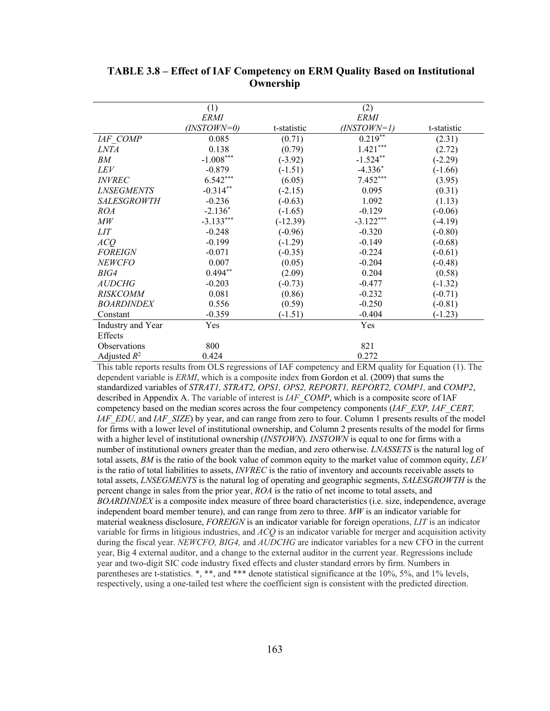|                          | (1)         |             | (2)         |             |
|--------------------------|-------------|-------------|-------------|-------------|
|                          | <i>ERMI</i> |             | <i>ERMI</i> |             |
|                          | (INSTOWN=0) | t-statistic | (INSTOWN=1) | t-statistic |
| IAF COMP                 | 0.085       | (0.71)      | $0.219***$  | (2.31)      |
| <i>LNTA</i>              | 0.138       | (0.79)      | $1.421***$  | (2.72)      |
| BМ                       | $-1.008***$ | $(-3.92)$   | $-1.524**$  | $(-2.29)$   |
| LEV                      | $-0.879$    | $(-1.51)$   | $-4.336*$   | $(-1.66)$   |
| <i><b>INVREC</b></i>     | $6.542***$  | (6.05)      | $7.452***$  | (3.95)      |
| <i><b>LNSEGMENTS</b></i> | $-0.314**$  | $(-2.15)$   | 0.095       | (0.31)      |
| <b>SALESGROWTH</b>       | $-0.236$    | $(-0.63)$   | 1.092       | (1.13)      |
| <i>ROA</i>               | $-2.136*$   | $(-1.65)$   | $-0.129$    | $(-0.06)$   |
| MW                       | $-3.133***$ | $(-12.39)$  | $-3.122***$ | $(-4.19)$   |
| LIT                      | $-0.248$    | $(-0.96)$   | $-0.320$    | $(-0.80)$   |
| ACQ                      | $-0.199$    | $(-1.29)$   | $-0.149$    | $(-0.68)$   |
| <b>FOREIGN</b>           | $-0.071$    | $(-0.35)$   | $-0.224$    | $(-0.61)$   |
| <b>NEWCFO</b>            | 0.007       | (0.05)      | $-0.204$    | $(-0.48)$   |
| BIG4                     | $0.494**$   | (2.09)      | 0.204       | (0.58)      |
| <i>AUDCHG</i>            | $-0.203$    | $(-0.73)$   | $-0.477$    | $(-1.32)$   |
| <b>RISKCOMM</b>          | 0.081       | (0.86)      | $-0.232$    | $(-0.71)$   |
| <b>BOARDINDEX</b>        | 0.556       | (0.59)      | $-0.250$    | $(-0.81)$   |
| Constant                 | $-0.359$    | $(-1.51)$   | $-0.404$    | $(-1.23)$   |
| Industry and Year        | Yes         |             | Yes         |             |
| Effects                  |             |             |             |             |
| <b>Observations</b>      | 800         |             | 821         |             |
| Adjusted $R^2$           | 0.424       |             | 0.272       |             |

**TABLE 3.8 – Effect of IAF Competency on ERM Quality Based on Institutional Ownership** 

This table reports results from OLS regressions of IAF competency and ERM quality for Equation (1). The dependent variable is *ERMI*, which is a composite index from Gordon et al. (2009) that sums the standardized variables of *STRAT1, STRAT2, OPS1, OPS2, REPORT1, REPORT2, COMP1,* and *COMP2*, described in Appendix A. The variable of interest is *IAF\_COMP*, which is a composite score of IAF competency based on the median scores across the four competency components (*IAF\_EXP, IAF\_CERT, IAF\_EDU,* and *IAF\_SIZE*) by year, and can range from zero to four. Column 1 presents results of the model for firms with a lower level of institutional ownership, and Column 2 presents results of the model for firms with a higher level of institutional ownership (*INSTOWN*). *INSTOWN* is equal to one for firms with a number of institutional owners greater than the median, and zero otherwise. *LNASSETS* is the natural log of total assets, *BM* is the ratio of the book value of common equity to the market value of common equity, *LEV*  is the ratio of total liabilities to assets, *INVREC* is the ratio of inventory and accounts receivable assets to total assets, *LNSEGMENTS* is the natural log of operating and geographic segments, *SALESGROWTH* is the percent change in sales from the prior year, *ROA* is the ratio of net income to total assets, and *BOARDINDEX* is a composite index measure of three board characteristics (i.e. size, independence, average independent board member tenure), and can range from zero to three. *MW* is an indicator variable for material weakness disclosure, *FOREIGN* is an indicator variable for foreign operations, *LIT* is an indicator variable for firms in litigious industries, and *ACQ* is an indicator variable for merger and acquisition activity during the fiscal year. *NEWCFO, BIG4,* and *AUDCHG* are indicator variables for a new CFO in the current year, Big 4 external auditor, and a change to the external auditor in the current year. Regressions include year and two-digit SIC code industry fixed effects and cluster standard errors by firm. Numbers in parentheses are t-statistics. \*, \*\*, and \*\*\* denote statistical significance at the 10%, 5%, and 1% levels, respectively, using a one-tailed test where the coefficient sign is consistent with the predicted direction.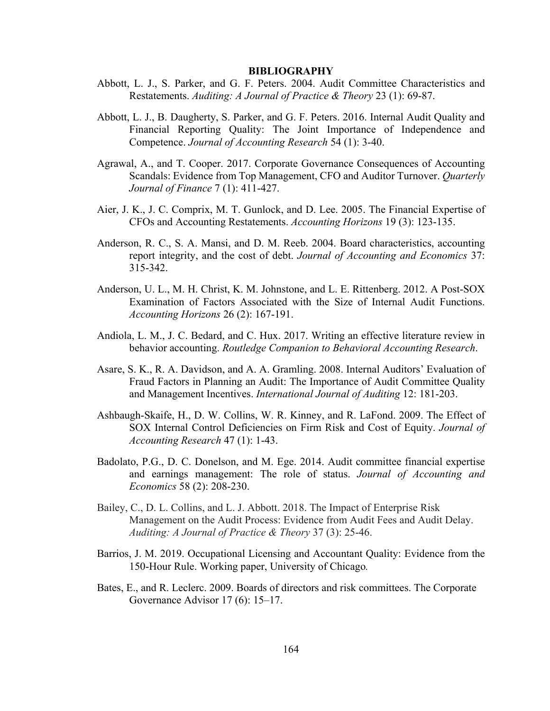#### **BIBLIOGRAPHY**

- Abbott, L. J., S. Parker, and G. F. Peters. 2004. Audit Committee Characteristics and Restatements. *Auditing: A Journal of Practice & Theory* 23 (1): 69-87.
- Abbott, L. J., B. Daugherty, S. Parker, and G. F. Peters. 2016. Internal Audit Quality and Financial Reporting Quality: The Joint Importance of Independence and Competence. *Journal of Accounting Research* 54 (1): 3-40.
- Agrawal, A., and T. Cooper. 2017. Corporate Governance Consequences of Accounting Scandals: Evidence from Top Management, CFO and Auditor Turnover. *Quarterly Journal of Finance* 7 (1): 411-427.
- Aier, J. K., J. C. Comprix, M. T. Gunlock, and D. Lee. 2005. The Financial Expertise of CFOs and Accounting Restatements. *Accounting Horizons* 19 (3): 123-135.
- Anderson, R. C., S. A. Mansi, and D. M. Reeb. 2004. Board characteristics, accounting report integrity, and the cost of debt. *Journal of Accounting and Economics* 37: 315-342.
- Anderson, U. L., M. H. Christ, K. M. Johnstone, and L. E. Rittenberg. 2012. A Post-SOX Examination of Factors Associated with the Size of Internal Audit Functions. *Accounting Horizons* 26 (2): 167-191.
- Andiola, L. M., J. C. Bedard, and C. Hux. 2017. Writing an effective literature review in behavior accounting. *Routledge Companion to Behavioral Accounting Research*.
- Asare, S. K., R. A. Davidson, and A. A. Gramling. 2008. Internal Auditors' Evaluation of Fraud Factors in Planning an Audit: The Importance of Audit Committee Quality and Management Incentives. *International Journal of Auditing* 12: 181-203.
- Ashbaugh-Skaife, H., D. W. Collins, W. R. Kinney, and R. LaFond. 2009. The Effect of SOX Internal Control Deficiencies on Firm Risk and Cost of Equity. *Journal of Accounting Research* 47 (1): 1-43.
- Badolato, P.G., D. C. Donelson, and M. Ege. 2014. Audit committee financial expertise and earnings management: The role of status. *Journal of Accounting and Economics* 58 (2): 208-230.
- Bailey, C., D. L. Collins, and L. J. Abbott. 2018. The Impact of Enterprise Risk Management on the Audit Process: Evidence from Audit Fees and Audit Delay. *Auditing: A Journal of Practice & Theory* 37 (3): 25-46.
- Barrios, J. M. 2019. Occupational Licensing and Accountant Quality: Evidence from the 150-Hour Rule. Working paper, University of Chicago*.*
- Bates, E., and R. Leclerc. 2009. Boards of directors and risk committees. The Corporate Governance Advisor 17 (6): 15–17.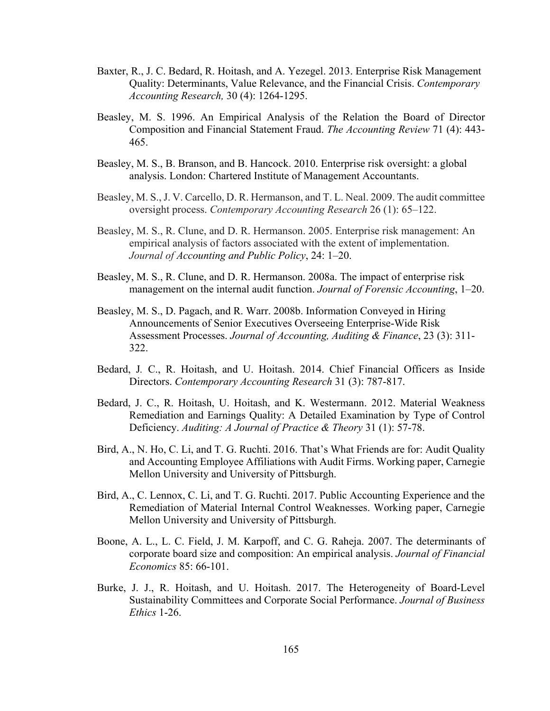- Baxter, R., J. C. Bedard, R. Hoitash, and A. Yezegel. 2013. Enterprise Risk Management Quality: Determinants, Value Relevance, and the Financial Crisis. *Contemporary Accounting Research,* 30 (4): 1264-1295.
- Beasley, M. S. 1996. An Empirical Analysis of the Relation the Board of Director Composition and Financial Statement Fraud. *The Accounting Review* 71 (4): 443- 465.
- Beasley, M. S., B. Branson, and B. Hancock. 2010. Enterprise risk oversight: a global analysis. London: Chartered Institute of Management Accountants.
- Beasley, M. S., J. V. Carcello, D. R. Hermanson, and T. L. Neal. 2009. The audit committee oversight process. *Contemporary Accounting Research* 26 (1): 65–122.
- Beasley, M. S., R. Clune, and D. R. Hermanson. 2005. Enterprise risk management: An empirical analysis of factors associated with the extent of implementation. *Journal of Accounting and Public Policy*, 24: 1–20.
- Beasley, M. S., R. Clune, and D. R. Hermanson. 2008a. The impact of enterprise risk management on the internal audit function. *Journal of Forensic Accounting*, 1–20.
- Beasley, M. S., D. Pagach, and R. Warr. 2008b. Information Conveyed in Hiring Announcements of Senior Executives Overseeing Enterprise-Wide Risk Assessment Processes. *Journal of Accounting, Auditing & Finance*, 23 (3): 311- 322.
- Bedard, J*.* C., R. Hoitash, and U. Hoitash. 2014. Chief Financial Officers as Inside Directors. *Contemporary Accounting Research* 31 (3): 787-817.
- Bedard, J. C., R. Hoitash, U. Hoitash, and K. Westermann. 2012. Material Weakness Remediation and Earnings Quality: A Detailed Examination by Type of Control Deficiency. *Auditing: A Journal of Practice & Theory* 31 (1): 57-78.
- Bird, A., N. Ho, C. Li, and T. G. Ruchti. 2016. That's What Friends are for: Audit Quality and Accounting Employee Affiliations with Audit Firms. Working paper, Carnegie Mellon University and University of Pittsburgh.
- Bird, A., C. Lennox, C. Li, and T. G. Ruchti. 2017. Public Accounting Experience and the Remediation of Material Internal Control Weaknesses. Working paper, Carnegie Mellon University and University of Pittsburgh.
- Boone, A. L., L. C. Field, J. M. Karpoff, and C. G. Raheja. 2007. The determinants of corporate board size and composition: An empirical analysis. *Journal of Financial Economics* 85: 66-101.
- Burke, J. J., R. Hoitash, and U. Hoitash. 2017. The Heterogeneity of Board-Level Sustainability Committees and Corporate Social Performance. *Journal of Business Ethics* 1-26.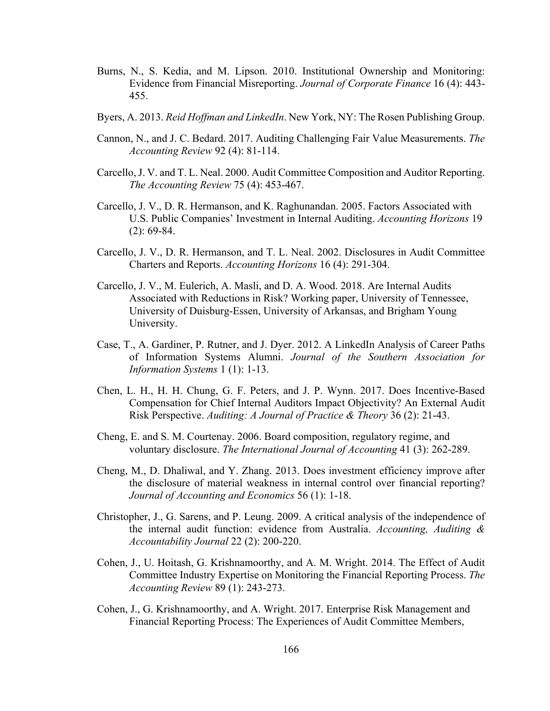- Burns, N., S. Kedia, and M. Lipson. 2010. Institutional Ownership and Monitoring: Evidence from Financial Misreporting. *Journal of Corporate Finance* 16 (4): 443- 455.
- Byers, A. 2013. *Reid Hoffman and LinkedIn*. New York, NY: The Rosen Publishing Group.
- Cannon, N., and J. C. Bedard. 2017. Auditing Challenging Fair Value Measurements. *The Accounting Review* 92 (4): 81-114.
- Carcello, J. V. and T. L. Neal. 2000. Audit Committee Composition and Auditor Reporting. *The Accounting Review* 75 (4): 453-467.
- Carcello, J. V., D. R. Hermanson, and K. Raghunandan. 2005. Factors Associated with U.S. Public Companies' Investment in Internal Auditing. *Accounting Horizons* 19 (2): 69-84.
- Carcello, J. V., D. R. Hermanson, and T. L. Neal. 2002. Disclosures in Audit Committee Charters and Reports. *Accounting Horizons* 16 (4): 291-304.
- Carcello, J. V., M. Eulerich, A. Masli, and D. A. Wood. 2018. Are Internal Audits Associated with Reductions in Risk? Working paper, University of Tennessee, University of Duisburg-Essen, University of Arkansas, and Brigham Young University.
- Case, T., A. Gardiner, P. Rutner, and J. Dyer. 2012. A LinkedIn Analysis of Career Paths of Information Systems Alumni. *Journal of the Southern Association for Information Systems* 1 (1): 1-13.
- Chen, L. H., H. H. Chung, G. F. Peters, and J. P. Wynn. 2017. Does Incentive-Based Compensation for Chief Internal Auditors Impact Objectivity? An External Audit Risk Perspective. *Auditing: A Journal of Practice & Theory* 36 (2): 21-43.
- Cheng, E. and S. M. Courtenay. 2006. Board composition, regulatory regime, and voluntary disclosure. *The International Journal of Accounting* 41 (3): 262-289.
- Cheng, M., D. Dhaliwal, and Y. Zhang. 2013. Does investment efficiency improve after the disclosure of material weakness in internal control over financial reporting? *Journal of Accounting and Economics* 56 (1): 1-18.
- Christopher, J., G. Sarens, and P. Leung. 2009. A critical analysis of the independence of the internal audit function: evidence from Australia. *Accounting, Auditing & Accountability Journal* 22 (2): 200-220.
- Cohen, J., U. Hoitash, G. Krishnamoorthy, and A. M. Wright. 2014. The Effect of Audit Committee Industry Expertise on Monitoring the Financial Reporting Process. *The Accounting Review* 89 (1): 243-273.
- Cohen, J., G. Krishnamoorthy, and A. Wright. 2017. Enterprise Risk Management and Financial Reporting Process: The Experiences of Audit Committee Members,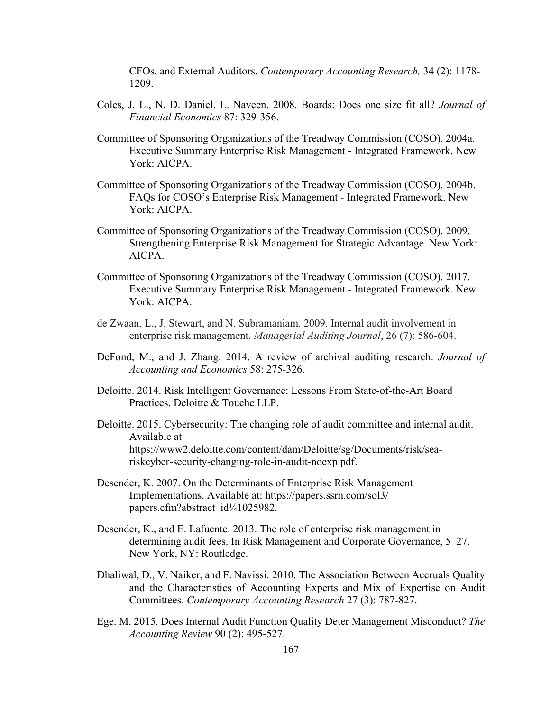CFOs, and External Auditors. *Contemporary Accounting Research,* 34 (2): 1178- 1209.

- Coles, J. L., N. D. Daniel, L. Naveen. 2008. Boards: Does one size fit all? *Journal of Financial Economics* 87: 329-356.
- Committee of Sponsoring Organizations of the Treadway Commission (COSO). 2004a. Executive Summary Enterprise Risk Management - Integrated Framework. New York: AICPA.
- Committee of Sponsoring Organizations of the Treadway Commission (COSO). 2004b. FAQs for COSO's Enterprise Risk Management - Integrated Framework. New York: AICPA.
- Committee of Sponsoring Organizations of the Treadway Commission (COSO). 2009. Strengthening Enterprise Risk Management for Strategic Advantage. New York: AICPA.
- Committee of Sponsoring Organizations of the Treadway Commission (COSO). 2017. Executive Summary Enterprise Risk Management - Integrated Framework. New York: AICPA.
- de Zwaan, L., J. Stewart, and N. Subramaniam. 2009. Internal audit involvement in enterprise risk management. *Managerial Auditing Journal*, 26 (7): 586-604.
- DeFond, M., and J. Zhang. 2014. A review of archival auditing research. *Journal of Accounting and Economics* 58: 275-326.
- Deloitte. 2014. Risk Intelligent Governance: Lessons From State-of-the-Art Board Practices. Deloitte & Touche LLP.
- Deloitte. 2015. Cybersecurity: The changing role of audit committee and internal audit. Available at https://www2.deloitte.com/content/dam/Deloitte/sg/Documents/risk/seariskcyber-security-changing-role-in-audit-noexp.pdf.
- Desender, K. 2007. On the Determinants of Enterprise Risk Management Implementations. Available at: https://papers.ssrn.com/sol3/ papers.cfm?abstract\_id¼1025982.
- Desender, K., and E. Lafuente. 2013. The role of enterprise risk management in determining audit fees. In Risk Management and Corporate Governance, 5–27. New York, NY: Routledge.
- Dhaliwal, D., V. Naiker, and F. Navissi. 2010. The Association Between Accruals Quality and the Characteristics of Accounting Experts and Mix of Expertise on Audit Committees. *Contemporary Accounting Research* 27 (3): 787-827.
- Ege. M. 2015. Does Internal Audit Function Quality Deter Management Misconduct? *The Accounting Review* 90 (2): 495-527.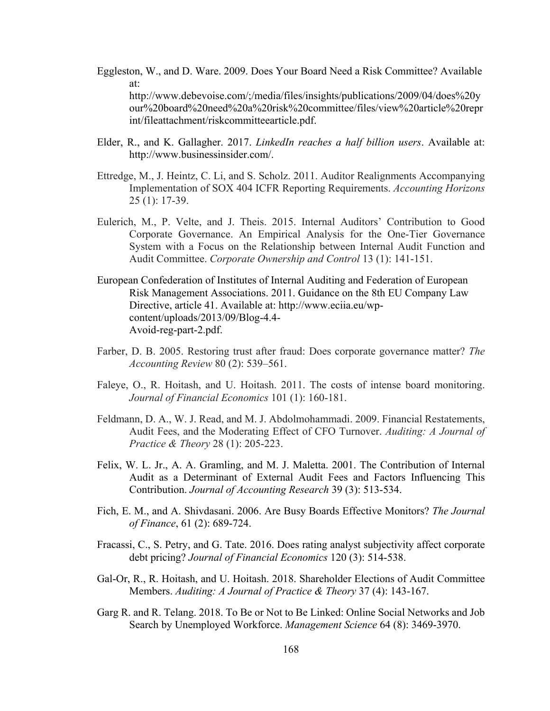- Eggleston, W., and D. Ware. 2009. Does Your Board Need a Risk Committee? Available at: http://www.debevoise.com/;/media/files/insights/publications/2009/04/does%20y our%20board%20need%20a%20risk%20committee/files/view%20article%20repr int/fileattachment/riskcommitteearticle.pdf.
- Elder, R., and K. Gallagher. 2017. *LinkedIn reaches a half billion users*. Available at: http://www.businessinsider.com/.
- Ettredge, M., J. Heintz, C. Li, and S. Scholz. 2011. Auditor Realignments Accompanying Implementation of SOX 404 ICFR Reporting Requirements. *Accounting Horizons* 25 (1): 17-39.
- Eulerich, M., P. Velte, and J. Theis. 2015. Internal Auditors' Contribution to Good Corporate Governance. An Empirical Analysis for the One-Tier Governance System with a Focus on the Relationship between Internal Audit Function and Audit Committee. *Corporate Ownership and Control* 13 (1): 141-151.
- European Confederation of Institutes of Internal Auditing and Federation of European Risk Management Associations. 2011. Guidance on the 8th EU Company Law Directive, article 41. Available at: http://www.eciia.eu/wpcontent/uploads/2013/09/Blog-4.4- Avoid-reg-part-2.pdf.
- Farber, D. B. 2005. Restoring trust after fraud: Does corporate governance matter? *The Accounting Review* 80 (2): 539–561.
- Faleye, O., R. Hoitash, and U. Hoitash. 2011. The costs of intense board monitoring. *Journal of Financial Economics* 101 (1): 160-181.
- Feldmann, D. A., W. J. Read, and M. J. Abdolmohammadi. 2009. Financial Restatements, Audit Fees, and the Moderating Effect of CFO Turnover. *Auditing: A Journal of Practice & Theory* 28 (1): 205-223.
- Felix, W. L. Jr., A. A. Gramling, and M. J. Maletta. 2001. The Contribution of Internal Audit as a Determinant of External Audit Fees and Factors Influencing This Contribution. *Journal of Accounting Research* 39 (3): 513-534.
- Fich, E. M., and A. Shivdasani. 2006. Are Busy Boards Effective Monitors? *The Journal of Finance*, 61 (2): 689-724.
- Fracassi, C., S. Petry, and G. Tate. 2016. Does rating analyst subjectivity affect corporate debt pricing? *Journal of Financial Economics* 120 (3): 514-538.
- Gal-Or, R., R. Hoitash, and U. Hoitash. 2018. Shareholder Elections of Audit Committee Members. *Auditing: A Journal of Practice & Theory* 37 (4): 143-167.
- Garg R. and R. Telang. 2018. To Be or Not to Be Linked: Online Social Networks and Job Search by Unemployed Workforce. *Management Science* 64 (8): 3469-3970.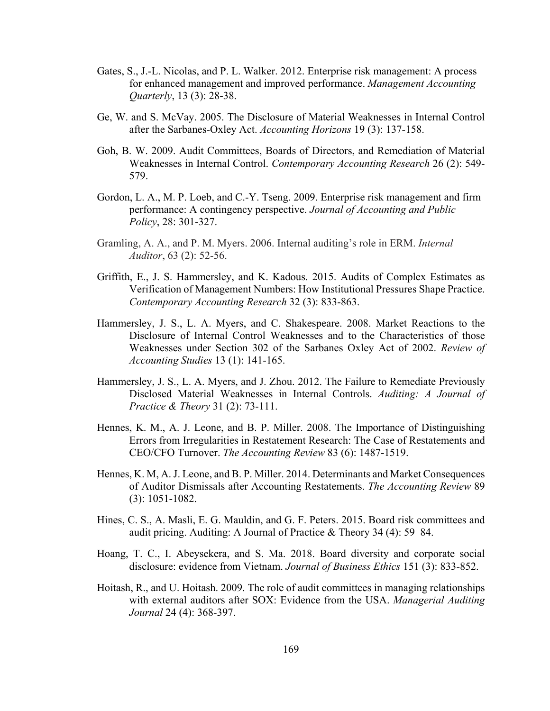- Gates, S., J.-L. Nicolas, and P. L. Walker. 2012. Enterprise risk management: A process for enhanced management and improved performance. *Management Accounting Quarterly*, 13 (3): 28-38.
- Ge, W. and S. McVay. 2005. The Disclosure of Material Weaknesses in Internal Control after the Sarbanes-Oxley Act. *Accounting Horizons* 19 (3): 137-158.
- Goh, B. W. 2009. Audit Committees, Boards of Directors, and Remediation of Material Weaknesses in Internal Control. *Contemporary Accounting Research* 26 (2): 549- 579.
- Gordon, L. A., M. P. Loeb, and C.-Y. Tseng. 2009. Enterprise risk management and firm performance: A contingency perspective. *Journal of Accounting and Public Policy*, 28: 301-327.
- Gramling, A. A., and P. M. Myers. 2006. Internal auditing's role in ERM. *Internal Auditor*, 63 (2): 52-56.
- Griffith, E., J. S. Hammersley, and K. Kadous. 2015. Audits of Complex Estimates as Verification of Management Numbers: How Institutional Pressures Shape Practice. *Contemporary Accounting Research* 32 (3): 833-863.
- Hammersley, J. S., L. A. Myers, and C. Shakespeare. 2008. Market Reactions to the Disclosure of Internal Control Weaknesses and to the Characteristics of those Weaknesses under Section 302 of the Sarbanes Oxley Act of 2002. *Review of Accounting Studies* 13 (1): 141-165.
- Hammersley, J. S., L. A. Myers, and J. Zhou. 2012. The Failure to Remediate Previously Disclosed Material Weaknesses in Internal Controls. *Auditing: A Journal of Practice & Theory* 31 (2): 73-111.
- Hennes, K. M., A. J. Leone, and B. P. Miller. 2008. The Importance of Distinguishing Errors from Irregularities in Restatement Research: The Case of Restatements and CEO/CFO Turnover. *The Accounting Review* 83 (6): 1487-1519.
- Hennes, K. M, A. J. Leone, and B. P. Miller. 2014. Determinants and Market Consequences of Auditor Dismissals after Accounting Restatements. *The Accounting Review* 89 (3): 1051-1082.
- Hines, C. S., A. Masli, E. G. Mauldin, and G. F. Peters. 2015. Board risk committees and audit pricing. Auditing: A Journal of Practice & Theory 34 (4): 59–84.
- Hoang, T. C., I. Abeysekera, and S. Ma. 2018. Board diversity and corporate social disclosure: evidence from Vietnam. *Journal of Business Ethics* 151 (3): 833-852.
- Hoitash, R., and U. Hoitash. 2009. The role of audit committees in managing relationships with external auditors after SOX: Evidence from the USA. *Managerial Auditing Journal* 24 (4): 368-397.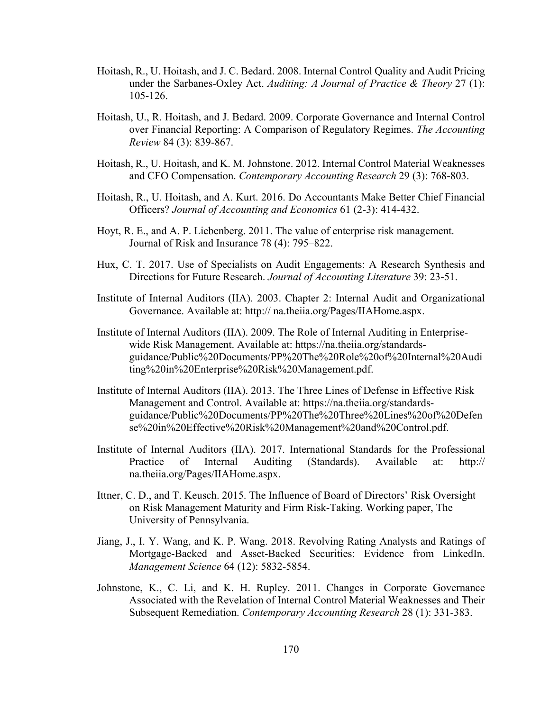- Hoitash, R., U. Hoitash, and J. C. Bedard. 2008. Internal Control Quality and Audit Pricing under the Sarbanes-Oxley Act. *Auditing: A Journal of Practice & Theory* 27 (1): 105-126.
- Hoitash, U., R. Hoitash, and J. Bedard. 2009. Corporate Governance and Internal Control over Financial Reporting: A Comparison of Regulatory Regimes. *The Accounting Review* 84 (3): 839-867.
- Hoitash, R., U. Hoitash, and K. M. Johnstone. 2012. Internal Control Material Weaknesses and CFO Compensation. *Contemporary Accounting Research* 29 (3): 768-803.
- Hoitash, R., U. Hoitash, and A. Kurt. 2016. Do Accountants Make Better Chief Financial Officers? *Journal of Accounting and Economics* 61 (2-3): 414-432.
- Hoyt, R. E., and A. P. Liebenberg. 2011. The value of enterprise risk management. Journal of Risk and Insurance 78 (4): 795–822.
- Hux, C. T. 2017. Use of Specialists on Audit Engagements: A Research Synthesis and Directions for Future Research. *Journal of Accounting Literature* 39: 23-51.
- Institute of Internal Auditors (IIA). 2003. Chapter 2: Internal Audit and Organizational Governance. Available at: http:// na.theiia.org/Pages/IIAHome.aspx.
- Institute of Internal Auditors (IIA). 2009. The Role of Internal Auditing in Enterprisewide Risk Management. Available at: https://na.theiia.org/standardsguidance/Public%20Documents/PP%20The%20Role%20of%20Internal%20Audi ting%20in%20Enterprise%20Risk%20Management.pdf.
- Institute of Internal Auditors (IIA). 2013. The Three Lines of Defense in Effective Risk Management and Control. Available at: https://na.theiia.org/standardsguidance/Public%20Documents/PP%20The%20Three%20Lines%20of%20Defen se%20in%20Effective%20Risk%20Management%20and%20Control.pdf.
- Institute of Internal Auditors (IIA). 2017. International Standards for the Professional Practice of Internal Auditing (Standards). Available at: http:// na.theiia.org/Pages/IIAHome.aspx.
- Ittner, C. D., and T. Keusch. 2015. The Influence of Board of Directors' Risk Oversight on Risk Management Maturity and Firm Risk-Taking. Working paper, The University of Pennsylvania.
- Jiang, J., I. Y. Wang, and K. P. Wang. 2018. Revolving Rating Analysts and Ratings of Mortgage-Backed and Asset-Backed Securities: Evidence from LinkedIn. *Management Science* 64 (12): 5832-5854.
- Johnstone, K., C. Li, and K. H. Rupley. 2011. Changes in Corporate Governance Associated with the Revelation of Internal Control Material Weaknesses and Their Subsequent Remediation. *Contemporary Accounting Research* 28 (1): 331-383.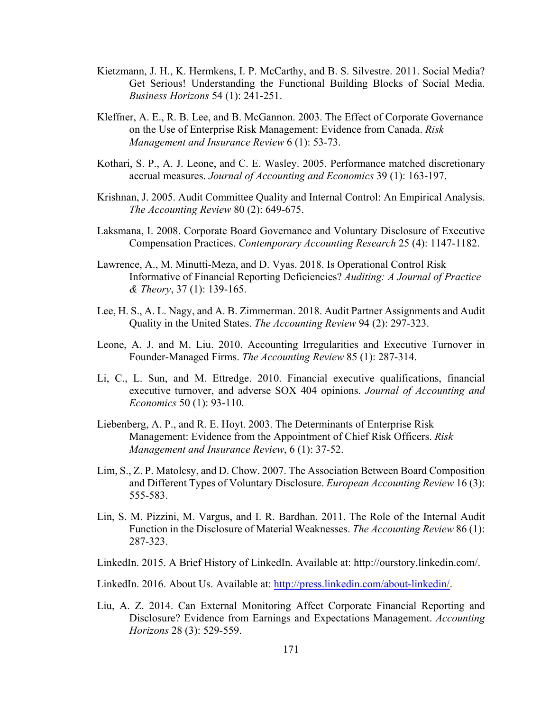- Kietzmann, J. H., K. Hermkens, I. P. McCarthy, and B. S. Silvestre. 2011. Social Media? Get Serious! Understanding the Functional Building Blocks of Social Media. *Business Horizons* 54 (1): 241-251.
- Kleffner, A. E., R. B. Lee, and B. McGannon. 2003. The Effect of Corporate Governance on the Use of Enterprise Risk Management: Evidence from Canada. *Risk Management and Insurance Review* 6 (1): 53-73.
- Kothari, S. P., A. J. Leone, and C. E. Wasley. 2005. Performance matched discretionary accrual measures. *Journal of Accounting and Economics* 39 (1): 163-197.
- Krishnan, J. 2005. Audit Committee Quality and Internal Control: An Empirical Analysis. *The Accounting Review* 80 (2): 649-675.
- Laksmana, I. 2008. Corporate Board Governance and Voluntary Disclosure of Executive Compensation Practices. *Contemporary Accounting Research* 25 (4): 1147-1182.
- Lawrence, A., M. Minutti-Meza, and D. Vyas. 2018. Is Operational Control Risk Informative of Financial Reporting Deficiencies? *Auditing: A Journal of Practice & Theory*, 37 (1): 139-165.
- Lee, H. S., A. L. Nagy, and A. B. Zimmerman. 2018. Audit Partner Assignments and Audit Quality in the United States. *The Accounting Review* 94 (2): 297-323.
- Leone, A. J. and M. Liu. 2010. Accounting Irregularities and Executive Turnover in Founder-Managed Firms. *The Accounting Review* 85 (1): 287-314.
- Li, C., L. Sun, and M. Ettredge. 2010. Financial executive qualifications, financial executive turnover, and adverse SOX 404 opinions. *Journal of Accounting and Economics* 50 (1): 93-110.
- Liebenberg, A. P., and R. E. Hoyt. 2003. The Determinants of Enterprise Risk Management: Evidence from the Appointment of Chief Risk Officers. *Risk Management and Insurance Review*, 6 (1): 37-52.
- Lim, S., Z. P. Matolcsy, and D. Chow. 2007. The Association Between Board Composition and Different Types of Voluntary Disclosure. *European Accounting Review* 16 (3): 555-583.
- Lin, S. M. Pizzini, M. Vargus, and I. R. Bardhan. 2011. The Role of the Internal Audit Function in the Disclosure of Material Weaknesses. *The Accounting Review* 86 (1): 287-323.
- LinkedIn. 2015. A Brief History of LinkedIn. Available at: http://ourstory.linkedin.com/.

LinkedIn. 2016. About Us. Available at: http://press.linkedin.com/about-linkedin/.

Liu, A. Z. 2014. Can External Monitoring Affect Corporate Financial Reporting and Disclosure? Evidence from Earnings and Expectations Management. *Accounting Horizons* 28 (3): 529-559.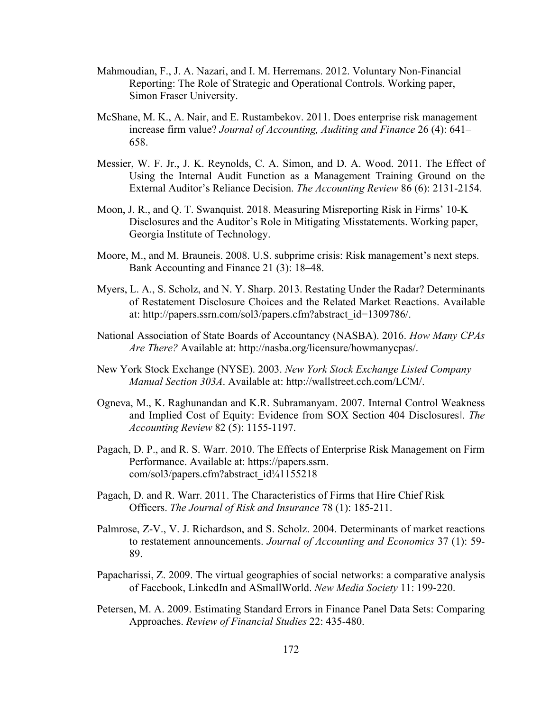- Mahmoudian, F., J. A. Nazari, and I. M. Herremans. 2012. Voluntary Non-Financial Reporting: The Role of Strategic and Operational Controls. Working paper, Simon Fraser University.
- McShane, M. K., A. Nair, and E. Rustambekov. 2011. Does enterprise risk management increase firm value? *Journal of Accounting, Auditing and Finance* 26 (4): 641– 658.
- Messier, W. F. Jr., J. K. Reynolds, C. A. Simon, and D. A. Wood. 2011. The Effect of Using the Internal Audit Function as a Management Training Ground on the External Auditor's Reliance Decision. *The Accounting Review* 86 (6): 2131-2154.
- Moon, J. R., and Q. T. Swanquist. 2018. Measuring Misreporting Risk in Firms' 10-K Disclosures and the Auditor's Role in Mitigating Misstatements. Working paper, Georgia Institute of Technology.
- Moore, M., and M. Brauneis. 2008. U.S. subprime crisis: Risk management's next steps. Bank Accounting and Finance 21 (3): 18–48.
- Myers, L. A., S. Scholz, and N. Y. Sharp. 2013. Restating Under the Radar? Determinants of Restatement Disclosure Choices and the Related Market Reactions. Available at: http://papers.ssrn.com/sol3/papers.cfm?abstract\_id=1309786/.
- National Association of State Boards of Accountancy (NASBA). 2016. *How Many CPAs Are There?* Available at: http://nasba.org/licensure/howmanycpas/.
- New York Stock Exchange (NYSE). 2003. *New York Stock Exchange Listed Company Manual Section 303A*. Available at: http://wallstreet.cch.com/LCM/.
- Ogneva, M., K. Raghunandan and K.R. Subramanyam. 2007. Internal Control Weakness and Implied Cost of Equity: Evidence from SOX Section 404 Disclosures‖. *The Accounting Review* 82 (5): 1155-1197.
- Pagach, D. P., and R. S. Warr. 2010. The Effects of Enterprise Risk Management on Firm Performance. Available at: https://papers.ssrn. com/sol3/papers.cfm?abstract\_id¼1155218
- Pagach, D. and R. Warr. 2011. The Characteristics of Firms that Hire Chief Risk Officers. *The Journal of Risk and Insurance* 78 (1): 185-211.
- Palmrose, Z-V., V. J. Richardson, and S. Scholz. 2004. Determinants of market reactions to restatement announcements. *Journal of Accounting and Economics* 37 (1): 59- 89.
- Papacharissi, Z. 2009. The virtual geographies of social networks: a comparative analysis of Facebook, LinkedIn and ASmallWorld. *New Media Society* 11: 199-220.
- Petersen, M. A. 2009. Estimating Standard Errors in Finance Panel Data Sets: Comparing Approaches. *Review of Financial Studies* 22: 435-480.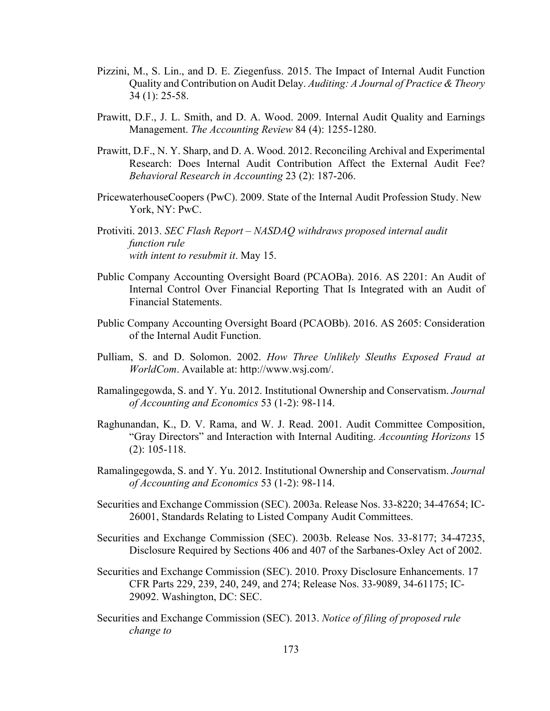- Pizzini, M., S. Lin., and D. E. Ziegenfuss. 2015. The Impact of Internal Audit Function Quality and Contribution on Audit Delay. *Auditing: A Journal of Practice & Theory* 34 (1): 25-58.
- Prawitt, D.F., J. L. Smith, and D. A. Wood. 2009. Internal Audit Quality and Earnings Management. *The Accounting Review* 84 (4): 1255-1280.
- Prawitt, D.F., N. Y. Sharp, and D. A. Wood. 2012. Reconciling Archival and Experimental Research: Does Internal Audit Contribution Affect the External Audit Fee? *Behavioral Research in Accounting* 23 (2): 187-206.
- PricewaterhouseCoopers (PwC). 2009. State of the Internal Audit Profession Study. New York, NY: PwC.
- Protiviti. 2013. *SEC Flash Report NASDAQ withdraws proposed internal audit function rule with intent to resubmit it*. May 15.
- Public Company Accounting Oversight Board (PCAOBa). 2016. AS 2201: An Audit of Internal Control Over Financial Reporting That Is Integrated with an Audit of Financial Statements.
- Public Company Accounting Oversight Board (PCAOBb). 2016. AS 2605: Consideration of the Internal Audit Function.
- Pulliam, S. and D. Solomon. 2002. *How Three Unlikely Sleuths Exposed Fraud at WorldCom*. Available at: http://www.wsj.com/.
- Ramalingegowda, S. and Y. Yu. 2012. Institutional Ownership and Conservatism. *Journal of Accounting and Economics* 53 (1-2): 98-114.
- Raghunandan, K., D. V. Rama, and W. J. Read. 2001. Audit Committee Composition, "Gray Directors" and Interaction with Internal Auditing. *Accounting Horizons* 15 (2): 105-118.
- Ramalingegowda, S. and Y. Yu. 2012. Institutional Ownership and Conservatism. *Journal of Accounting and Economics* 53 (1-2): 98-114.
- Securities and Exchange Commission (SEC). 2003a. Release Nos. 33-8220; 34-47654; IC-26001, Standards Relating to Listed Company Audit Committees.
- Securities and Exchange Commission (SEC). 2003b. Release Nos. 33-8177; 34-47235, Disclosure Required by Sections 406 and 407 of the Sarbanes-Oxley Act of 2002.
- Securities and Exchange Commission (SEC). 2010. Proxy Disclosure Enhancements. 17 CFR Parts 229, 239, 240, 249, and 274; Release Nos. 33-9089, 34-61175; IC-29092. Washington, DC: SEC.
- Securities and Exchange Commission (SEC). 2013. *Notice of filing of proposed rule change to*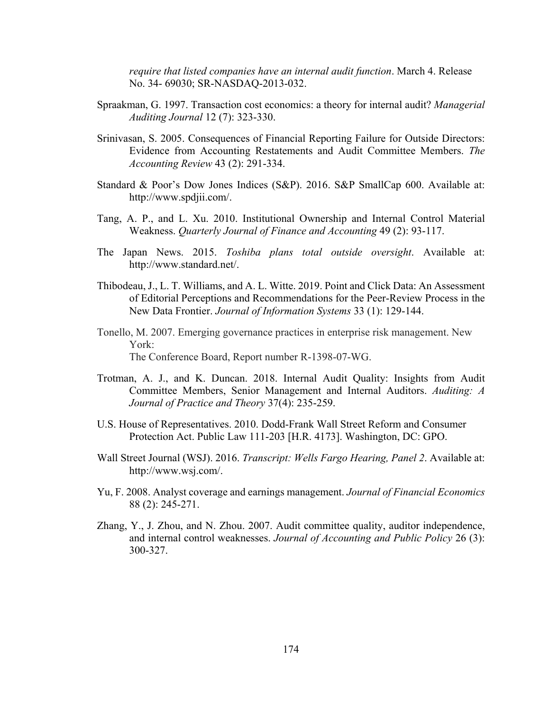*require that listed companies have an internal audit function*. March 4. Release No. 34- 69030; SR-NASDAQ-2013-032.

- Spraakman, G. 1997. Transaction cost economics: a theory for internal audit? *Managerial Auditing Journal* 12 (7): 323-330.
- Srinivasan, S. 2005. Consequences of Financial Reporting Failure for Outside Directors: Evidence from Accounting Restatements and Audit Committee Members. *The Accounting Review* 43 (2): 291-334.
- Standard & Poor's Dow Jones Indices (S&P). 2016. S&P SmallCap 600. Available at: http://www.spdjii.com/.
- Tang, A. P., and L. Xu. 2010. Institutional Ownership and Internal Control Material Weakness. *Quarterly Journal of Finance and Accounting* 49 (2): 93-117.
- The Japan News. 2015. *Toshiba plans total outside oversight*. Available at: http://www.standard.net/.
- Thibodeau, J., L. T. Williams, and A. L. Witte. 2019. Point and Click Data: An Assessment of Editorial Perceptions and Recommendations for the Peer-Review Process in the New Data Frontier. *Journal of Information Systems* 33 (1): 129-144.
- Tonello, M. 2007. Emerging governance practices in enterprise risk management. New York: The Conference Board, Report number R-1398-07-WG.
- Trotman, A. J., and K. Duncan. 2018. Internal Audit Quality: Insights from Audit Committee Members, Senior Management and Internal Auditors. *Auditing: A Journal of Practice and Theory* 37(4): 235-259.
- U.S. House of Representatives. 2010. Dodd-Frank Wall Street Reform and Consumer Protection Act. Public Law 111-203 [H.R. 4173]. Washington, DC: GPO.
- Wall Street Journal (WSJ). 2016. *Transcript: Wells Fargo Hearing, Panel 2*. Available at: http://www.wsj.com/.
- Yu, F. 2008. Analyst coverage and earnings management. *Journal of Financial Economics* 88 (2): 245-271.
- Zhang, Y., J. Zhou, and N. Zhou. 2007. Audit committee quality, auditor independence, and internal control weaknesses. *Journal of Accounting and Public Policy* 26 (3): 300-327.